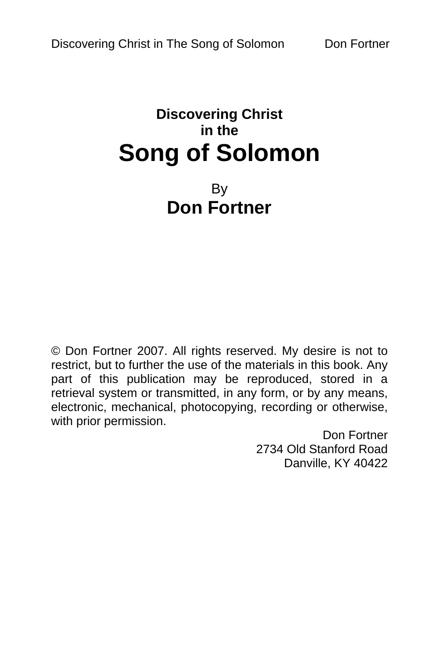# **Discovering Christ in the Song of Solomon**

# By **Don Fortner**

© Don Fortner 2007. All rights reserved. My desire is not to restrict, but to further the use of the materials in this book. Any part of this publication may be reproduced, stored in a retrieval system or transmitted, in any form, or by any means, electronic, mechanical, photocopying, recording or otherwise, with prior permission.

> Don Fortner 2734 Old Stanford Road Danville, KY 40422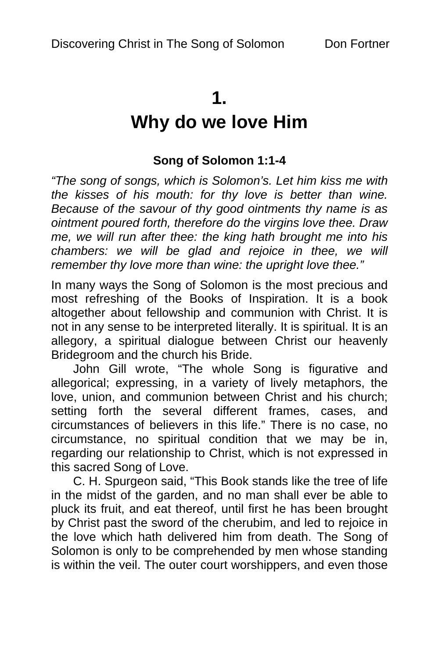## **1.**

# **Why do we love Him**

## **Song of Solomon 1:1-4**

*"The song of songs, which is Solomon's. Let him kiss me with the kisses of his mouth: for thy love is better than wine. Because of the savour of thy good ointments thy name is as ointment poured forth, therefore do the virgins love thee. Draw me, we will run after thee: the king hath brought me into his chambers: we will be glad and rejoice in thee, we will remember thy love more than wine: the upright love thee."* 

In many ways the Song of Solomon is the most precious and most refreshing of the Books of Inspiration. It is a book altogether about fellowship and communion with Christ. It is not in any sense to be interpreted literally. It is spiritual. It is an allegory, a spiritual dialogue between Christ our heavenly Bridegroom and the church his Bride.

John Gill wrote, "The whole Song is figurative and allegorical; expressing, in a variety of lively metaphors, the love, union, and communion between Christ and his church; setting forth the several different frames, cases, and circumstances of believers in this life." There is no case, no circumstance, no spiritual condition that we may be in, regarding our relationship to Christ, which is not expressed in this sacred Song of Love.

C. H. Spurgeon said, "This Book stands like the tree of life in the midst of the garden, and no man shall ever be able to pluck its fruit, and eat thereof, until first he has been brought by Christ past the sword of the cherubim, and led to rejoice in the love which hath delivered him from death. The Song of Solomon is only to be comprehended by men whose standing is within the veil. The outer court worshippers, and even those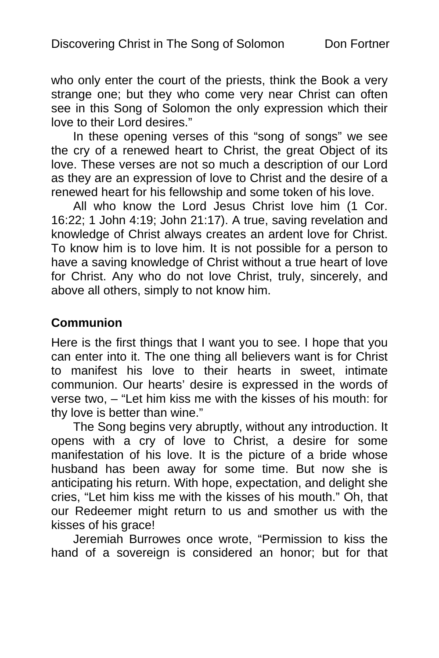who only enter the court of the priests, think the Book a very strange one; but they who come very near Christ can often see in this Song of Solomon the only expression which their love to their Lord desires."

In these opening verses of this "song of songs" we see the cry of a renewed heart to Christ, the great Object of its love. These verses are not so much a description of our Lord as they are an expression of love to Christ and the desire of a renewed heart for his fellowship and some token of his love.

All who know the Lord Jesus Christ love him (1 Cor. 16:22; 1 John 4:19; John 21:17). A true, saving revelation and knowledge of Christ always creates an ardent love for Christ. To know him is to love him. It is not possible for a person to have a saving knowledge of Christ without a true heart of love for Christ. Any who do not love Christ, truly, sincerely, and above all others, simply to not know him.

### **Communion**

Here is the first things that I want you to see. I hope that you can enter into it. The one thing all believers want is for Christ to manifest his love to their hearts in sweet, intimate communion. Our hearts' desire is expressed in the words of verse two, – "Let him kiss me with the kisses of his mouth: for thy love is better than wine."

The Song begins very abruptly, without any introduction. It opens with a cry of love to Christ, a desire for some manifestation of his love. It is the picture of a bride whose husband has been away for some time. But now she is anticipating his return. With hope, expectation, and delight she cries, "Let him kiss me with the kisses of his mouth." Oh, that our Redeemer might return to us and smother us with the kisses of his grace!

Jeremiah Burrowes once wrote, "Permission to kiss the hand of a sovereign is considered an honor; but for that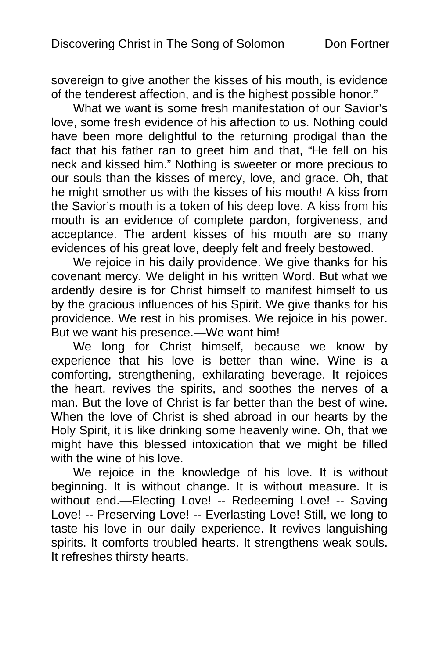sovereign to give another the kisses of his mouth, is evidence of the tenderest affection, and is the highest possible honor."

What we want is some fresh manifestation of our Savior's love, some fresh evidence of his affection to us. Nothing could have been more delightful to the returning prodigal than the fact that his father ran to greet him and that, "He fell on his neck and kissed him." Nothing is sweeter or more precious to our souls than the kisses of mercy, love, and grace. Oh, that he might smother us with the kisses of his mouth! A kiss from the Savior's mouth is a token of his deep love. A kiss from his mouth is an evidence of complete pardon, forgiveness, and acceptance. The ardent kisses of his mouth are so many evidences of his great love, deeply felt and freely bestowed.

We rejoice in his daily providence. We give thanks for his covenant mercy. We delight in his written Word. But what we ardently desire is for Christ himself to manifest himself to us by the gracious influences of his Spirit. We give thanks for his providence. We rest in his promises. We rejoice in his power. But we want his presence.—We want him!

We long for Christ himself, because we know by experience that his love is better than wine. Wine is a comforting, strengthening, exhilarating beverage. It rejoices the heart, revives the spirits, and soothes the nerves of a man. But the love of Christ is far better than the best of wine. When the love of Christ is shed abroad in our hearts by the Holy Spirit, it is like drinking some heavenly wine. Oh, that we might have this blessed intoxication that we might be filled with the wine of his love.

We rejoice in the knowledge of his love. It is without beginning. It is without change. It is without measure. It is without end.—Electing Love! -- Redeeming Love! -- Saving Love! -- Preserving Love! -- Everlasting Love! Still, we long to taste his love in our daily experience. It revives languishing spirits. It comforts troubled hearts. It strengthens weak souls. It refreshes thirsty hearts.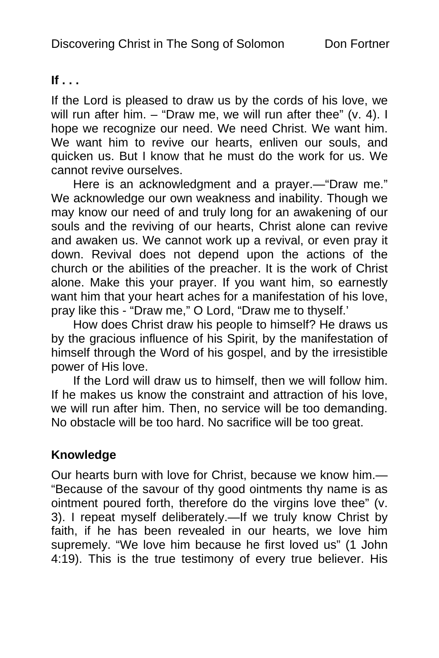### **If . . .**

If the Lord is pleased to draw us by the cords of his love, we will run after him. – "Draw me, we will run after thee" (v. 4). I hope we recognize our need. We need Christ. We want him. We want him to revive our hearts, enliven our souls, and quicken us. But I know that he must do the work for us. We cannot revive ourselves.

Here is an acknowledgment and a prayer.—"Draw me." We acknowledge our own weakness and inability. Though we may know our need of and truly long for an awakening of our souls and the reviving of our hearts, Christ alone can revive and awaken us. We cannot work up a revival, or even pray it down. Revival does not depend upon the actions of the church or the abilities of the preacher. It is the work of Christ alone. Make this your prayer. If you want him, so earnestly want him that your heart aches for a manifestation of his love, pray like this - "Draw me," O Lord, "Draw me to thyself.'

How does Christ draw his people to himself? He draws us by the gracious influence of his Spirit, by the manifestation of himself through the Word of his gospel, and by the irresistible power of His love.

If the Lord will draw us to himself, then we will follow him. If he makes us know the constraint and attraction of his love, we will run after him. Then, no service will be too demanding. No obstacle will be too hard. No sacrifice will be too great.

## **Knowledge**

Our hearts burn with love for Christ, because we know him.— "Because of the savour of thy good ointments thy name is as ointment poured forth, therefore do the virgins love thee" (v. 3). I repeat myself deliberately.—If we truly know Christ by faith, if he has been revealed in our hearts, we love him supremely. "We love him because he first loved us" (1 John 4:19). This is the true testimony of every true believer. His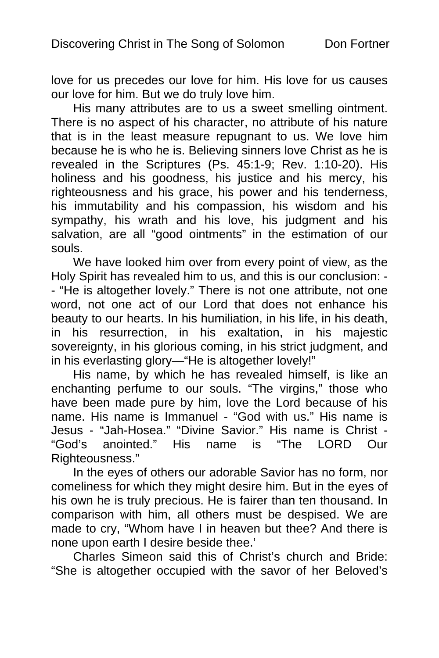love for us precedes our love for him. His love for us causes our love for him. But we do truly love him.

His many attributes are to us a sweet smelling ointment. There is no aspect of his character, no attribute of his nature that is in the least measure repugnant to us. We love him because he is who he is. Believing sinners love Christ as he is revealed in the Scriptures (Ps. 45:1-9; Rev. 1:10-20). His holiness and his goodness, his justice and his mercy, his righteousness and his grace, his power and his tenderness, his immutability and his compassion, his wisdom and his sympathy, his wrath and his love, his judgment and his salvation, are all "good ointments" in the estimation of our souls.

We have looked him over from every point of view, as the Holy Spirit has revealed him to us, and this is our conclusion: - - "He is altogether lovely." There is not one attribute, not one word, not one act of our Lord that does not enhance his beauty to our hearts. In his humiliation, in his life, in his death, in his resurrection, in his exaltation, in his majestic sovereignty, in his glorious coming, in his strict judgment, and in his everlasting glory—"He is altogether lovely!"

His name, by which he has revealed himself, is like an enchanting perfume to our souls. "The virgins," those who have been made pure by him, love the Lord because of his name. His name is Immanuel - "God with us." His name is Jesus - "Jah-Hosea." "Divine Savior." His name is Christ - "God's anointed." His name is "The LORD Our Righteousness."

In the eyes of others our adorable Savior has no form, nor comeliness for which they might desire him. But in the eyes of his own he is truly precious. He is fairer than ten thousand. In comparison with him, all others must be despised. We are made to cry, "Whom have I in heaven but thee? And there is none upon earth I desire beside thee.'

Charles Simeon said this of Christ's church and Bride: "She is altogether occupied with the savor of her Beloved's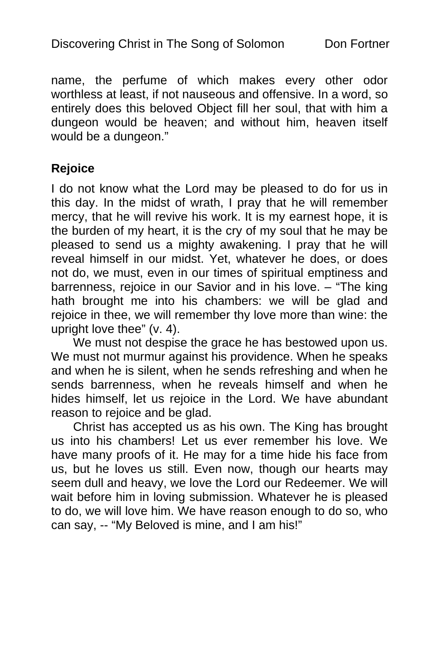name, the perfume of which makes every other odor worthless at least, if not nauseous and offensive. In a word, so entirely does this beloved Object fill her soul, that with him a dungeon would be heaven; and without him, heaven itself would be a dungeon."

### **Rejoice**

I do not know what the Lord may be pleased to do for us in this day. In the midst of wrath, I pray that he will remember mercy, that he will revive his work. It is my earnest hope, it is the burden of my heart, it is the cry of my soul that he may be pleased to send us a mighty awakening. I pray that he will reveal himself in our midst. Yet, whatever he does, or does not do, we must, even in our times of spiritual emptiness and barrenness, rejoice in our Savior and in his love. – "The king hath brought me into his chambers: we will be glad and rejoice in thee, we will remember thy love more than wine: the upright love thee" (v. 4).

We must not despise the grace he has bestowed upon us. We must not murmur against his providence. When he speaks and when he is silent, when he sends refreshing and when he sends barrenness, when he reveals himself and when he hides himself, let us rejoice in the Lord. We have abundant reason to rejoice and be glad.

Christ has accepted us as his own. The King has brought us into his chambers! Let us ever remember his love. We have many proofs of it. He may for a time hide his face from us, but he loves us still. Even now, though our hearts may seem dull and heavy, we love the Lord our Redeemer. We will wait before him in loving submission. Whatever he is pleased to do, we will love him. We have reason enough to do so, who can say, -- "My Beloved is mine, and I am his!"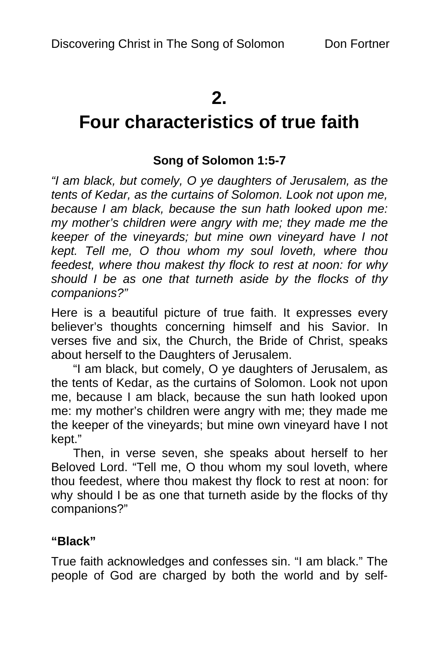# **2.**

# **Four characteristics of true faith**

### **Song of Solomon 1:5-7**

*"I am black, but comely, O ye daughters of Jerusalem, as the tents of Kedar, as the curtains of Solomon. Look not upon me, because I am black, because the sun hath looked upon me: my mother's children were angry with me; they made me the keeper of the vineyards; but mine own vineyard have I not kept. Tell me, O thou whom my soul loveth, where thou feedest, where thou makest thy flock to rest at noon: for why should I be as one that turneth aside by the flocks of thy companions?"* 

Here is a beautiful picture of true faith. It expresses every believer's thoughts concerning himself and his Savior. In verses five and six, the Church, the Bride of Christ, speaks about herself to the Daughters of Jerusalem.

"I am black, but comely, O ye daughters of Jerusalem, as the tents of Kedar, as the curtains of Solomon. Look not upon me, because I am black, because the sun hath looked upon me: my mother's children were angry with me; they made me the keeper of the vineyards; but mine own vineyard have I not kept."

Then, in verse seven, she speaks about herself to her Beloved Lord. "Tell me, O thou whom my soul loveth, where thou feedest, where thou makest thy flock to rest at noon: for why should I be as one that turneth aside by the flocks of thy companions?"

### **"Black"**

True faith acknowledges and confesses sin. "I am black." The people of God are charged by both the world and by self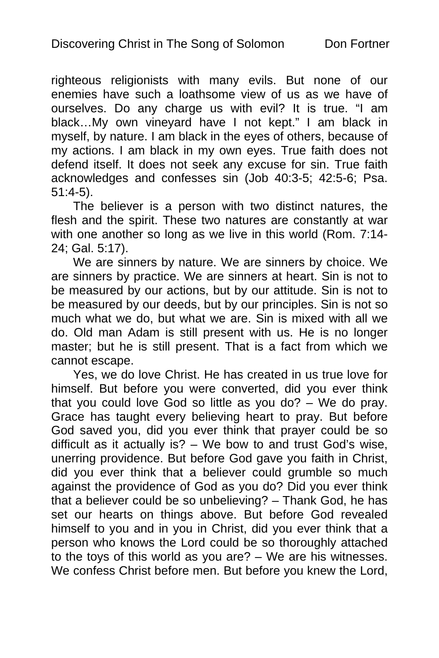righteous religionists with many evils. But none of our enemies have such a loathsome view of us as we have of ourselves. Do any charge us with evil? It is true. "I am black…My own vineyard have I not kept." I am black in myself, by nature. I am black in the eyes of others, because of my actions. I am black in my own eyes. True faith does not defend itself. It does not seek any excuse for sin. True faith acknowledges and confesses sin (Job 40:3-5; 42:5-6; Psa. 51:4-5).

The believer is a person with two distinct natures, the flesh and the spirit. These two natures are constantly at war with one another so long as we live in this world (Rom. 7:14- 24; Gal. 5:17).

We are sinners by nature. We are sinners by choice. We are sinners by practice. We are sinners at heart. Sin is not to be measured by our actions, but by our attitude. Sin is not to be measured by our deeds, but by our principles. Sin is not so much what we do, but what we are. Sin is mixed with all we do. Old man Adam is still present with us. He is no longer master; but he is still present. That is a fact from which we cannot escape.

Yes, we do love Christ. He has created in us true love for himself. But before you were converted, did you ever think that you could love God so little as you do? – We do pray. Grace has taught every believing heart to pray. But before God saved you, did you ever think that prayer could be so difficult as it actually is? – We bow to and trust God's wise, unerring providence. But before God gave you faith in Christ, did you ever think that a believer could grumble so much against the providence of God as you do? Did you ever think that a believer could be so unbelieving? – Thank God, he has set our hearts on things above. But before God revealed himself to you and in you in Christ, did you ever think that a person who knows the Lord could be so thoroughly attached to the toys of this world as you are? – We are his witnesses. We confess Christ before men. But before you knew the Lord,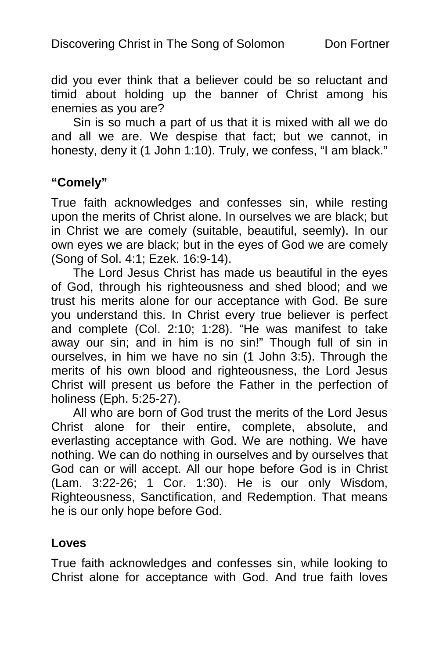did you ever think that a believer could be so reluctant and timid about holding up the banner of Christ among his enemies as you are?

Sin is so much a part of us that it is mixed with all we do and all we are. We despise that fact; but we cannot, in honesty, deny it (1 John 1:10). Truly, we confess, "I am black."

### **"Comely"**

True faith acknowledges and confesses sin, while resting upon the merits of Christ alone. In ourselves we are black; but in Christ we are comely (suitable, beautiful, seemly). In our own eyes we are black; but in the eyes of God we are comely (Song of Sol. 4:1; Ezek. 16:9-14).

The Lord Jesus Christ has made us beautiful in the eyes of God, through his righteousness and shed blood; and we trust his merits alone for our acceptance with God. Be sure you understand this. In Christ every true believer is perfect and complete (Col. 2:10; 1:28). "He was manifest to take away our sin; and in him is no sin!" Though full of sin in ourselves, in him we have no sin (1 John 3:5). Through the merits of his own blood and righteousness, the Lord Jesus Christ will present us before the Father in the perfection of holiness (Eph. 5:25-27).

All who are born of God trust the merits of the Lord Jesus Christ alone for their entire, complete, absolute, and everlasting acceptance with God. We are nothing. We have nothing. We can do nothing in ourselves and by ourselves that God can or will accept. All our hope before God is in Christ (Lam. 3:22-26; 1 Cor. 1:30). He is our only Wisdom, Righteousness, Sanctification, and Redemption. That means he is our only hope before God.

### **Loves**

True faith acknowledges and confesses sin, while looking to Christ alone for acceptance with God. And true faith loves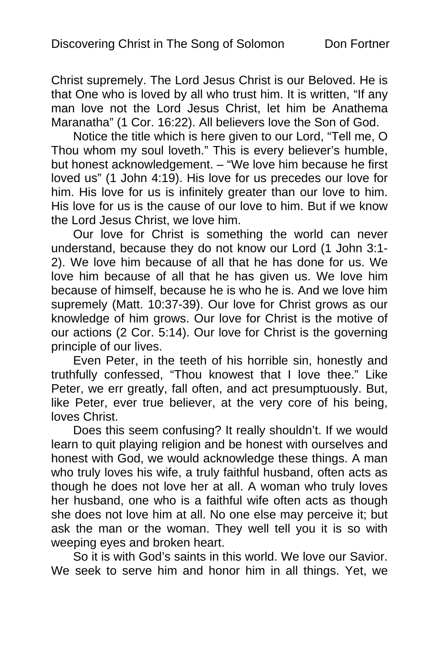Christ supremely. The Lord Jesus Christ is our Beloved. He is that One who is loved by all who trust him. It is written, "If any man love not the Lord Jesus Christ, let him be Anathema Maranatha" (1 Cor. 16:22). All believers love the Son of God.

Notice the title which is here given to our Lord, "Tell me, O Thou whom my soul loveth." This is every believer's humble, but honest acknowledgement. – "We love him because he first loved us" (1 John 4:19). His love for us precedes our love for him. His love for us is infinitely greater than our love to him. His love for us is the cause of our love to him. But if we know the Lord Jesus Christ, we love him.

Our love for Christ is something the world can never understand, because they do not know our Lord (1 John 3:1- 2). We love him because of all that he has done for us. We love him because of all that he has given us. We love him because of himself, because he is who he is. And we love him supremely (Matt. 10:37-39). Our love for Christ grows as our knowledge of him grows. Our love for Christ is the motive of our actions (2 Cor. 5:14). Our love for Christ is the governing principle of our lives.

Even Peter, in the teeth of his horrible sin, honestly and truthfully confessed, "Thou knowest that I love thee." Like Peter, we err greatly, fall often, and act presumptuously. But, like Peter, ever true believer, at the very core of his being, loves Christ.

Does this seem confusing? It really shouldn't. If we would learn to quit playing religion and be honest with ourselves and honest with God, we would acknowledge these things. A man who truly loves his wife, a truly faithful husband, often acts as though he does not love her at all. A woman who truly loves her husband, one who is a faithful wife often acts as though she does not love him at all. No one else may perceive it; but ask the man or the woman. They well tell you it is so with weeping eyes and broken heart.

So it is with God's saints in this world. We love our Savior. We seek to serve him and honor him in all things. Yet, we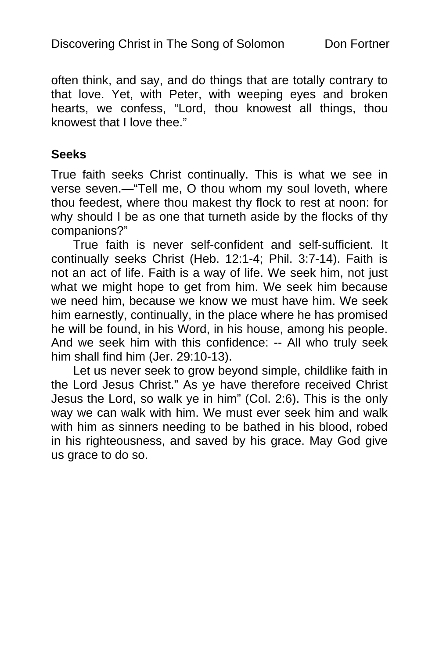often think, and say, and do things that are totally contrary to that love. Yet, with Peter, with weeping eyes and broken hearts, we confess, "Lord, thou knowest all things, thou knowest that I love thee."

### **Seeks**

True faith seeks Christ continually. This is what we see in verse seven.—"Tell me, O thou whom my soul loveth, where thou feedest, where thou makest thy flock to rest at noon: for why should I be as one that turneth aside by the flocks of thy companions?"

True faith is never self-confident and self-sufficient. It continually seeks Christ (Heb. 12:1-4; Phil. 3:7-14). Faith is not an act of life. Faith is a way of life. We seek him, not just what we might hope to get from him. We seek him because we need him, because we know we must have him. We seek him earnestly, continually, in the place where he has promised he will be found, in his Word, in his house, among his people. And we seek him with this confidence: -- All who truly seek him shall find him (Jer. 29:10-13).

Let us never seek to grow beyond simple, childlike faith in the Lord Jesus Christ." As ye have therefore received Christ Jesus the Lord, so walk ye in him" (Col. 2:6). This is the only way we can walk with him. We must ever seek him and walk with him as sinners needing to be bathed in his blood, robed in his righteousness, and saved by his grace. May God give us grace to do so.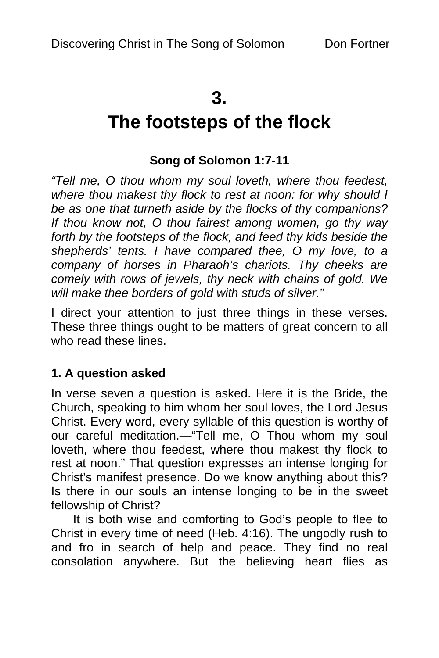## **3.**

# **The footsteps of the flock**

## **Song of Solomon 1:7-11**

*"Tell me, O thou whom my soul loveth, where thou feedest, where thou makest thy flock to rest at noon: for why should I be as one that turneth aside by the flocks of thy companions? If thou know not, O thou fairest among women, go thy way forth by the footsteps of the flock, and feed thy kids beside the shepherds' tents. I have compared thee, O my love, to a company of horses in Pharaoh's chariots. Thy cheeks are comely with rows of jewels, thy neck with chains of gold. We will make thee borders of gold with studs of silver."* 

I direct your attention to just three things in these verses. These three things ought to be matters of great concern to all who read these lines.

### **1. A question asked**

In verse seven a question is asked. Here it is the Bride, the Church, speaking to him whom her soul loves, the Lord Jesus Christ. Every word, every syllable of this question is worthy of our careful meditation.—"Tell me, O Thou whom my soul loveth, where thou feedest, where thou makest thy flock to rest at noon." That question expresses an intense longing for Christ's manifest presence. Do we know anything about this? Is there in our souls an intense longing to be in the sweet fellowship of Christ?

It is both wise and comforting to God's people to flee to Christ in every time of need (Heb. 4:16). The ungodly rush to and fro in search of help and peace. They find no real consolation anywhere. But the believing heart flies as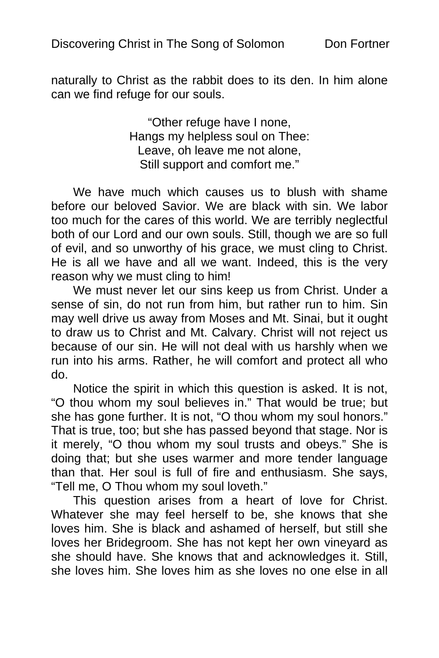naturally to Christ as the rabbit does to its den. In him alone can we find refuge for our souls.

> "Other refuge have I none, Hangs my helpless soul on Thee: Leave, oh leave me not alone, Still support and comfort me."

We have much which causes us to blush with shame before our beloved Savior. We are black with sin. We labor too much for the cares of this world. We are terribly neglectful both of our Lord and our own souls. Still, though we are so full of evil, and so unworthy of his grace, we must cling to Christ. He is all we have and all we want. Indeed, this is the very reason why we must cling to him!

We must never let our sins keep us from Christ. Under a sense of sin, do not run from him, but rather run to him. Sin may well drive us away from Moses and Mt. Sinai, but it ought to draw us to Christ and Mt. Calvary. Christ will not reject us because of our sin. He will not deal with us harshly when we run into his arms. Rather, he will comfort and protect all who do.

Notice the spirit in which this question is asked. It is not, "O thou whom my soul believes in." That would be true; but she has gone further. It is not, "O thou whom my soul honors." That is true, too; but she has passed beyond that stage. Nor is it merely, "O thou whom my soul trusts and obeys." She is doing that; but she uses warmer and more tender language than that. Her soul is full of fire and enthusiasm. She says, "Tell me, O Thou whom my soul loveth."

This question arises from a heart of love for Christ. Whatever she may feel herself to be, she knows that she loves him. She is black and ashamed of herself, but still she loves her Bridegroom. She has not kept her own vineyard as she should have. She knows that and acknowledges it. Still, she loves him. She loves him as she loves no one else in all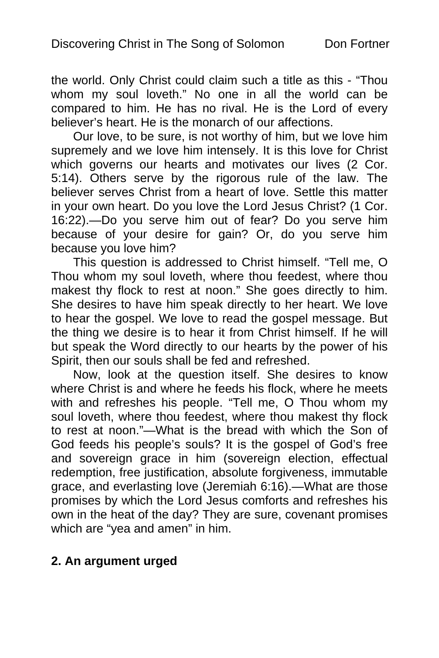the world. Only Christ could claim such a title as this - "Thou whom my soul loveth." No one in all the world can be compared to him. He has no rival. He is the Lord of every believer's heart. He is the monarch of our affections.

Our love, to be sure, is not worthy of him, but we love him supremely and we love him intensely. It is this love for Christ which governs our hearts and motivates our lives (2 Cor. 5:14). Others serve by the rigorous rule of the law. The believer serves Christ from a heart of love. Settle this matter in your own heart. Do you love the Lord Jesus Christ? (1 Cor. 16:22).—Do you serve him out of fear? Do you serve him because of your desire for gain? Or, do you serve him because you love him?

This question is addressed to Christ himself. "Tell me, O Thou whom my soul loveth, where thou feedest, where thou makest thy flock to rest at noon." She goes directly to him. She desires to have him speak directly to her heart. We love to hear the gospel. We love to read the gospel message. But the thing we desire is to hear it from Christ himself. If he will but speak the Word directly to our hearts by the power of his Spirit, then our souls shall be fed and refreshed.

Now, look at the question itself. She desires to know where Christ is and where he feeds his flock, where he meets with and refreshes his people. "Tell me, O Thou whom my soul loveth, where thou feedest, where thou makest thy flock to rest at noon."—What is the bread with which the Son of God feeds his people's souls? It is the gospel of God's free and sovereign grace in him (sovereign election, effectual redemption, free justification, absolute forgiveness, immutable grace, and everlasting love (Jeremiah 6:16).—What are those promises by which the Lord Jesus comforts and refreshes his own in the heat of the day? They are sure, covenant promises which are "yea and amen" in him.

### **2. An argument urged**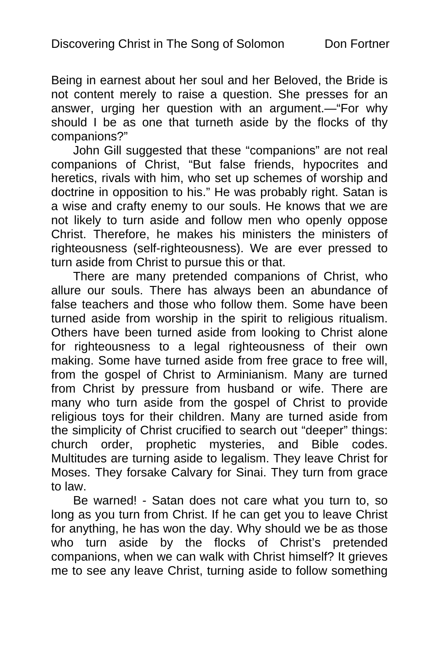Being in earnest about her soul and her Beloved, the Bride is not content merely to raise a question. She presses for an answer, urging her question with an argument.—"For why should I be as one that turneth aside by the flocks of thy companions?"

John Gill suggested that these "companions" are not real companions of Christ, "But false friends, hypocrites and heretics, rivals with him, who set up schemes of worship and doctrine in opposition to his." He was probably right. Satan is a wise and crafty enemy to our souls. He knows that we are not likely to turn aside and follow men who openly oppose Christ. Therefore, he makes his ministers the ministers of righteousness (self-righteousness). We are ever pressed to turn aside from Christ to pursue this or that.

There are many pretended companions of Christ, who allure our souls. There has always been an abundance of false teachers and those who follow them. Some have been turned aside from worship in the spirit to religious ritualism. Others have been turned aside from looking to Christ alone for righteousness to a legal righteousness of their own making. Some have turned aside from free grace to free will, from the gospel of Christ to Arminianism. Many are turned from Christ by pressure from husband or wife. There are many who turn aside from the gospel of Christ to provide religious toys for their children. Many are turned aside from the simplicity of Christ crucified to search out "deeper" things: church order, prophetic mysteries, and Bible codes. Multitudes are turning aside to legalism. They leave Christ for Moses. They forsake Calvary for Sinai. They turn from grace to law.

Be warned! - Satan does not care what you turn to, so long as you turn from Christ. If he can get you to leave Christ for anything, he has won the day. Why should we be as those who turn aside by the flocks of Christ's pretended companions, when we can walk with Christ himself? It grieves me to see any leave Christ, turning aside to follow something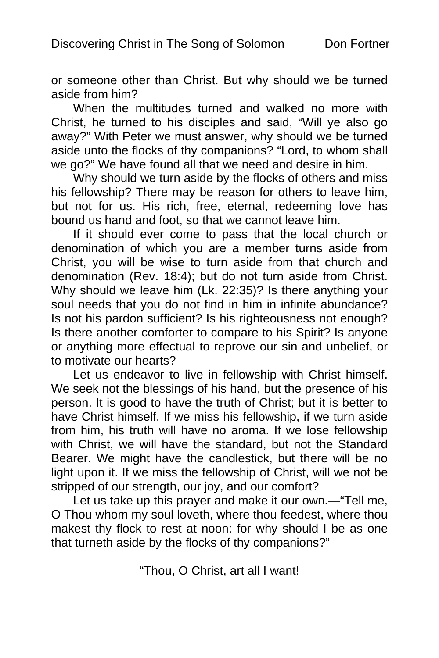or someone other than Christ. But why should we be turned aside from him?

When the multitudes turned and walked no more with Christ, he turned to his disciples and said, "Will ye also go away?" With Peter we must answer, why should we be turned aside unto the flocks of thy companions? "Lord, to whom shall we go?" We have found all that we need and desire in him.

Why should we turn aside by the flocks of others and miss his fellowship? There may be reason for others to leave him, but not for us. His rich, free, eternal, redeeming love has bound us hand and foot, so that we cannot leave him.

If it should ever come to pass that the local church or denomination of which you are a member turns aside from Christ, you will be wise to turn aside from that church and denomination (Rev. 18:4); but do not turn aside from Christ. Why should we leave him (Lk. 22:35)? Is there anything your soul needs that you do not find in him in infinite abundance? Is not his pardon sufficient? Is his righteousness not enough? Is there another comforter to compare to his Spirit? Is anyone or anything more effectual to reprove our sin and unbelief, or to motivate our hearts?

Let us endeavor to live in fellowship with Christ himself. We seek not the blessings of his hand, but the presence of his person. It is good to have the truth of Christ; but it is better to have Christ himself. If we miss his fellowship, if we turn aside from him, his truth will have no aroma. If we lose fellowship with Christ, we will have the standard, but not the Standard Bearer. We might have the candlestick, but there will be no light upon it. If we miss the fellowship of Christ, will we not be stripped of our strength, our joy, and our comfort?

Let us take up this prayer and make it our own.—"Tell me, O Thou whom my soul loveth, where thou feedest, where thou makest thy flock to rest at noon: for why should I be as one that turneth aside by the flocks of thy companions?"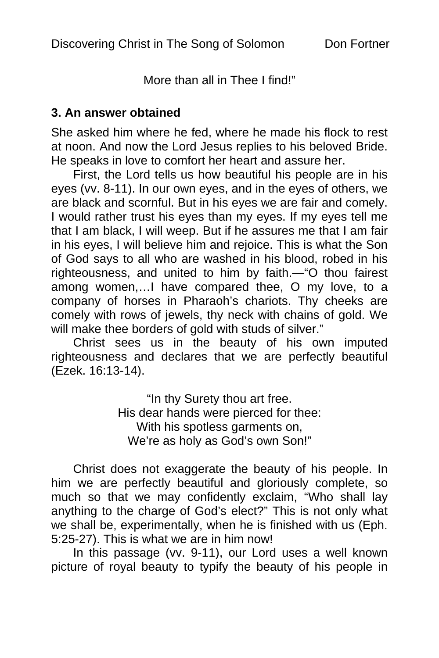More than all in Thee I find!"

### **3. An answer obtained**

She asked him where he fed, where he made his flock to rest at noon. And now the Lord Jesus replies to his beloved Bride. He speaks in love to comfort her heart and assure her.

First, the Lord tells us how beautiful his people are in his eyes (vv. 8-11). In our own eyes, and in the eyes of others, we are black and scornful. But in his eyes we are fair and comely. I would rather trust his eyes than my eyes. If my eyes tell me that I am black, I will weep. But if he assures me that I am fair in his eyes, I will believe him and rejoice. This is what the Son of God says to all who are washed in his blood, robed in his righteousness, and united to him by faith.—"O thou fairest among women,…I have compared thee, O my love, to a company of horses in Pharaoh's chariots. Thy cheeks are comely with rows of jewels, thy neck with chains of gold. We will make thee borders of gold with studs of silver."

Christ sees us in the beauty of his own imputed righteousness and declares that we are perfectly beautiful (Ezek. 16:13-14).

> "In thy Surety thou art free. His dear hands were pierced for thee: With his spotless garments on, We're as holy as God's own Son!"

Christ does not exaggerate the beauty of his people. In him we are perfectly beautiful and gloriously complete, so much so that we may confidently exclaim, "Who shall lay anything to the charge of God's elect?" This is not only what we shall be, experimentally, when he is finished with us (Eph. 5:25-27). This is what we are in him now!

In this passage (vv. 9-11), our Lord uses a well known picture of royal beauty to typify the beauty of his people in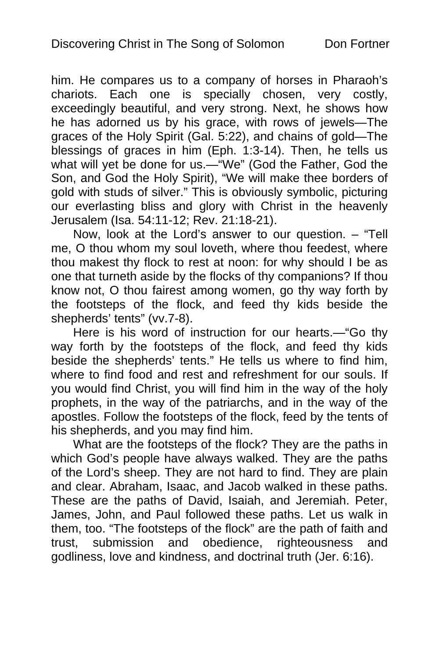him. He compares us to a company of horses in Pharaoh's chariots. Each one is specially chosen, very costly, exceedingly beautiful, and very strong. Next, he shows how he has adorned us by his grace, with rows of jewels—The graces of the Holy Spirit (Gal. 5:22), and chains of gold—The blessings of graces in him (Eph. 1:3-14). Then, he tells us what will yet be done for us.—"We" (God the Father, God the Son, and God the Holy Spirit), "We will make thee borders of gold with studs of silver." This is obviously symbolic, picturing our everlasting bliss and glory with Christ in the heavenly Jerusalem (Isa. 54:11-12; Rev. 21:18-21).

Now, look at the Lord's answer to our question. - "Tell me, O thou whom my soul loveth, where thou feedest, where thou makest thy flock to rest at noon: for why should I be as one that turneth aside by the flocks of thy companions? If thou know not, O thou fairest among women, go thy way forth by the footsteps of the flock, and feed thy kids beside the shepherds' tents" (vv.7-8).

Here is his word of instruction for our hearts.—"Go thy way forth by the footsteps of the flock, and feed thy kids beside the shepherds' tents." He tells us where to find him, where to find food and rest and refreshment for our souls. If you would find Christ, you will find him in the way of the holy prophets, in the way of the patriarchs, and in the way of the apostles. Follow the footsteps of the flock, feed by the tents of his shepherds, and you may find him.

What are the footsteps of the flock? They are the paths in which God's people have always walked. They are the paths of the Lord's sheep. They are not hard to find. They are plain and clear. Abraham, Isaac, and Jacob walked in these paths. These are the paths of David, Isaiah, and Jeremiah. Peter, James, John, and Paul followed these paths. Let us walk in them, too. "The footsteps of the flock" are the path of faith and trust, submission and obedience, righteousness and godliness, love and kindness, and doctrinal truth (Jer. 6:16).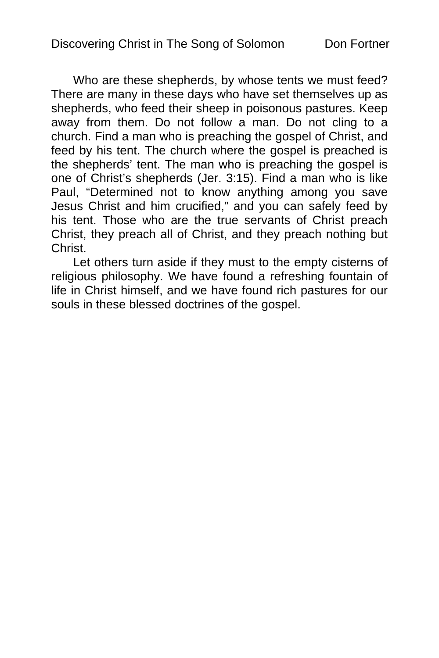Who are these shepherds, by whose tents we must feed? There are many in these days who have set themselves up as shepherds, who feed their sheep in poisonous pastures. Keep away from them. Do not follow a man. Do not cling to a church. Find a man who is preaching the gospel of Christ, and feed by his tent. The church where the gospel is preached is the shepherds' tent. The man who is preaching the gospel is one of Christ's shepherds (Jer. 3:15). Find a man who is like Paul, "Determined not to know anything among you save Jesus Christ and him crucified," and you can safely feed by his tent. Those who are the true servants of Christ preach Christ, they preach all of Christ, and they preach nothing but Christ.

Let others turn aside if they must to the empty cisterns of religious philosophy. We have found a refreshing fountain of life in Christ himself, and we have found rich pastures for our souls in these blessed doctrines of the gospel.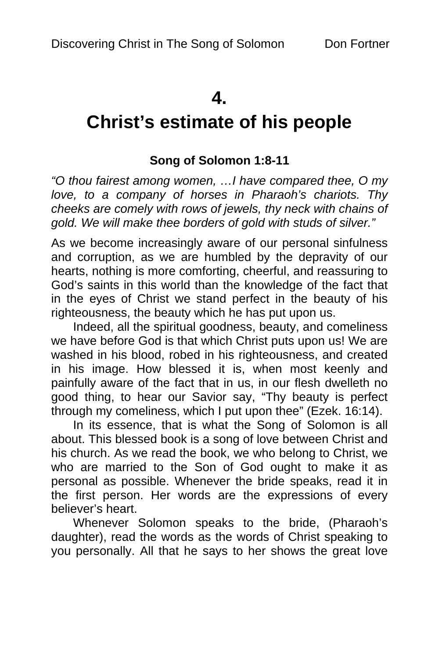## **4.**

# **Christ's estimate of his people**

## **Song of Solomon 1:8-11**

*"O thou fairest among women, …I have compared thee, O my love, to a company of horses in Pharaoh's chariots. Thy cheeks are comely with rows of jewels, thy neck with chains of gold. We will make thee borders of gold with studs of silver."* 

As we become increasingly aware of our personal sinfulness and corruption, as we are humbled by the depravity of our hearts, nothing is more comforting, cheerful, and reassuring to God's saints in this world than the knowledge of the fact that in the eyes of Christ we stand perfect in the beauty of his righteousness, the beauty which he has put upon us.

Indeed, all the spiritual goodness, beauty, and comeliness we have before God is that which Christ puts upon us! We are washed in his blood, robed in his righteousness, and created in his image. How blessed it is, when most keenly and painfully aware of the fact that in us, in our flesh dwelleth no good thing, to hear our Savior say, "Thy beauty is perfect through my comeliness, which I put upon thee" (Ezek. 16:14).

In its essence, that is what the Song of Solomon is all about. This blessed book is a song of love between Christ and his church. As we read the book, we who belong to Christ, we who are married to the Son of God ought to make it as personal as possible. Whenever the bride speaks, read it in the first person. Her words are the expressions of every believer's heart.

Whenever Solomon speaks to the bride, (Pharaoh's daughter), read the words as the words of Christ speaking to you personally. All that he says to her shows the great love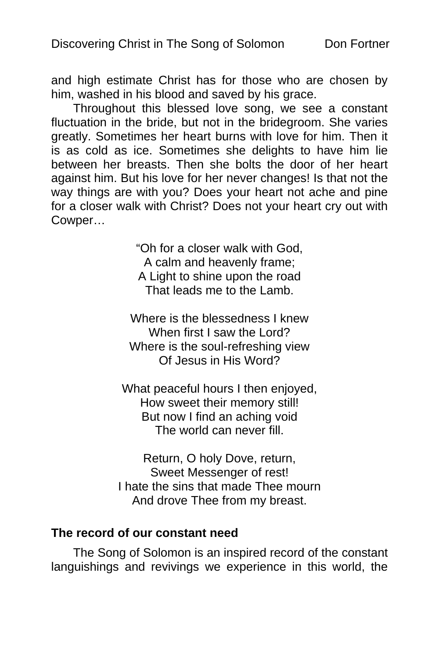and high estimate Christ has for those who are chosen by him, washed in his blood and saved by his grace.

Throughout this blessed love song, we see a constant fluctuation in the bride, but not in the bridegroom. She varies greatly. Sometimes her heart burns with love for him. Then it is as cold as ice. Sometimes she delights to have him lie between her breasts. Then she bolts the door of her heart against him. But his love for her never changes! Is that not the way things are with you? Does your heart not ache and pine for a closer walk with Christ? Does not your heart cry out with Cowper…

> "Oh for a closer walk with God, A calm and heavenly frame; A Light to shine upon the road That leads me to the Lamb.

Where is the blessedness I knew When first I saw the Lord? Where is the soul-refreshing view Of Jesus in His Word?

What peaceful hours I then enjoyed, How sweet their memory still! But now I find an aching void The world can never fill.

Return, O holy Dove, return, Sweet Messenger of rest! I hate the sins that made Thee mourn And drove Thee from my breast.

#### **The record of our constant need**

The Song of Solomon is an inspired record of the constant languishings and revivings we experience in this world, the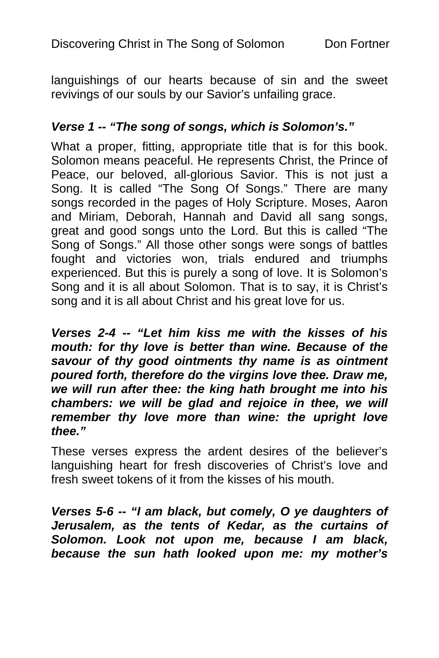languishings of our hearts because of sin and the sweet revivings of our souls by our Savior's unfailing grace.

### *Verse 1 -- "The song of songs, which is Solomon's."*

What a proper, fitting, appropriate title that is for this book. Solomon means peaceful. He represents Christ, the Prince of Peace, our beloved, all-glorious Savior. This is not just a Song. It is called "The Song Of Songs." There are many songs recorded in the pages of Holy Scripture. Moses, Aaron and Miriam, Deborah, Hannah and David all sang songs, great and good songs unto the Lord. But this is called "The Song of Songs." All those other songs were songs of battles fought and victories won, trials endured and triumphs experienced. But this is purely a song of love. It is Solomon's Song and it is all about Solomon. That is to say, it is Christ's song and it is all about Christ and his great love for us.

*Verses 2-4 -- "Let him kiss me with the kisses of his mouth: for thy love is better than wine. Because of the savour of thy good ointments thy name is as ointment poured forth, therefore do the virgins love thee. Draw me, we will run after thee: the king hath brought me into his chambers: we will be glad and rejoice in thee, we will remember thy love more than wine: the upright love thee."* 

These verses express the ardent desires of the believer's languishing heart for fresh discoveries of Christ's love and fresh sweet tokens of it from the kisses of his mouth.

*Verses 5-6 -- "I am black, but comely, O ye daughters of Jerusalem, as the tents of Kedar, as the curtains of Solomon. Look not upon me, because I am black, because the sun hath looked upon me: my mother's*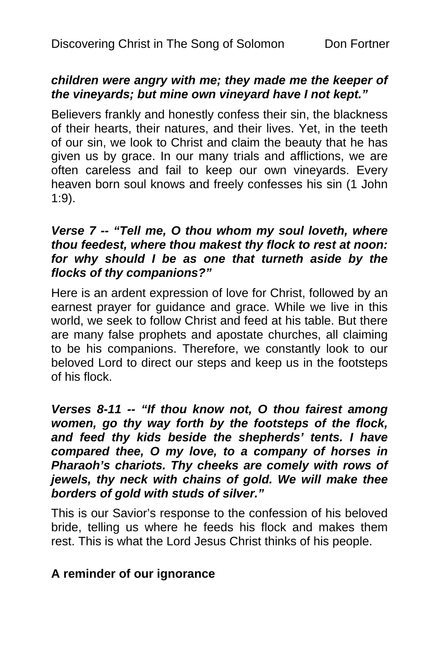### *children were angry with me; they made me the keeper of the vineyards; but mine own vineyard have I not kept."*

Believers frankly and honestly confess their sin, the blackness of their hearts, their natures, and their lives. Yet, in the teeth of our sin, we look to Christ and claim the beauty that he has given us by grace. In our many trials and afflictions, we are often careless and fail to keep our own vineyards. Every heaven born soul knows and freely confesses his sin (1 John 1:9).

### *Verse 7 -- "Tell me, O thou whom my soul loveth, where thou feedest, where thou makest thy flock to rest at noon: for why should I be as one that turneth aside by the flocks of thy companions?"*

Here is an ardent expression of love for Christ, followed by an earnest prayer for guidance and grace. While we live in this world, we seek to follow Christ and feed at his table. But there are many false prophets and apostate churches, all claiming to be his companions. Therefore, we constantly look to our beloved Lord to direct our steps and keep us in the footsteps of his flock.

### *Verses 8-11 -- "If thou know not, O thou fairest among women, go thy way forth by the footsteps of the flock, and feed thy kids beside the shepherds' tents. I have compared thee, O my love, to a company of horses in Pharaoh's chariots. Thy cheeks are comely with rows of jewels, thy neck with chains of gold. We will make thee borders of gold with studs of silver."*

This is our Savior's response to the confession of his beloved bride, telling us where he feeds his flock and makes them rest. This is what the Lord Jesus Christ thinks of his people.

## **A reminder of our ignorance**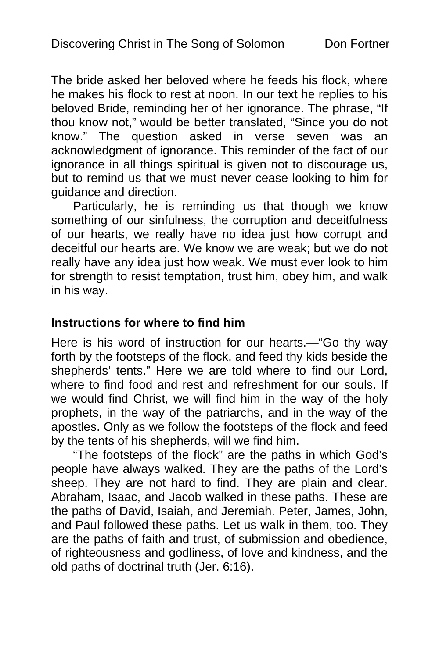The bride asked her beloved where he feeds his flock, where he makes his flock to rest at noon. In our text he replies to his beloved Bride, reminding her of her ignorance. The phrase, "If thou know not," would be better translated, "Since you do not know." The question asked in verse seven was an acknowledgment of ignorance. This reminder of the fact of our ignorance in all things spiritual is given not to discourage us, but to remind us that we must never cease looking to him for guidance and direction.

Particularly, he is reminding us that though we know something of our sinfulness, the corruption and deceitfulness of our hearts, we really have no idea just how corrupt and deceitful our hearts are. We know we are weak; but we do not really have any idea just how weak. We must ever look to him for strength to resist temptation, trust him, obey him, and walk in his way.

### **Instructions for where to find him**

Here is his word of instruction for our hearts.—"Go thy way forth by the footsteps of the flock, and feed thy kids beside the shepherds' tents." Here we are told where to find our Lord, where to find food and rest and refreshment for our souls. If we would find Christ, we will find him in the way of the holy prophets, in the way of the patriarchs, and in the way of the apostles. Only as we follow the footsteps of the flock and feed by the tents of his shepherds, will we find him.

"The footsteps of the flock" are the paths in which God's people have always walked. They are the paths of the Lord's sheep. They are not hard to find. They are plain and clear. Abraham, Isaac, and Jacob walked in these paths. These are the paths of David, Isaiah, and Jeremiah. Peter, James, John, and Paul followed these paths. Let us walk in them, too. They are the paths of faith and trust, of submission and obedience, of righteousness and godliness, of love and kindness, and the old paths of doctrinal truth (Jer. 6:16).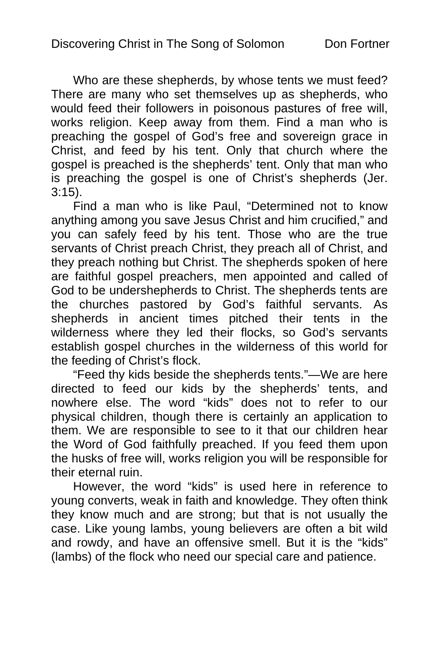Who are these shepherds, by whose tents we must feed? There are many who set themselves up as shepherds, who would feed their followers in poisonous pastures of free will, works religion. Keep away from them. Find a man who is preaching the gospel of God's free and sovereign grace in Christ, and feed by his tent. Only that church where the gospel is preached is the shepherds' tent. Only that man who is preaching the gospel is one of Christ's shepherds (Jer. 3:15).

Find a man who is like Paul, "Determined not to know anything among you save Jesus Christ and him crucified," and you can safely feed by his tent. Those who are the true servants of Christ preach Christ, they preach all of Christ, and they preach nothing but Christ. The shepherds spoken of here are faithful gospel preachers, men appointed and called of God to be undershepherds to Christ. The shepherds tents are the churches pastored by God's faithful servants. As shepherds in ancient times pitched their tents in the wilderness where they led their flocks, so God's servants establish gospel churches in the wilderness of this world for the feeding of Christ's flock.

"Feed thy kids beside the shepherds tents."—We are here directed to feed our kids by the shepherds' tents, and nowhere else. The word "kids" does not to refer to our physical children, though there is certainly an application to them. We are responsible to see to it that our children hear the Word of God faithfully preached. If you feed them upon the husks of free will, works religion you will be responsible for their eternal ruin.

However, the word "kids" is used here in reference to young converts, weak in faith and knowledge. They often think they know much and are strong; but that is not usually the case. Like young lambs, young believers are often a bit wild and rowdy, and have an offensive smell. But it is the "kids" (lambs) of the flock who need our special care and patience.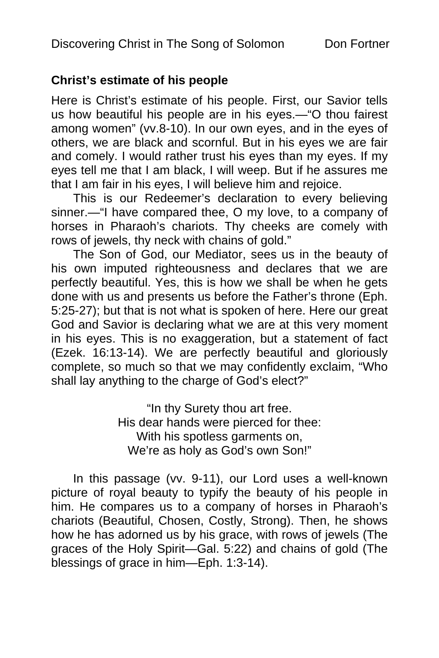### **Christ's estimate of his people**

Here is Christ's estimate of his people. First, our Savior tells us how beautiful his people are in his eyes.—"O thou fairest among women" (vv.8-10). In our own eyes, and in the eyes of others, we are black and scornful. But in his eyes we are fair and comely. I would rather trust his eyes than my eyes. If my eyes tell me that I am black, I will weep. But if he assures me that I am fair in his eyes, I will believe him and rejoice.

This is our Redeemer's declaration to every believing sinner.—"I have compared thee, O my love, to a company of horses in Pharaoh's chariots. Thy cheeks are comely with rows of jewels, thy neck with chains of gold."

The Son of God, our Mediator, sees us in the beauty of his own imputed righteousness and declares that we are perfectly beautiful. Yes, this is how we shall be when he gets done with us and presents us before the Father's throne (Eph. 5:25-27); but that is not what is spoken of here. Here our great God and Savior is declaring what we are at this very moment in his eyes. This is no exaggeration, but a statement of fact (Ezek. 16:13-14). We are perfectly beautiful and gloriously complete, so much so that we may confidently exclaim, "Who shall lay anything to the charge of God's elect?"

> "In thy Surety thou art free. His dear hands were pierced for thee: With his spotless garments on, We're as holy as God's own Son!"

In this passage (vv. 9-11), our Lord uses a well-known picture of royal beauty to typify the beauty of his people in him. He compares us to a company of horses in Pharaoh's chariots (Beautiful, Chosen, Costly, Strong). Then, he shows how he has adorned us by his grace, with rows of jewels (The graces of the Holy Spirit—Gal. 5:22) and chains of gold (The blessings of grace in him—Eph. 1:3-14).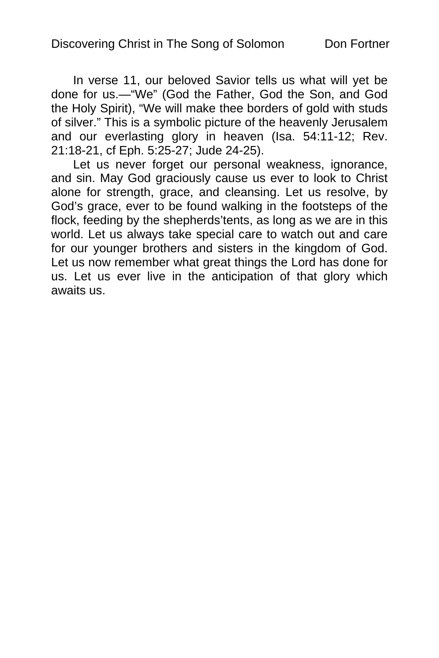In verse 11, our beloved Savior tells us what will yet be done for us.—"We" (God the Father, God the Son, and God the Holy Spirit), "We will make thee borders of gold with studs of silver." This is a symbolic picture of the heavenly Jerusalem and our everlasting glory in heaven (Isa. 54:11-12; Rev. 21:18-21, cf Eph. 5:25-27; Jude 24-25).

Let us never forget our personal weakness, ignorance, and sin. May God graciously cause us ever to look to Christ alone for strength, grace, and cleansing. Let us resolve, by God's grace, ever to be found walking in the footsteps of the flock, feeding by the shepherds'tents, as long as we are in this world. Let us always take special care to watch out and care for our younger brothers and sisters in the kingdom of God. Let us now remember what great things the Lord has done for us. Let us ever live in the anticipation of that glory which awaits us.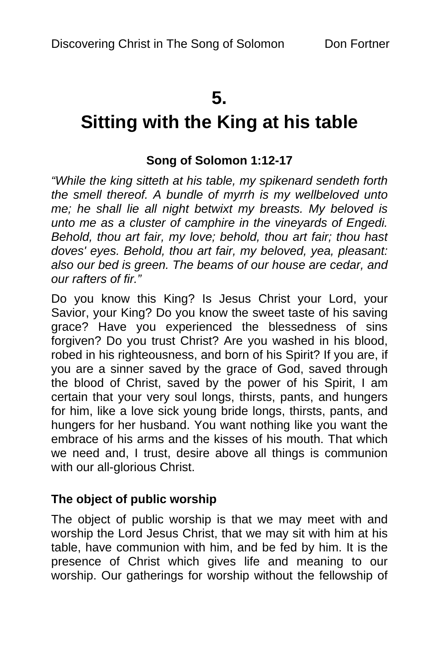# **5.**

# **Sitting with the King at his table**

## **Song of Solomon 1:12-17**

*"While the king sitteth at his table, my spikenard sendeth forth the smell thereof. A bundle of myrrh is my wellbeloved unto me; he shall lie all night betwixt my breasts. My beloved is unto me as a cluster of camphire in the vineyards of Engedi. Behold, thou art fair, my love; behold, thou art fair; thou hast doves' eyes. Behold, thou art fair, my beloved, yea, pleasant: also our bed is green. The beams of our house are cedar, and our rafters of fir."* 

Do you know this King? Is Jesus Christ your Lord, your Savior, your King? Do you know the sweet taste of his saving grace? Have you experienced the blessedness of sins forgiven? Do you trust Christ? Are you washed in his blood, robed in his righteousness, and born of his Spirit? If you are, if you are a sinner saved by the grace of God, saved through the blood of Christ, saved by the power of his Spirit, I am certain that your very soul longs, thirsts, pants, and hungers for him, like a love sick young bride longs, thirsts, pants, and hungers for her husband. You want nothing like you want the embrace of his arms and the kisses of his mouth. That which we need and, I trust, desire above all things is communion with our all-glorious Christ.

### **The object of public worship**

The object of public worship is that we may meet with and worship the Lord Jesus Christ, that we may sit with him at his table, have communion with him, and be fed by him. It is the presence of Christ which gives life and meaning to our worship. Our gatherings for worship without the fellowship of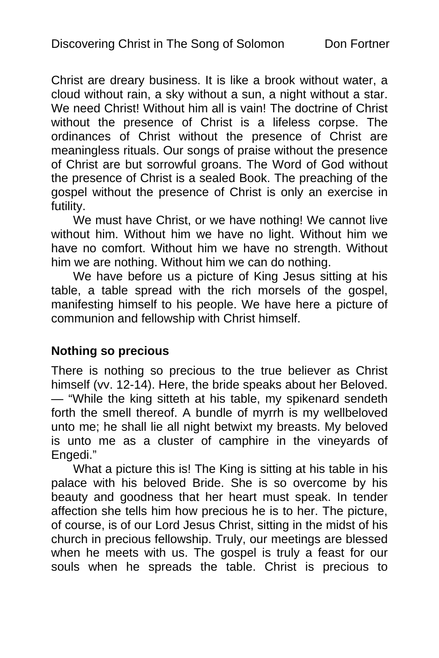Christ are dreary business. It is like a brook without water, a cloud without rain, a sky without a sun, a night without a star. We need Christ! Without him all is vain! The doctrine of Christ without the presence of Christ is a lifeless corpse. The ordinances of Christ without the presence of Christ are meaningless rituals. Our songs of praise without the presence of Christ are but sorrowful groans. The Word of God without the presence of Christ is a sealed Book. The preaching of the gospel without the presence of Christ is only an exercise in futility.

We must have Christ, or we have nothing! We cannot live without him. Without him we have no light. Without him we have no comfort. Without him we have no strength. Without him we are nothing. Without him we can do nothing.

We have before us a picture of King Jesus sitting at his table, a table spread with the rich morsels of the gospel, manifesting himself to his people. We have here a picture of communion and fellowship with Christ himself.

### **Nothing so precious**

There is nothing so precious to the true believer as Christ himself (vv. 12-14). Here, the bride speaks about her Beloved. — "While the king sitteth at his table, my spikenard sendeth forth the smell thereof. A bundle of myrrh is my wellbeloved unto me; he shall lie all night betwixt my breasts. My beloved is unto me as a cluster of camphire in the vineyards of Engedi."

What a picture this is! The King is sitting at his table in his palace with his beloved Bride. She is so overcome by his beauty and goodness that her heart must speak. In tender affection she tells him how precious he is to her. The picture, of course, is of our Lord Jesus Christ, sitting in the midst of his church in precious fellowship. Truly, our meetings are blessed when he meets with us. The gospel is truly a feast for our souls when he spreads the table. Christ is precious to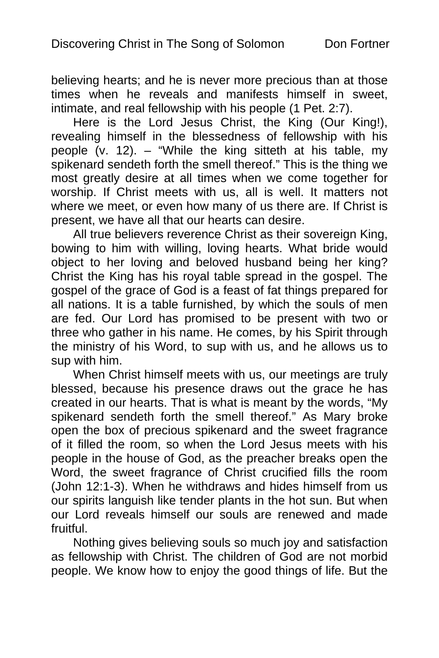believing hearts; and he is never more precious than at those times when he reveals and manifests himself in sweet, intimate, and real fellowship with his people (1 Pet. 2:7).

Here is the Lord Jesus Christ, the King (Our King!), revealing himself in the blessedness of fellowship with his people (v. 12). – "While the king sitteth at his table, my spikenard sendeth forth the smell thereof." This is the thing we most greatly desire at all times when we come together for worship. If Christ meets with us, all is well. It matters not where we meet, or even how many of us there are. If Christ is present, we have all that our hearts can desire.

All true believers reverence Christ as their sovereign King, bowing to him with willing, loving hearts. What bride would object to her loving and beloved husband being her king? Christ the King has his royal table spread in the gospel. The gospel of the grace of God is a feast of fat things prepared for all nations. It is a table furnished, by which the souls of men are fed. Our Lord has promised to be present with two or three who gather in his name. He comes, by his Spirit through the ministry of his Word, to sup with us, and he allows us to sup with him.

When Christ himself meets with us, our meetings are truly blessed, because his presence draws out the grace he has created in our hearts. That is what is meant by the words, "My spikenard sendeth forth the smell thereof." As Mary broke open the box of precious spikenard and the sweet fragrance of it filled the room, so when the Lord Jesus meets with his people in the house of God, as the preacher breaks open the Word, the sweet fragrance of Christ crucified fills the room (John 12:1-3). When he withdraws and hides himself from us our spirits languish like tender plants in the hot sun. But when our Lord reveals himself our souls are renewed and made fruitful.

Nothing gives believing souls so much joy and satisfaction as fellowship with Christ. The children of God are not morbid people. We know how to enjoy the good things of life. But the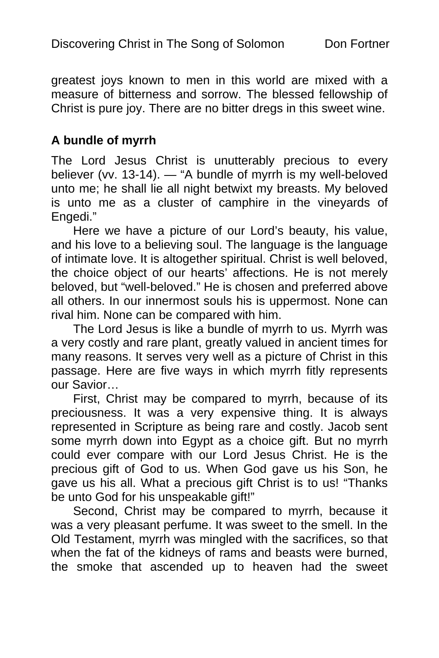greatest joys known to men in this world are mixed with a measure of bitterness and sorrow. The blessed fellowship of Christ is pure joy. There are no bitter dregs in this sweet wine.

### **A bundle of myrrh**

The Lord Jesus Christ is unutterably precious to every believer (vv. 13-14). — "A bundle of myrrh is my well-beloved unto me; he shall lie all night betwixt my breasts. My beloved is unto me as a cluster of camphire in the vineyards of Engedi."

Here we have a picture of our Lord's beauty, his value, and his love to a believing soul. The language is the language of intimate love. It is altogether spiritual. Christ is well beloved, the choice object of our hearts' affections. He is not merely beloved, but "well-beloved." He is chosen and preferred above all others. In our innermost souls his is uppermost. None can rival him. None can be compared with him.

The Lord Jesus is like a bundle of myrrh to us. Myrrh was a very costly and rare plant, greatly valued in ancient times for many reasons. It serves very well as a picture of Christ in this passage. Here are five ways in which myrrh fitly represents our Savior…

First, Christ may be compared to myrrh, because of its preciousness. It was a very expensive thing. It is always represented in Scripture as being rare and costly. Jacob sent some myrrh down into Egypt as a choice gift. But no myrrh could ever compare with our Lord Jesus Christ. He is the precious gift of God to us. When God gave us his Son, he gave us his all. What a precious gift Christ is to us! "Thanks be unto God for his unspeakable gift!"

Second, Christ may be compared to myrrh, because it was a very pleasant perfume. It was sweet to the smell. In the Old Testament, myrrh was mingled with the sacrifices, so that when the fat of the kidneys of rams and beasts were burned, the smoke that ascended up to heaven had the sweet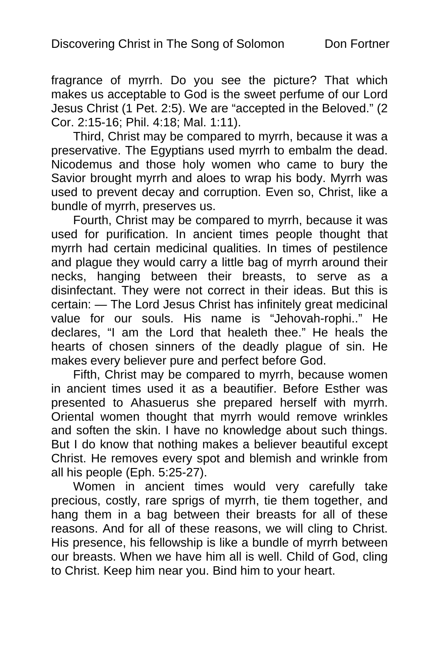fragrance of myrrh. Do you see the picture? That which makes us acceptable to God is the sweet perfume of our Lord Jesus Christ (1 Pet. 2:5). We are "accepted in the Beloved." (2 Cor. 2:15-16; Phil. 4:18; Mal. 1:11).

Third, Christ may be compared to myrrh, because it was a preservative. The Egyptians used myrrh to embalm the dead. Nicodemus and those holy women who came to bury the Savior brought myrrh and aloes to wrap his body. Myrrh was used to prevent decay and corruption. Even so, Christ, like a bundle of myrrh, preserves us.

Fourth, Christ may be compared to myrrh, because it was used for purification. In ancient times people thought that myrrh had certain medicinal qualities. In times of pestilence and plague they would carry a little bag of myrrh around their necks, hanging between their breasts, to serve as a disinfectant. They were not correct in their ideas. But this is certain: — The Lord Jesus Christ has infinitely great medicinal value for our souls. His name is "Jehovah-rophi.." He declares, "I am the Lord that healeth thee." He heals the hearts of chosen sinners of the deadly plague of sin. He makes every believer pure and perfect before God.

Fifth, Christ may be compared to myrrh, because women in ancient times used it as a beautifier. Before Esther was presented to Ahasuerus she prepared herself with myrrh. Oriental women thought that myrrh would remove wrinkles and soften the skin. I have no knowledge about such things. But I do know that nothing makes a believer beautiful except Christ. He removes every spot and blemish and wrinkle from all his people (Eph. 5:25-27).

Women in ancient times would very carefully take precious, costly, rare sprigs of myrrh, tie them together, and hang them in a bag between their breasts for all of these reasons. And for all of these reasons, we will cling to Christ. His presence, his fellowship is like a bundle of myrrh between our breasts. When we have him all is well. Child of God, cling to Christ. Keep him near you. Bind him to your heart.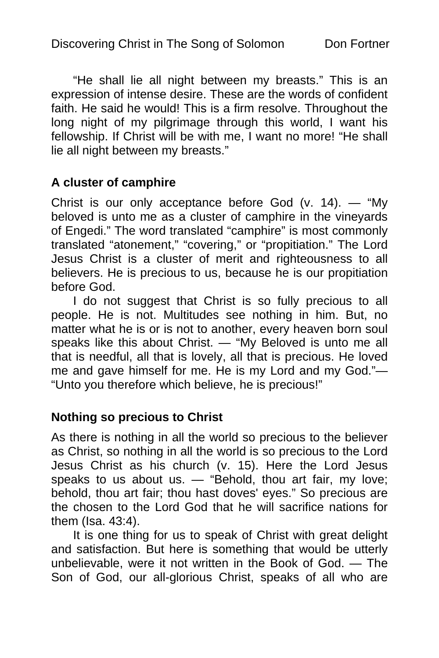"He shall lie all night between my breasts." This is an expression of intense desire. These are the words of confident faith. He said he would! This is a firm resolve. Throughout the long night of my pilgrimage through this world, I want his fellowship. If Christ will be with me, I want no more! "He shall lie all night between my breasts."

### **A cluster of camphire**

Christ is our only acceptance before God (v. 14). — "My beloved is unto me as a cluster of camphire in the vineyards of Engedi." The word translated "camphire" is most commonly translated "atonement," "covering," or "propitiation." The Lord Jesus Christ is a cluster of merit and righteousness to all believers. He is precious to us, because he is our propitiation before God.

I do not suggest that Christ is so fully precious to all people. He is not. Multitudes see nothing in him. But, no matter what he is or is not to another, every heaven born soul speaks like this about Christ. — "My Beloved is unto me all that is needful, all that is lovely, all that is precious. He loved me and gave himself for me. He is my Lord and my God."— "Unto you therefore which believe, he is precious!"

### **Nothing so precious to Christ**

As there is nothing in all the world so precious to the believer as Christ, so nothing in all the world is so precious to the Lord Jesus Christ as his church (v. 15). Here the Lord Jesus speaks to us about us. — "Behold, thou art fair, my love; behold, thou art fair; thou hast doves' eyes." So precious are the chosen to the Lord God that he will sacrifice nations for them (Isa. 43:4).

It is one thing for us to speak of Christ with great delight and satisfaction. But here is something that would be utterly unbelievable, were it not written in the Book of God. — The Son of God, our all-glorious Christ, speaks of all who are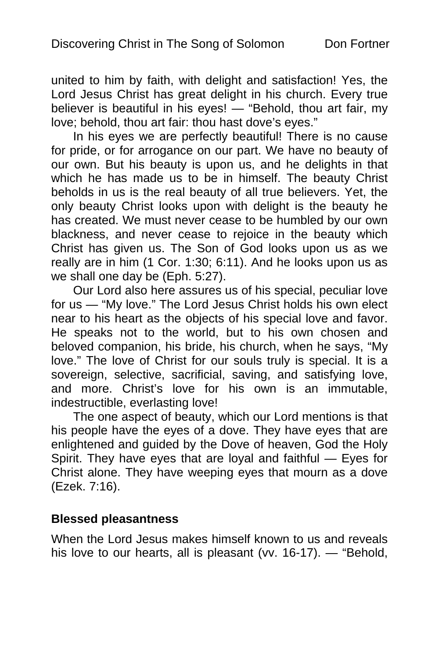united to him by faith, with delight and satisfaction! Yes, the Lord Jesus Christ has great delight in his church. Every true believer is beautiful in his eyes! — "Behold, thou art fair, my love; behold, thou art fair: thou hast dove's eyes."

In his eyes we are perfectly beautiful! There is no cause for pride, or for arrogance on our part. We have no beauty of our own. But his beauty is upon us, and he delights in that which he has made us to be in himself. The beauty Christ beholds in us is the real beauty of all true believers. Yet, the only beauty Christ looks upon with delight is the beauty he has created. We must never cease to be humbled by our own blackness, and never cease to rejoice in the beauty which Christ has given us. The Son of God looks upon us as we really are in him (1 Cor. 1:30; 6:11). And he looks upon us as we shall one day be (Eph. 5:27).

Our Lord also here assures us of his special, peculiar love for us — "My love." The Lord Jesus Christ holds his own elect near to his heart as the objects of his special love and favor. He speaks not to the world, but to his own chosen and beloved companion, his bride, his church, when he says, "My love." The love of Christ for our souls truly is special. It is a sovereign, selective, sacrificial, saving, and satisfying love, and more. Christ's love for his own is an immutable, indestructible, everlasting love!

The one aspect of beauty, which our Lord mentions is that his people have the eyes of a dove. They have eyes that are enlightened and guided by the Dove of heaven, God the Holy Spirit. They have eyes that are loyal and faithful — Eyes for Christ alone. They have weeping eyes that mourn as a dove (Ezek. 7:16).

#### **Blessed pleasantness**

When the Lord Jesus makes himself known to us and reveals his love to our hearts, all is pleasant (vv. 16-17). — "Behold,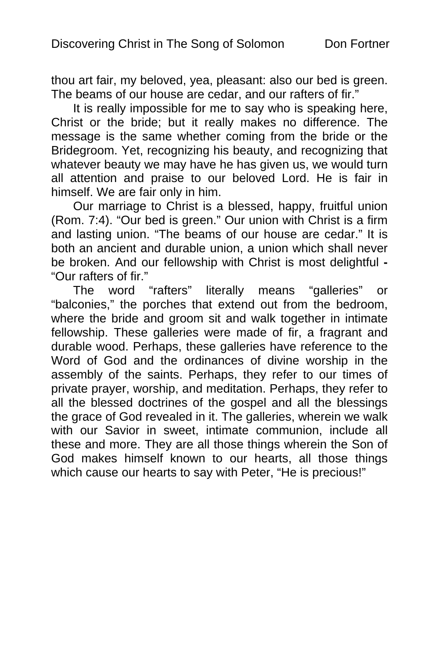thou art fair, my beloved, yea, pleasant: also our bed is green. The beams of our house are cedar, and our rafters of fir."

It is really impossible for me to say who is speaking here, Christ or the bride; but it really makes no difference. The message is the same whether coming from the bride or the Bridegroom. Yet, recognizing his beauty, and recognizing that whatever beauty we may have he has given us, we would turn all attention and praise to our beloved Lord. He is fair in himself. We are fair only in him.

Our marriage to Christ is a blessed, happy, fruitful union (Rom. 7:4). "Our bed is green." Our union with Christ is a firm and lasting union. "The beams of our house are cedar." It is both an ancient and durable union, a union which shall never be broken. And our fellowship with Christ is most delightful **-**  "Our rafters of fir."

The word "rafters" literally means "galleries" or "balconies," the porches that extend out from the bedroom, where the bride and groom sit and walk together in intimate fellowship. These galleries were made of fir, a fragrant and durable wood. Perhaps, these galleries have reference to the Word of God and the ordinances of divine worship in the assembly of the saints. Perhaps, they refer to our times of private prayer, worship, and meditation. Perhaps, they refer to all the blessed doctrines of the gospel and all the blessings the grace of God revealed in it. The galleries, wherein we walk with our Savior in sweet, intimate communion, include all these and more. They are all those things wherein the Son of God makes himself known to our hearts, all those things which cause our hearts to say with Peter, "He is precious!"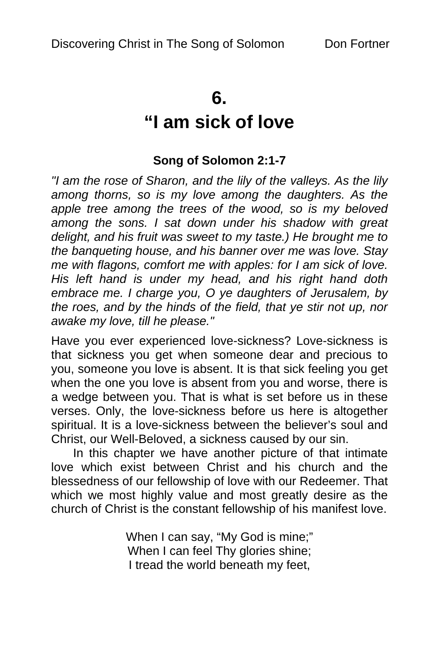### **6.**

# **"I am sick of love**

### **Song of Solomon 2:1-7**

*"I am the rose of Sharon, and the lily of the valleys. As the lily among thorns, so is my love among the daughters. As the apple tree among the trees of the wood, so is my beloved among the sons. I sat down under his shadow with great delight, and his fruit was sweet to my taste.) He brought me to the banqueting house, and his banner over me was love. Stay me with flagons, comfort me with apples: for I am sick of love. His left hand is under my head, and his right hand doth embrace me. I charge you, O ye daughters of Jerusalem, by the roes, and by the hinds of the field, that ye stir not up, nor awake my love, till he please."* 

Have you ever experienced love-sickness? Love-sickness is that sickness you get when someone dear and precious to you, someone you love is absent. It is that sick feeling you get when the one you love is absent from you and worse, there is a wedge between you. That is what is set before us in these verses. Only, the love-sickness before us here is altogether spiritual. It is a love-sickness between the believer's soul and Christ, our Well-Beloved, a sickness caused by our sin.

In this chapter we have another picture of that intimate love which exist between Christ and his church and the blessedness of our fellowship of love with our Redeemer. That which we most highly value and most greatly desire as the church of Christ is the constant fellowship of his manifest love.

> When I can say, "My God is mine;" When I can feel Thy glories shine; I tread the world beneath my feet,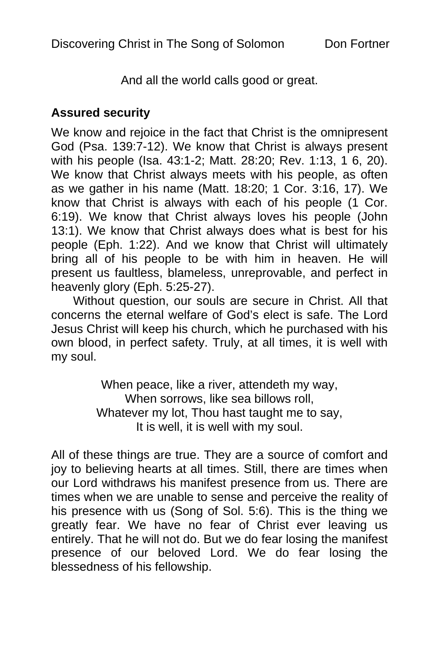And all the world calls good or great.

### **Assured security**

We know and rejoice in the fact that Christ is the omnipresent God (Psa. 139:7-12). We know that Christ is always present with his people (Isa. 43:1-2; Matt. 28:20; Rev. 1:13, 1 6, 20). We know that Christ always meets with his people, as often as we gather in his name (Matt. 18:20; 1 Cor. 3:16, 17). We know that Christ is always with each of his people (1 Cor. 6:19). We know that Christ always loves his people (John 13:1). We know that Christ always does what is best for his people (Eph. 1:22). And we know that Christ will ultimately bring all of his people to be with him in heaven. He will present us faultless, blameless, unreprovable, and perfect in heavenly glory (Eph. 5:25-27).

Without question, our souls are secure in Christ. All that concerns the eternal welfare of God's elect is safe. The Lord Jesus Christ will keep his church, which he purchased with his own blood, in perfect safety. Truly, at all times, it is well with my soul.

> When peace, like a river, attendeth my way, When sorrows, like sea billows roll, Whatever my lot, Thou hast taught me to say, It is well, it is well with my soul.

All of these things are true. They are a source of comfort and joy to believing hearts at all times. Still, there are times when our Lord withdraws his manifest presence from us. There are times when we are unable to sense and perceive the reality of his presence with us (Song of Sol. 5:6). This is the thing we greatly fear. We have no fear of Christ ever leaving us entirely. That he will not do. But we do fear losing the manifest presence of our beloved Lord. We do fear losing the blessedness of his fellowship.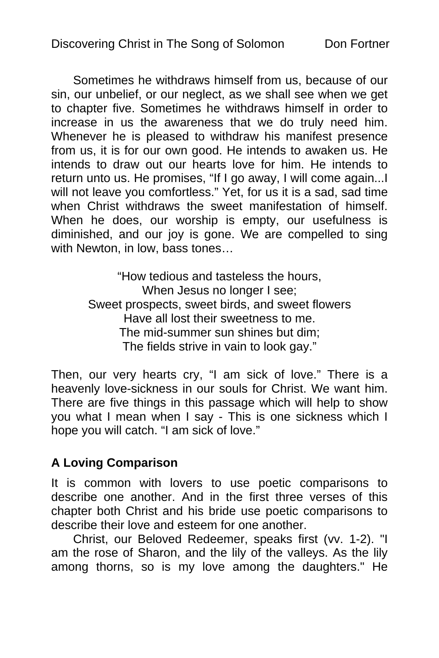Sometimes he withdraws himself from us, because of our sin, our unbelief, or our neglect, as we shall see when we get to chapter five. Sometimes he withdraws himself in order to increase in us the awareness that we do truly need him. Whenever he is pleased to withdraw his manifest presence from us, it is for our own good. He intends to awaken us. He intends to draw out our hearts love for him. He intends to return unto us. He promises, "If I go away, I will come again...I will not leave you comfortless." Yet, for us it is a sad, sad time when Christ withdraws the sweet manifestation of himself. When he does, our worship is empty, our usefulness is diminished, and our joy is gone. We are compelled to sing with Newton, in low, bass tones…

> "How tedious and tasteless the hours, When Jesus no longer I see; Sweet prospects, sweet birds, and sweet flowers Have all lost their sweetness to me. The mid-summer sun shines but dim; The fields strive in vain to look gay."

Then, our very hearts cry, "I am sick of love." There is a heavenly love-sickness in our souls for Christ. We want him. There are five things in this passage which will help to show you what I mean when I say - This is one sickness which I hope you will catch. "I am sick of love."

### **A Loving Comparison**

It is common with lovers to use poetic comparisons to describe one another. And in the first three verses of this chapter both Christ and his bride use poetic comparisons to describe their love and esteem for one another.

Christ, our Beloved Redeemer, speaks first (vv. 1-2). "I am the rose of Sharon, and the lily of the valleys. As the lily among thorns, so is my love among the daughters." He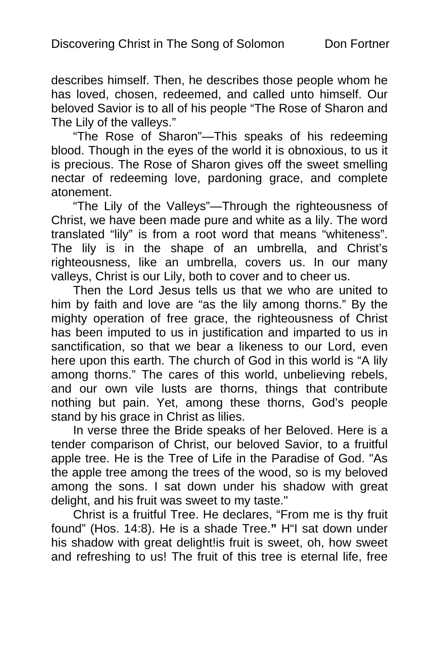describes himself. Then, he describes those people whom he has loved, chosen, redeemed, and called unto himself. Our beloved Savior is to all of his people "The Rose of Sharon and The Lily of the valleys."

"The Rose of Sharon"—This speaks of his redeeming blood. Though in the eyes of the world it is obnoxious, to us it is precious. The Rose of Sharon gives off the sweet smelling nectar of redeeming love, pardoning grace, and complete atonement.

"The Lily of the Valleys"—Through the righteousness of Christ, we have been made pure and white as a lily. The word translated "lily" is from a root word that means "whiteness". The lily is in the shape of an umbrella, and Christ's righteousness, like an umbrella, covers us. In our many valleys, Christ is our Lily, both to cover and to cheer us.

Then the Lord Jesus tells us that we who are united to him by faith and love are "as the lily among thorns." By the mighty operation of free grace, the righteousness of Christ has been imputed to us in justification and imparted to us in sanctification, so that we bear a likeness to our Lord, even here upon this earth. The church of God in this world is "A lily among thorns." The cares of this world, unbelieving rebels, and our own vile lusts are thorns, things that contribute nothing but pain. Yet, among these thorns, God's people stand by his grace in Christ as lilies.

In verse three the Bride speaks of her Beloved. Here is a tender comparison of Christ, our beloved Savior, to a fruitful apple tree. He is the Tree of Life in the Paradise of God. "As the apple tree among the trees of the wood, so is my beloved among the sons. I sat down under his shadow with great delight, and his fruit was sweet to my taste."

Christ is a fruitful Tree. He declares, "From me is thy fruit found" (Hos. 14:8). He is a shade Tree.**"** H"I sat down under his shadow with great delight! is fruit is sweet, oh, how sweet and refreshing to us! The fruit of this tree is eternal life, free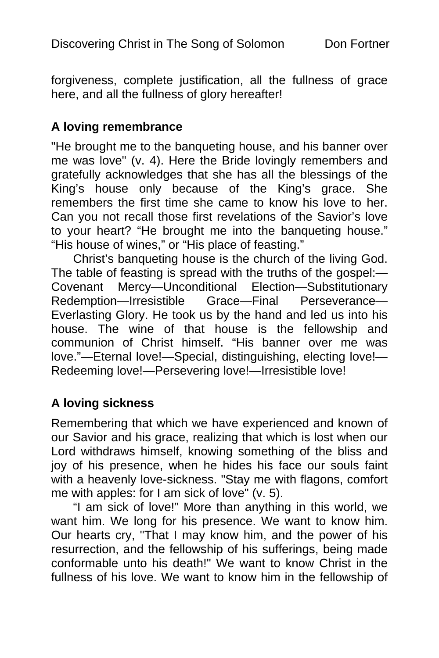forgiveness, complete justification, all the fullness of grace here, and all the fullness of glory hereafter!

### **A loving remembrance**

"He brought me to the banqueting house, and his banner over me was love" (v. 4). Here the Bride lovingly remembers and gratefully acknowledges that she has all the blessings of the King's house only because of the King's grace. She remembers the first time she came to know his love to her. Can you not recall those first revelations of the Savior's love to your heart? "He brought me into the banqueting house." "His house of wines," or "His place of feasting."

Christ's banqueting house is the church of the living God. The table of feasting is spread with the truths of the gospel:— Covenant Mercy—Unconditional Election—Substitutionary Redemption—Irresistible Grace—Final Perseverance— Everlasting Glory. He took us by the hand and led us into his house. The wine of that house is the fellowship and communion of Christ himself. "His banner over me was love."—Eternal love!—Special, distinguishing, electing love!— Redeeming love!—Persevering love!—Irresistible love!

### **A loving sickness**

Remembering that which we have experienced and known of our Savior and his grace, realizing that which is lost when our Lord withdraws himself, knowing something of the bliss and joy of his presence, when he hides his face our souls faint with a heavenly love-sickness. "Stay me with flagons, comfort me with apples: for I am sick of love" (v. 5).

"I am sick of love!" More than anything in this world, we want him. We long for his presence. We want to know him. Our hearts cry, "That I may know him, and the power of his resurrection, and the fellowship of his sufferings, being made conformable unto his death!" We want to know Christ in the fullness of his love. We want to know him in the fellowship of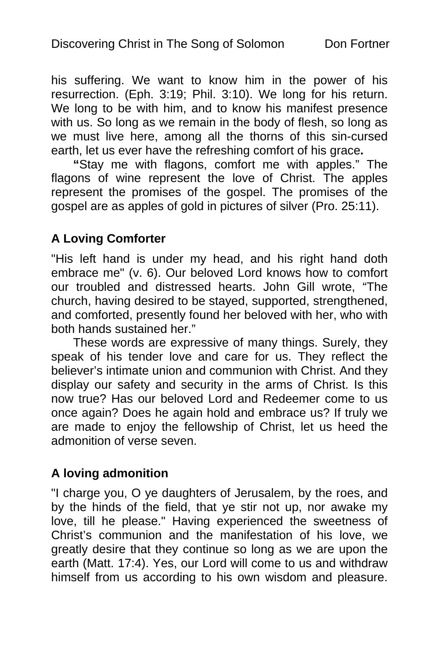his suffering. We want to know him in the power of his resurrection. (Eph. 3:19; Phil. 3:10). We long for his return. We long to be with him, and to know his manifest presence with us. So long as we remain in the body of flesh, so long as we must live here, among all the thorns of this sin-cursed earth, let us ever have the refreshing comfort of his grace**.** 

**"**Stay me with flagons, comfort me with apples." The flagons of wine represent the love of Christ. The apples represent the promises of the gospel. The promises of the gospel are as apples of gold in pictures of silver (Pro. 25:11).

### **A Loving Comforter**

"His left hand is under my head, and his right hand doth embrace me" (v. 6). Our beloved Lord knows how to comfort our troubled and distressed hearts. John Gill wrote, "The church, having desired to be stayed, supported, strengthened, and comforted, presently found her beloved with her, who with both hands sustained her."

These words are expressive of many things. Surely, they speak of his tender love and care for us. They reflect the believer's intimate union and communion with Christ. And they display our safety and security in the arms of Christ. Is this now true? Has our beloved Lord and Redeemer come to us once again? Does he again hold and embrace us? If truly we are made to enjoy the fellowship of Christ, let us heed the admonition of verse seven.

### **A loving admonition**

"I charge you, O ye daughters of Jerusalem, by the roes, and by the hinds of the field, that ye stir not up, nor awake my love, till he please." Having experienced the sweetness of Christ's communion and the manifestation of his love, we greatly desire that they continue so long as we are upon the earth (Matt. 17:4). Yes, our Lord will come to us and withdraw himself from us according to his own wisdom and pleasure.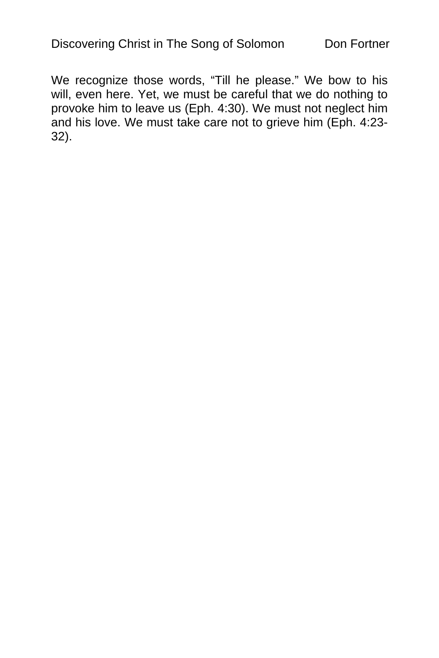We recognize those words, "Till he please." We bow to his will, even here. Yet, we must be careful that we do nothing to provoke him to leave us (Eph. 4:30). We must not neglect him and his love. We must take care not to grieve him (Eph. 4:23- 32).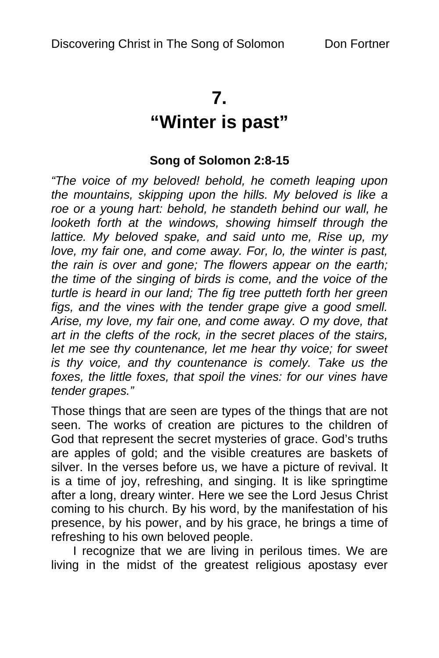## **7.**

# **"Winter is past"**

### **Song of Solomon 2:8-15**

*"The voice of my beloved! behold, he cometh leaping upon the mountains, skipping upon the hills. My beloved is like a roe or a young hart: behold, he standeth behind our wall, he looketh forth at the windows, showing himself through the lattice. My beloved spake, and said unto me, Rise up, my love, my fair one, and come away. For, lo, the winter is past, the rain is over and gone; The flowers appear on the earth; the time of the singing of birds is come, and the voice of the turtle is heard in our land; The fig tree putteth forth her green figs, and the vines with the tender grape give a good smell. Arise, my love, my fair one, and come away. O my dove, that art in the clefts of the rock, in the secret places of the stairs, let me see thy countenance, let me hear thy voice; for sweet is thy voice, and thy countenance is comely. Take us the foxes, the little foxes, that spoil the vines: for our vines have tender grapes."* 

Those things that are seen are types of the things that are not seen. The works of creation are pictures to the children of God that represent the secret mysteries of grace. God's truths are apples of gold; and the visible creatures are baskets of silver. In the verses before us, we have a picture of revival. It is a time of joy, refreshing, and singing. It is like springtime after a long, dreary winter. Here we see the Lord Jesus Christ coming to his church. By his word, by the manifestation of his presence, by his power, and by his grace, he brings a time of refreshing to his own beloved people.

I recognize that we are living in perilous times. We are living in the midst of the greatest religious apostasy ever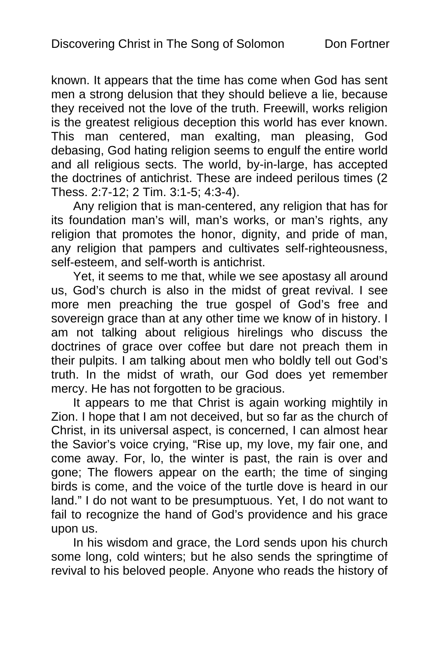known. It appears that the time has come when God has sent men a strong delusion that they should believe a lie, because they received not the love of the truth. Freewill, works religion is the greatest religious deception this world has ever known. This man centered, man exalting, man pleasing, God debasing, God hating religion seems to engulf the entire world and all religious sects. The world, by-in-large, has accepted the doctrines of antichrist. These are indeed perilous times (2 Thess. 2:7-12; 2 Tim. 3:1-5; 4:3-4).

Any religion that is man-centered, any religion that has for its foundation man's will, man's works, or man's rights, any religion that promotes the honor, dignity, and pride of man, any religion that pampers and cultivates self-righteousness, self-esteem, and self-worth is antichrist.

Yet, it seems to me that, while we see apostasy all around us, God's church is also in the midst of great revival. I see more men preaching the true gospel of God's free and sovereign grace than at any other time we know of in history. I am not talking about religious hirelings who discuss the doctrines of grace over coffee but dare not preach them in their pulpits. I am talking about men who boldly tell out God's truth. In the midst of wrath, our God does yet remember mercy. He has not forgotten to be gracious.

It appears to me that Christ is again working mightily in Zion. I hope that I am not deceived, but so far as the church of Christ, in its universal aspect, is concerned, I can almost hear the Savior's voice crying, "Rise up, my love, my fair one, and come away. For, lo, the winter is past, the rain is over and gone; The flowers appear on the earth; the time of singing birds is come, and the voice of the turtle dove is heard in our land." I do not want to be presumptuous. Yet, I do not want to fail to recognize the hand of God's providence and his grace upon us.

In his wisdom and grace, the Lord sends upon his church some long, cold winters; but he also sends the springtime of revival to his beloved people. Anyone who reads the history of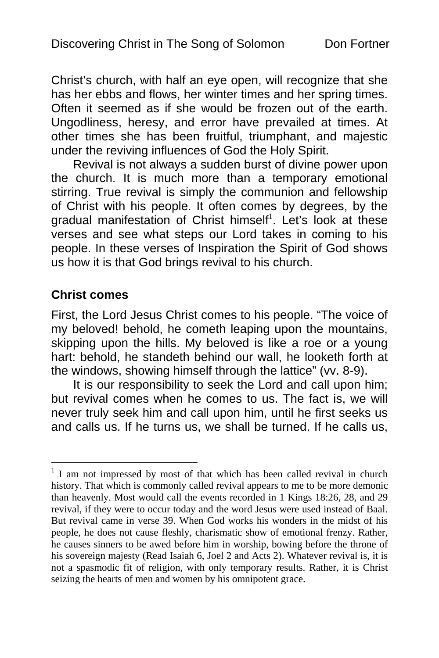Christ's church, with half an eye open, will recognize tha[t](#page-45-0) she has her ebbs and flows, her winter times and her spring times. Often it seemed as if she would be frozen out of the earth. Ungodliness, heresy, and error have prevailed at times. At other times she has been fruitful, triumphant, and majestic under the reviving influences of God the Holy Spirit.

Revival is not always a sudden burst of divine power upon the church. It is much more than a temporary emotional stirring. True revival is simply the communion and fellowship of Christ with his people. It often comes by degrees, by the gradual manifestation of Christ himself<sup>1</sup>. Let's look at these verses and see what steps our Lord takes in coming to his people. In these verses of Inspiration the Spirit of God shows us how it is that God brings revival to his church.

### **Christ comes**

 $\overline{a}$ 

First, the Lord Jesus Christ comes to his people. "The voice of my beloved! behold, he cometh leaping upon the mountains, skipping upon the hills. My beloved is like a roe or a young hart: behold, he standeth behind our wall, he looketh forth at the windows, showing himself through the lattice" (vv. 8-9).

It is our responsibility to seek the Lord and call upon him; but revival comes when he comes to us. The fact is, we will never truly seek him and call upon him, until he first seeks us and calls us. If he turns us, we shall be turned. If he calls us,

<span id="page-45-0"></span><sup>&</sup>lt;sup>1</sup> I am not impressed by most of that which has been called revival in church history. That which is commonly called revival appears to me to be more demonic than heavenly. Most would call the events recorded in 1 Kings 18:26, 28, and 29 revival, if they were to occur today and the word Jesus were used instead of Baal. But revival came in verse 39. When God works his wonders in the midst of his people, he does not cause fleshly, charismatic show of emotional frenzy. Rather, he causes sinners to be awed before him in worship, bowing before the throne of his sovereign majesty (Read Isaiah 6, Joel 2 and Acts 2). Whatever revival is, it is not a spasmodic fit of religion, with only temporary results. Rather, it is Christ seizing the hearts of men and women by his omnipotent grace.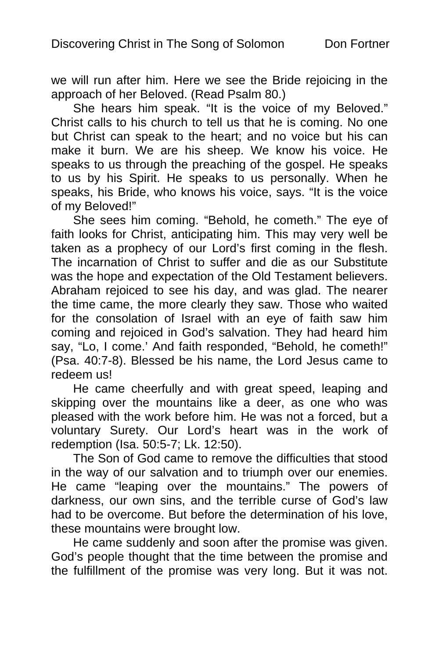we will run after him. Here we see the Bride rejoicing in the approach of her Beloved. (Read Psalm 80.)

She hears him speak. "It is the voice of my Beloved." Christ calls to his church to tell us that he is coming. No one but Christ can speak to the heart; and no voice but his can make it burn. We are his sheep. We know his voice. He speaks to us through the preaching of the gospel. He speaks to us by his Spirit. He speaks to us personally. When he speaks, his Bride, who knows his voice, says. "It is the voice of my Beloved!"

She sees him coming. "Behold, he cometh." The eye of faith looks for Christ, anticipating him. This may very well be taken as a prophecy of our Lord's first coming in the flesh. The incarnation of Christ to suffer and die as our Substitute was the hope and expectation of the Old Testament believers. Abraham rejoiced to see his day, and was glad. The nearer the time came, the more clearly they saw. Those who waited for the consolation of Israel with an eye of faith saw him coming and rejoiced in God's salvation. They had heard him say, "Lo, I come.' And faith responded, "Behold, he cometh!" (Psa. 40:7-8). Blessed be his name, the Lord Jesus came to redeem us!

He came cheerfully and with great speed, leaping and skipping over the mountains like a deer, as one who was pleased with the work before him. He was not a forced, but a voluntary Surety. Our Lord's heart was in the work of redemption (Isa. 50:5-7; Lk. 12:50).

The Son of God came to remove the difficulties that stood in the way of our salvation and to triumph over our enemies. He came "leaping over the mountains." The powers of darkness, our own sins, and the terrible curse of God's law had to be overcome. But before the determination of his love, these mountains were brought low.

He came suddenly and soon after the promise was given. God's people thought that the time between the promise and the fulfillment of the promise was very long. But it was not.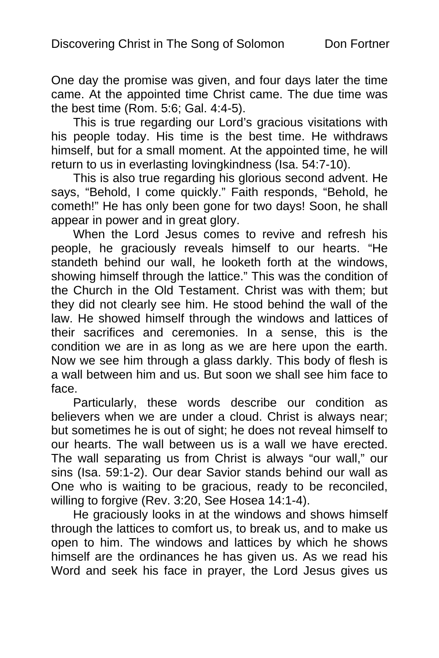One day the promise was given, and four days later the time came. At the appointed time Christ came. The due time was the best time (Rom. 5:6; Gal. 4:4-5).

This is true regarding our Lord's gracious visitations with his people today. His time is the best time. He withdraws himself, but for a small moment. At the appointed time, he will return to us in everlasting lovingkindness (Isa. 54:7-10).

This is also true regarding his glorious second advent. He says, "Behold, I come quickly." Faith responds, "Behold, he cometh!" He has only been gone for two days! Soon, he shall appear in power and in great glory.

When the Lord Jesus comes to revive and refresh his people, he graciously reveals himself to our hearts. "He standeth behind our wall, he looketh forth at the windows, showing himself through the lattice." This was the condition of the Church in the Old Testament. Christ was with them; but they did not clearly see him. He stood behind the wall of the law. He showed himself through the windows and lattices of their sacrifices and ceremonies. In a sense, this is the condition we are in as long as we are here upon the earth. Now we see him through a glass darkly. This body of flesh is a wall between him and us. But soon we shall see him face to face.

Particularly, these words describe our condition as believers when we are under a cloud. Christ is always near; but sometimes he is out of sight; he does not reveal himself to our hearts. The wall between us is a wall we have erected. The wall separating us from Christ is always "our wall," our sins (Isa. 59:1-2). Our dear Savior stands behind our wall as One who is waiting to be gracious, ready to be reconciled, willing to forgive (Rev. 3:20, See Hosea 14:1-4).

He graciously looks in at the windows and shows himself through the lattices to comfort us, to break us, and to make us open to him. The windows and lattices by which he shows himself are the ordinances he has given us. As we read his Word and seek his face in prayer, the Lord Jesus gives us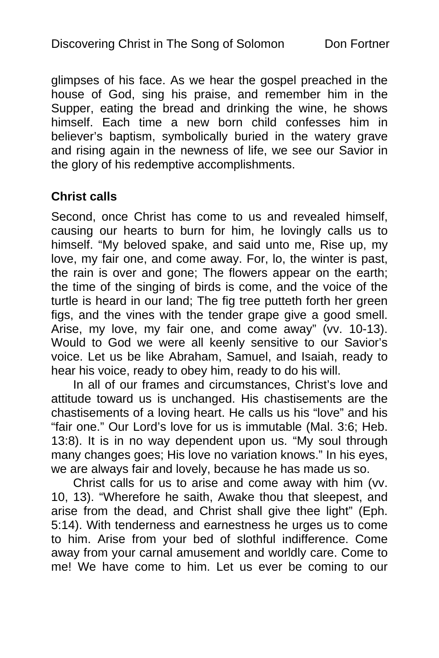glimpses of his face. As we hear the gospel preached in the house of God, sing his praise, and remember him in the Supper, eating the bread and drinking the wine, he shows himself. Each time a new born child confesses him in believer's baptism, symbolically buried in the watery grave and rising again in the newness of life, we see our Savior in the glory of his redemptive accomplishments.

### **Christ calls**

Second, once Christ has come to us and revealed himself, causing our hearts to burn for him, he lovingly calls us to himself. "My beloved spake, and said unto me, Rise up, my love, my fair one, and come away. For, lo, the winter is past, the rain is over and gone; The flowers appear on the earth; the time of the singing of birds is come, and the voice of the turtle is heard in our land; The fig tree putteth forth her green figs, and the vines with the tender grape give a good smell. Arise, my love, my fair one, and come away" (vv. 10-13). Would to God we were all keenly sensitive to our Savior's voice. Let us be like Abraham, Samuel, and Isaiah, ready to hear his voice, ready to obey him, ready to do his will.

In all of our frames and circumstances, Christ's love and attitude toward us is unchanged. His chastisements are the chastisements of a loving heart. He calls us his "love" and his "fair one." Our Lord's love for us is immutable (Mal. 3:6; Heb. 13:8). It is in no way dependent upon us. "My soul through many changes goes; His love no variation knows." In his eyes, we are always fair and lovely, because he has made us so.

Christ calls for us to arise and come away with him (vv. 10, 13). "Wherefore he saith, Awake thou that sleepest, and arise from the dead, and Christ shall give thee light" (Eph. 5:14). With tenderness and earnestness he urges us to come to him. Arise from your bed of slothful indifference. Come away from your carnal amusement and worldly care. Come to me! We have come to him. Let us ever be coming to our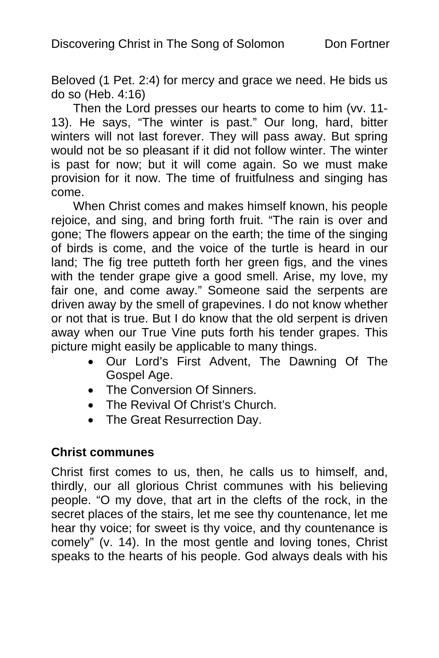Beloved (1 Pet. 2:4) for mercy and grace we need. He bids us do so (Heb. 4:16)

Then the Lord presses our hearts to come to him (vv. 11- 13). He says, "The winter is past." Our long, hard, bitter winters will not last forever. They will pass away. But spring would not be so pleasant if it did not follow winter. The winter is past for now; but it will come again. So we must make provision for it now. The time of fruitfulness and singing has come.

When Christ comes and makes himself known, his people rejoice, and sing, and bring forth fruit. "The rain is over and gone; The flowers appear on the earth; the time of the singing of birds is come, and the voice of the turtle is heard in our land; The fig tree putteth forth her green figs, and the vines with the tender grape give a good smell. Arise, my love, my fair one, and come away." Someone said the serpents are driven away by the smell of grapevines. I do not know whether or not that is true. But I do know that the old serpent is driven away when our True Vine puts forth his tender grapes. This picture might easily be applicable to many things.

- Our Lord's First Advent, The Dawning Of The Gospel Age.
- The Conversion Of Sinners.
- The Revival Of Christ's Church.
- The Great Resurrection Day.

### **Christ communes**

Christ first comes to us, then, he calls us to himself, and, thirdly, our all glorious Christ communes with his believing people. "O my dove, that art in the clefts of the rock, in the secret places of the stairs, let me see thy countenance, let me hear thy voice; for sweet is thy voice, and thy countenance is comely" (v. 14). In the most gentle and loving tones, Christ speaks to the hearts of his people. God always deals with his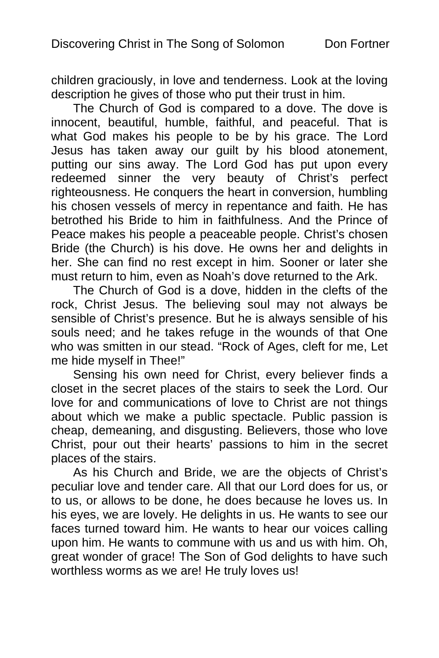children graciously, in love and tenderness. Look at the loving description he gives of those who put their trust in him.

The Church of God is compared to a dove. The dove is innocent, beautiful, humble, faithful, and peaceful. That is what God makes his people to be by his grace. The Lord Jesus has taken away our guilt by his blood atonement, putting our sins away. The Lord God has put upon every redeemed sinner the very beauty of Christ's perfect righteousness. He conquers the heart in conversion, humbling his chosen vessels of mercy in repentance and faith. He has betrothed his Bride to him in faithfulness. And the Prince of Peace makes his people a peaceable people. Christ's chosen Bride (the Church) is his dove. He owns her and delights in her. She can find no rest except in him. Sooner or later she must return to him, even as Noah's dove returned to the Ark.

The Church of God is a dove, hidden in the clefts of the rock, Christ Jesus. The believing soul may not always be sensible of Christ's presence. But he is always sensible of his souls need; and he takes refuge in the wounds of that One who was smitten in our stead. "Rock of Ages, cleft for me, Let me hide myself in Thee!"

Sensing his own need for Christ, every believer finds a closet in the secret places of the stairs to seek the Lord. Our love for and communications of love to Christ are not things about which we make a public spectacle. Public passion is cheap, demeaning, and disgusting. Believers, those who love Christ, pour out their hearts' passions to him in the secret places of the stairs.

As his Church and Bride, we are the objects of Christ's peculiar love and tender care. All that our Lord does for us, or to us, or allows to be done, he does because he loves us. In his eyes, we are lovely. He delights in us. He wants to see our faces turned toward him. He wants to hear our voices calling upon him. He wants to commune with us and us with him. Oh, great wonder of grace! The Son of God delights to have such worthless worms as we are! He truly loves us!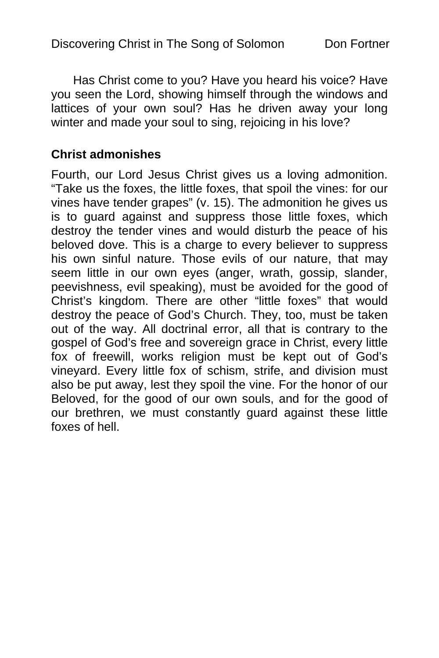Has Christ come to you? Have you heard his voice? Have you seen the Lord, showing himself through the windows and lattices of your own soul? Has he driven away your long winter and made your soul to sing, rejoicing in his love?

### **Christ admonishes**

Fourth, our Lord Jesus Christ gives us a loving admonition. "Take us the foxes, the little foxes, that spoil the vines: for our vines have tender grapes" (v. 15). The admonition he gives us is to guard against and suppress those little foxes, which destroy the tender vines and would disturb the peace of his beloved dove. This is a charge to every believer to suppress his own sinful nature. Those evils of our nature, that may seem little in our own eyes (anger, wrath, gossip, slander, peevishness, evil speaking), must be avoided for the good of Christ's kingdom. There are other "little foxes" that would destroy the peace of God's Church. They, too, must be taken out of the way. All doctrinal error, all that is contrary to the gospel of God's free and sovereign grace in Christ, every little fox of freewill, works religion must be kept out of God's vineyard. Every little fox of schism, strife, and division must also be put away, lest they spoil the vine. For the honor of our Beloved, for the good of our own souls, and for the good of our brethren, we must constantly guard against these little foxes of hell.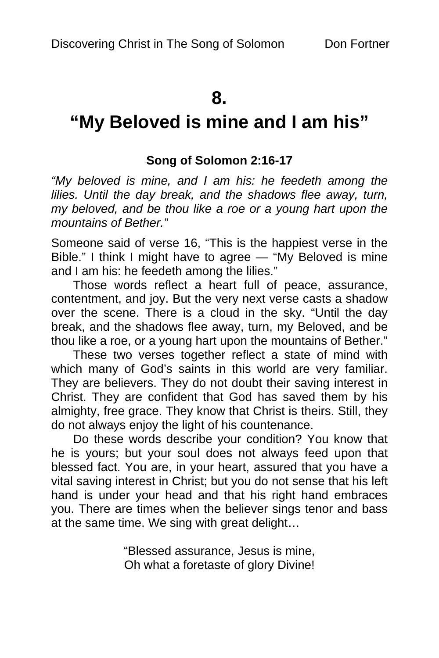### **8.**

# **"My Beloved is mine and I am his"**

### **Song of Solomon 2:16-17**

*"My beloved is mine, and I am his: he feedeth among the lilies. Until the day break, and the shadows flee away, turn, my beloved, and be thou like a roe or a young hart upon the mountains of Bether."* 

Someone said of verse 16, "This is the happiest verse in the Bible." I think I might have to agree — "My Beloved is mine and I am his: he feedeth among the lilies."

Those words reflect a heart full of peace, assurance, contentment, and joy. But the very next verse casts a shadow over the scene. There is a cloud in the sky. "Until the day break, and the shadows flee away, turn, my Beloved, and be thou like a roe, or a young hart upon the mountains of Bether."

These two verses together reflect a state of mind with which many of God's saints in this world are very familiar. They are believers. They do not doubt their saving interest in Christ. They are confident that God has saved them by his almighty, free grace. They know that Christ is theirs. Still, they do not always enjoy the light of his countenance.

Do these words describe your condition? You know that he is yours; but your soul does not always feed upon that blessed fact. You are, in your heart, assured that you have a vital saving interest in Christ; but you do not sense that his left hand is under your head and that his right hand embraces you. There are times when the believer sings tenor and bass at the same time. We sing with great delight…

> "Blessed assurance, Jesus is mine, Oh what a foretaste of glory Divine!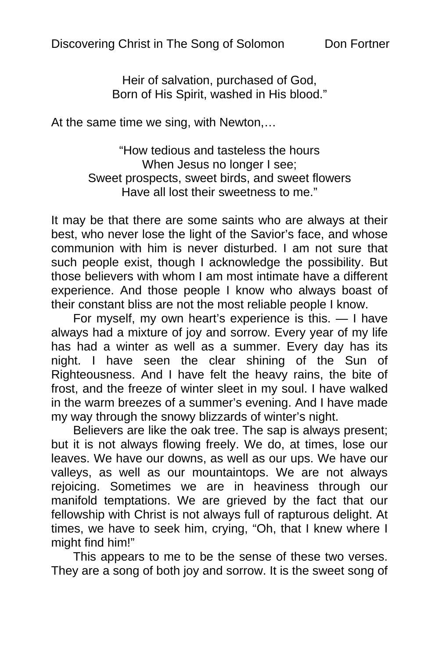Heir of salvation, purchased of God, Born of His Spirit, washed in His blood."

At the same time we sing, with Newton,…

"How tedious and tasteless the hours When Jesus no longer I see: Sweet prospects, sweet birds, and sweet flowers Have all lost their sweetness to me."

It may be that there are some saints who are always at their best, who never lose the light of the Savior's face, and whose communion with him is never disturbed. I am not sure that such people exist, though I acknowledge the possibility. But those believers with whom I am most intimate have a different experience. And those people I know who always boast of their constant bliss are not the most reliable people I know.

For myself, my own heart's experience is this. — I have always had a mixture of joy and sorrow. Every year of my life has had a winter as well as a summer. Every day has its night. I have seen the clear shining of the Sun of Righteousness. And I have felt the heavy rains, the bite of frost, and the freeze of winter sleet in my soul. I have walked in the warm breezes of a summer's evening. And I have made my way through the snowy blizzards of winter's night.

Believers are like the oak tree. The sap is always present; but it is not always flowing freely. We do, at times, lose our leaves. We have our downs, as well as our ups. We have our valleys, as well as our mountaintops. We are not always rejoicing. Sometimes we are in heaviness through our manifold temptations. We are grieved by the fact that our fellowship with Christ is not always full of rapturous delight. At times, we have to seek him, crying, "Oh, that I knew where I might find him!"

This appears to me to be the sense of these two verses. They are a song of both joy and sorrow. It is the sweet song of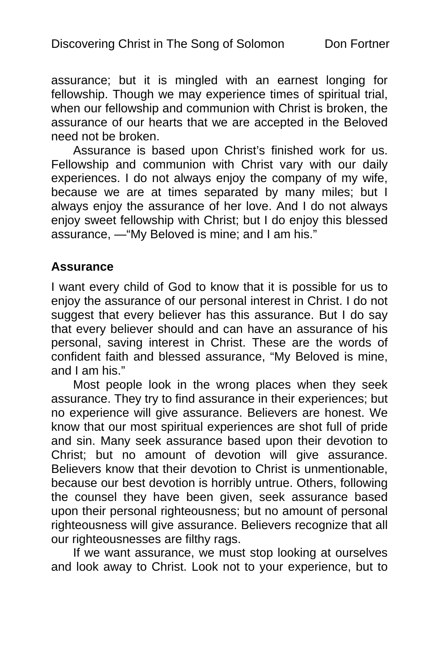assurance; but it is mingled with an earnest longing for fellowship. Though we may experience times of spiritual trial, when our fellowship and communion with Christ is broken, the assurance of our hearts that we are accepted in the Beloved need not be broken.

Assurance is based upon Christ's finished work for us. Fellowship and communion with Christ vary with our daily experiences. I do not always enjoy the company of my wife, because we are at times separated by many miles; but I always enjoy the assurance of her love. And I do not always enjoy sweet fellowship with Christ; but I do enjoy this blessed assurance, —"My Beloved is mine; and I am his."

### **Assurance**

I want every child of God to know that it is possible for us to enjoy the assurance of our personal interest in Christ. I do not suggest that every believer has this assurance. But I do say that every believer should and can have an assurance of his personal, saving interest in Christ. These are the words of confident faith and blessed assurance, "My Beloved is mine, and I am his."

Most people look in the wrong places when they seek assurance. They try to find assurance in their experiences; but no experience will give assurance. Believers are honest. We know that our most spiritual experiences are shot full of pride and sin. Many seek assurance based upon their devotion to Christ; but no amount of devotion will give assurance. Believers know that their devotion to Christ is unmentionable, because our best devotion is horribly untrue. Others, following the counsel they have been given, seek assurance based upon their personal righteousness; but no amount of personal righteousness will give assurance. Believers recognize that all our righteousnesses are filthy rags.

If we want assurance, we must stop looking at ourselves and look away to Christ. Look not to your experience, but to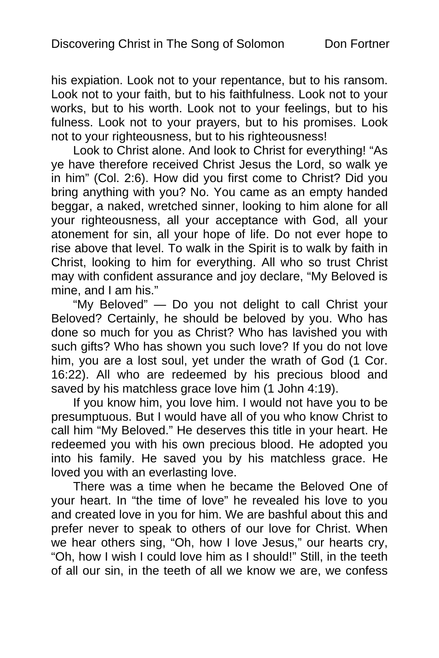his expiation. Look not to your repentance, but to his ransom. Look not to your faith, but to his faithfulness. Look not to your works, but to his worth. Look not to your feelings, but to his fulness. Look not to your prayers, but to his promises. Look not to your righteousness, but to his righteousness!

Look to Christ alone. And look to Christ for everything! "As ye have therefore received Christ Jesus the Lord, so walk ye in him" (Col. 2:6). How did you first come to Christ? Did you bring anything with you? No. You came as an empty handed beggar, a naked, wretched sinner, looking to him alone for all your righteousness, all your acceptance with God, all your atonement for sin, all your hope of life. Do not ever hope to rise above that level. To walk in the Spirit is to walk by faith in Christ, looking to him for everything. All who so trust Christ may with confident assurance and joy declare, "My Beloved is mine, and I am his."

"My Beloved" — Do you not delight to call Christ your Beloved? Certainly, he should be beloved by you. Who has done so much for you as Christ? Who has lavished you with such gifts? Who has shown you such love? If you do not love him, you are a lost soul, yet under the wrath of God (1 Cor. 16:22). All who are redeemed by his precious blood and saved by his matchless grace love him (1 John 4:19).

If you know him, you love him. I would not have you to be presumptuous. But I would have all of you who know Christ to call him "My Beloved." He deserves this title in your heart. He redeemed you with his own precious blood. He adopted you into his family. He saved you by his matchless grace. He loved you with an everlasting love.

There was a time when he became the Beloved One of your heart. In "the time of love" he revealed his love to you and created love in you for him. We are bashful about this and prefer never to speak to others of our love for Christ. When we hear others sing, "Oh, how I love Jesus," our hearts cry, "Oh, how I wish I could love him as I should!" Still, in the teeth of all our sin, in the teeth of all we know we are, we confess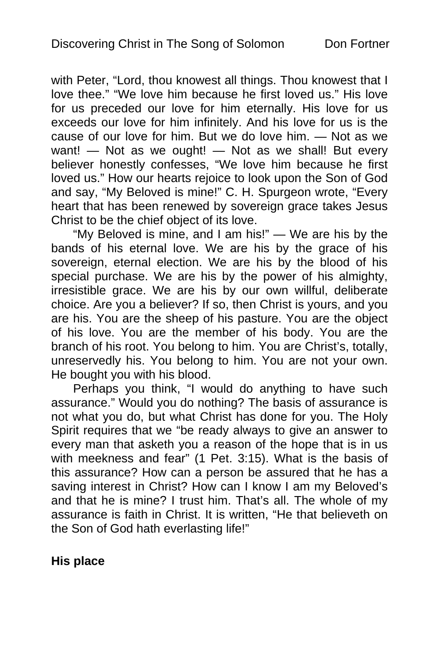with Peter, "Lord, thou knowest all things. Thou knowest that I love thee." "We love him because he first loved us." His love for us preceded our love for him eternally. His love for us exceeds our love for him infinitely. And his love for us is the cause of our love for him. But we do love him. — Not as we want! — Not as we ought! — Not as we shall! But every believer honestly confesses, "We love him because he first loved us." How our hearts rejoice to look upon the Son of God and say, "My Beloved is mine!" C. H. Spurgeon wrote, "Every heart that has been renewed by sovereign grace takes Jesus Christ to be the chief object of its love.

"My Beloved is mine, and I am his!" — We are his by the bands of his eternal love. We are his by the grace of his sovereign, eternal election. We are his by the blood of his special purchase. We are his by the power of his almighty, irresistible grace. We are his by our own willful, deliberate choice. Are you a believer? If so, then Christ is yours, and you are his. You are the sheep of his pasture. You are the object of his love. You are the member of his body. You are the branch of his root. You belong to him. You are Christ's, totally, unreservedly his. You belong to him. You are not your own. He bought you with his blood.

Perhaps you think, "I would do anything to have such assurance." Would you do nothing? The basis of assurance is not what you do, but what Christ has done for you. The Holy Spirit requires that we "be ready always to give an answer to every man that asketh you a reason of the hope that is in us with meekness and fear" (1 Pet. 3:15). What is the basis of this assurance? How can a person be assured that he has a saving interest in Christ? How can I know I am my Beloved's and that he is mine? I trust him. That's all. The whole of my assurance is faith in Christ. It is written, "He that believeth on the Son of God hath everlasting life!"

### **His place**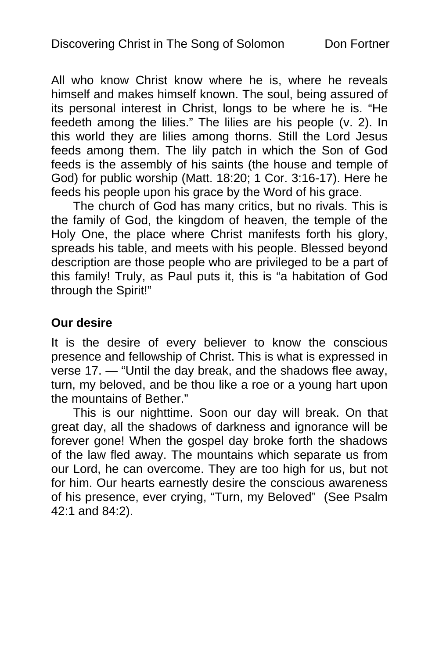All who know Christ know where he is, where he reveals himself and makes himself known. The soul, being assured of its personal interest in Christ, longs to be where he is. "He feedeth among the lilies." The lilies are his people (v. 2). In this world they are lilies among thorns. Still the Lord Jesus feeds among them. The lily patch in which the Son of God feeds is the assembly of his saints (the house and temple of God) for public worship (Matt. 18:20; 1 Cor. 3:16-17). Here he feeds his people upon his grace by the Word of his grace.

The church of God has many critics, but no rivals. This is the family of God, the kingdom of heaven, the temple of the Holy One, the place where Christ manifests forth his glory, spreads his table, and meets with his people. Blessed beyond description are those people who are privileged to be a part of this family! Truly, as Paul puts it, this is "a habitation of God through the Spirit!"

### **Our desire**

It is the desire of every believer to know the conscious presence and fellowship of Christ. This is what is expressed in verse 17. — "Until the day break, and the shadows flee away, turn, my beloved, and be thou like a roe or a young hart upon the mountains of Bether."

This is our nighttime. Soon our day will break. On that great day, all the shadows of darkness and ignorance will be forever gone! When the gospel day broke forth the shadows of the law fled away. The mountains which separate us from our Lord, he can overcome. They are too high for us, but not for him. Our hearts earnestly desire the conscious awareness of his presence, ever crying, "Turn, my Beloved" (See Psalm 42:1 and 84:2).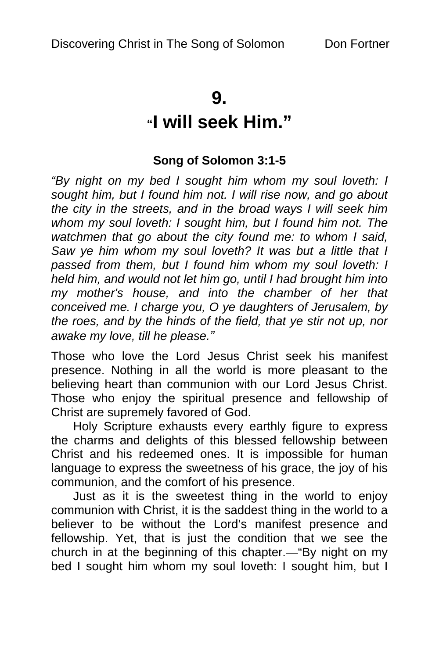### **9.**

## **"I will seek Him."**

### **Song of Solomon 3:1-5**

*"By night on my bed I sought him whom my soul loveth: I sought him, but I found him not. I will rise now, and go about the city in the streets, and in the broad ways I will seek him whom my soul loveth: I sought him, but I found him not. The watchmen that go about the city found me: to whom I said, Saw ye him whom my soul loveth? It was but a little that I passed from them, but I found him whom my soul loveth: I held him, and would not let him go, until I had brought him into my mother's house, and into the chamber of her that conceived me. I charge you, O ye daughters of Jerusalem, by the roes, and by the hinds of the field, that ye stir not up, nor awake my love, till he please."*

Those who love the Lord Jesus Christ seek his manifest presence. Nothing in all the world is more pleasant to the believing heart than communion with our Lord Jesus Christ. Those who enjoy the spiritual presence and fellowship of Christ are supremely favored of God.

Holy Scripture exhausts every earthly figure to express the charms and delights of this blessed fellowship between Christ and his redeemed ones. It is impossible for human language to express the sweetness of his grace, the joy of his communion, and the comfort of his presence.

Just as it is the sweetest thing in the world to enjoy communion with Christ, it is the saddest thing in the world to a believer to be without the Lord's manifest presence and fellowship. Yet, that is just the condition that we see the church in at the beginning of this chapter.—"By night on my bed I sought him whom my soul loveth: I sought him, but I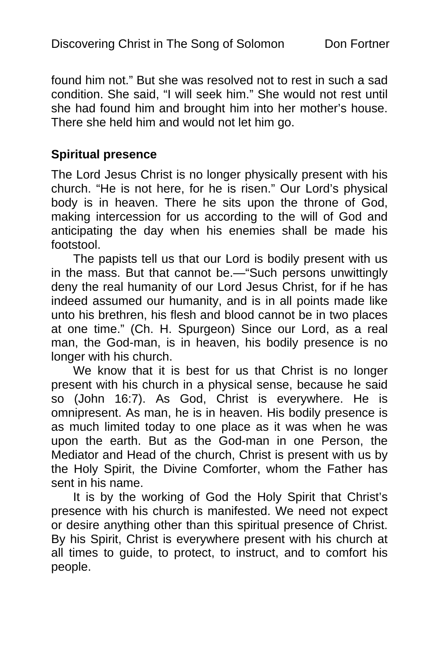found him not." But she was resolved not to rest in such a sad condition. She said, "I will seek him." She would not rest until she had found him and brought him into her mother's house. There she held him and would not let him go.

### **Spiritual presence**

The Lord Jesus Christ is no longer physically present with his church. "He is not here, for he is risen." Our Lord's physical body is in heaven. There he sits upon the throne of God, making intercession for us according to the will of God and anticipating the day when his enemies shall be made his footstool.

The papists tell us that our Lord is bodily present with us in the mass. But that cannot be.—"Such persons unwittingly deny the real humanity of our Lord Jesus Christ, for if he has indeed assumed our humanity, and is in all points made like unto his brethren, his flesh and blood cannot be in two places at one time." (Ch. H. Spurgeon) Since our Lord, as a real man, the God-man, is in heaven, his bodily presence is no longer with his church.

We know that it is best for us that Christ is no longer present with his church in a physical sense, because he said so (John 16:7). As God, Christ is everywhere. He is omnipresent. As man, he is in heaven. His bodily presence is as much limited today to one place as it was when he was upon the earth. But as the God-man in one Person, the Mediator and Head of the church, Christ is present with us by the Holy Spirit, the Divine Comforter, whom the Father has sent in his name.

It is by the working of God the Holy Spirit that Christ's presence with his church is manifested. We need not expect or desire anything other than this spiritual presence of Christ. By his Spirit, Christ is everywhere present with his church at all times to guide, to protect, to instruct, and to comfort his people.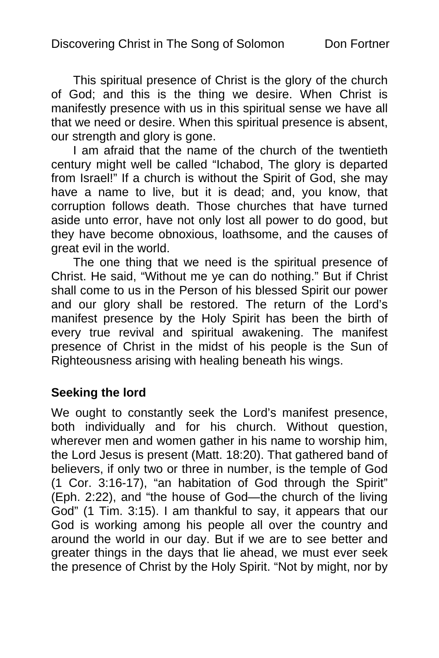This spiritual presence of Christ is the glory of the church of God; and this is the thing we desire. When Christ is manifestly presence with us in this spiritual sense we have all that we need or desire. When this spiritual presence is absent, our strength and glory is gone.

I am afraid that the name of the church of the twentieth century might well be called "Ichabod, The glory is departed from Israel!" If a church is without the Spirit of God, she may have a name to live, but it is dead; and, you know, that corruption follows death. Those churches that have turned aside unto error, have not only lost all power to do good, but they have become obnoxious, loathsome, and the causes of great evil in the world.

The one thing that we need is the spiritual presence of Christ. He said, "Without me ye can do nothing." But if Christ shall come to us in the Person of his blessed Spirit our power and our glory shall be restored. The return of the Lord's manifest presence by the Holy Spirit has been the birth of every true revival and spiritual awakening. The manifest presence of Christ in the midst of his people is the Sun of Righteousness arising with healing beneath his wings.

### **Seeking the lord**

We ought to constantly seek the Lord's manifest presence, both individually and for his church. Without question, wherever men and women gather in his name to worship him, the Lord Jesus is present (Matt. 18:20). That gathered band of believers, if only two or three in number, is the temple of God (1 Cor. 3:16-17), "an habitation of God through the Spirit" (Eph. 2:22), and "the house of God—the church of the living God" (1 Tim. 3:15). I am thankful to say, it appears that our God is working among his people all over the country and around the world in our day. But if we are to see better and greater things in the days that lie ahead, we must ever seek the presence of Christ by the Holy Spirit. "Not by might, nor by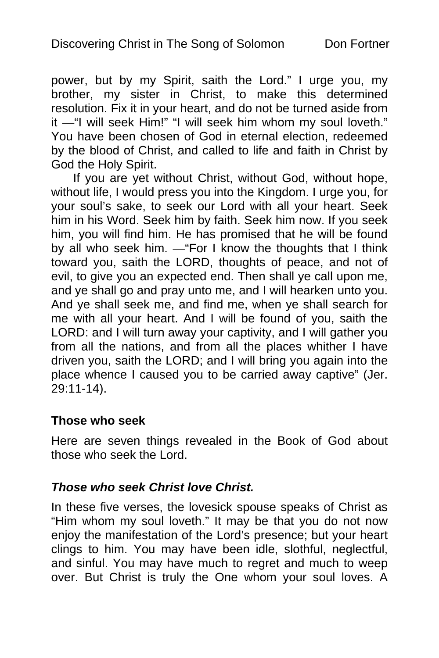power, but by my Spirit, saith the Lord." I urge you, my brother, my sister in Christ, to make this determined resolution. Fix it in your heart, and do not be turned aside from it —"I will seek Him!" "I will seek him whom my soul loveth." You have been chosen of God in eternal election, redeemed by the blood of Christ, and called to life and faith in Christ by God the Holy Spirit.

If you are yet without Christ, without God, without hope, without life, I would press you into the Kingdom. I urge you, for your soul's sake, to seek our Lord with all your heart. Seek him in his Word. Seek him by faith. Seek him now. If you seek him, you will find him. He has promised that he will be found by all who seek him. —"For I know the thoughts that I think toward you, saith the LORD, thoughts of peace, and not of evil, to give you an expected end. Then shall ye call upon me, and ye shall go and pray unto me, and I will hearken unto you. And ye shall seek me, and find me, when ye shall search for me with all your heart. And I will be found of you, saith the LORD: and I will turn away your captivity, and I will gather you from all the nations, and from all the places whither I have driven you, saith the LORD; and I will bring you again into the place whence I caused you to be carried away captive" (Jer. 29:11-14).

### **Those who seek**

Here are seven things revealed in the Book of God about those who seek the Lord.

### *Those who seek Christ love Christ.*

In these five verses, the lovesick spouse speaks of Christ as "Him whom my soul loveth." It may be that you do not now enjoy the manifestation of the Lord's presence; but your heart clings to him. You may have been idle, slothful, neglectful, and sinful. You may have much to regret and much to weep over. But Christ is truly the One whom your soul loves. A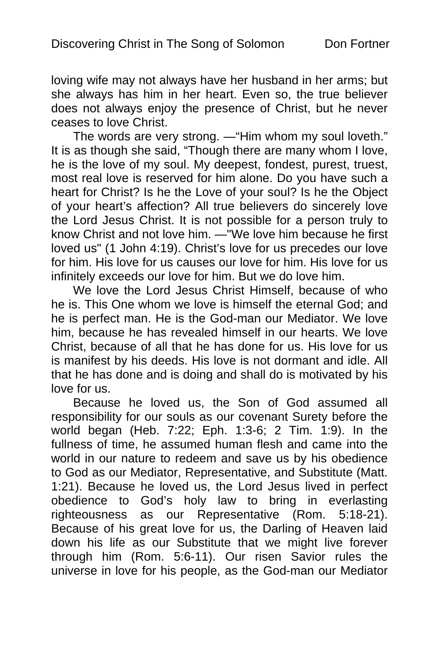loving wife may not always have her husband in her arms; but she always has him in her heart. Even so, the true believer does not always enjoy the presence of Christ, but he never ceases to love Christ.

The words are very strong. —"Him whom my soul loveth." It is as though she said, "Though there are many whom I love, he is the love of my soul. My deepest, fondest, purest, truest, most real love is reserved for him alone. Do you have such a heart for Christ? Is he the Love of your soul? Is he the Object of your heart's affection? All true believers do sincerely love the Lord Jesus Christ. It is not possible for a person truly to know Christ and not love him. —"We love him because he first loved us" (1 John 4:19). Christ's love for us precedes our love for him. His love for us causes our love for him. His love for us infinitely exceeds our love for him. But we do love him.

We love the Lord Jesus Christ Himself, because of who he is. This One whom we love is himself the eternal God; and he is perfect man. He is the God-man our Mediator. We love him, because he has revealed himself in our hearts. We love Christ, because of all that he has done for us. His love for us is manifest by his deeds. His love is not dormant and idle. All that he has done and is doing and shall do is motivated by his love for us.

Because he loved us, the Son of God assumed all responsibility for our souls as our covenant Surety before the world began (Heb. 7:22; Eph. 1:3-6; 2 Tim. 1:9). In the fullness of time, he assumed human flesh and came into the world in our nature to redeem and save us by his obedience to God as our Mediator, Representative, and Substitute (Matt. 1:21). Because he loved us, the Lord Jesus lived in perfect obedience to God's holy law to bring in everlasting righteousness as our Representative (Rom. 5:18-21). Because of his great love for us, the Darling of Heaven laid down his life as our Substitute that we might live forever through him (Rom. 5:6-11). Our risen Savior rules the universe in love for his people, as the God-man our Mediator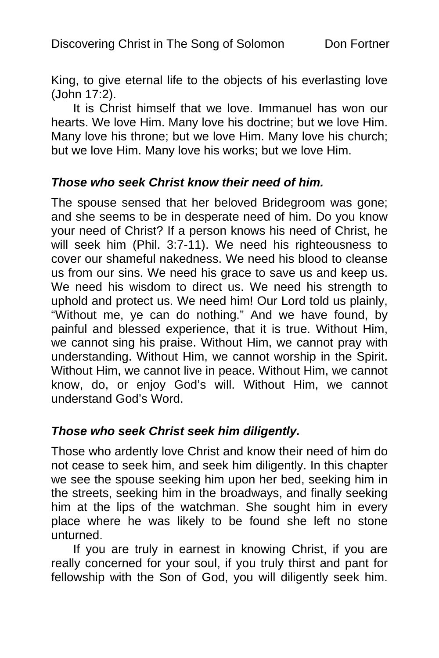King, to give eternal life to the objects of his everlasting love (John 17:2).

It is Christ himself that we love. Immanuel has won our hearts. We love Him. Many love his doctrine; but we love Him. Many love his throne; but we love Him. Many love his church; but we love Him. Many love his works; but we love Him.

### *Those who seek Christ know their need of him.*

The spouse sensed that her beloved Bridegroom was gone; and she seems to be in desperate need of him. Do you know your need of Christ? If a person knows his need of Christ, he will seek him (Phil. 3:7-11). We need his righteousness to cover our shameful nakedness. We need his blood to cleanse us from our sins. We need his grace to save us and keep us. We need his wisdom to direct us. We need his strength to uphold and protect us. We need him! Our Lord told us plainly, "Without me, ye can do nothing." And we have found, by painful and blessed experience, that it is true. Without Him, we cannot sing his praise. Without Him, we cannot pray with understanding. Without Him, we cannot worship in the Spirit. Without Him, we cannot live in peace. Without Him, we cannot know, do, or enjoy God's will. Without Him, we cannot understand God's Word.

### *Those who seek Christ seek him diligently.*

Those who ardently love Christ and know their need of him do not cease to seek him, and seek him diligently. In this chapter we see the spouse seeking him upon her bed, seeking him in the streets, seeking him in the broadways, and finally seeking him at the lips of the watchman. She sought him in every place where he was likely to be found she left no stone unturned.

If you are truly in earnest in knowing Christ, if you are really concerned for your soul, if you truly thirst and pant for fellowship with the Son of God, you will diligently seek him.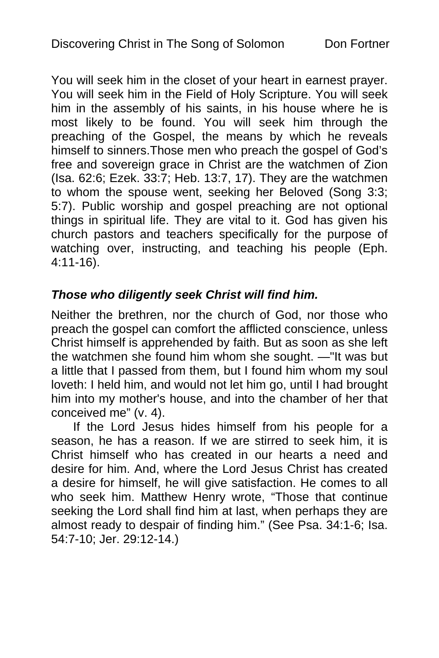You will seek him in the closet of your heart in earnest prayer. You will seek him in the Field of Holy Scripture. You will seek him in the assembly of his saints, in his house where he is most likely to be found. You will seek him through the preaching of the Gospel, the means by which he reveals himself to sinners.Those men who preach the gospel of God's free and sovereign grace in Christ are the watchmen of Zion (Isa. 62:6; Ezek. 33:7; Heb. 13:7, 17). They are the watchmen to whom the spouse went, seeking her Beloved (Song 3:3; 5:7). Public worship and gospel preaching are not optional things in spiritual life. They are vital to it. God has given his church pastors and teachers specifically for the purpose of watching over, instructing, and teaching his people (Eph. 4:11-16).

### *Those who diligently seek Christ will find him.*

Neither the brethren, nor the church of God, nor those who preach the gospel can comfort the afflicted conscience, unless Christ himself is apprehended by faith. But as soon as she left the watchmen she found him whom she sought. —"It was but a little that I passed from them, but I found him whom my soul loveth: I held him, and would not let him go, until I had brought him into my mother's house, and into the chamber of her that conceived me" (v. 4).

If the Lord Jesus hides himself from his people for a season, he has a reason. If we are stirred to seek him, it is Christ himself who has created in our hearts a need and desire for him. And, where the Lord Jesus Christ has created a desire for himself, he will give satisfaction. He comes to all who seek him. Matthew Henry wrote, "Those that continue seeking the Lord shall find him at last, when perhaps they are almost ready to despair of finding him." (See Psa. 34:1-6; Isa. 54:7-10; Jer. 29:12-14.)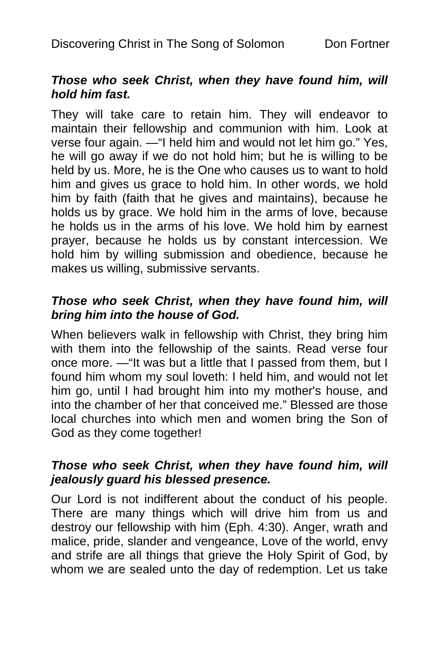### *Those who seek Christ, when they have found him, will hold him fast.*

They will take care to retain him. They will endeavor to maintain their fellowship and communion with him. Look at verse four again. —"I held him and would not let him go." Yes, he will go away if we do not hold him; but he is willing to be held by us. More, he is the One who causes us to want to hold him and gives us grace to hold him. In other words, we hold him by faith (faith that he gives and maintains), because he holds us by grace. We hold him in the arms of love, because he holds us in the arms of his love. We hold him by earnest prayer, because he holds us by constant intercession. We hold him by willing submission and obedience, because he makes us willing, submissive servants.

### *Those who seek Christ, when they have found him, will bring him into the house of God.*

When believers walk in fellowship with Christ, they bring him with them into the fellowship of the saints. Read verse four once more. —"It was but a little that I passed from them, but I found him whom my soul loveth: I held him, and would not let him go, until I had brought him into my mother's house, and into the chamber of her that conceived me." Blessed are those local churches into which men and women bring the Son of God as they come together!

### *Those who seek Christ, when they have found him, will jealously guard his blessed presence.*

Our Lord is not indifferent about the conduct of his people. There are many things which will drive him from us and destroy our fellowship with him (Eph. 4:30). Anger, wrath and malice, pride, slander and vengeance, Love of the world, envy and strife are all things that grieve the Holy Spirit of God, by whom we are sealed unto the day of redemption. Let us take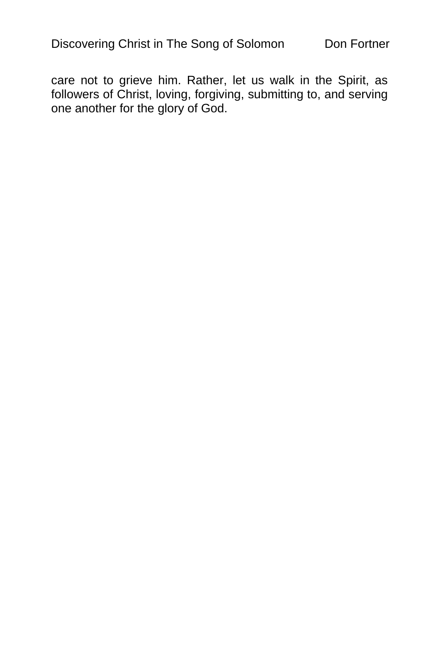care not to grieve him. Rather, let us walk in the Spirit, as followers of Christ, loving, forgiving, submitting to, and serving one another for the glory of God.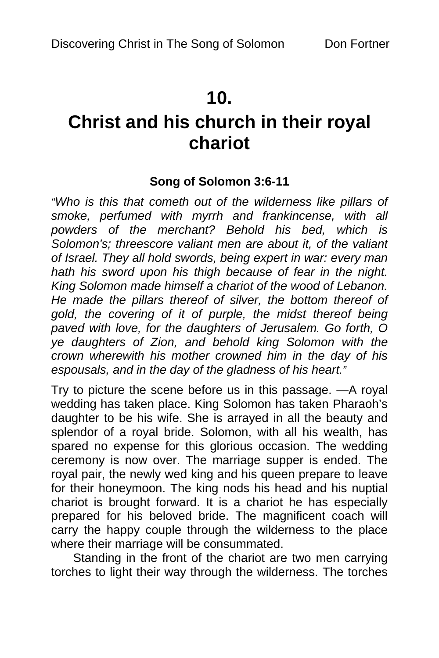## **10.**

# **Christ and his church in their royal chariot**

### **Song of Solomon 3:6-11**

*"Who is this that cometh out of the wilderness like pillars of smoke, perfumed with myrrh and frankincense, with all powders of the merchant? Behold his bed, which is Solomon's; threescore valiant men are about it, of the valiant of Israel. They all hold swords, being expert in war: every man hath his sword upon his thigh because of fear in the night. King Solomon made himself a chariot of the wood of Lebanon. He made the pillars thereof of silver, the bottom thereof of gold, the covering of it of purple, the midst thereof being paved with love, for the daughters of Jerusalem. Go forth, O ye daughters of Zion, and behold king Solomon with the crown wherewith his mother crowned him in the day of his espousals, and in the day of the gladness of his heart."* 

Try to picture the scene before us in this passage. —A royal wedding has taken place. King Solomon has taken Pharaoh's daughter to be his wife. She is arrayed in all the beauty and splendor of a royal bride. Solomon, with all his wealth, has spared no expense for this glorious occasion. The wedding ceremony is now over. The marriage supper is ended. The royal pair, the newly wed king and his queen prepare to leave for their honeymoon. The king nods his head and his nuptial chariot is brought forward. It is a chariot he has especially prepared for his beloved bride. The magnificent coach will carry the happy couple through the wilderness to the place where their marriage will be consummated.

Standing in the front of the chariot are two men carrying torches to light their way through the wilderness. The torches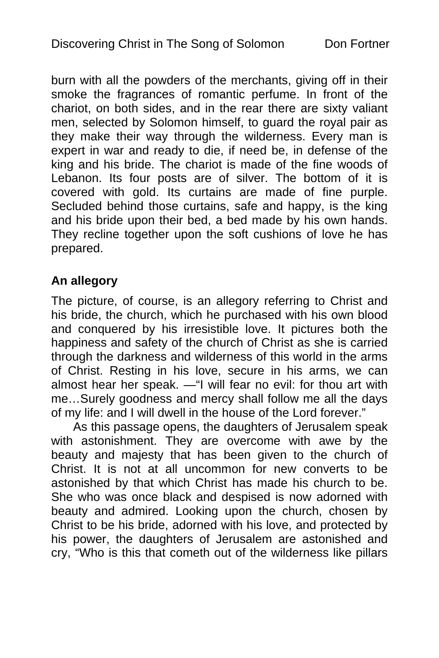burn with all the powders of the merchants, giving off in their smoke the fragrances of romantic perfume. In front of the chariot, on both sides, and in the rear there are sixty valiant men, selected by Solomon himself, to guard the royal pair as they make their way through the wilderness. Every man is expert in war and ready to die, if need be, in defense of the king and his bride. The chariot is made of the fine woods of Lebanon. Its four posts are of silver. The bottom of it is covered with gold. Its curtains are made of fine purple. Secluded behind those curtains, safe and happy, is the king and his bride upon their bed, a bed made by his own hands. They recline together upon the soft cushions of love he has prepared.

### **An allegory**

The picture, of course, is an allegory referring to Christ and his bride, the church, which he purchased with his own blood and conquered by his irresistible love. It pictures both the happiness and safety of the church of Christ as she is carried through the darkness and wilderness of this world in the arms of Christ. Resting in his love, secure in his arms, we can almost hear her speak. —"I will fear no evil: for thou art with me…Surely goodness and mercy shall follow me all the days of my life: and I will dwell in the house of the Lord forever."

As this passage opens, the daughters of Jerusalem speak with astonishment. They are overcome with awe by the beauty and majesty that has been given to the church of Christ. It is not at all uncommon for new converts to be astonished by that which Christ has made his church to be. She who was once black and despised is now adorned with beauty and admired. Looking upon the church, chosen by Christ to be his bride, adorned with his love, and protected by his power, the daughters of Jerusalem are astonished and cry, "Who is this that cometh out of the wilderness like pillars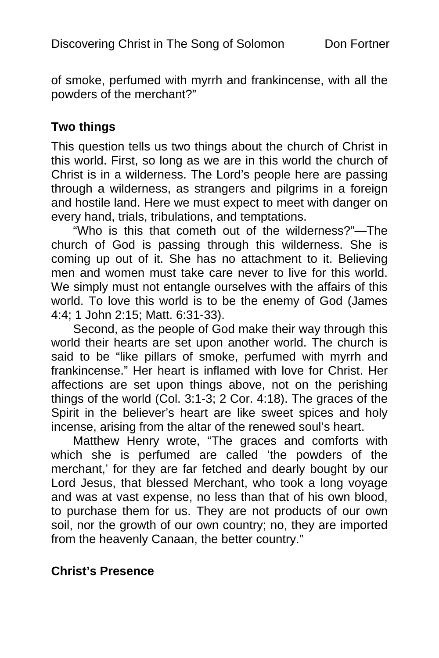of smoke, perfumed with myrrh and frankincense, with all the powders of the merchant?"

### **Two things**

This question tells us two things about the church of Christ in this world. First, so long as we are in this world the church of Christ is in a wilderness. The Lord's people here are passing through a wilderness, as strangers and pilgrims in a foreign and hostile land. Here we must expect to meet with danger on every hand, trials, tribulations, and temptations.

"Who is this that cometh out of the wilderness?"—The church of God is passing through this wilderness. She is coming up out of it. She has no attachment to it. Believing men and women must take care never to live for this world. We simply must not entangle ourselves with the affairs of this world. To love this world is to be the enemy of God (James 4:4; 1 John 2:15; Matt. 6:31-33).

Second, as the people of God make their way through this world their hearts are set upon another world. The church is said to be "like pillars of smoke, perfumed with myrrh and frankincense." Her heart is inflamed with love for Christ. Her affections are set upon things above, not on the perishing things of the world (Col. 3:1-3; 2 Cor. 4:18). The graces of the Spirit in the believer's heart are like sweet spices and holy incense, arising from the altar of the renewed soul's heart.

Matthew Henry wrote, "The graces and comforts with which she is perfumed are called 'the powders of the merchant,' for they are far fetched and dearly bought by our Lord Jesus, that blessed Merchant, who took a long voyage and was at vast expense, no less than that of his own blood, to purchase them for us. They are not products of our own soil, nor the growth of our own country; no, they are imported from the heavenly Canaan, the better country."

### **Christ's Presence**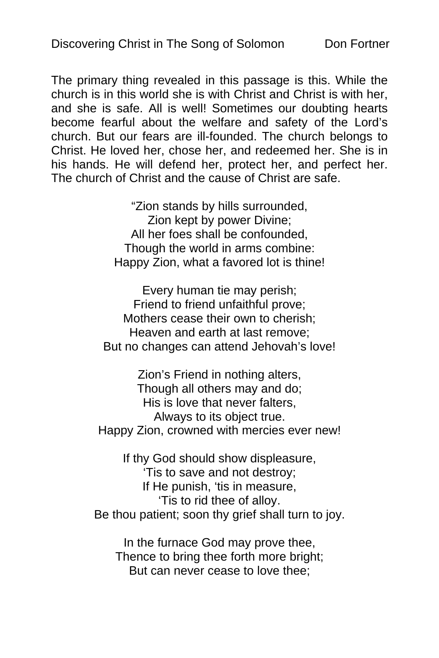The primary thing revealed in this passage is this. While the church is in this world she is with Christ and Christ is with her, and she is safe. All is well! Sometimes our doubting hearts become fearful about the welfare and safety of the Lord's church. But our fears are ill-founded. The church belongs to Christ. He loved her, chose her, and redeemed her. She is in his hands. He will defend her, protect her, and perfect her. The church of Christ and the cause of Christ are safe.

> "Zion stands by hills surrounded, Zion kept by power Divine; All her foes shall be confounded, Though the world in arms combine: Happy Zion, what a favored lot is thine!

Every human tie may perish; Friend to friend unfaithful prove; Mothers cease their own to cherish; Heaven and earth at last remove; But no changes can attend Jehovah's love!

Zion's Friend in nothing alters, Though all others may and do; His is love that never falters, Always to its object true. Happy Zion, crowned with mercies ever new!

If thy God should show displeasure, 'Tis to save and not destroy; If He punish, 'tis in measure, 'Tis to rid thee of alloy. Be thou patient; soon thy grief shall turn to joy.

In the furnace God may prove thee, Thence to bring thee forth more bright; But can never cease to love thee;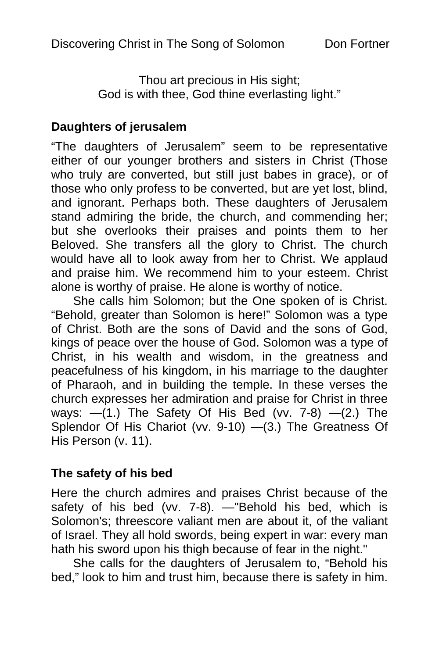Thou art precious in His sight; God is with thee, God thine everlasting light."

### **Daughters of jerusalem**

"The daughters of Jerusalem" seem to be representative either of our younger brothers and sisters in Christ (Those who truly are converted, but still just babes in grace), or of those who only profess to be converted, but are yet lost, blind, and ignorant. Perhaps both. These daughters of Jerusalem stand admiring the bride, the church, and commending her; but she overlooks their praises and points them to her Beloved. She transfers all the glory to Christ. The church would have all to look away from her to Christ. We applaud and praise him. We recommend him to your esteem. Christ alone is worthy of praise. He alone is worthy of notice.

She calls him Solomon; but the One spoken of is Christ. "Behold, greater than Solomon is here!" Solomon was a type of Christ. Both are the sons of David and the sons of God, kings of peace over the house of God. Solomon was a type of Christ, in his wealth and wisdom, in the greatness and peacefulness of his kingdom, in his marriage to the daughter of Pharaoh, and in building the temple. In these verses the church expresses her admiration and praise for Christ in three ways:  $-(1)$ . The Safety Of His Bed (vv. 7-8)  $-(2)$ . The Splendor Of His Chariot (vv. 9-10) —(3.) The Greatness Of His Person (v. 11).

### **The safety of his bed**

Here the church admires and praises Christ because of the safety of his bed (vv. 7-8). - "Behold his bed, which is Solomon's; threescore valiant men are about it, of the valiant of Israel. They all hold swords, being expert in war: every man hath his sword upon his thigh because of fear in the night."

She calls for the daughters of Jerusalem to, "Behold his bed," look to him and trust him, because there is safety in him.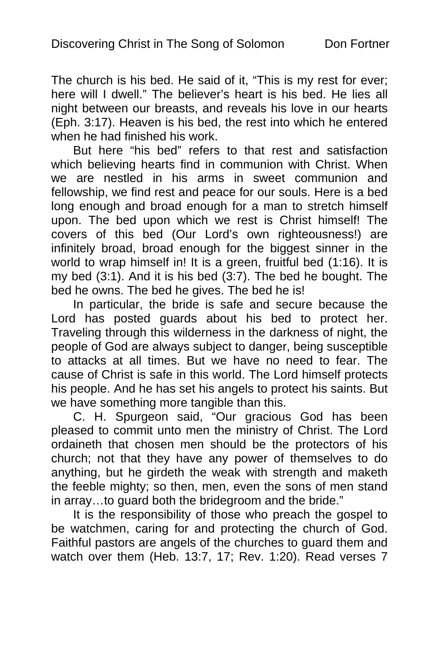The church is his bed. He said of it, "This is my rest for ever; here will I dwell." The believer's heart is his bed. He lies all night between our breasts, and reveals his love in our hearts (Eph. 3:17). Heaven is his bed, the rest into which he entered when he had finished his work.

But here "his bed" refers to that rest and satisfaction which believing hearts find in communion with Christ. When we are nestled in his arms in sweet communion and fellowship, we find rest and peace for our souls. Here is a bed long enough and broad enough for a man to stretch himself upon. The bed upon which we rest is Christ himself! The covers of this bed (Our Lord's own righteousness!) are infinitely broad, broad enough for the biggest sinner in the world to wrap himself in! It is a green, fruitful bed (1:16). It is my bed (3:1). And it is his bed (3:7). The bed he bought. The bed he owns. The bed he gives. The bed he is!

In particular, the bride is safe and secure because the Lord has posted guards about his bed to protect her. Traveling through this wilderness in the darkness of night, the people of God are always subject to danger, being susceptible to attacks at all times. But we have no need to fear. The cause of Christ is safe in this world. The Lord himself protects his people. And he has set his angels to protect his saints. But we have something more tangible than this.

C. H. Spurgeon said, "Our gracious God has been pleased to commit unto men the ministry of Christ. The Lord ordaineth that chosen men should be the protectors of his church; not that they have any power of themselves to do anything, but he girdeth the weak with strength and maketh the feeble mighty; so then, men, even the sons of men stand in array…to guard both the bridegroom and the bride."

It is the responsibility of those who preach the gospel to be watchmen, caring for and protecting the church of God. Faithful pastors are angels of the churches to guard them and watch over them (Heb. 13:7, 17; Rev. 1:20). Read verses 7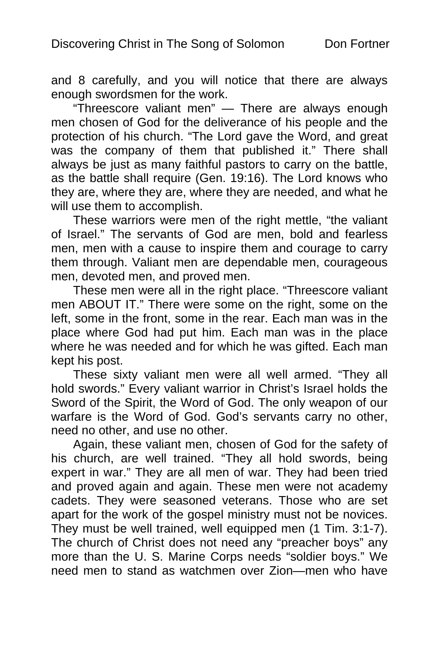and 8 carefully, and you will notice that there are always enough swordsmen for the work.

"Threescore valiant men" — There are always enough men chosen of God for the deliverance of his people and the protection of his church. "The Lord gave the Word, and great was the company of them that published it." There shall always be just as many faithful pastors to carry on the battle, as the battle shall require (Gen. 19:16). The Lord knows who they are, where they are, where they are needed, and what he will use them to accomplish.

These warriors were men of the right mettle, "the valiant of Israel." The servants of God are men, bold and fearless men, men with a cause to inspire them and courage to carry them through. Valiant men are dependable men, courageous men, devoted men, and proved men.

These men were all in the right place. "Threescore valiant men ABOUT IT." There were some on the right, some on the left, some in the front, some in the rear. Each man was in the place where God had put him. Each man was in the place where he was needed and for which he was gifted. Each man kept his post.

These sixty valiant men were all well armed. "They all hold swords." Every valiant warrior in Christ's Israel holds the Sword of the Spirit, the Word of God. The only weapon of our warfare is the Word of God. God's servants carry no other, need no other, and use no other.

Again, these valiant men, chosen of God for the safety of his church, are well trained. "They all hold swords, being expert in war." They are all men of war. They had been tried and proved again and again. These men were not academy cadets. They were seasoned veterans. Those who are set apart for the work of the gospel ministry must not be novices. They must be well trained, well equipped men (1 Tim. 3:1-7). The church of Christ does not need any "preacher boys" any more than the U. S. Marine Corps needs "soldier boys." We need men to stand as watchmen over Zion—men who have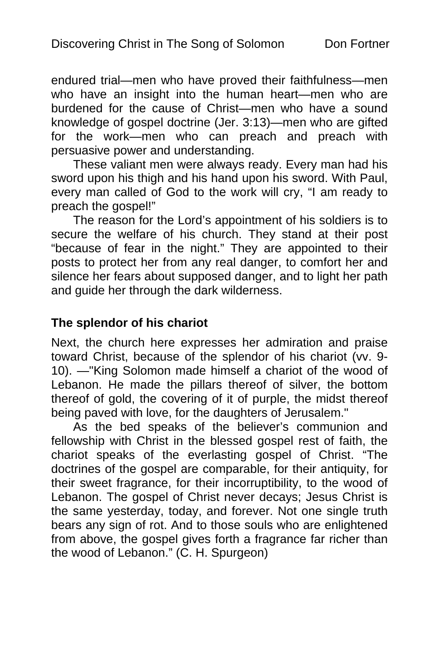endured trial—men who have proved their faithfulness—men who have an insight into the human heart—men who are burdened for the cause of Christ—men who have a sound knowledge of gospel doctrine (Jer. 3:13)—men who are gifted for the work—men who can preach and preach with persuasive power and understanding.

These valiant men were always ready. Every man had his sword upon his thigh and his hand upon his sword. With Paul, every man called of God to the work will cry, "I am ready to preach the gospel!"

The reason for the Lord's appointment of his soldiers is to secure the welfare of his church. They stand at their post "because of fear in the night." They are appointed to their posts to protect her from any real danger, to comfort her and silence her fears about supposed danger, and to light her path and guide her through the dark wilderness.

#### **The splendor of his chariot**

Next, the church here expresses her admiration and praise toward Christ, because of the splendor of his chariot (vv. 9- 10). —"King Solomon made himself a chariot of the wood of Lebanon. He made the pillars thereof of silver, the bottom thereof of gold, the covering of it of purple, the midst thereof being paved with love, for the daughters of Jerusalem."

As the bed speaks of the believer's communion and fellowship with Christ in the blessed gospel rest of faith, the chariot speaks of the everlasting gospel of Christ. "The doctrines of the gospel are comparable, for their antiquity, for their sweet fragrance, for their incorruptibility, to the wood of Lebanon. The gospel of Christ never decays; Jesus Christ is the same yesterday, today, and forever. Not one single truth bears any sign of rot. And to those souls who are enlightened from above, the gospel gives forth a fragrance far richer than the wood of Lebanon." (C. H. Spurgeon)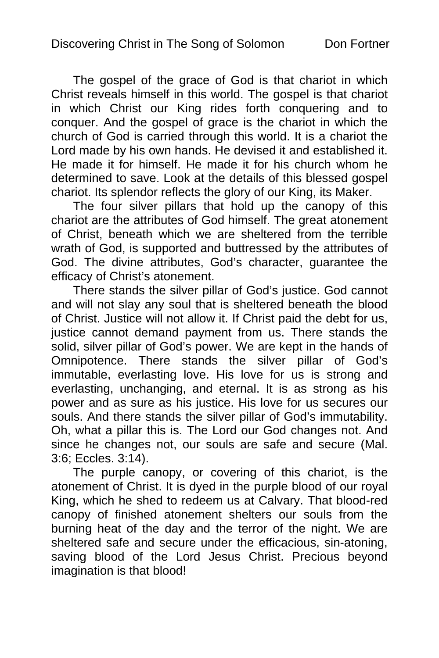The gospel of the grace of God is that chariot in which Christ reveals himself in this world. The gospel is that chariot in which Christ our King rides forth conquering and to conquer. And the gospel of grace is the chariot in which the church of God is carried through this world. It is a chariot the Lord made by his own hands. He devised it and established it. He made it for himself. He made it for his church whom he determined to save. Look at the details of this blessed gospel chariot. Its splendor reflects the glory of our King, its Maker.

The four silver pillars that hold up the canopy of this chariot are the attributes of God himself. The great atonement of Christ, beneath which we are sheltered from the terrible wrath of God, is supported and buttressed by the attributes of God. The divine attributes, God's character, guarantee the efficacy of Christ's atonement.

There stands the silver pillar of God's justice. God cannot and will not slay any soul that is sheltered beneath the blood of Christ. Justice will not allow it. If Christ paid the debt for us, iustice cannot demand payment from us. There stands the solid, silver pillar of God's power. We are kept in the hands of Omnipotence. There stands the silver pillar of God's immutable, everlasting love. His love for us is strong and everlasting, unchanging, and eternal. It is as strong as his power and as sure as his justice. His love for us secures our souls. And there stands the silver pillar of God's immutability. Oh, what a pillar this is. The Lord our God changes not. And since he changes not, our souls are safe and secure (Mal. 3:6; Eccles. 3:14).

The purple canopy, or covering of this chariot, is the atonement of Christ. It is dyed in the purple blood of our royal King, which he shed to redeem us at Calvary. That blood-red canopy of finished atonement shelters our souls from the burning heat of the day and the terror of the night. We are sheltered safe and secure under the efficacious, sin-atoning, saving blood of the Lord Jesus Christ. Precious beyond imagination is that blood!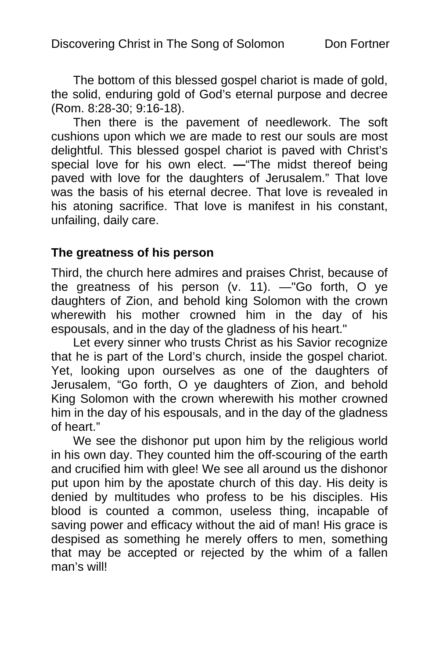The bottom of this blessed gospel chariot is made of gold, the solid, enduring gold of God's eternal purpose and decree (Rom. 8:28-30; 9:16-18).

Then there is the pavement of needlework. The soft cushions upon which we are made to rest our souls are most delightful. This blessed gospel chariot is paved with Christ's special love for his own elect. **—**"The midst thereof being paved with love for the daughters of Jerusalem." That love was the basis of his eternal decree. That love is revealed in his atoning sacrifice. That love is manifest in his constant. unfailing, daily care.

#### **The greatness of his person**

Third, the church here admires and praises Christ, because of the greatness of his person (v. 11). —"Go forth, O ye daughters of Zion, and behold king Solomon with the crown wherewith his mother crowned him in the day of his espousals, and in the day of the gladness of his heart."

Let every sinner who trusts Christ as his Savior recognize that he is part of the Lord's church, inside the gospel chariot. Yet, looking upon ourselves as one of the daughters of Jerusalem, "Go forth, O ye daughters of Zion, and behold King Solomon with the crown wherewith his mother crowned him in the day of his espousals, and in the day of the gladness of heart."

We see the dishonor put upon him by the religious world in his own day. They counted him the off-scouring of the earth and crucified him with glee! We see all around us the dishonor put upon him by the apostate church of this day. His deity is denied by multitudes who profess to be his disciples. His blood is counted a common, useless thing, incapable of saving power and efficacy without the aid of man! His grace is despised as something he merely offers to men, something that may be accepted or rejected by the whim of a fallen man's will!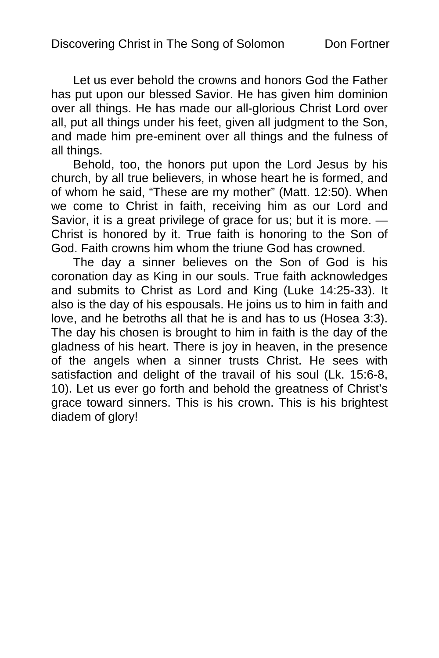Let us ever behold the crowns and honors God the Father has put upon our blessed Savior. He has given him dominion over all things. He has made our all-glorious Christ Lord over all, put all things under his feet, given all judgment to the Son, and made him pre-eminent over all things and the fulness of all things.

Behold, too, the honors put upon the Lord Jesus by his church, by all true believers, in whose heart he is formed, and of whom he said, "These are my mother" (Matt. 12:50). When we come to Christ in faith, receiving him as our Lord and Savior, it is a great privilege of grace for us; but it is more. — Christ is honored by it. True faith is honoring to the Son of God. Faith crowns him whom the triune God has crowned.

The day a sinner believes on the Son of God is his coronation day as King in our souls. True faith acknowledges and submits to Christ as Lord and King (Luke 14:25-33). It also is the day of his espousals. He joins us to him in faith and love, and he betroths all that he is and has to us (Hosea 3:3). The day his chosen is brought to him in faith is the day of the gladness of his heart. There is joy in heaven, in the presence of the angels when a sinner trusts Christ. He sees with satisfaction and delight of the travail of his soul (Lk. 15:6-8, 10). Let us ever go forth and behold the greatness of Christ's grace toward sinners. This is his crown. This is his brightest diadem of glory!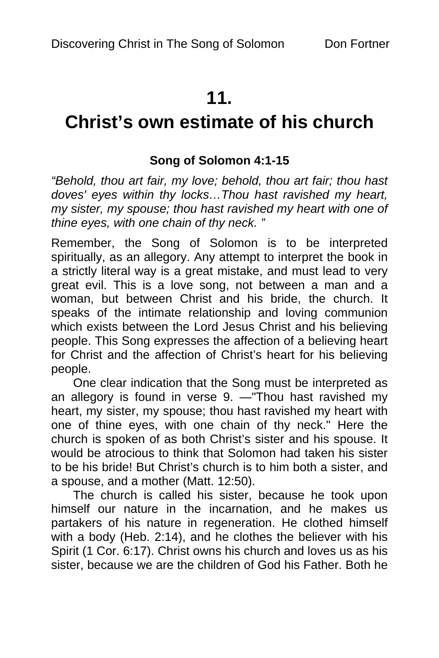# **11.**

# **Christ's own estimate of his church**

# **Song of Solomon 4:1-15**

*"Behold, thou art fair, my love; behold, thou art fair; thou hast doves' eyes within thy locks…Thou hast ravished my heart, my sister, my spouse; thou hast ravished my heart with one of thine eyes, with one chain of thy neck. "* 

Remember, the Song of Solomon is to be interpreted spiritually, as an allegory. Any attempt to interpret the book in a strictly literal way is a great mistake, and must lead to very great evil. This is a love song, not between a man and a woman, but between Christ and his bride, the church. It speaks of the intimate relationship and loving communion which exists between the Lord Jesus Christ and his believing people. This Song expresses the affection of a believing heart for Christ and the affection of Christ's heart for his believing people.

One clear indication that the Song must be interpreted as an allegory is found in verse 9. —"Thou hast ravished my heart, my sister, my spouse; thou hast ravished my heart with one of thine eyes, with one chain of thy neck." Here the church is spoken of as both Christ's sister and his spouse. It would be atrocious to think that Solomon had taken his sister to be his bride! But Christ's church is to him both a sister, and a spouse, and a mother (Matt. 12:50).

The church is called his sister, because he took upon himself our nature in the incarnation, and he makes us partakers of his nature in regeneration. He clothed himself with a body (Heb. 2:14), and he clothes the believer with his Spirit (1 Cor. 6:17). Christ owns his church and loves us as his sister, because we are the children of God his Father. Both he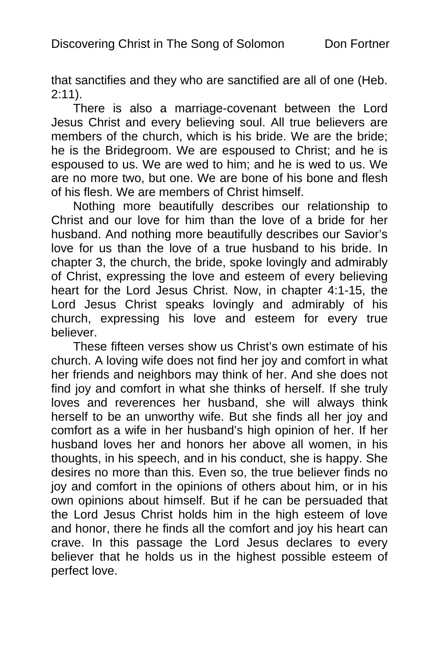that sanctifies and they who are sanctified are all of one (Heb. 2:11).

There is also a marriage-covenant between the Lord Jesus Christ and every believing soul. All true believers are members of the church, which is his bride. We are the bride; he is the Bridegroom. We are espoused to Christ; and he is espoused to us. We are wed to him; and he is wed to us. We are no more two, but one. We are bone of his bone and flesh of his flesh. We are members of Christ himself.

Nothing more beautifully describes our relationship to Christ and our love for him than the love of a bride for her husband. And nothing more beautifully describes our Savior's love for us than the love of a true husband to his bride. In chapter 3, the church, the bride, spoke lovingly and admirably of Christ, expressing the love and esteem of every believing heart for the Lord Jesus Christ. Now, in chapter 4:1-15, the Lord Jesus Christ speaks lovingly and admirably of his church, expressing his love and esteem for every true believer.

These fifteen verses show us Christ's own estimate of his church. A loving wife does not find her joy and comfort in what her friends and neighbors may think of her. And she does not find joy and comfort in what she thinks of herself. If she truly loves and reverences her husband, she will always think herself to be an unworthy wife. But she finds all her joy and comfort as a wife in her husband's high opinion of her. If her husband loves her and honors her above all women, in his thoughts, in his speech, and in his conduct, she is happy. She desires no more than this. Even so, the true believer finds no joy and comfort in the opinions of others about him, or in his own opinions about himself. But if he can be persuaded that the Lord Jesus Christ holds him in the high esteem of love and honor, there he finds all the comfort and joy his heart can crave. In this passage the Lord Jesus declares to every believer that he holds us in the highest possible esteem of perfect love.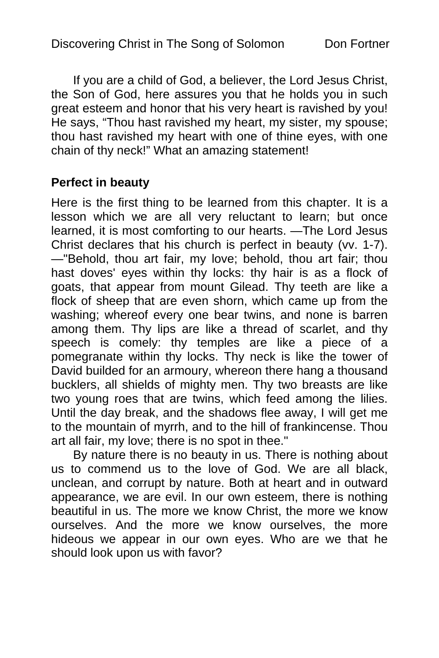If you are a child of God, a believer, the Lord Jesus Christ, the Son of God, here assures you that he holds you in such great esteem and honor that his very heart is ravished by you! He says, "Thou hast ravished my heart, my sister, my spouse; thou hast ravished my heart with one of thine eyes, with one chain of thy neck!" What an amazing statement!

# **Perfect in beauty**

Here is the first thing to be learned from this chapter. It is a lesson which we are all very reluctant to learn; but once learned, it is most comforting to our hearts. —The Lord Jesus Christ declares that his church is perfect in beauty (vv. 1-7). —"Behold, thou art fair, my love; behold, thou art fair; thou hast doves' eyes within thy locks: thy hair is as a flock of goats, that appear from mount Gilead. Thy teeth are like a flock of sheep that are even shorn, which came up from the washing; whereof every one bear twins, and none is barren among them. Thy lips are like a thread of scarlet, and thy speech is comely: thy temples are like a piece of a pomegranate within thy locks. Thy neck is like the tower of David builded for an armoury, whereon there hang a thousand bucklers, all shields of mighty men. Thy two breasts are like two young roes that are twins, which feed among the lilies. Until the day break, and the shadows flee away, I will get me to the mountain of myrrh, and to the hill of frankincense. Thou art all fair, my love; there is no spot in thee."

By nature there is no beauty in us. There is nothing about us to commend us to the love of God. We are all black, unclean, and corrupt by nature. Both at heart and in outward appearance, we are evil. In our own esteem, there is nothing beautiful in us. The more we know Christ, the more we know ourselves. And the more we know ourselves, the more hideous we appear in our own eyes. Who are we that he should look upon us with favor?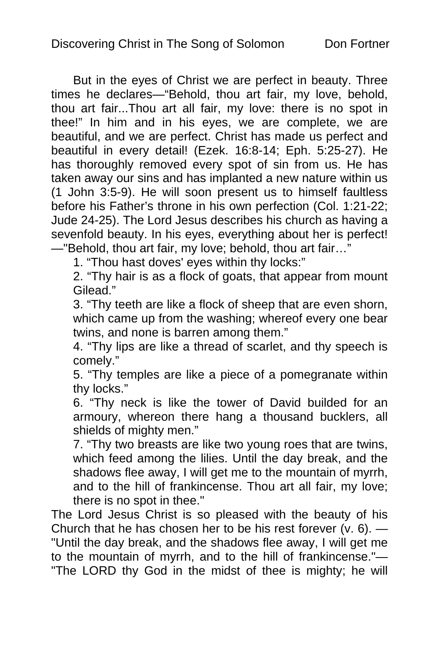But in the eyes of Christ we are perfect in beauty. Three times he declares—"Behold, thou art fair, my love, behold, thou art fair...Thou art all fair, my love: there is no spot in thee!" In him and in his eyes, we are complete, we are beautiful, and we are perfect. Christ has made us perfect and beautiful in every detail! (Ezek. 16:8-14; Eph. 5:25-27). He has thoroughly removed every spot of sin from us. He has taken away our sins and has implanted a new nature within us (1 John 3:5-9). He will soon present us to himself faultless before his Father's throne in his own perfection (Col. 1:21-22; Jude 24-25). The Lord Jesus describes his church as having a sevenfold beauty. In his eyes, everything about her is perfect! —"Behold, thou art fair, my love; behold, thou art fair…"

1. "Thou hast doves' eyes within thy locks:"

2. "Thy hair is as a flock of goats, that appear from mount Gilead."

3. "Thy teeth are like a flock of sheep that are even shorn, which came up from the washing; whereof every one bear twins, and none is barren among them."

4. "Thy lips are like a thread of scarlet, and thy speech is comely."

5. "Thy temples are like a piece of a pomegranate within thy locks."

6. "Thy neck is like the tower of David builded for an armoury, whereon there hang a thousand bucklers, all shields of mighty men."

7. "Thy two breasts are like two young roes that are twins, which feed among the lilies. Until the day break, and the shadows flee away, I will get me to the mountain of myrrh, and to the hill of frankincense. Thou art all fair, my love; there is no spot in thee."

The Lord Jesus Christ is so pleased with the beauty of his Church that he has chosen her to be his rest forever  $(v. 6)$ . "Until the day break, and the shadows flee away, I will get me to the mountain of myrrh, and to the hill of frankincense."— "The LORD thy God in the midst of thee is mighty; he will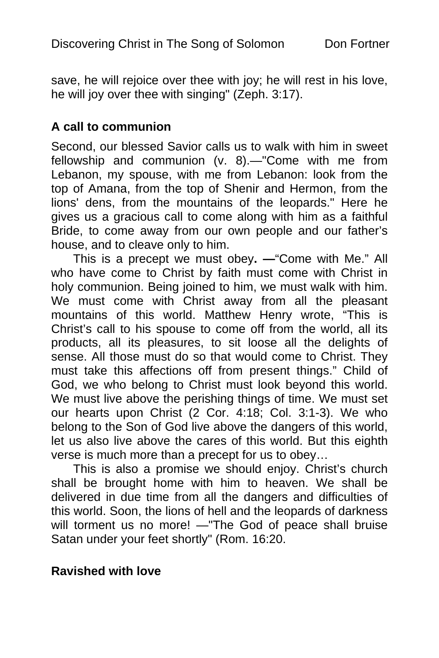save, he will rejoice over thee with joy; he will rest in his love, he will joy over thee with singing" (Zeph. 3:17).

#### **A call to communion**

Second, our blessed Savior calls us to walk with him in sweet fellowship and communion (v. 8).—"Come with me from Lebanon, my spouse, with me from Lebanon: look from the top of Amana, from the top of Shenir and Hermon, from the lions' dens, from the mountains of the leopards." Here he gives us a gracious call to come along with him as a faithful Bride, to come away from our own people and our father's house, and to cleave only to him.

This is a precept we must obey**. —**"Come with Me." All who have come to Christ by faith must come with Christ in holy communion. Being joined to him, we must walk with him. We must come with Christ away from all the pleasant mountains of this world. Matthew Henry wrote, "This is Christ's call to his spouse to come off from the world, all its products, all its pleasures, to sit loose all the delights of sense. All those must do so that would come to Christ. They must take this affections off from present things." Child of God, we who belong to Christ must look beyond this world. We must live above the perishing things of time. We must set our hearts upon Christ (2 Cor. 4:18; Col. 3:1-3). We who belong to the Son of God live above the dangers of this world, let us also live above the cares of this world. But this eighth verse is much more than a precept for us to obey…

This is also a promise we should enjoy. Christ's church shall be brought home with him to heaven. We shall be delivered in due time from all the dangers and difficulties of this world. Soon, the lions of hell and the leopards of darkness will torment us no more! —"The God of peace shall bruise Satan under your feet shortly" (Rom. 16:20.

# **Ravished with love**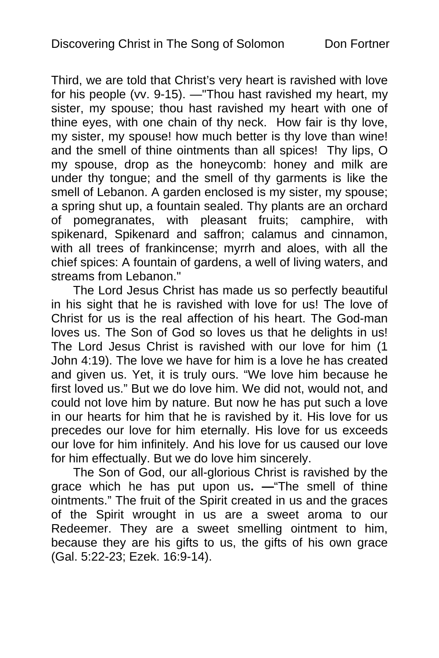Third, we are told that Christ's very heart is ravished with love for his people (vv. 9-15). —"Thou hast ravished my heart, my sister, my spouse; thou hast ravished my heart with one of thine eyes, with one chain of thy neck. How fair is thy love, my sister, my spouse! how much better is thy love than wine! and the smell of thine ointments than all spices! Thy lips, O my spouse, drop as the honeycomb: honey and milk are under thy tongue; and the smell of thy garments is like the smell of Lebanon. A garden enclosed is my sister, my spouse; a spring shut up, a fountain sealed. Thy plants are an orchard of pomegranates, with pleasant fruits; camphire, with spikenard, Spikenard and saffron; calamus and cinnamon, with all trees of frankincense; myrrh and aloes, with all the chief spices: A fountain of gardens, a well of living waters, and streams from Lebanon."

The Lord Jesus Christ has made us so perfectly beautiful in his sight that he is ravished with love for us! The love of Christ for us is the real affection of his heart. The God-man loves us. The Son of God so loves us that he delights in us! The Lord Jesus Christ is ravished with our love for him (1 John 4:19). The love we have for him is a love he has created and given us. Yet, it is truly ours. "We love him because he first loved us." But we do love him. We did not, would not, and could not love him by nature. But now he has put such a love in our hearts for him that he is ravished by it. His love for us precedes our love for him eternally. His love for us exceeds our love for him infinitely. And his love for us caused our love for him effectually. But we do love him sincerely.

The Son of God, our all-glorious Christ is ravished by the grace which he has put upon us**. —**"The smell of thine ointments." The fruit of the Spirit created in us and the graces of the Spirit wrought in us are a sweet aroma to our Redeemer. They are a sweet smelling ointment to him, because they are his gifts to us, the gifts of his own grace (Gal. 5:22-23; Ezek. 16:9-14).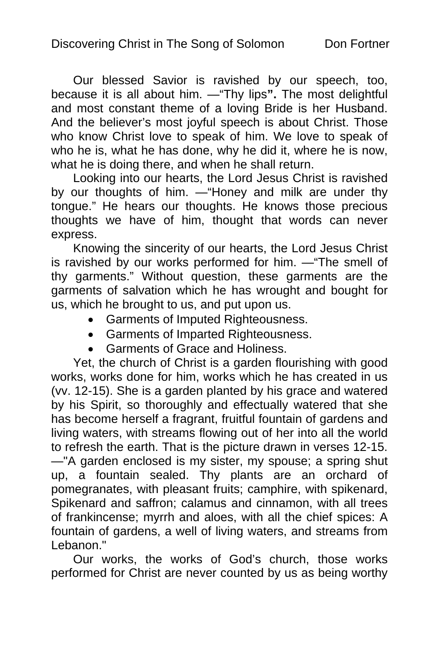Our blessed Savior is ravished by our speech, too, because it is all about him. —"Thy lips**".** The most delightful and most constant theme of a loving Bride is her Husband. And the believer's most joyful speech is about Christ. Those who know Christ love to speak of him. We love to speak of who he is, what he has done, why he did it, where he is now, what he is doing there, and when he shall return.

Looking into our hearts, the Lord Jesus Christ is ravished by our thoughts of him. —"Honey and milk are under thy tongue." He hears our thoughts. He knows those precious thoughts we have of him, thought that words can never express.

Knowing the sincerity of our hearts, the Lord Jesus Christ is ravished by our works performed for him. —"The smell of thy garments." Without question, these garments are the garments of salvation which he has wrought and bought for us, which he brought to us, and put upon us.

- Garments of Imputed Righteousness.
- Garments of Imparted Righteousness.
- Garments of Grace and Holiness.

Yet, the church of Christ is a garden flourishing with good works, works done for him, works which he has created in us (vv. 12-15). She is a garden planted by his grace and watered by his Spirit, so thoroughly and effectually watered that she has become herself a fragrant, fruitful fountain of gardens and living waters, with streams flowing out of her into all the world to refresh the earth. That is the picture drawn in verses 12-15. —"A garden enclosed is my sister, my spouse; a spring shut up, a fountain sealed. Thy plants are an orchard of pomegranates, with pleasant fruits; camphire, with spikenard, Spikenard and saffron; calamus and cinnamon, with all trees of frankincense; myrrh and aloes, with all the chief spices: A fountain of gardens, a well of living waters, and streams from Lebanon."

Our works, the works of God's church, those works performed for Christ are never counted by us as being worthy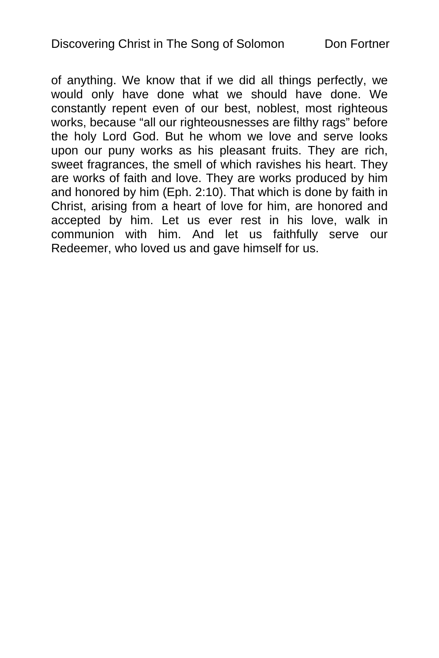of anything. We know that if we did all things perfectly, we would only have done what we should have done. We constantly repent even of our best, noblest, most righteous works, because "all our righteousnesses are filthy rags" before the holy Lord God. But he whom we love and serve looks upon our puny works as his pleasant fruits. They are rich, sweet fragrances, the smell of which ravishes his heart. They are works of faith and love. They are works produced by him and honored by him (Eph. 2:10). That which is done by faith in Christ, arising from a heart of love for him, are honored and accepted by him. Let us ever rest in his love, walk in communion with him. And let us faithfully serve our Redeemer, who loved us and gave himself for us.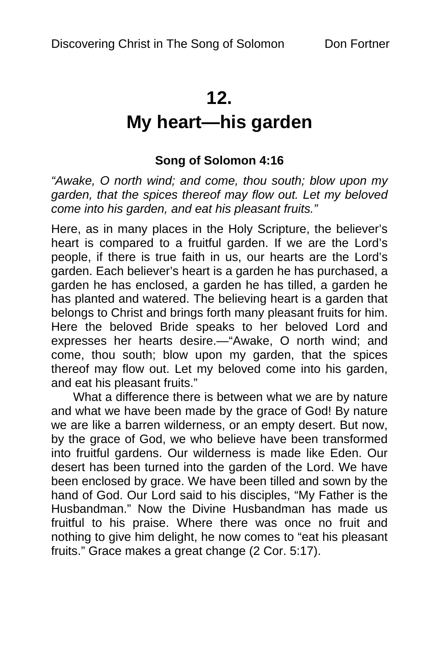# **12.**

# **My heart—his garden**

# **Song of Solomon 4:16**

*"Awake, O north wind; and come, thou south; blow upon my garden, that the spices thereof may flow out. Let my beloved come into his garden, and eat his pleasant fruits."* 

Here, as in many places in the Holy Scripture, the believer's heart is compared to a fruitful garden. If we are the Lord's people, if there is true faith in us, our hearts are the Lord's garden. Each believer's heart is a garden he has purchased, a garden he has enclosed, a garden he has tilled, a garden he has planted and watered. The believing heart is a garden that belongs to Christ and brings forth many pleasant fruits for him. Here the beloved Bride speaks to her beloved Lord and expresses her hearts desire.—"Awake, O north wind; and come, thou south; blow upon my garden, that the spices thereof may flow out. Let my beloved come into his garden, and eat his pleasant fruits."

What a difference there is between what we are by nature and what we have been made by the grace of God! By nature we are like a barren wilderness, or an empty desert. But now, by the grace of God, we who believe have been transformed into fruitful gardens. Our wilderness is made like Eden. Our desert has been turned into the garden of the Lord. We have been enclosed by grace. We have been tilled and sown by the hand of God. Our Lord said to his disciples, "My Father is the Husbandman." Now the Divine Husbandman has made us fruitful to his praise. Where there was once no fruit and nothing to give him delight, he now comes to "eat his pleasant fruits." Grace makes a great change (2 Cor. 5:17).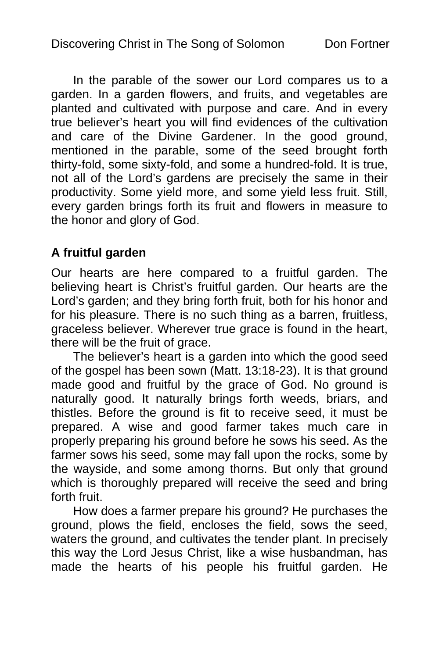In the parable of the sower our Lord compares us to a garden. In a garden flowers, and fruits, and vegetables are planted and cultivated with purpose and care. And in every true believer's heart you will find evidences of the cultivation and care of the Divine Gardener. In the good ground, mentioned in the parable, some of the seed brought forth thirty-fold, some sixty-fold, and some a hundred-fold. It is true, not all of the Lord's gardens are precisely the same in their productivity. Some yield more, and some yield less fruit. Still, every garden brings forth its fruit and flowers in measure to the honor and glory of God.

# **A fruitful garden**

Our hearts are here compared to a fruitful garden. The believing heart is Christ's fruitful garden. Our hearts are the Lord's garden; and they bring forth fruit, both for his honor and for his pleasure. There is no such thing as a barren, fruitless, graceless believer. Wherever true grace is found in the heart, there will be the fruit of grace.

The believer's heart is a garden into which the good seed of the gospel has been sown (Matt. 13:18-23). It is that ground made good and fruitful by the grace of God. No ground is naturally good. It naturally brings forth weeds, briars, and thistles. Before the ground is fit to receive seed, it must be prepared. A wise and good farmer takes much care in properly preparing his ground before he sows his seed. As the farmer sows his seed, some may fall upon the rocks, some by the wayside, and some among thorns. But only that ground which is thoroughly prepared will receive the seed and bring forth fruit.

How does a farmer prepare his ground? He purchases the ground, plows the field, encloses the field, sows the seed, waters the ground, and cultivates the tender plant. In precisely this way the Lord Jesus Christ, like a wise husbandman, has made the hearts of his people his fruitful garden. He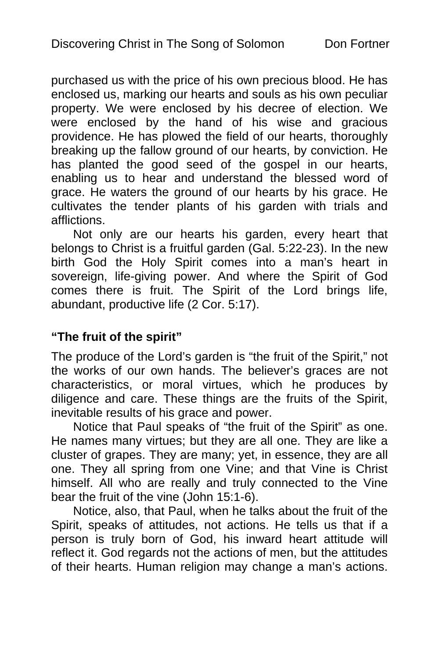purchased us with the price of his own precious blood. He has enclosed us, marking our hearts and souls as his own peculiar property. We were enclosed by his decree of election. We were enclosed by the hand of his wise and gracious providence. He has plowed the field of our hearts, thoroughly breaking up the fallow ground of our hearts, by conviction. He has planted the good seed of the gospel in our hearts, enabling us to hear and understand the blessed word of grace. He waters the ground of our hearts by his grace. He cultivates the tender plants of his garden with trials and afflictions.

Not only are our hearts his garden, every heart that belongs to Christ is a fruitful garden (Gal. 5:22-23). In the new birth God the Holy Spirit comes into a man's heart in sovereign, life-giving power. And where the Spirit of God comes there is fruit. The Spirit of the Lord brings life, abundant, productive life (2 Cor. 5:17).

# **"The fruit of the spirit"**

The produce of the Lord's garden is "the fruit of the Spirit," not the works of our own hands. The believer's graces are not characteristics, or moral virtues, which he produces by diligence and care. These things are the fruits of the Spirit, inevitable results of his grace and power.

Notice that Paul speaks of "the fruit of the Spirit" as one. He names many virtues; but they are all one. They are like a cluster of grapes. They are many; yet, in essence, they are all one. They all spring from one Vine; and that Vine is Christ himself. All who are really and truly connected to the Vine bear the fruit of the vine (John 15:1-6).

Notice, also, that Paul, when he talks about the fruit of the Spirit, speaks of attitudes, not actions. He tells us that if a person is truly born of God, his inward heart attitude will reflect it. God regards not the actions of men, but the attitudes of their hearts. Human religion may change a man's actions.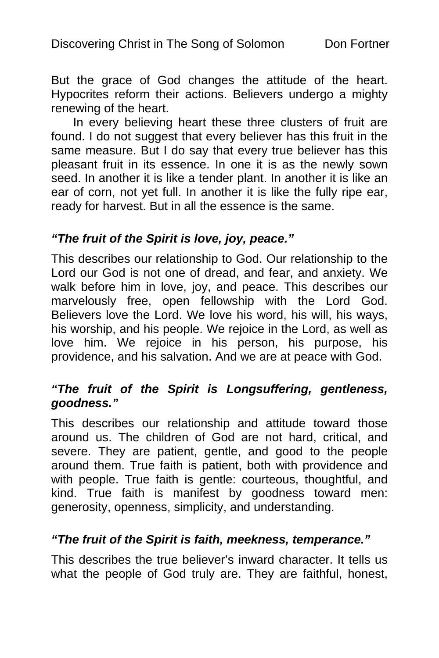But the grace of God changes the attitude of the heart. Hypocrites reform their actions. Believers undergo a mighty renewing of the heart.

In every believing heart these three clusters of fruit are found. I do not suggest that every believer has this fruit in the same measure. But I do say that every true believer has this pleasant fruit in its essence. In one it is as the newly sown seed. In another it is like a tender plant. In another it is like an ear of corn, not yet full. In another it is like the fully ripe ear, ready for harvest. But in all the essence is the same.

#### *"The fruit of the Spirit is love, joy, peace."*

This describes our relationship to God. Our relationship to the Lord our God is not one of dread, and fear, and anxiety. We walk before him in love, joy, and peace. This describes our marvelously free, open fellowship with the Lord God. Believers love the Lord. We love his word, his will, his ways, his worship, and his people. We rejoice in the Lord, as well as love him. We rejoice in his person, his purpose, his providence, and his salvation. And we are at peace with God.

# *"The fruit of the Spirit is Longsuffering, gentleness, goodness."*

This describes our relationship and attitude toward those around us. The children of God are not hard, critical, and severe. They are patient, gentle, and good to the people around them. True faith is patient, both with providence and with people. True faith is gentle: courteous, thoughtful, and kind. True faith is manifest by goodness toward men: generosity, openness, simplicity, and understanding.

# *"The fruit of the Spirit is faith, meekness, temperance."*

This describes the true believer's inward character. It tells us what the people of God truly are. They are faithful, honest,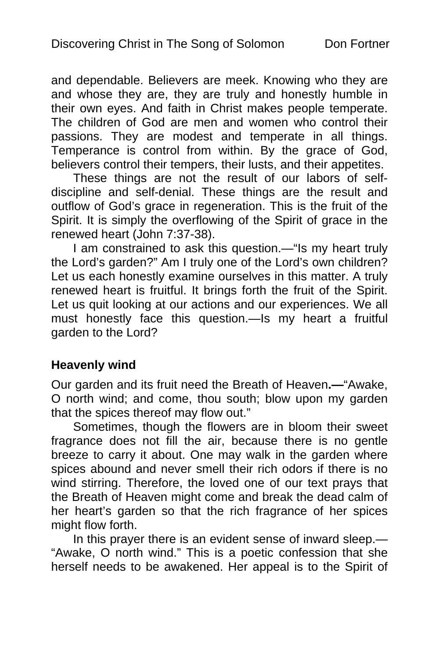and dependable. Believers are meek. Knowing who they are and whose they are, they are truly and honestly humble in their own eyes. And faith in Christ makes people temperate. The children of God are men and women who control their passions. They are modest and temperate in all things. Temperance is control from within. By the grace of God, believers control their tempers, their lusts, and their appetites.

These things are not the result of our labors of selfdiscipline and self-denial. These things are the result and outflow of God's grace in regeneration. This is the fruit of the Spirit. It is simply the overflowing of the Spirit of grace in the renewed heart (John 7:37-38).

I am constrained to ask this question.—"Is my heart truly the Lord's garden?" Am I truly one of the Lord's own children? Let us each honestly examine ourselves in this matter. A truly renewed heart is fruitful. It brings forth the fruit of the Spirit. Let us quit looking at our actions and our experiences. We all must honestly face this question.—Is my heart a fruitful garden to the Lord?

#### **Heavenly wind**

Our garden and its fruit need the Breath of Heaven**.—**"Awake, O north wind; and come, thou south; blow upon my garden that the spices thereof may flow out."

Sometimes, though the flowers are in bloom their sweet fragrance does not fill the air, because there is no gentle breeze to carry it about. One may walk in the garden where spices abound and never smell their rich odors if there is no wind stirring. Therefore, the loved one of our text prays that the Breath of Heaven might come and break the dead calm of her heart's garden so that the rich fragrance of her spices might flow forth.

In this prayer there is an evident sense of inward sleep.— "Awake, O north wind." This is a poetic confession that she herself needs to be awakened. Her appeal is to the Spirit of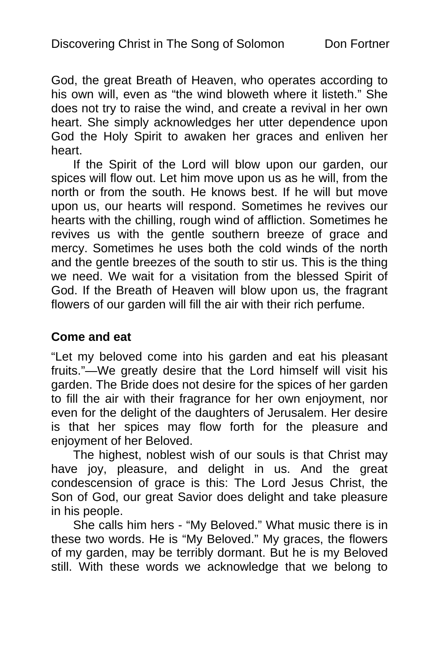God, the great Breath of Heaven, who operates according to his own will, even as "the wind bloweth where it listeth." She does not try to raise the wind, and create a revival in her own heart. She simply acknowledges her utter dependence upon God the Holy Spirit to awaken her graces and enliven her heart.

If the Spirit of the Lord will blow upon our garden, our spices will flow out. Let him move upon us as he will, from the north or from the south. He knows best. If he will but move upon us, our hearts will respond. Sometimes he revives our hearts with the chilling, rough wind of affliction. Sometimes he revives us with the gentle southern breeze of grace and mercy. Sometimes he uses both the cold winds of the north and the gentle breezes of the south to stir us. This is the thing we need. We wait for a visitation from the blessed Spirit of God. If the Breath of Heaven will blow upon us, the fragrant flowers of our garden will fill the air with their rich perfume.

#### **Come and eat**

"Let my beloved come into his garden and eat his pleasant fruits."—We greatly desire that the Lord himself will visit his garden. The Bride does not desire for the spices of her garden to fill the air with their fragrance for her own enjoyment, nor even for the delight of the daughters of Jerusalem. Her desire is that her spices may flow forth for the pleasure and enjoyment of her Beloved.

The highest, noblest wish of our souls is that Christ may have joy, pleasure, and delight in us. And the great condescension of grace is this: The Lord Jesus Christ, the Son of God, our great Savior does delight and take pleasure in his people.

She calls him hers - "My Beloved." What music there is in these two words. He is "My Beloved." My graces, the flowers of my garden, may be terribly dormant. But he is my Beloved still. With these words we acknowledge that we belong to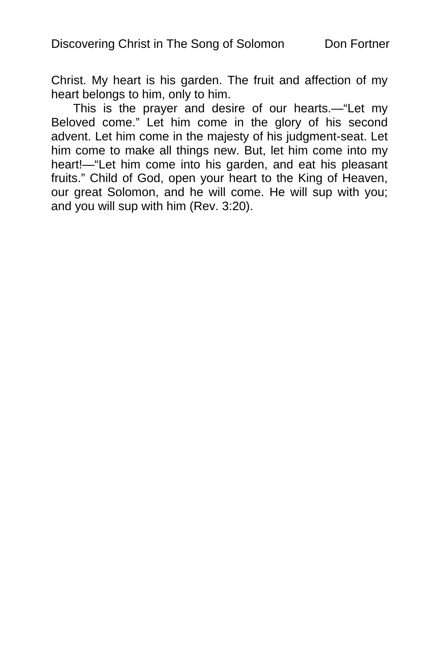Christ. My heart is his garden. The fruit and affection of my heart belongs to him, only to him.

This is the prayer and desire of our hearts.—"Let my Beloved come." Let him come in the glory of his second advent. Let him come in the majesty of his judgment-seat. Let him come to make all things new. But, let him come into my heart!—"Let him come into his garden, and eat his pleasant fruits." Child of God, open your heart to the King of Heaven, our great Solomon, and he will come. He will sup with you; and you will sup with him (Rev. 3:20).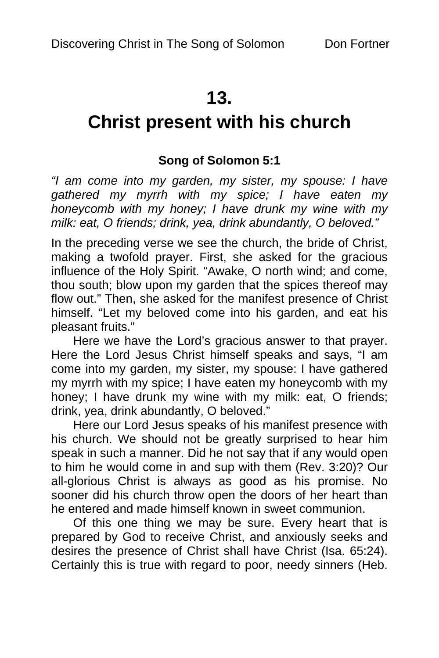# **13.**

# **Christ present with his church**

# **Song of Solomon 5:1**

*"I am come into my garden, my sister, my spouse: I have gathered my myrrh with my spice; I have eaten my honeycomb with my honey; I have drunk my wine with my milk: eat, O friends; drink, yea, drink abundantly, O beloved."* 

In the preceding verse we see the church, the bride of Christ, making a twofold prayer. First, she asked for the gracious influence of the Holy Spirit. "Awake, O north wind; and come, thou south; blow upon my garden that the spices thereof may flow out." Then, she asked for the manifest presence of Christ himself. "Let my beloved come into his garden, and eat his pleasant fruits."

Here we have the Lord's gracious answer to that prayer. Here the Lord Jesus Christ himself speaks and says, "I am come into my garden, my sister, my spouse: I have gathered my myrrh with my spice; I have eaten my honeycomb with my honey; I have drunk my wine with my milk: eat, O friends; drink, yea, drink abundantly, O beloved."

Here our Lord Jesus speaks of his manifest presence with his church. We should not be greatly surprised to hear him speak in such a manner. Did he not say that if any would open to him he would come in and sup with them (Rev. 3:20)? Our all-glorious Christ is always as good as his promise. No sooner did his church throw open the doors of her heart than he entered and made himself known in sweet communion.

Of this one thing we may be sure. Every heart that is prepared by God to receive Christ, and anxiously seeks and desires the presence of Christ shall have Christ (Isa. 65:24). Certainly this is true with regard to poor, needy sinners (Heb.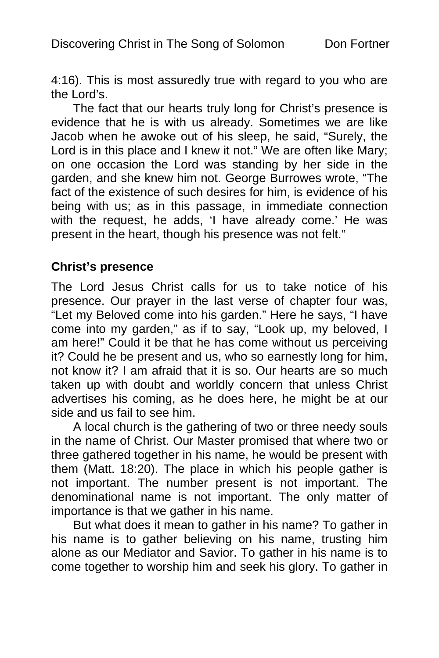4:16). This is most assuredly true with regard to you who are the Lord's.

The fact that our hearts truly long for Christ's presence is evidence that he is with us already. Sometimes we are like Jacob when he awoke out of his sleep, he said, "Surely, the Lord is in this place and I knew it not." We are often like Mary; on one occasion the Lord was standing by her side in the garden, and she knew him not. George Burrowes wrote, "The fact of the existence of such desires for him, is evidence of his being with us; as in this passage, in immediate connection with the request, he adds, 'I have already come.' He was present in the heart, though his presence was not felt."

#### **Christ's presence**

The Lord Jesus Christ calls for us to take notice of his presence. Our prayer in the last verse of chapter four was, "Let my Beloved come into his garden." Here he says, "I have come into my garden," as if to say, "Look up, my beloved, I am here!" Could it be that he has come without us perceiving it? Could he be present and us, who so earnestly long for him, not know it? I am afraid that it is so. Our hearts are so much taken up with doubt and worldly concern that unless Christ advertises his coming, as he does here, he might be at our side and us fail to see him.

A local church is the gathering of two or three needy souls in the name of Christ. Our Master promised that where two or three gathered together in his name, he would be present with them (Matt. 18:20). The place in which his people gather is not important. The number present is not important. The denominational name is not important. The only matter of importance is that we gather in his name.

But what does it mean to gather in his name? To gather in his name is to gather believing on his name, trusting him alone as our Mediator and Savior. To gather in his name is to come together to worship him and seek his glory. To gather in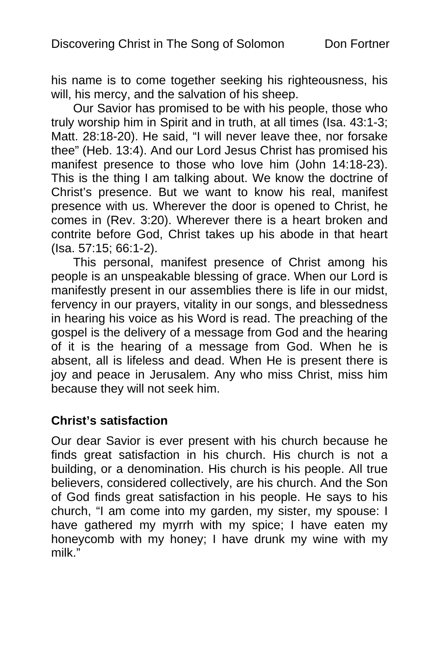his name is to come together seeking his righteousness, his will, his mercy, and the salvation of his sheep.

Our Savior has promised to be with his people, those who truly worship him in Spirit and in truth, at all times (Isa. 43:1-3; Matt. 28:18-20). He said, "I will never leave thee, nor forsake thee" (Heb. 13:4). And our Lord Jesus Christ has promised his manifest presence to those who love him (John 14:18-23). This is the thing I am talking about. We know the doctrine of Christ's presence. But we want to know his real, manifest presence with us. Wherever the door is opened to Christ, he comes in (Rev. 3:20). Wherever there is a heart broken and contrite before God, Christ takes up his abode in that heart (Isa. 57:15; 66:1-2).

This personal, manifest presence of Christ among his people is an unspeakable blessing of grace. When our Lord is manifestly present in our assemblies there is life in our midst, fervency in our prayers, vitality in our songs, and blessedness in hearing his voice as his Word is read. The preaching of the gospel is the delivery of a message from God and the hearing of it is the hearing of a message from God. When he is absent, all is lifeless and dead. When He is present there is joy and peace in Jerusalem. Any who miss Christ, miss him because they will not seek him.

# **Christ's satisfaction**

Our dear Savior is ever present with his church because he finds great satisfaction in his church. His church is not a building, or a denomination. His church is his people. All true believers, considered collectively, are his church. And the Son of God finds great satisfaction in his people. He says to his church, "I am come into my garden, my sister, my spouse: I have gathered my myrrh with my spice; I have eaten my honeycomb with my honey; I have drunk my wine with my milk."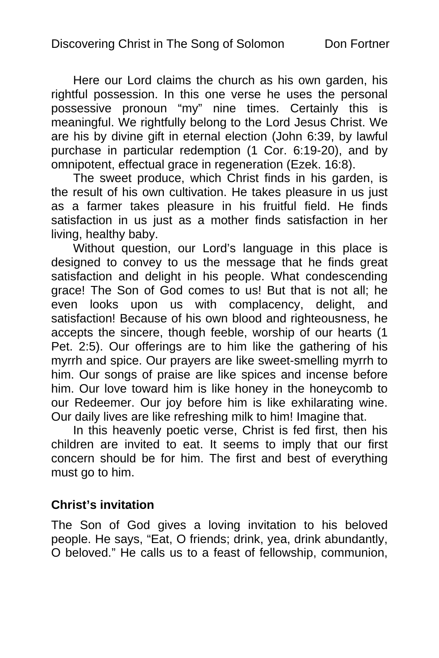Here our Lord claims the church as his own garden, his rightful possession. In this one verse he uses the personal possessive pronoun "my" nine times. Certainly this is meaningful. We rightfully belong to the Lord Jesus Christ. We are his by divine gift in eternal election (John 6:39, by lawful purchase in particular redemption (1 Cor. 6:19-20), and by omnipotent, effectual grace in regeneration (Ezek. 16:8).

The sweet produce, which Christ finds in his garden, is the result of his own cultivation. He takes pleasure in us just as a farmer takes pleasure in his fruitful field. He finds satisfaction in us just as a mother finds satisfaction in her living, healthy baby.

Without question, our Lord's language in this place is designed to convey to us the message that he finds great satisfaction and delight in his people. What condescending grace! The Son of God comes to us! But that is not all; he even looks upon us with complacency, delight, and satisfaction! Because of his own blood and righteousness, he accepts the sincere, though feeble, worship of our hearts (1 Pet. 2:5). Our offerings are to him like the gathering of his myrrh and spice. Our prayers are like sweet-smelling myrrh to him. Our songs of praise are like spices and incense before him. Our love toward him is like honey in the honeycomb to our Redeemer. Our joy before him is like exhilarating wine. Our daily lives are like refreshing milk to him! Imagine that.

In this heavenly poetic verse, Christ is fed first, then his children are invited to eat. It seems to imply that our first concern should be for him. The first and best of everything must go to him.

# **Christ's invitation**

The Son of God gives a loving invitation to his beloved people. He says, "Eat, O friends; drink, yea, drink abundantly, O beloved." He calls us to a feast of fellowship, communion,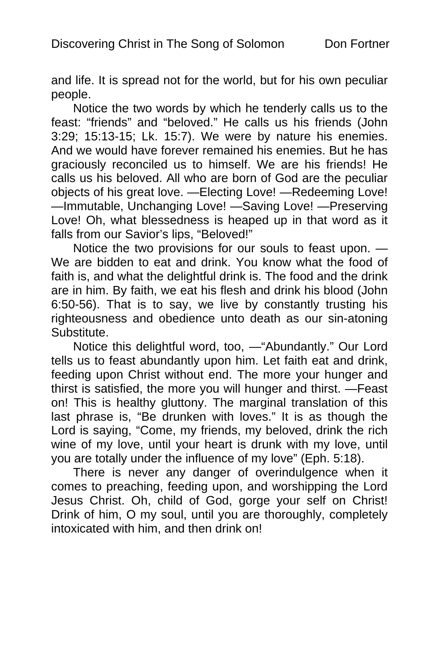and life. It is spread not for the world, but for his own peculiar people.

Notice the two words by which he tenderly calls us to the feast: "friends" and "beloved." He calls us his friends (John 3:29; 15:13-15; Lk. 15:7). We were by nature his enemies. And we would have forever remained his enemies. But he has graciously reconciled us to himself. We are his friends! He calls us his beloved. All who are born of God are the peculiar objects of his great love. —Electing Love! —Redeeming Love! —Immutable, Unchanging Love! —Saving Love! —Preserving Love! Oh, what blessedness is heaped up in that word as it falls from our Savior's lips, "Beloved!"

Notice the two provisions for our souls to feast upon. — We are bidden to eat and drink. You know what the food of faith is, and what the delightful drink is. The food and the drink are in him. By faith, we eat his flesh and drink his blood (John 6:50-56). That is to say, we live by constantly trusting his righteousness and obedience unto death as our sin-atoning Substitute.

Notice this delightful word, too, —"Abundantly." Our Lord tells us to feast abundantly upon him. Let faith eat and drink, feeding upon Christ without end. The more your hunger and thirst is satisfied, the more you will hunger and thirst. —Feast on! This is healthy gluttony. The marginal translation of this last phrase is, "Be drunken with loves." It is as though the Lord is saying, "Come, my friends, my beloved, drink the rich wine of my love, until your heart is drunk with my love, until you are totally under the influence of my love" (Eph. 5:18).

There is never any danger of overindulgence when it comes to preaching, feeding upon, and worshipping the Lord Jesus Christ. Oh, child of God, gorge your self on Christ! Drink of him, O my soul, until you are thoroughly, completely intoxicated with him, and then drink on!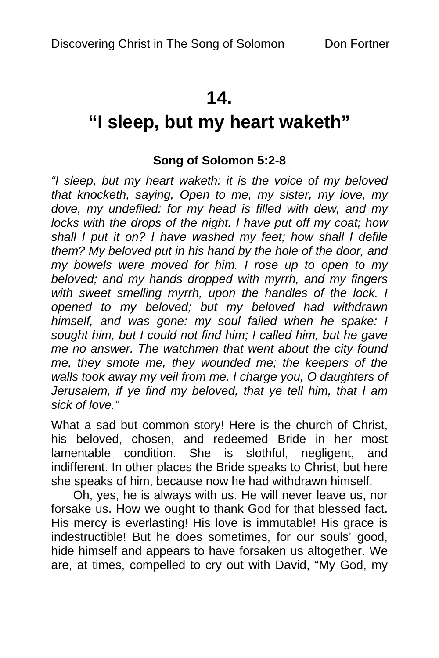# **14.**

# **"I sleep, but my heart waketh"**

# **Song of Solomon 5:2-8**

*"I sleep, but my heart waketh: it is the voice of my beloved that knocketh, saying, Open to me, my sister, my love, my dove, my undefiled: for my head is filled with dew, and my locks with the drops of the night. I have put off my coat; how shall I put it on? I have washed my feet; how shall I defile them? My beloved put in his hand by the hole of the door, and my bowels were moved for him. I rose up to open to my beloved; and my hands dropped with myrrh, and my fingers with sweet smelling myrrh, upon the handles of the lock. I opened to my beloved; but my beloved had withdrawn himself, and was gone: my soul failed when he spake: I sought him, but I could not find him; I called him, but he gave me no answer. The watchmen that went about the city found me, they smote me, they wounded me; the keepers of the walls took away my veil from me. I charge you, O daughters of Jerusalem, if ye find my beloved, that ye tell him, that I am sick of love."* 

What a sad but common story! Here is the church of Christ, his beloved, chosen, and redeemed Bride in her most lamentable condition. She is slothful, negligent, and indifferent. In other places the Bride speaks to Christ, but here she speaks of him, because now he had withdrawn himself.

Oh, yes, he is always with us. He will never leave us, nor forsake us. How we ought to thank God for that blessed fact. His mercy is everlasting! His love is immutable! His grace is indestructible! But he does sometimes, for our souls' good, hide himself and appears to have forsaken us altogether. We are, at times, compelled to cry out with David, "My God, my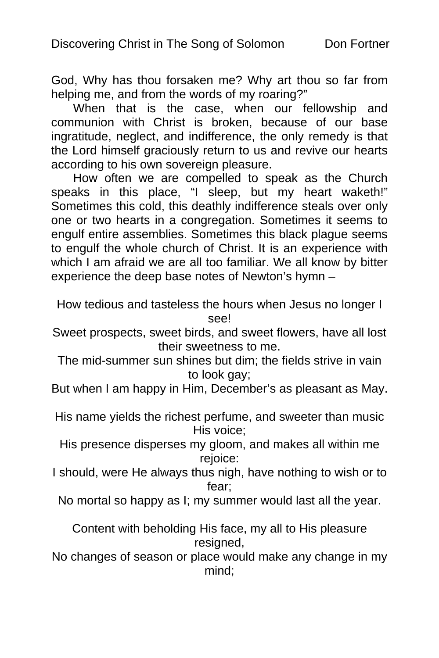God, Why has thou forsaken me? Why art thou so far from helping me, and from the words of my roaring?"

When that is the case, when our fellowship and communion with Christ is broken, because of our base ingratitude, neglect, and indifference, the only remedy is that the Lord himself graciously return to us and revive our hearts according to his own sovereign pleasure.

How often we are compelled to speak as the Church speaks in this place, "I sleep, but my heart waketh!" Sometimes this cold, this deathly indifference steals over only one or two hearts in a congregation. Sometimes it seems to engulf entire assemblies. Sometimes this black plague seems to engulf the whole church of Christ. It is an experience with which I am afraid we are all too familiar. We all know by bitter experience the deep base notes of Newton's hymn –

How tedious and tasteless the hours when Jesus no longer I see!

- Sweet prospects, sweet birds, and sweet flowers, have all lost their sweetness to me.
- The mid-summer sun shines but dim; the fields strive in vain to look gay;

But when I am happy in Him, December's as pleasant as May.

His name yields the richest perfume, and sweeter than music His voice;

His presence disperses my gloom, and makes all within me rejoice:

I should, were He always thus nigh, have nothing to wish or to fear;

No mortal so happy as I; my summer would last all the year.

Content with beholding His face, my all to His pleasure resigned,

No changes of season or place would make any change in my mind;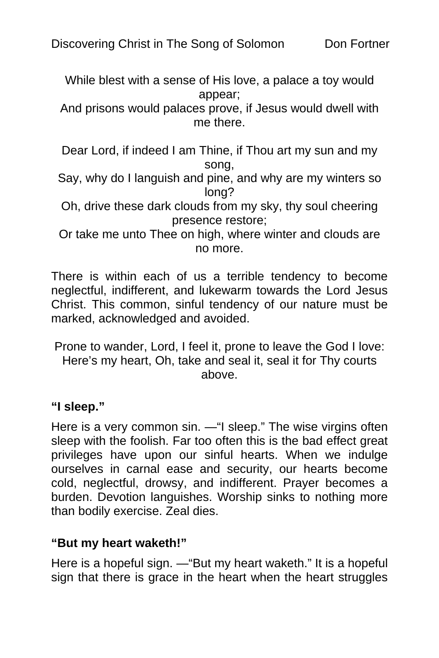While blest with a sense of His love, a palace a toy would appear;

And prisons would palaces prove, if Jesus would dwell with me there.

Dear Lord, if indeed I am Thine, if Thou art my sun and my song,

- Say, why do I languish and pine, and why are my winters so long?
- Oh, drive these dark clouds from my sky, thy soul cheering presence restore;
- Or take me unto Thee on high, where winter and clouds are no more.

There is within each of us a terrible tendency to become neglectful, indifferent, and lukewarm towards the Lord Jesus Christ. This common, sinful tendency of our nature must be marked, acknowledged and avoided.

Prone to wander, Lord, I feel it, prone to leave the God I love: Here's my heart, Oh, take and seal it, seal it for Thy courts above.

**"I sleep."** 

Here is a very common sin. —"I sleep." The wise virgins often sleep with the foolish. Far too often this is the bad effect great privileges have upon our sinful hearts. When we indulge ourselves in carnal ease and security, our hearts become cold, neglectful, drowsy, and indifferent. Prayer becomes a burden. Devotion languishes. Worship sinks to nothing more than bodily exercise. Zeal dies.

# **"But my heart waketh!"**

Here is a hopeful sign. —"But my heart waketh." It is a hopeful sign that there is grace in the heart when the heart struggles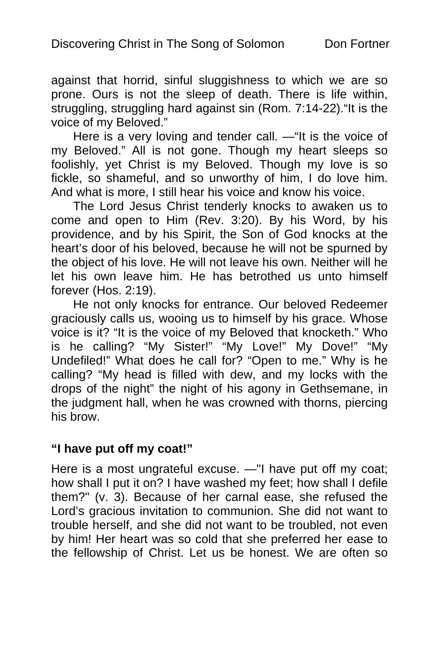against that horrid, sinful sluggishness to which we are so prone. Ours is not the sleep of death. There is life within, struggling, struggling hard against sin (Rom. 7:14-22)."It is the voice of my Beloved."

Here is a very loving and tender call. —"It is the voice of my Beloved." All is not gone. Though my heart sleeps so foolishly, yet Christ is my Beloved. Though my love is so fickle, so shameful, and so unworthy of him, I do love him. And what is more, I still hear his voice and know his voice.

The Lord Jesus Christ tenderly knocks to awaken us to come and open to Him (Rev. 3:20). By his Word, by his providence, and by his Spirit, the Son of God knocks at the heart's door of his beloved, because he will not be spurned by the object of his love. He will not leave his own. Neither will he let his own leave him. He has betrothed us unto himself forever (Hos. 2:19).

He not only knocks for entrance. Our beloved Redeemer graciously calls us, wooing us to himself by his grace. Whose voice is it? "It is the voice of my Beloved that knocketh." Who is he calling? "My Sister!" "My Love!" My Dove!" "My Undefiled!" What does he call for? "Open to me." Why is he calling? "My head is filled with dew, and my locks with the drops of the night" the night of his agony in Gethsemane, in the judgment hall, when he was crowned with thorns, piercing his brow.

#### **"I have put off my coat!"**

Here is a most ungrateful excuse. —"I have put off my coat; how shall I put it on? I have washed my feet; how shall I defile them?" (v. 3). Because of her carnal ease, she refused the Lord's gracious invitation to communion. She did not want to trouble herself, and she did not want to be troubled, not even by him! Her heart was so cold that she preferred her ease to the fellowship of Christ. Let us be honest. We are often so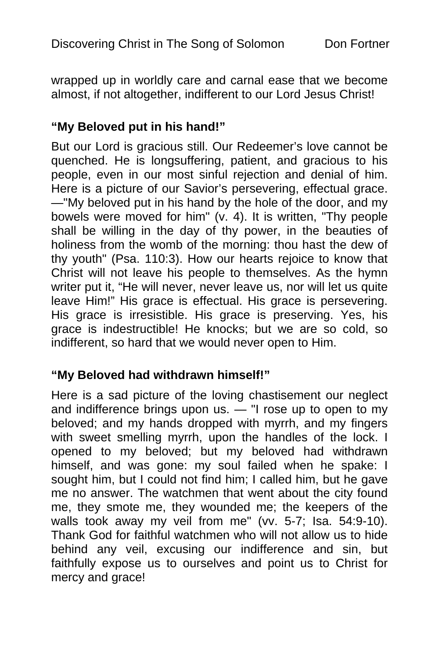wrapped up in worldly care and carnal ease that we become almost, if not altogether, indifferent to our Lord Jesus Christ!

#### **"My Beloved put in his hand!"**

But our Lord is gracious still. Our Redeemer's love cannot be quenched. He is longsuffering, patient, and gracious to his people, even in our most sinful rejection and denial of him. Here is a picture of our Savior's persevering, effectual grace. —"My beloved put in his hand by the hole of the door, and my bowels were moved for him" (v. 4). It is written, "Thy people shall be willing in the day of thy power, in the beauties of holiness from the womb of the morning: thou hast the dew of thy youth" (Psa. 110:3). How our hearts rejoice to know that Christ will not leave his people to themselves. As the hymn writer put it, "He will never, never leave us, nor will let us quite leave Him!" His grace is effectual. His grace is persevering. His grace is irresistible. His grace is preserving. Yes, his grace is indestructible! He knocks; but we are so cold, so indifferent, so hard that we would never open to Him.

# **"My Beloved had withdrawn himself!"**

Here is a sad picture of the loving chastisement our neglect and indifference brings upon us. — "I rose up to open to my beloved; and my hands dropped with myrrh, and my fingers with sweet smelling myrrh, upon the handles of the lock. I opened to my beloved; but my beloved had withdrawn himself, and was gone: my soul failed when he spake: I sought him, but I could not find him; I called him, but he gave me no answer. The watchmen that went about the city found me, they smote me, they wounded me; the keepers of the walls took away my veil from me" (vv. 5-7; Isa. 54:9-10). Thank God for faithful watchmen who will not allow us to hide behind any veil, excusing our indifference and sin, but faithfully expose us to ourselves and point us to Christ for mercy and grace!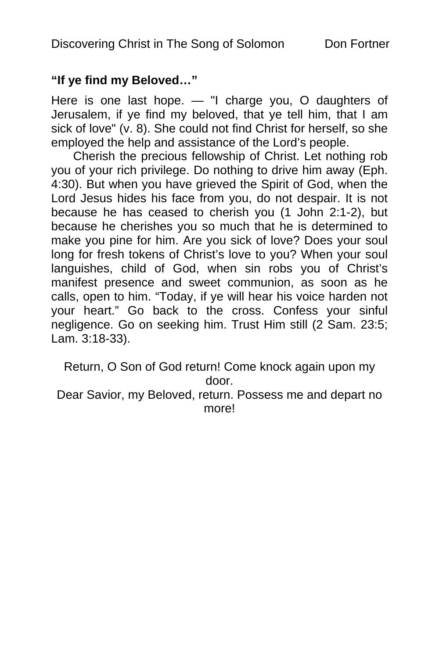# **"If ye find my Beloved…"**

Here is one last hope. — "I charge you, O daughters of Jerusalem, if ye find my beloved, that ye tell him, that I am sick of love" (v. 8). She could not find Christ for herself, so she employed the help and assistance of the Lord's people.

Cherish the precious fellowship of Christ. Let nothing rob you of your rich privilege. Do nothing to drive him away (Eph. 4:30). But when you have grieved the Spirit of God, when the Lord Jesus hides his face from you, do not despair. It is not because he has ceased to cherish you (1 John 2:1-2), but because he cherishes you so much that he is determined to make you pine for him. Are you sick of love? Does your soul long for fresh tokens of Christ's love to you? When your soul languishes, child of God, when sin robs you of Christ's manifest presence and sweet communion, as soon as he calls, open to him. "Today, if ye will hear his voice harden not your heart." Go back to the cross. Confess your sinful negligence. Go on seeking him. Trust Him still (2 Sam. 23:5; Lam. 3:18-33).

Return, O Son of God return! Come knock again upon my door. Dear Savior, my Beloved, return. Possess me and depart no

more!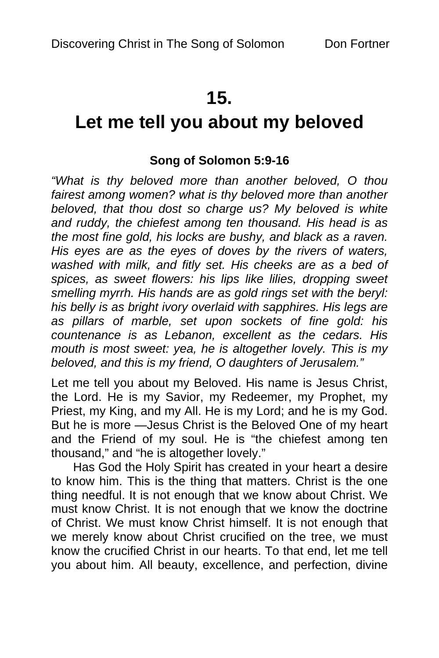# **15.**

# **Let me tell you about my beloved**

# **Song of Solomon 5:9-16**

*"What is thy beloved more than another beloved, O thou fairest among women? what is thy beloved more than another beloved, that thou dost so charge us? My beloved is white and ruddy, the chiefest among ten thousand. His head is as the most fine gold, his locks are bushy, and black as a raven. His eyes are as the eyes of doves by the rivers of waters, washed with milk, and fitly set. His cheeks are as a bed of spices, as sweet flowers: his lips like lilies, dropping sweet smelling myrrh. His hands are as gold rings set with the beryl: his belly is as bright ivory overlaid with sapphires. His legs are as pillars of marble, set upon sockets of fine gold: his countenance is as Lebanon, excellent as the cedars. His mouth is most sweet: yea, he is altogether lovely. This is my beloved, and this is my friend, O daughters of Jerusalem."* 

Let me tell you about my Beloved. His name is Jesus Christ, the Lord. He is my Savior, my Redeemer, my Prophet, my Priest, my King, and my All. He is my Lord; and he is my God. But he is more —Jesus Christ is the Beloved One of my heart and the Friend of my soul. He is "the chiefest among ten thousand," and "he is altogether lovely."

Has God the Holy Spirit has created in your heart a desire to know him. This is the thing that matters. Christ is the one thing needful. It is not enough that we know about Christ. We must know Christ. It is not enough that we know the doctrine of Christ. We must know Christ himself. It is not enough that we merely know about Christ crucified on the tree, we must know the crucified Christ in our hearts. To that end, let me tell you about him. All beauty, excellence, and perfection, divine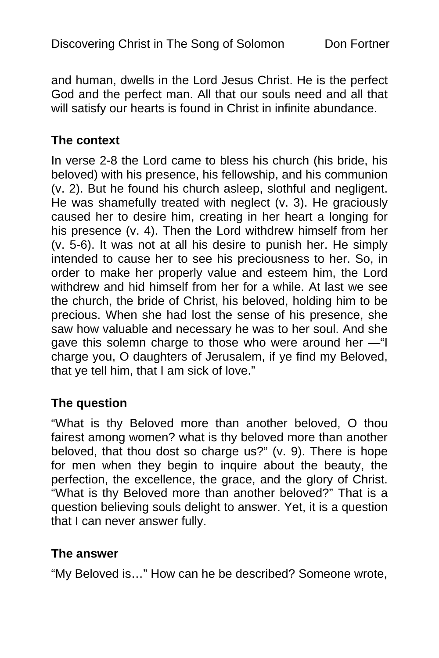and human, dwells in the Lord Jesus Christ. He is the perfect God and the perfect man. All that our souls need and all that will satisfy our hearts is found in Christ in infinite abundance.

#### **The context**

In verse 2-8 the Lord came to bless his church (his bride, his beloved) with his presence, his fellowship, and his communion (v. 2). But he found his church asleep, slothful and negligent. He was shamefully treated with neglect (v. 3). He graciously caused her to desire him, creating in her heart a longing for his presence (v. 4). Then the Lord withdrew himself from her (v. 5-6). It was not at all his desire to punish her. He simply intended to cause her to see his preciousness to her. So, in order to make her properly value and esteem him, the Lord withdrew and hid himself from her for a while. At last we see the church, the bride of Christ, his beloved, holding him to be precious. When she had lost the sense of his presence, she saw how valuable and necessary he was to her soul. And she gave this solemn charge to those who were around her —"I charge you, O daughters of Jerusalem, if ye find my Beloved, that ye tell him, that I am sick of love."

# **The question**

"What is thy Beloved more than another beloved, O thou fairest among women? what is thy beloved more than another beloved, that thou dost so charge us?" (v. 9). There is hope for men when they begin to inquire about the beauty, the perfection, the excellence, the grace, and the glory of Christ. "What is thy Beloved more than another beloved?" That is a question believing souls delight to answer. Yet, it is a question that I can never answer fully.

# **The answer**

"My Beloved is…" How can he be described? Someone wrote,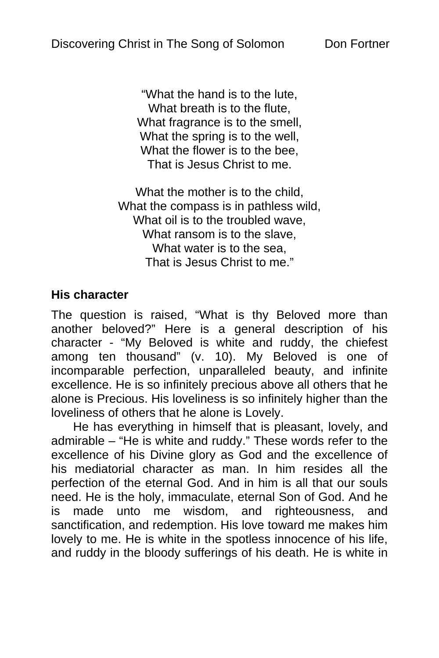"What the hand is to the lute, What breath is to the flute, What fragrance is to the smell, What the spring is to the well, What the flower is to the bee, That is Jesus Christ to me.

What the mother is to the child, What the compass is in pathless wild, What oil is to the troubled wave, What ransom is to the slave, What water is to the sea, That is Jesus Christ to me."

# **His character**

The question is raised, "What is thy Beloved more than another beloved?" Here is a general description of his character - "My Beloved is white and ruddy, the chiefest among ten thousand" (v. 10). My Beloved is one of incomparable perfection, unparalleled beauty, and infinite excellence. He is so infinitely precious above all others that he alone is Precious. His loveliness is so infinitely higher than the loveliness of others that he alone is Lovely.

He has everything in himself that is pleasant, lovely, and admirable – "He is white and ruddy." These words refer to the excellence of his Divine glory as God and the excellence of his mediatorial character as man. In him resides all the perfection of the eternal God. And in him is all that our souls need. He is the holy, immaculate, eternal Son of God. And he is made unto me wisdom, and righteousness, and sanctification, and redemption. His love toward me makes him lovely to me. He is white in the spotless innocence of his life, and ruddy in the bloody sufferings of his death. He is white in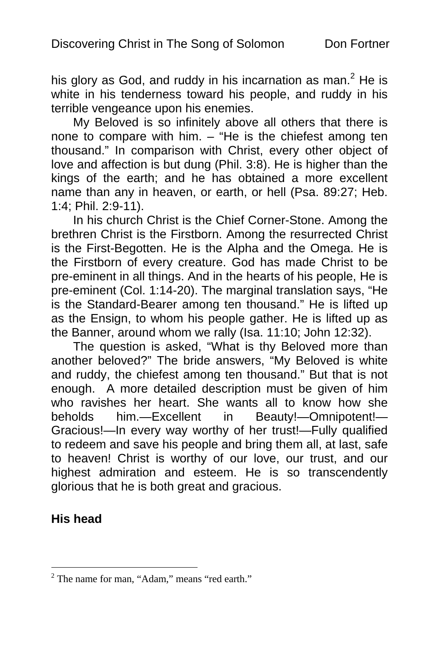his glory as God, and ruddy in his incarnation as man.<sup>2</sup> He is white in his tenderness toward his people, and ruddy in his terrible vengeance upon his enemies.

My Beloved is so infinitely above all others that there is none to compare with him. – "He is the chiefest among ten thousand." In comparison with Christ, every other object of love and affection is but dung (Phil. 3:8). He is higher than the kings of the earth; and he has obtained a more excellent name than any in heaven, or earth, or hell (Psa. 89:27; Heb. 1:4; Phil. 2:9-11).

In his church Christ is the Chief Corner-Stone. Among the brethren Christ is the Firstborn. Among the resurrected Christ is the First-Begotten. He is the Alpha and the Omega. He is the Firstborn of every creature. God has made Christ to be pre-eminent in all things. And in the hearts of his people, He is pre-eminent (Col. 1:14-20). The marginal translation says, "He is the Standard-Bearer among ten thousand." He is lifted up as the Ensign, to whom his people gather. He is lifted up as the Banner, around whom we rally (Isa. 11:10; John 12:32).

The question is asked, "What is thy Beloved more than another beloved?" The bride answers, "My Beloved is white and ruddy, the chiefest among ten thousand." But that is not enough. A more detailed description must be given of him who ravishes her heart. She wants all to know how she beholds him.—Excellent in Beauty!—Omnipotent!— Gracious!—In every way worthy of her trust!—Fully qualified to redeem and save his people and bring them all, at last, safe to heaven! Christ is worthy of our love, our trust, and our highest admiration and esteem. He is so transcendently glorious that he is both great and gracious.

# **His head**

<sup>&</sup>lt;sup>2</sup> The name for man, "Adam," means "red earth."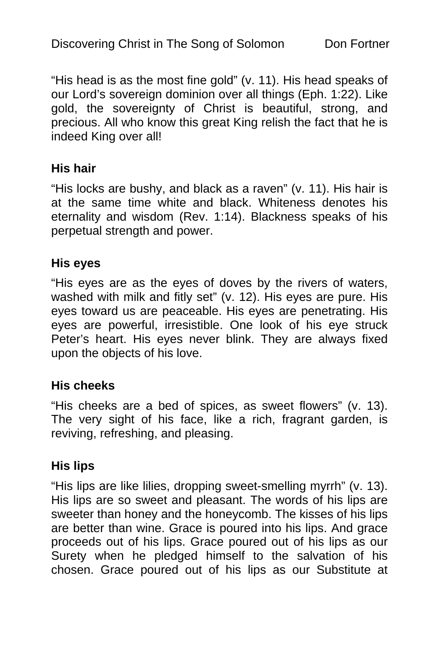"His head is as the most fine gold" (v. 11). His head speaks of our Lord's sovereign dominion over all things (Eph. 1:22). Like gold, the sovereignty of Christ is beautiful, strong, and precious. All who know this great King relish the fact that he is indeed King over all!

#### **His hair**

"His locks are bushy, and black as a raven" (v. 11). His hair is at the same time white and black. Whiteness denotes his eternality and wisdom (Rev. 1:14). Blackness speaks of his perpetual strength and power.

#### **His eyes**

"His eyes are as the eyes of doves by the rivers of waters, washed with milk and fitly set" (v. 12). His eyes are pure. His eyes toward us are peaceable. His eyes are penetrating. His eyes are powerful, irresistible. One look of his eye struck Peter's heart. His eyes never blink. They are always fixed upon the objects of his love.

#### **His cheeks**

"His cheeks are a bed of spices, as sweet flowers" (v. 13). The very sight of his face, like a rich, fragrant garden, is reviving, refreshing, and pleasing.

#### **His lips**

"His lips are like lilies, dropping sweet-smelling myrrh" (v. 13). His lips are so sweet and pleasant. The words of his lips are sweeter than honey and the honeycomb. The kisses of his lips are better than wine. Grace is poured into his lips. And grace proceeds out of his lips. Grace poured out of his lips as our Surety when he pledged himself to the salvation of his chosen. Grace poured out of his lips as our Substitute at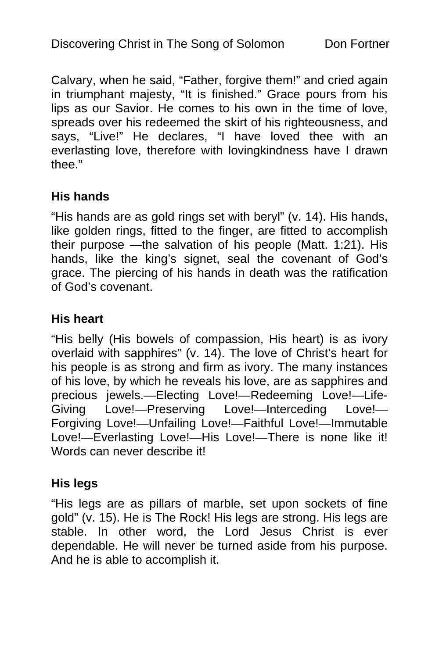Calvary, when he said, "Father, forgive them!" and cried again in triumphant majesty, "It is finished." Grace pours from his lips as our Savior. He comes to his own in the time of love, spreads over his redeemed the skirt of his righteousness, and says, "Live!" He declares, "I have loved thee with an everlasting love, therefore with lovingkindness have I drawn thee."

#### **His hands**

"His hands are as gold rings set with beryl" (v. 14). His hands, like golden rings, fitted to the finger, are fitted to accomplish their purpose —the salvation of his people (Matt. 1:21). His hands, like the king's signet, seal the covenant of God's grace. The piercing of his hands in death was the ratification of God's covenant.

#### **His heart**

"His belly (His bowels of compassion, His heart) is as ivory overlaid with sapphires" (v. 14). The love of Christ's heart for his people is as strong and firm as ivory. The many instances of his love, by which he reveals his love, are as sapphires and precious jewels.—Electing Love!—Redeeming Love!—Life-Giving Love!—Preserving Love!—Interceding Love!— Forgiving Love!—Unfailing Love!—Faithful Love!—Immutable Love!—Everlasting Love!—His Love!—There is none like it! Words can never describe it!

#### **His legs**

"His legs are as pillars of marble, set upon sockets of fine gold" (v. 15). He is The Rock! His legs are strong. His legs are stable. In other word, the Lord Jesus Christ is ever dependable. He will never be turned aside from his purpose. And he is able to accomplish it.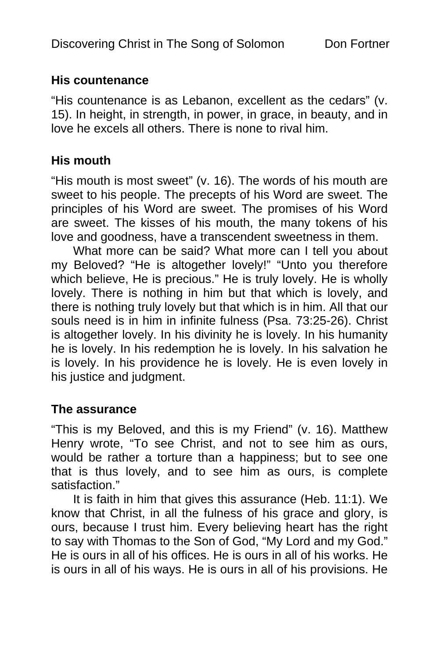#### **His countenance**

"His countenance is as Lebanon, excellent as the cedars" (v. 15). In height, in strength, in power, in grace, in beauty, and in love he excels all others. There is none to rival him.

### **His mouth**

"His mouth is most sweet" (v. 16). The words of his mouth are sweet to his people. The precepts of his Word are sweet. The principles of his Word are sweet. The promises of his Word are sweet. The kisses of his mouth, the many tokens of his love and goodness, have a transcendent sweetness in them.

What more can be said? What more can I tell you about my Beloved? "He is altogether lovely!" "Unto you therefore which believe, He is precious." He is truly lovely. He is wholly lovely. There is nothing in him but that which is lovely, and there is nothing truly lovely but that which is in him. All that our souls need is in him in infinite fulness (Psa. 73:25-26). Christ is altogether lovely. In his divinity he is lovely. In his humanity he is lovely. In his redemption he is lovely. In his salvation he is lovely. In his providence he is lovely. He is even lovely in his justice and judgment.

#### **The assurance**

"This is my Beloved, and this is my Friend" (v. 16). Matthew Henry wrote, "To see Christ, and not to see him as ours, would be rather a torture than a happiness; but to see one that is thus lovely, and to see him as ours, is complete satisfaction."

It is faith in him that gives this assurance (Heb. 11:1). We know that Christ, in all the fulness of his grace and glory, is ours, because I trust him. Every believing heart has the right to say with Thomas to the Son of God, "My Lord and my God." He is ours in all of his offices. He is ours in all of his works. He is ours in all of his ways. He is ours in all of his provisions. He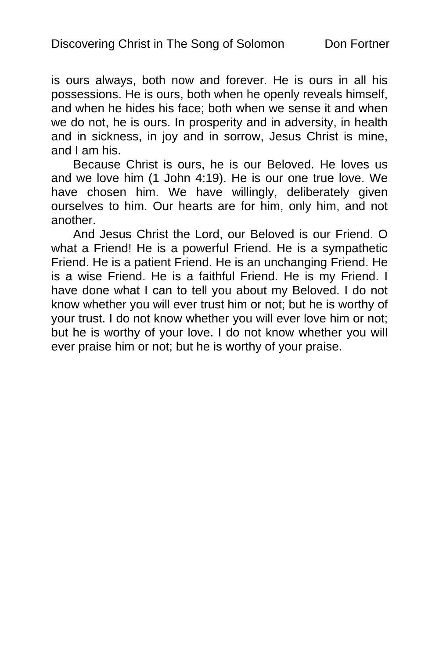is ours always, both now and forever. He is ours in all his possessions. He is ours, both when he openly reveals himself, and when he hides his face; both when we sense it and when we do not, he is ours. In prosperity and in adversity, in health and in sickness, in joy and in sorrow, Jesus Christ is mine, and I am his.

Because Christ is ours, he is our Beloved. He loves us and we love him (1 John 4:19). He is our one true love. We have chosen him. We have willingly, deliberately given ourselves to him. Our hearts are for him, only him, and not another.

And Jesus Christ the Lord, our Beloved is our Friend. O what a Friend! He is a powerful Friend. He is a sympathetic Friend. He is a patient Friend. He is an unchanging Friend. He is a wise Friend. He is a faithful Friend. He is my Friend. I have done what I can to tell you about my Beloved. I do not know whether you will ever trust him or not; but he is worthy of your trust. I do not know whether you will ever love him or not; but he is worthy of your love. I do not know whether you will ever praise him or not; but he is worthy of your praise.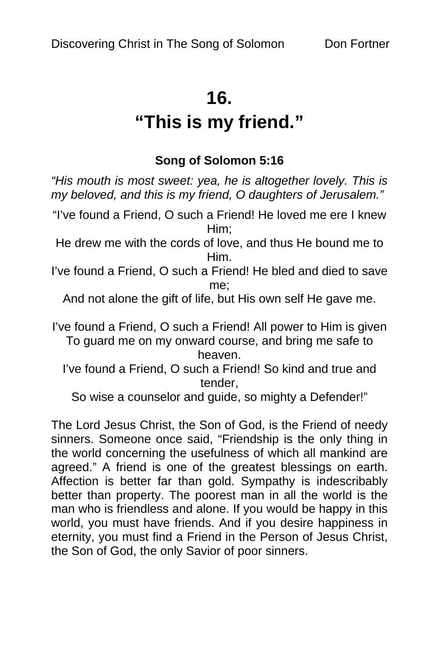# **16.**

# **"This is my friend."**

## **Song of Solomon 5:16**

*"His mouth is most sweet: yea, he is altogether lovely. This is my beloved, and this is my friend, O daughters of Jerusalem."* 

"I've found a Friend, O such a Friend! He loved me ere I knew Him;

He drew me with the cords of love, and thus He bound me to Him.

I've found a Friend, O such a Friend! He bled and died to save me;

And not alone the gift of life, but His own self He gave me.

I've found a Friend, O such a Friend! All power to Him is given To guard me on my onward course, and bring me safe to heaven.

I've found a Friend, O such a Friend! So kind and true and tender,

So wise a counselor and guide, so mighty a Defender!"

The Lord Jesus Christ, the Son of God, is the Friend of needy sinners. Someone once said, "Friendship is the only thing in the world concerning the usefulness of which all mankind are agreed." A friend is one of the greatest blessings on earth. Affection is better far than gold. Sympathy is indescribably better than property. The poorest man in all the world is the man who is friendless and alone. If you would be happy in this world, you must have friends. And if you desire happiness in eternity, you must find a Friend in the Person of Jesus Christ, the Son of God, the only Savior of poor sinners.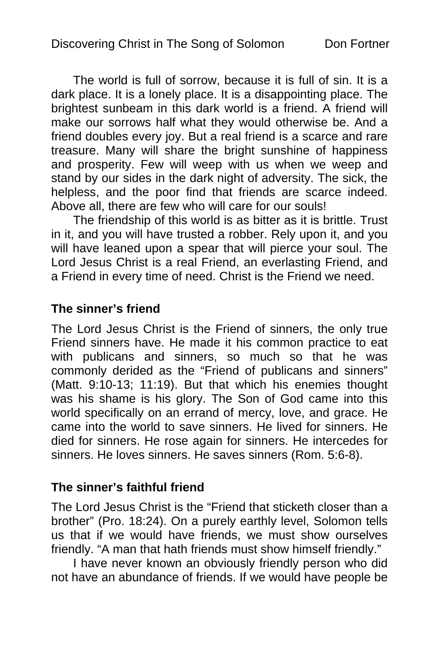The world is full of sorrow, because it is full of sin. It is a dark place. It is a lonely place. It is a disappointing place. The brightest sunbeam in this dark world is a friend. A friend will make our sorrows half what they would otherwise be. And a friend doubles every joy. But a real friend is a scarce and rare treasure. Many will share the bright sunshine of happiness and prosperity. Few will weep with us when we weep and stand by our sides in the dark night of adversity. The sick, the helpless, and the poor find that friends are scarce indeed. Above all, there are few who will care for our souls!

The friendship of this world is as bitter as it is brittle. Trust in it, and you will have trusted a robber. Rely upon it, and you will have leaned upon a spear that will pierce your soul. The Lord Jesus Christ is a real Friend, an everlasting Friend, and a Friend in every time of need. Christ is the Friend we need.

#### **The sinner's friend**

The Lord Jesus Christ is the Friend of sinners, the only true Friend sinners have. He made it his common practice to eat with publicans and sinners, so much so that he was commonly derided as the "Friend of publicans and sinners" (Matt. 9:10-13; 11:19). But that which his enemies thought was his shame is his glory. The Son of God came into this world specifically on an errand of mercy, love, and grace. He came into the world to save sinners. He lived for sinners. He died for sinners. He rose again for sinners. He intercedes for sinners. He loves sinners. He saves sinners (Rom. 5:6-8).

#### **The sinner's faithful friend**

The Lord Jesus Christ is the "Friend that sticketh closer than a brother" (Pro. 18:24). On a purely earthly level, Solomon tells us that if we would have friends, we must show ourselves friendly. "A man that hath friends must show himself friendly."

I have never known an obviously friendly person who did not have an abundance of friends. If we would have people be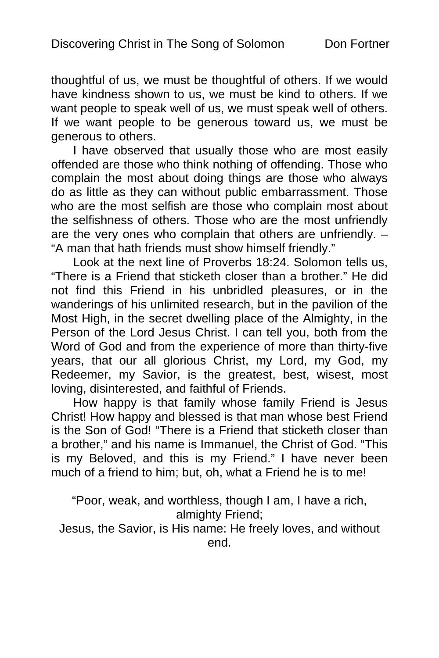thoughtful of us, we must be thoughtful of others. If we would have kindness shown to us, we must be kind to others. If we want people to speak well of us, we must speak well of others. If we want people to be generous toward us, we must be generous to others.

I have observed that usually those who are most easily offended are those who think nothing of offending. Those who complain the most about doing things are those who always do as little as they can without public embarrassment. Those who are the most selfish are those who complain most about the selfishness of others. Those who are the most unfriendly are the very ones who complain that others are unfriendly. – "A man that hath friends must show himself friendly."

Look at the next line of Proverbs 18:24. Solomon tells us, "There is a Friend that sticketh closer than a brother." He did not find this Friend in his unbridled pleasures, or in the wanderings of his unlimited research, but in the pavilion of the Most High, in the secret dwelling place of the Almighty, in the Person of the Lord Jesus Christ. I can tell you, both from the Word of God and from the experience of more than thirty-five years, that our all glorious Christ, my Lord, my God, my Redeemer, my Savior, is the greatest, best, wisest, most loving, disinterested, and faithful of Friends.

How happy is that family whose family Friend is Jesus Christ! How happy and blessed is that man whose best Friend is the Son of God! "There is a Friend that sticketh closer than a brother," and his name is Immanuel, the Christ of God. "This is my Beloved, and this is my Friend." I have never been much of a friend to him; but, oh, what a Friend he is to me!

"Poor, weak, and worthless, though I am, I have a rich, almighty Friend;

Jesus, the Savior, is His name: He freely loves, and without end.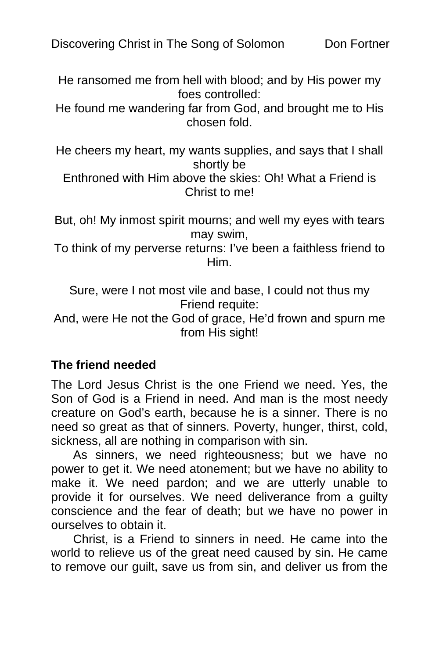He ransomed me from hell with blood; and by His power my foes controlled:

He found me wandering far from God, and brought me to His chosen fold.

He cheers my heart, my wants supplies, and says that I shall shortly be

Enthroned with Him above the skies: Oh! What a Friend is Christ to me!

But, oh! My inmost spirit mourns; and well my eyes with tears may swim,

To think of my perverse returns: I've been a faithless friend to Him.

Sure, were I not most vile and base, I could not thus my Friend requite:

And, were He not the God of grace, He'd frown and spurn me from His sight!

#### **The friend needed**

The Lord Jesus Christ is the one Friend we need. Yes, the Son of God is a Friend in need. And man is the most needy creature on God's earth, because he is a sinner. There is no need so great as that of sinners. Poverty, hunger, thirst, cold, sickness, all are nothing in comparison with sin.

As sinners, we need righteousness; but we have no power to get it. We need atonement; but we have no ability to make it. We need pardon; and we are utterly unable to provide it for ourselves. We need deliverance from a guilty conscience and the fear of death; but we have no power in ourselves to obtain it.

Christ, is a Friend to sinners in need. He came into the world to relieve us of the great need caused by sin. He came to remove our guilt, save us from sin, and deliver us from the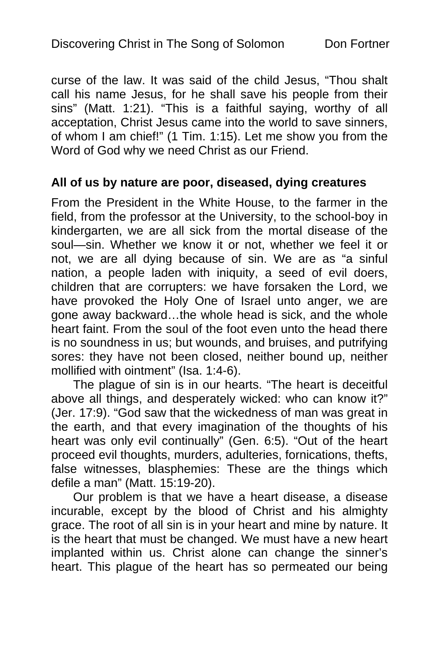curse of the law. It was said of the child Jesus, "Thou shalt call his name Jesus, for he shall save his people from their sins" (Matt. 1:21). "This is a faithful saying, worthy of all acceptation, Christ Jesus came into the world to save sinners, of whom I am chief!" (1 Tim. 1:15). Let me show you from the Word of God why we need Christ as our Friend.

#### **All of us by nature are poor, diseased, dying creatures**

From the President in the White House, to the farmer in the field, from the professor at the University, to the school-boy in kindergarten, we are all sick from the mortal disease of the soul—sin. Whether we know it or not, whether we feel it or not, we are all dying because of sin. We are as "a sinful nation, a people laden with iniquity, a seed of evil doers, children that are corrupters: we have forsaken the Lord, we have provoked the Holy One of Israel unto anger, we are gone away backward…the whole head is sick, and the whole heart faint. From the soul of the foot even unto the head there is no soundness in us; but wounds, and bruises, and putrifying sores: they have not been closed, neither bound up, neither mollified with ointment" (Isa. 1:4-6).

The plague of sin is in our hearts. "The heart is deceitful above all things, and desperately wicked: who can know it?" (Jer. 17:9). "God saw that the wickedness of man was great in the earth, and that every imagination of the thoughts of his heart was only evil continually" (Gen. 6:5). "Out of the heart proceed evil thoughts, murders, adulteries, fornications, thefts, false witnesses, blasphemies: These are the things which defile a man" (Matt. 15:19-20).

Our problem is that we have a heart disease, a disease incurable, except by the blood of Christ and his almighty grace. The root of all sin is in your heart and mine by nature. It is the heart that must be changed. We must have a new heart implanted within us. Christ alone can change the sinner's heart. This plague of the heart has so permeated our being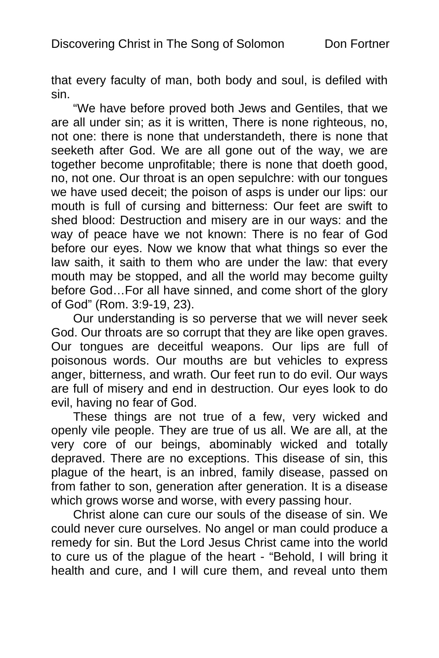that every faculty of man, both body and soul, is defiled with sin.

"We have before proved both Jews and Gentiles, that we are all under sin; as it is written, There is none righteous, no, not one: there is none that understandeth, there is none that seeketh after God. We are all gone out of the way, we are together become unprofitable; there is none that doeth good, no, not one. Our throat is an open sepulchre: with our tongues we have used deceit; the poison of asps is under our lips: our mouth is full of cursing and bitterness: Our feet are swift to shed blood: Destruction and misery are in our ways: and the way of peace have we not known: There is no fear of God before our eyes. Now we know that what things so ever the law saith, it saith to them who are under the law: that every mouth may be stopped, and all the world may become guilty before God…For all have sinned, and come short of the glory of God" (Rom. 3:9-19, 23).

Our understanding is so perverse that we will never seek God. Our throats are so corrupt that they are like open graves. Our tongues are deceitful weapons. Our lips are full of poisonous words. Our mouths are but vehicles to express anger, bitterness, and wrath. Our feet run to do evil. Our ways are full of misery and end in destruction. Our eyes look to do evil, having no fear of God.

These things are not true of a few, very wicked and openly vile people. They are true of us all. We are all, at the very core of our beings, abominably wicked and totally depraved. There are no exceptions. This disease of sin, this plague of the heart, is an inbred, family disease, passed on from father to son, generation after generation. It is a disease which grows worse and worse, with every passing hour.

Christ alone can cure our souls of the disease of sin. We could never cure ourselves. No angel or man could produce a remedy for sin. But the Lord Jesus Christ came into the world to cure us of the plague of the heart - "Behold, I will bring it health and cure, and I will cure them, and reveal unto them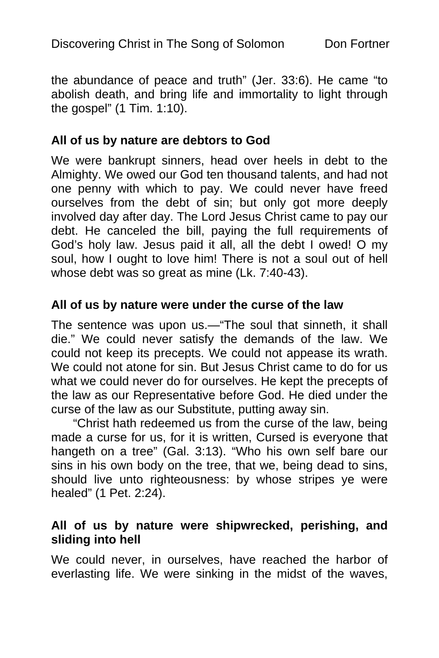the abundance of peace and truth" (Jer. 33:6). He came "to abolish death, and bring life and immortality to light through the gospel" (1 Tim. 1:10).

#### **All of us by nature are debtors to God**

We were bankrupt sinners, head over heels in debt to the Almighty. We owed our God ten thousand talents, and had not one penny with which to pay. We could never have freed ourselves from the debt of sin; but only got more deeply involved day after day. The Lord Jesus Christ came to pay our debt. He canceled the bill, paying the full requirements of God's holy law. Jesus paid it all, all the debt I owed! O my soul, how I ought to love him! There is not a soul out of hell whose debt was so great as mine (Lk. 7:40-43).

#### **All of us by nature were under the curse of the law**

The sentence was upon us.—"The soul that sinneth, it shall die." We could never satisfy the demands of the law. We could not keep its precepts. We could not appease its wrath. We could not atone for sin. But Jesus Christ came to do for us what we could never do for ourselves. He kept the precepts of the law as our Representative before God. He died under the curse of the law as our Substitute, putting away sin.

"Christ hath redeemed us from the curse of the law, being made a curse for us, for it is written, Cursed is everyone that hangeth on a tree" (Gal. 3:13). "Who his own self bare our sins in his own body on the tree, that we, being dead to sins, should live unto righteousness: by whose stripes ye were healed" (1 Pet. 2:24).

#### **All of us by nature were shipwrecked, perishing, and sliding into hell**

We could never, in ourselves, have reached the harbor of everlasting life. We were sinking in the midst of the waves,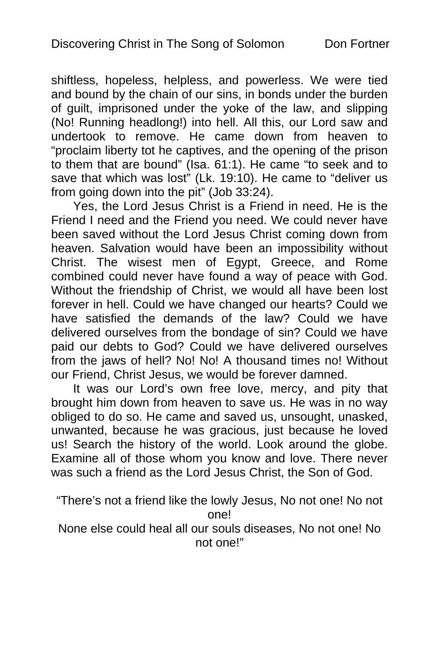shiftless, hopeless, helpless, and powerless. We were tied and bound by the chain of our sins, in bonds under the burden of guilt, imprisoned under the yoke of the law, and slipping (No! Running headlong!) into hell. All this, our Lord saw and undertook to remove. He came down from heaven to "proclaim liberty tot he captives, and the opening of the prison to them that are bound" (Isa. 61:1). He came "to seek and to save that which was lost" (Lk. 19:10). He came to "deliver us from going down into the pit" (Job 33:24).

Yes, the Lord Jesus Christ is a Friend in need. He is the Friend I need and the Friend you need. We could never have been saved without the Lord Jesus Christ coming down from heaven. Salvation would have been an impossibility without Christ. The wisest men of Egypt, Greece, and Rome combined could never have found a way of peace with God. Without the friendship of Christ, we would all have been lost forever in hell. Could we have changed our hearts? Could we have satisfied the demands of the law? Could we have delivered ourselves from the bondage of sin? Could we have paid our debts to God? Could we have delivered ourselves from the jaws of hell? No! No! A thousand times no! Without our Friend, Christ Jesus, we would be forever damned.

It was our Lord's own free love, mercy, and pity that brought him down from heaven to save us. He was in no way obliged to do so. He came and saved us, unsought, unasked, unwanted, because he was gracious, just because he loved us! Search the history of the world. Look around the globe. Examine all of those whom you know and love. There never was such a friend as the Lord Jesus Christ, the Son of God.

"There's not a friend like the lowly Jesus, No not one! No not one!

None else could heal all our souls diseases, No not one! No not one!"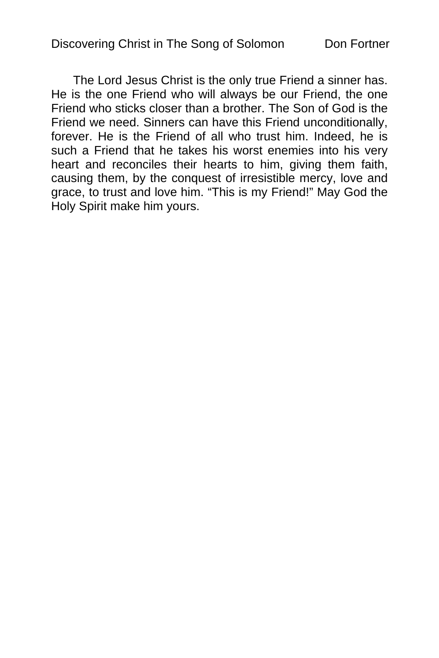The Lord Jesus Christ is the only true Friend a sinner has. He is the one Friend who will always be our Friend, the one Friend who sticks closer than a brother. The Son of God is the Friend we need. Sinners can have this Friend unconditionally, forever. He is the Friend of all who trust him. Indeed, he is such a Friend that he takes his worst enemies into his very heart and reconciles their hearts to him, giving them faith, causing them, by the conquest of irresistible mercy, love and grace, to trust and love him. "This is my Friend!" May God the Holy Spirit make him yours.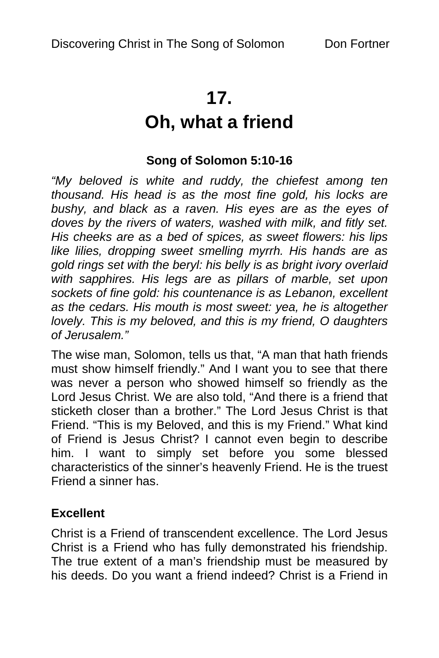# **17.**

# **Oh, what a friend**

## **Song of Solomon 5:10-16**

*"My beloved is white and ruddy, the chiefest among ten thousand. His head is as the most fine gold, his locks are bushy, and black as a raven. His eyes are as the eyes of doves by the rivers of waters, washed with milk, and fitly set. His cheeks are as a bed of spices, as sweet flowers: his lips like lilies, dropping sweet smelling myrrh. His hands are as gold rings set with the beryl: his belly is as bright ivory overlaid with sapphires. His legs are as pillars of marble, set upon sockets of fine gold: his countenance is as Lebanon, excellent as the cedars. His mouth is most sweet: yea, he is altogether lovely. This is my beloved, and this is my friend, O daughters of Jerusalem."* 

The wise man, Solomon, tells us that, "A man that hath friends must show himself friendly." And I want you to see that there was never a person who showed himself so friendly as the Lord Jesus Christ. We are also told, "And there is a friend that sticketh closer than a brother." The Lord Jesus Christ is that Friend. "This is my Beloved, and this is my Friend." What kind of Friend is Jesus Christ? I cannot even begin to describe him. I want to simply set before you some blessed characteristics of the sinner's heavenly Friend. He is the truest Friend a sinner has.

#### **Excellent**

Christ is a Friend of transcendent excellence. The Lord Jesus Christ is a Friend who has fully demonstrated his friendship. The true extent of a man's friendship must be measured by his deeds. Do you want a friend indeed? Christ is a Friend in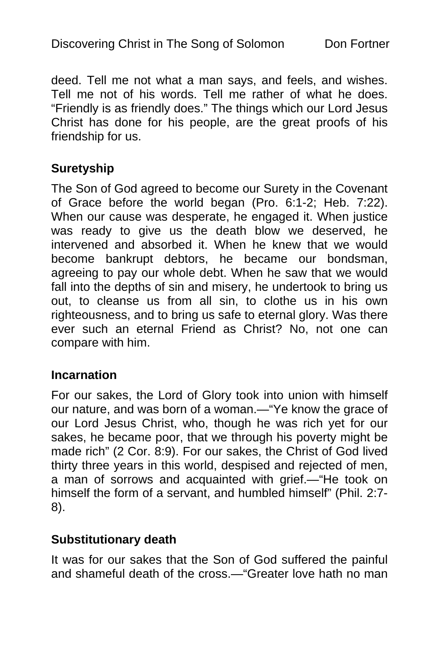deed. Tell me not what a man says, and feels, and wishes. Tell me not of his words. Tell me rather of what he does. "Friendly is as friendly does." The things which our Lord Jesus Christ has done for his people, are the great proofs of his friendship for us.

### **Suretyship**

The Son of God agreed to become our Surety in the Covenant of Grace before the world began (Pro. 6:1-2; Heb. 7:22). When our cause was desperate, he engaged it. When justice was ready to give us the death blow we deserved, he intervened and absorbed it. When he knew that we would become bankrupt debtors, he became our bondsman, agreeing to pay our whole debt. When he saw that we would fall into the depths of sin and misery, he undertook to bring us out, to cleanse us from all sin, to clothe us in his own righteousness, and to bring us safe to eternal glory. Was there ever such an eternal Friend as Christ? No, not one can compare with him.

#### **Incarnation**

For our sakes, the Lord of Glory took into union with himself our nature, and was born of a woman.—"Ye know the grace of our Lord Jesus Christ, who, though he was rich yet for our sakes, he became poor, that we through his poverty might be made rich" (2 Cor. 8:9). For our sakes, the Christ of God lived thirty three years in this world, despised and rejected of men, a man of sorrows and acquainted with grief.—"He took on himself the form of a servant, and humbled himself" (Phil. 2:7- 8).

#### **Substitutionary death**

It was for our sakes that the Son of God suffered the painful and shameful death of the cross.—"Greater love hath no man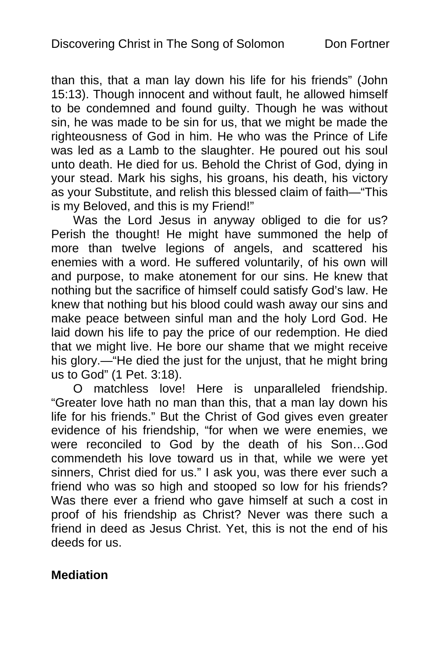than this, that a man lay down his life for his friends" (John 15:13). Though innocent and without fault, he allowed himself to be condemned and found guilty. Though he was without sin, he was made to be sin for us, that we might be made the righteousness of God in him. He who was the Prince of Life was led as a Lamb to the slaughter. He poured out his soul unto death. He died for us. Behold the Christ of God, dying in your stead. Mark his sighs, his groans, his death, his victory as your Substitute, and relish this blessed claim of faith—"This is my Beloved, and this is my Friend!"

Was the Lord Jesus in anyway obliged to die for us? Perish the thought! He might have summoned the help of more than twelve legions of angels, and scattered his enemies with a word. He suffered voluntarily, of his own will and purpose, to make atonement for our sins. He knew that nothing but the sacrifice of himself could satisfy God's law. He knew that nothing but his blood could wash away our sins and make peace between sinful man and the holy Lord God. He laid down his life to pay the price of our redemption. He died that we might live. He bore our shame that we might receive his glory.—"He died the just for the unjust, that he might bring us to God" (1 Pet. 3:18).

O matchless love! Here is unparalleled friendship. "Greater love hath no man than this, that a man lay down his life for his friends." But the Christ of God gives even greater evidence of his friendship, "for when we were enemies, we were reconciled to God by the death of his Son…God commendeth his love toward us in that, while we were yet sinners, Christ died for us." I ask you, was there ever such a friend who was so high and stooped so low for his friends? Was there ever a friend who gave himself at such a cost in proof of his friendship as Christ? Never was there such a friend in deed as Jesus Christ. Yet, this is not the end of his deeds for us.

#### **Mediation**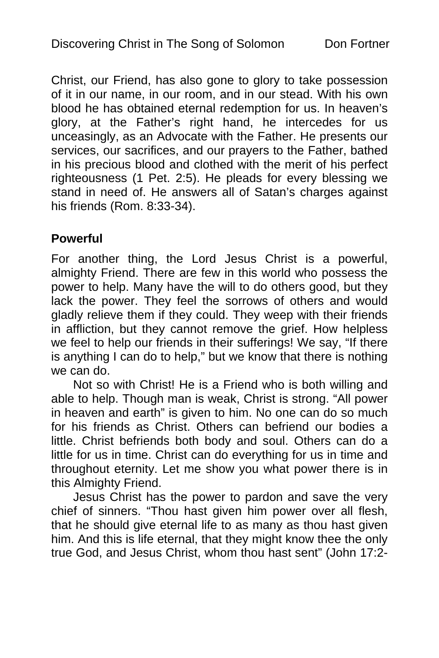Christ, our Friend, has also gone to glory to take possession of it in our name, in our room, and in our stead. With his own blood he has obtained eternal redemption for us. In heaven's glory, at the Father's right hand, he intercedes for us unceasingly, as an Advocate with the Father. He presents our services, our sacrifices, and our prayers to the Father, bathed in his precious blood and clothed with the merit of his perfect righteousness (1 Pet. 2:5). He pleads for every blessing we stand in need of. He answers all of Satan's charges against his friends (Rom. 8:33-34).

#### **Powerful**

For another thing, the Lord Jesus Christ is a powerful, almighty Friend. There are few in this world who possess the power to help. Many have the will to do others good, but they lack the power. They feel the sorrows of others and would gladly relieve them if they could. They weep with their friends in affliction, but they cannot remove the grief. How helpless we feel to help our friends in their sufferings! We say, "If there is anything I can do to help," but we know that there is nothing we can do.

Not so with Christ! He is a Friend who is both willing and able to help. Though man is weak, Christ is strong. "All power in heaven and earth" is given to him. No one can do so much for his friends as Christ. Others can befriend our bodies a little. Christ befriends both body and soul. Others can do a little for us in time. Christ can do everything for us in time and throughout eternity. Let me show you what power there is in this Almighty Friend.

Jesus Christ has the power to pardon and save the very chief of sinners. "Thou hast given him power over all flesh, that he should give eternal life to as many as thou hast given him. And this is life eternal, that they might know thee the only true God, and Jesus Christ, whom thou hast sent" (John 17:2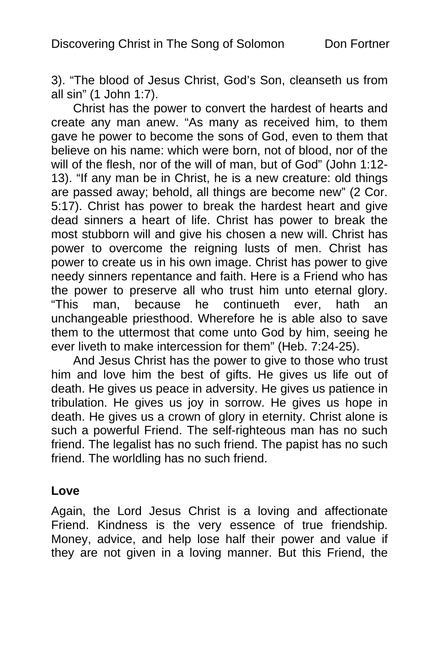3). "The blood of Jesus Christ, God's Son, cleanseth us from all sin" (1 John 1:7).

Christ has the power to convert the hardest of hearts and create any man anew. "As many as received him, to them gave he power to become the sons of God, even to them that believe on his name: which were born, not of blood, nor of the will of the flesh, nor of the will of man, but of God" (John 1:12- 13). "If any man be in Christ, he is a new creature: old things are passed away; behold, all things are become new" (2 Cor. 5:17). Christ has power to break the hardest heart and give dead sinners a heart of life. Christ has power to break the most stubborn will and give his chosen a new will. Christ has power to overcome the reigning lusts of men. Christ has power to create us in his own image. Christ has power to give needy sinners repentance and faith. Here is a Friend who has the power to preserve all who trust him unto eternal glory. "This man, because he continueth ever, hath an unchangeable priesthood. Wherefore he is able also to save them to the uttermost that come unto God by him, seeing he ever liveth to make intercession for them" (Heb. 7:24-25).

And Jesus Christ has the power to give to those who trust him and love him the best of gifts. He gives us life out of death. He gives us peace in adversity. He gives us patience in tribulation. He gives us joy in sorrow. He gives us hope in death. He gives us a crown of glory in eternity. Christ alone is such a powerful Friend. The self-righteous man has no such friend. The legalist has no such friend. The papist has no such friend. The worldling has no such friend.

#### **Love**

Again, the Lord Jesus Christ is a loving and affectionate Friend. Kindness is the very essence of true friendship. Money, advice, and help lose half their power and value if they are not given in a loving manner. But this Friend, the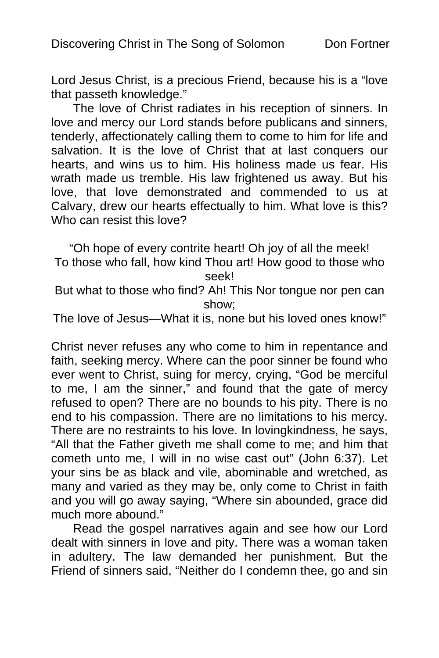Lord Jesus Christ, is a precious Friend, because his is a "love that passeth knowledge."

The love of Christ radiates in his reception of sinners. In love and mercy our Lord stands before publicans and sinners, tenderly, affectionately calling them to come to him for life and salvation. It is the love of Christ that at last conquers our hearts, and wins us to him. His holiness made us fear. His wrath made us tremble. His law frightened us away. But his love, that love demonstrated and commended to us at Calvary, drew our hearts effectually to him. What love is this? Who can resist this love?

"Oh hope of every contrite heart! Oh joy of all the meek! To those who fall, how kind Thou art! How good to those who seek!

But what to those who find? Ah! This Nor tongue nor pen can show;

The love of Jesus—What it is, none but his loved ones know!"

Christ never refuses any who come to him in repentance and faith, seeking mercy. Where can the poor sinner be found who ever went to Christ, suing for mercy, crying, "God be merciful to me, I am the sinner," and found that the gate of mercy refused to open? There are no bounds to his pity. There is no end to his compassion. There are no limitations to his mercy. There are no restraints to his love. In lovingkindness, he says, "All that the Father giveth me shall come to me; and him that cometh unto me, I will in no wise cast out" (John 6:37). Let your sins be as black and vile, abominable and wretched, as many and varied as they may be, only come to Christ in faith and you will go away saying, "Where sin abounded, grace did much more abound."

Read the gospel narratives again and see how our Lord dealt with sinners in love and pity. There was a woman taken in adultery. The law demanded her punishment. But the Friend of sinners said, "Neither do I condemn thee, go and sin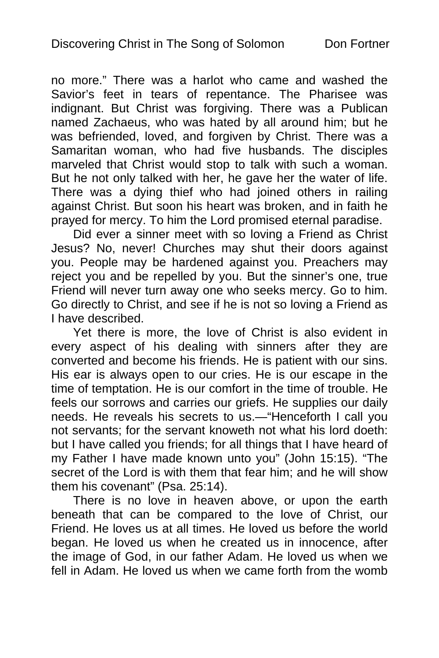no more." There was a harlot who came and washed the Savior's feet in tears of repentance. The Pharisee was indignant. But Christ was forgiving. There was a Publican named Zachaeus, who was hated by all around him; but he was befriended, loved, and forgiven by Christ. There was a Samaritan woman, who had five husbands. The disciples marveled that Christ would stop to talk with such a woman. But he not only talked with her, he gave her the water of life. There was a dying thief who had joined others in railing against Christ. But soon his heart was broken, and in faith he prayed for mercy. To him the Lord promised eternal paradise.

Did ever a sinner meet with so loving a Friend as Christ Jesus? No, never! Churches may shut their doors against you. People may be hardened against you. Preachers may reject you and be repelled by you. But the sinner's one, true Friend will never turn away one who seeks mercy. Go to him. Go directly to Christ, and see if he is not so loving a Friend as I have described.

Yet there is more, the love of Christ is also evident in every aspect of his dealing with sinners after they are converted and become his friends. He is patient with our sins. His ear is always open to our cries. He is our escape in the time of temptation. He is our comfort in the time of trouble. He feels our sorrows and carries our griefs. He supplies our daily needs. He reveals his secrets to us.—"Henceforth I call you not servants; for the servant knoweth not what his lord doeth: but I have called you friends; for all things that I have heard of my Father I have made known unto you" (John 15:15). "The secret of the Lord is with them that fear him; and he will show them his covenant" (Psa. 25:14).

There is no love in heaven above, or upon the earth beneath that can be compared to the love of Christ, our Friend. He loves us at all times. He loved us before the world began. He loved us when he created us in innocence, after the image of God, in our father Adam. He loved us when we fell in Adam. He loved us when we came forth from the womb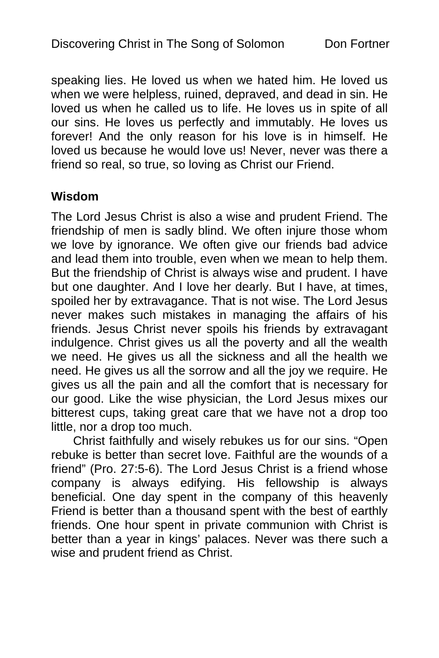speaking lies. He loved us when we hated him. He loved us when we were helpless, ruined, depraved, and dead in sin. He loved us when he called us to life. He loves us in spite of all our sins. He loves us perfectly and immutably. He loves us forever! And the only reason for his love is in himself. He loved us because he would love us! Never, never was there a friend so real, so true, so loving as Christ our Friend.

#### **Wisdom**

The Lord Jesus Christ is also a wise and prudent Friend. The friendship of men is sadly blind. We often injure those whom we love by ignorance. We often give our friends bad advice and lead them into trouble, even when we mean to help them. But the friendship of Christ is always wise and prudent. I have but one daughter. And I love her dearly. But I have, at times, spoiled her by extravagance. That is not wise. The Lord Jesus never makes such mistakes in managing the affairs of his friends. Jesus Christ never spoils his friends by extravagant indulgence. Christ gives us all the poverty and all the wealth we need. He gives us all the sickness and all the health we need. He gives us all the sorrow and all the joy we require. He gives us all the pain and all the comfort that is necessary for our good. Like the wise physician, the Lord Jesus mixes our bitterest cups, taking great care that we have not a drop too little, nor a drop too much.

Christ faithfully and wisely rebukes us for our sins. "Open rebuke is better than secret love. Faithful are the wounds of a friend" (Pro. 27:5-6). The Lord Jesus Christ is a friend whose company is always edifying. His fellowship is always beneficial. One day spent in the company of this heavenly Friend is better than a thousand spent with the best of earthly friends. One hour spent in private communion with Christ is better than a year in kings' palaces. Never was there such a wise and prudent friend as Christ.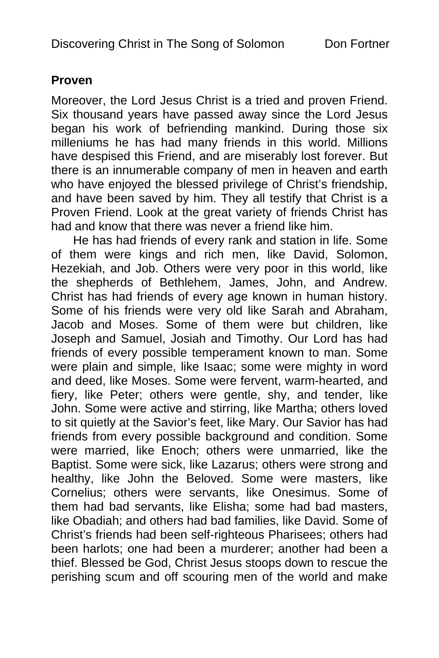#### **Proven**

Moreover, the Lord Jesus Christ is a tried and proven Friend. Six thousand years have passed away since the Lord Jesus began his work of befriending mankind. During those six milleniums he has had many friends in this world. Millions have despised this Friend, and are miserably lost forever. But there is an innumerable company of men in heaven and earth who have enjoyed the blessed privilege of Christ's friendship, and have been saved by him. They all testify that Christ is a Proven Friend. Look at the great variety of friends Christ has had and know that there was never a friend like him.

He has had friends of every rank and station in life. Some of them were kings and rich men, like David, Solomon, Hezekiah, and Job. Others were very poor in this world, like the shepherds of Bethlehem, James, John, and Andrew. Christ has had friends of every age known in human history. Some of his friends were very old like Sarah and Abraham, Jacob and Moses. Some of them were but children, like Joseph and Samuel, Josiah and Timothy. Our Lord has had friends of every possible temperament known to man. Some were plain and simple, like Isaac; some were mighty in word and deed, like Moses. Some were fervent, warm-hearted, and fiery, like Peter; others were gentle, shy, and tender, like John. Some were active and stirring, like Martha; others loved to sit quietly at the Savior's feet, like Mary. Our Savior has had friends from every possible background and condition. Some were married, like Enoch; others were unmarried, like the Baptist. Some were sick, like Lazarus; others were strong and healthy, like John the Beloved. Some were masters, like Cornelius; others were servants, like Onesimus. Some of them had bad servants, like Elisha; some had bad masters, like Obadiah; and others had bad families, like David. Some of Christ's friends had been self-righteous Pharisees; others had been harlots; one had been a murderer; another had been a thief. Blessed be God, Christ Jesus stoops down to rescue the perishing scum and off scouring men of the world and make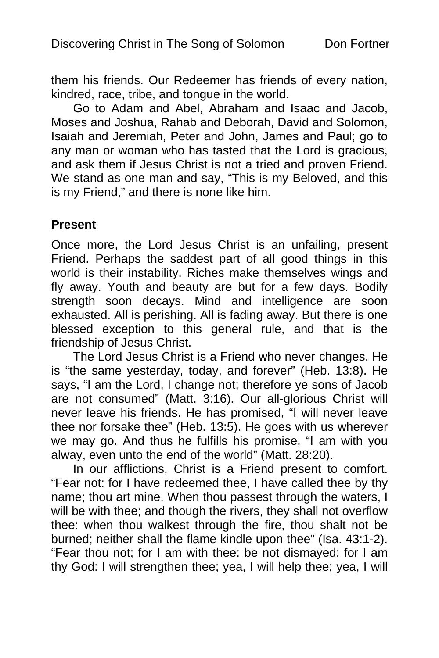them his friends. Our Redeemer has friends of every nation, kindred, race, tribe, and tongue in the world.

Go to Adam and Abel, Abraham and Isaac and Jacob, Moses and Joshua, Rahab and Deborah, David and Solomon, Isaiah and Jeremiah, Peter and John, James and Paul; go to any man or woman who has tasted that the Lord is gracious, and ask them if Jesus Christ is not a tried and proven Friend. We stand as one man and say, "This is my Beloved, and this is my Friend," and there is none like him.

#### **Present**

Once more, the Lord Jesus Christ is an unfailing, present Friend. Perhaps the saddest part of all good things in this world is their instability. Riches make themselves wings and fly away. Youth and beauty are but for a few days. Bodily strength soon decays. Mind and intelligence are soon exhausted. All is perishing. All is fading away. But there is one blessed exception to this general rule, and that is the friendship of Jesus Christ.

The Lord Jesus Christ is a Friend who never changes. He is "the same yesterday, today, and forever" (Heb. 13:8). He says, "I am the Lord, I change not; therefore ye sons of Jacob are not consumed" (Matt. 3:16). Our all-glorious Christ will never leave his friends. He has promised, "I will never leave thee nor forsake thee" (Heb. 13:5). He goes with us wherever we may go. And thus he fulfills his promise, "I am with you alway, even unto the end of the world" (Matt. 28:20).

In our afflictions, Christ is a Friend present to comfort. "Fear not: for I have redeemed thee, I have called thee by thy name; thou art mine. When thou passest through the waters, I will be with thee; and though the rivers, they shall not overflow thee: when thou walkest through the fire, thou shalt not be burned; neither shall the flame kindle upon thee" (Isa. 43:1-2). "Fear thou not; for I am with thee: be not dismayed; for I am thy God: I will strengthen thee; yea, I will help thee; yea, I will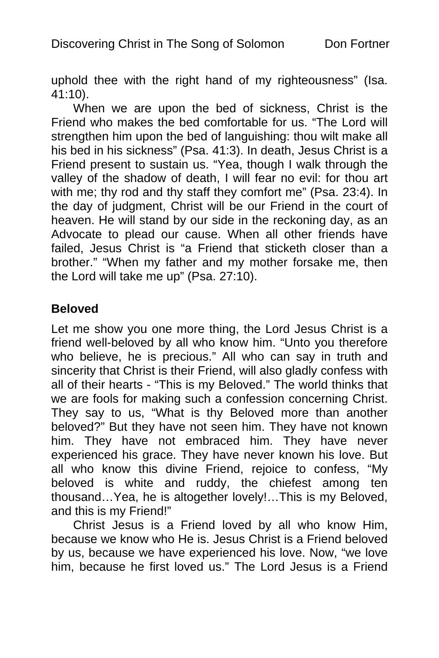uphold thee with the right hand of my righteousness" (Isa. 41:10).

When we are upon the bed of sickness, Christ is the Friend who makes the bed comfortable for us. "The Lord will strengthen him upon the bed of languishing: thou wilt make all his bed in his sickness" (Psa. 41:3). In death, Jesus Christ is a Friend present to sustain us. "Yea, though I walk through the valley of the shadow of death, I will fear no evil: for thou art with me; thy rod and thy staff they comfort me" (Psa. 23:4). In the day of judgment, Christ will be our Friend in the court of heaven. He will stand by our side in the reckoning day, as an Advocate to plead our cause. When all other friends have failed, Jesus Christ is "a Friend that sticketh closer than a brother." "When my father and my mother forsake me, then the Lord will take me up" (Psa. 27:10).

#### **Beloved**

Let me show you one more thing, the Lord Jesus Christ is a friend well-beloved by all who know him. "Unto you therefore who believe, he is precious." All who can say in truth and sincerity that Christ is their Friend, will also gladly confess with all of their hearts - "This is my Beloved." The world thinks that we are fools for making such a confession concerning Christ. They say to us, "What is thy Beloved more than another beloved?" But they have not seen him. They have not known him. They have not embraced him. They have never experienced his grace. They have never known his love. But all who know this divine Friend, rejoice to confess, "My beloved is white and ruddy, the chiefest among ten thousand…Yea, he is altogether lovely!…This is my Beloved, and this is my Friend!"

Christ Jesus is a Friend loved by all who know Him, because we know who He is. Jesus Christ is a Friend beloved by us, because we have experienced his love. Now, "we love him, because he first loved us." The Lord Jesus is a Friend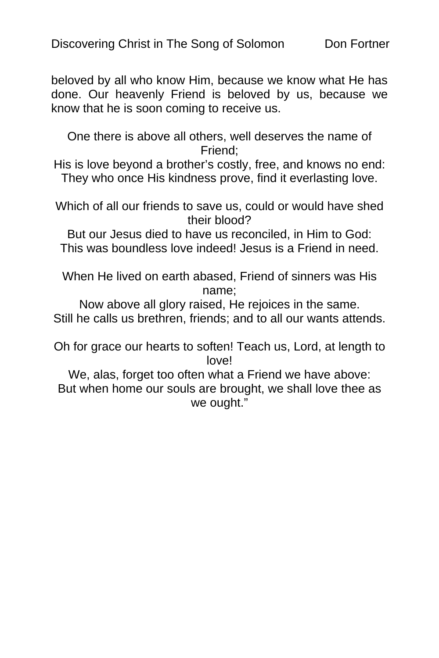beloved by all who know Him, because we know what He has done. Our heavenly Friend is beloved by us, because we know that he is soon coming to receive us.

One there is above all others, well deserves the name of Friend;

His is love beyond a brother's costly, free, and knows no end: They who once His kindness prove, find it everlasting love.

Which of all our friends to save us, could or would have shed their blood?

But our Jesus died to have us reconciled, in Him to God: This was boundless love indeed! Jesus is a Friend in need.

When He lived on earth abased, Friend of sinners was His name;

Now above all glory raised, He rejoices in the same. Still he calls us brethren, friends; and to all our wants attends.

Oh for grace our hearts to soften! Teach us, Lord, at length to love!

We, alas, forget too often what a Friend we have above: But when home our souls are brought, we shall love thee as we ought."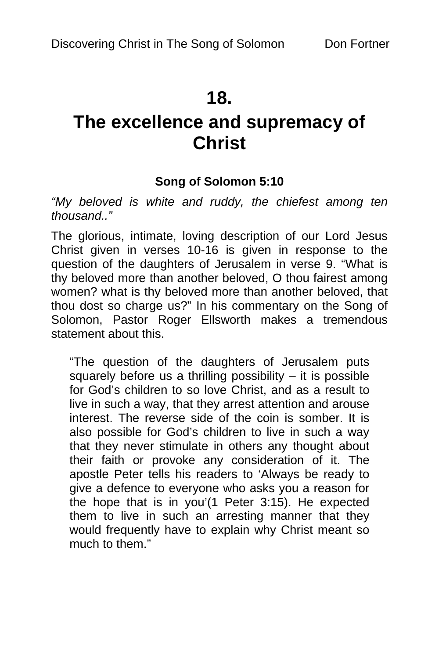# **18.**

# **The excellence and supremacy of Christ**

## **Song of Solomon 5:10**

*"My beloved is white and ruddy, the chiefest among ten thousand.."* 

The glorious, intimate, loving description of our Lord Jesus Christ given in verses 10-16 is given in response to the question of the daughters of Jerusalem in verse 9. "What is thy beloved more than another beloved, O thou fairest among women? what is thy beloved more than another beloved, that thou dost so charge us?" In his commentary on the Song of Solomon, Pastor Roger Ellsworth makes a tremendous statement about this.

"The question of the daughters of Jerusalem puts squarely before us a thrilling possibility – it is possible for God's children to so love Christ, and as a result to live in such a way, that they arrest attention and arouse interest. The reverse side of the coin is somber. It is also possible for God's children to live in such a way that they never stimulate in others any thought about their faith or provoke any consideration of it. The apostle Peter tells his readers to 'Always be ready to give a defence to everyone who asks you a reason for the hope that is in you'(1 Peter 3:15). He expected them to live in such an arresting manner that they would frequently have to explain why Christ meant so much to them."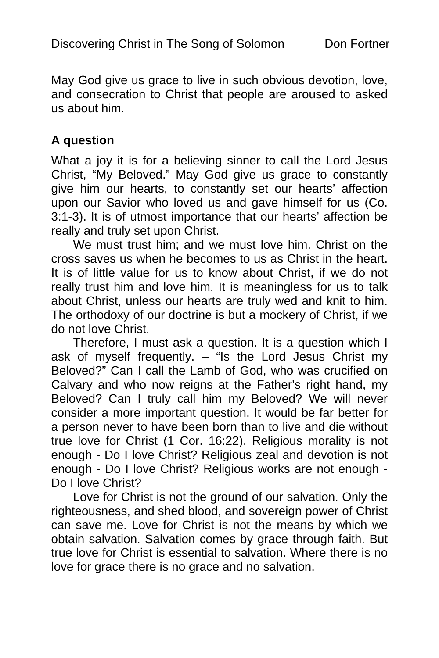May God give us grace to live in such obvious devotion, love, and consecration to Christ that people are aroused to asked us about him.

#### **A question**

What a joy it is for a believing sinner to call the Lord Jesus Christ, "My Beloved." May God give us grace to constantly give him our hearts, to constantly set our hearts' affection upon our Savior who loved us and gave himself for us (Co. 3:1-3). It is of utmost importance that our hearts' affection be really and truly set upon Christ.

We must trust him; and we must love him. Christ on the cross saves us when he becomes to us as Christ in the heart. It is of little value for us to know about Christ, if we do not really trust him and love him. It is meaningless for us to talk about Christ, unless our hearts are truly wed and knit to him. The orthodoxy of our doctrine is but a mockery of Christ, if we do not love Christ.

Therefore, I must ask a question. It is a question which I ask of myself frequently. – "Is the Lord Jesus Christ my Beloved?" Can I call the Lamb of God, who was crucified on Calvary and who now reigns at the Father's right hand, my Beloved? Can I truly call him my Beloved? We will never consider a more important question. It would be far better for a person never to have been born than to live and die without true love for Christ (1 Cor. 16:22). Religious morality is not enough - Do I love Christ? Religious zeal and devotion is not enough - Do I love Christ? Religious works are not enough - Do I love Christ?

Love for Christ is not the ground of our salvation. Only the righteousness, and shed blood, and sovereign power of Christ can save me. Love for Christ is not the means by which we obtain salvation. Salvation comes by grace through faith. But true love for Christ is essential to salvation. Where there is no love for grace there is no grace and no salvation.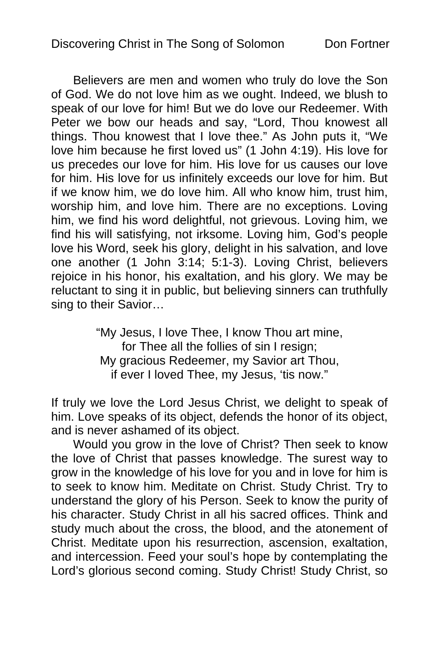Believers are men and women who truly do love the Son of God. We do not love him as we ought. Indeed, we blush to speak of our love for him! But we do love our Redeemer. With Peter we bow our heads and say, "Lord, Thou knowest all things. Thou knowest that I love thee." As John puts it, "We love him because he first loved us" (1 John 4:19). His love for us precedes our love for him. His love for us causes our love for him. His love for us infinitely exceeds our love for him. But if we know him, we do love him. All who know him, trust him, worship him, and love him. There are no exceptions. Loving him, we find his word delightful, not grievous. Loving him, we find his will satisfying, not irksome. Loving him, God's people love his Word, seek his glory, delight in his salvation, and love one another (1 John 3:14; 5:1-3). Loving Christ, believers rejoice in his honor, his exaltation, and his glory. We may be reluctant to sing it in public, but believing sinners can truthfully sing to their Savior…

> "My Jesus, I love Thee, I know Thou art mine, for Thee all the follies of sin I resign; My gracious Redeemer, my Savior art Thou, if ever I loved Thee, my Jesus, 'tis now."

If truly we love the Lord Jesus Christ, we delight to speak of him. Love speaks of its object, defends the honor of its object, and is never ashamed of its object.

Would you grow in the love of Christ? Then seek to know the love of Christ that passes knowledge. The surest way to grow in the knowledge of his love for you and in love for him is to seek to know him. Meditate on Christ. Study Christ. Try to understand the glory of his Person. Seek to know the purity of his character. Study Christ in all his sacred offices. Think and study much about the cross, the blood, and the atonement of Christ. Meditate upon his resurrection, ascension, exaltation, and intercession. Feed your soul's hope by contemplating the Lord's glorious second coming. Study Christ! Study Christ, so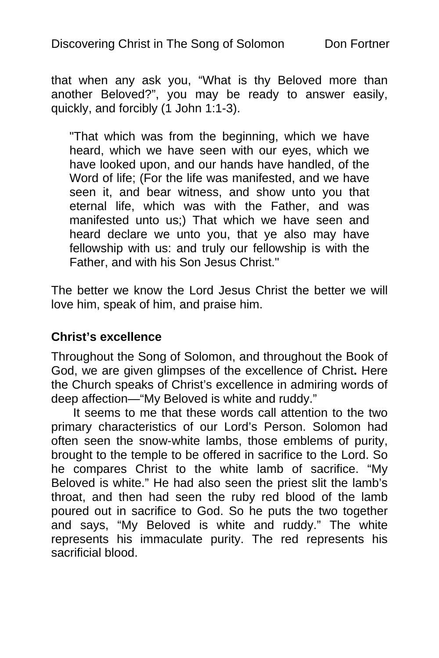that when any ask you, "What is thy Beloved more than another Beloved?", you may be ready to answer easily, quickly, and forcibly (1 John 1:1-3).

"That which was from the beginning, which we have heard, which we have seen with our eyes, which we have looked upon, and our hands have handled, of the Word of life; (For the life was manifested, and we have seen it, and bear witness, and show unto you that eternal life, which was with the Father, and was manifested unto us;) That which we have seen and heard declare we unto you, that ye also may have fellowship with us: and truly our fellowship is with the Father, and with his Son Jesus Christ."

The better we know the Lord Jesus Christ the better we will love him, speak of him, and praise him.

#### **Christ's excellence**

Throughout the Song of Solomon, and throughout the Book of God, we are given glimpses of the excellence of Christ**.** Here the Church speaks of Christ's excellence in admiring words of deep affection—"My Beloved is white and ruddy."

It seems to me that these words call attention to the two primary characteristics of our Lord's Person. Solomon had often seen the snow-white lambs, those emblems of purity, brought to the temple to be offered in sacrifice to the Lord. So he compares Christ to the white lamb of sacrifice. "My Beloved is white." He had also seen the priest slit the lamb's throat, and then had seen the ruby red blood of the lamb poured out in sacrifice to God. So he puts the two together and says, "My Beloved is white and ruddy." The white represents his immaculate purity. The red represents his sacrificial blood.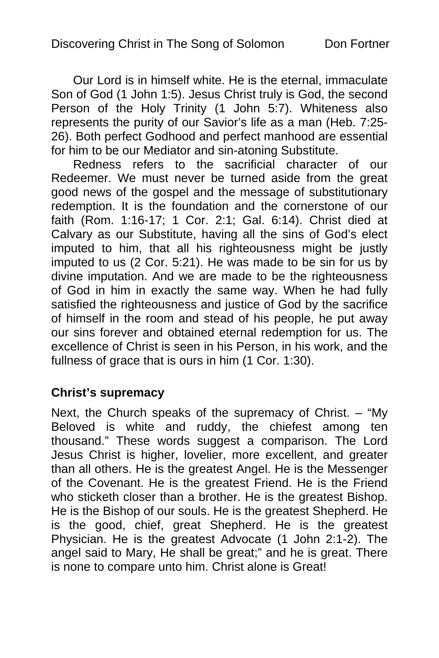Our Lord is in himself white. He is the eternal, immaculate Son of God (1 John 1:5). Jesus Christ truly is God, the second Person of the Holy Trinity (1 John 5:7). Whiteness also represents the purity of our Savior's life as a man (Heb. 7:25- 26). Both perfect Godhood and perfect manhood are essential for him to be our Mediator and sin-atoning Substitute.

Redness refers to the sacrificial character of our Redeemer. We must never be turned aside from the great good news of the gospel and the message of substitutionary redemption. It is the foundation and the cornerstone of our faith (Rom. 1:16-17; 1 Cor. 2:1; Gal. 6:14). Christ died at Calvary as our Substitute, having all the sins of God's elect imputed to him, that all his righteousness might be justly imputed to us (2 Cor. 5:21). He was made to be sin for us by divine imputation. And we are made to be the righteousness of God in him in exactly the same way. When he had fully satisfied the righteousness and justice of God by the sacrifice of himself in the room and stead of his people, he put away our sins forever and obtained eternal redemption for us. The excellence of Christ is seen in his Person, in his work, and the fullness of grace that is ours in him (1 Cor. 1:30).

#### **Christ's supremacy**

Next, the Church speaks of the supremacy of Christ. – "My Beloved is white and ruddy, the chiefest among ten thousand." These words suggest a comparison. The Lord Jesus Christ is higher, lovelier, more excellent, and greater than all others. He is the greatest Angel. He is the Messenger of the Covenant. He is the greatest Friend. He is the Friend who sticketh closer than a brother. He is the greatest Bishop. He is the Bishop of our souls. He is the greatest Shepherd. He is the good, chief, great Shepherd. He is the greatest Physician. He is the greatest Advocate (1 John 2:1-2). The angel said to Mary, He shall be great;" and he is great. There is none to compare unto him. Christ alone is Great!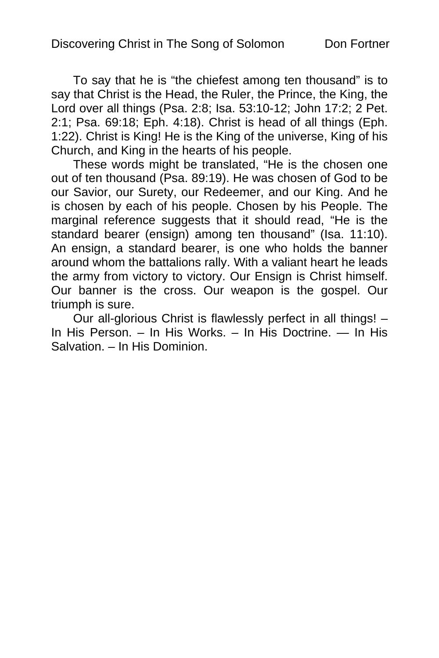To say that he is "the chiefest among ten thousand" is to say that Christ is the Head, the Ruler, the Prince, the King, the Lord over all things (Psa. 2:8; Isa. 53:10-12; John 17:2; 2 Pet. 2:1; Psa. 69:18; Eph. 4:18). Christ is head of all things (Eph. 1:22). Christ is King! He is the King of the universe, King of his Church, and King in the hearts of his people.

These words might be translated, "He is the chosen one out of ten thousand (Psa. 89:19). He was chosen of God to be our Savior, our Surety, our Redeemer, and our King. And he is chosen by each of his people. Chosen by his People. The marginal reference suggests that it should read, "He is the standard bearer (ensign) among ten thousand" (Isa. 11:10). An ensign, a standard bearer, is one who holds the banner around whom the battalions rally. With a valiant heart he leads the army from victory to victory. Our Ensign is Christ himself. Our banner is the cross. Our weapon is the gospel. Our triumph is sure.

Our all-glorious Christ is flawlessly perfect in all things! – In His Person. – In His Works. – In His Doctrine. — In His Salvation. – In His Dominion.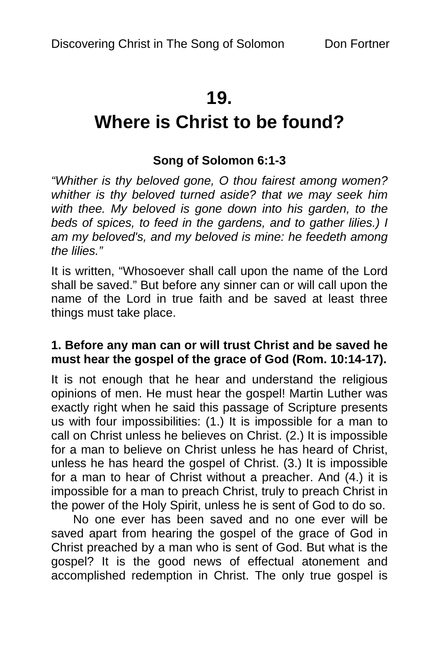# **19.**

# **Where is Christ to be found?**

## **Song of Solomon 6:1-3**

*"Whither is thy beloved gone, O thou fairest among women? whither is thy beloved turned aside? that we may seek him with thee. My beloved is gone down into his garden, to the beds of spices, to feed in the gardens, and to gather lilies.) I am my beloved's, and my beloved is mine: he feedeth among the lilies."* 

It is written, "Whosoever shall call upon the name of the Lord shall be saved." But before any sinner can or will call upon the name of the Lord in true faith and be saved at least three things must take place.

#### **1. Before any man can or will trust Christ and be saved he must hear the gospel of the grace of God (Rom. 10:14-17).**

It is not enough that he hear and understand the religious opinions of men. He must hear the gospel! Martin Luther was exactly right when he said this passage of Scripture presents us with four impossibilities: (1.) It is impossible for a man to call on Christ unless he believes on Christ. (2.) It is impossible for a man to believe on Christ unless he has heard of Christ, unless he has heard the gospel of Christ. (3.) It is impossible for a man to hear of Christ without a preacher. And (4.) it is impossible for a man to preach Christ, truly to preach Christ in the power of the Holy Spirit, unless he is sent of God to do so.

No one ever has been saved and no one ever will be saved apart from hearing the gospel of the grace of God in Christ preached by a man who is sent of God. But what is the gospel? It is the good news of effectual atonement and accomplished redemption in Christ. The only true gospel is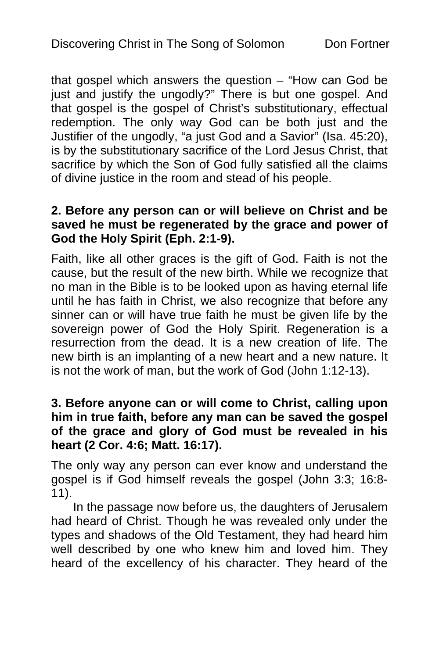that gospel which answers the question – "How can God be just and justify the ungodly?" There is but one gospel. And that gospel is the gospel of Christ's substitutionary, effectual redemption. The only way God can be both just and the Justifier of the ungodly, "a just God and a Savior" (Isa. 45:20), is by the substitutionary sacrifice of the Lord Jesus Christ, that sacrifice by which the Son of God fully satisfied all the claims of divine justice in the room and stead of his people.

#### **2. Before any person can or will believe on Christ and be saved he must be regenerated by the grace and power of God the Holy Spirit (Eph. 2:1-9).**

Faith, like all other graces is the gift of God. Faith is not the cause, but the result of the new birth. While we recognize that no man in the Bible is to be looked upon as having eternal life until he has faith in Christ, we also recognize that before any sinner can or will have true faith he must be given life by the sovereign power of God the Holy Spirit. Regeneration is a resurrection from the dead. It is a new creation of life. The new birth is an implanting of a new heart and a new nature. It is not the work of man, but the work of God (John 1:12-13).

#### **3. Before anyone can or will come to Christ, calling upon him in true faith, before any man can be saved the gospel of the grace and glory of God must be revealed in his heart (2 Cor. 4:6; Matt. 16:17).**

The only way any person can ever know and understand the gospel is if God himself reveals the gospel (John 3:3; 16:8- 11).

In the passage now before us, the daughters of Jerusalem had heard of Christ. Though he was revealed only under the types and shadows of the Old Testament, they had heard him well described by one who knew him and loved him. They heard of the excellency of his character. They heard of the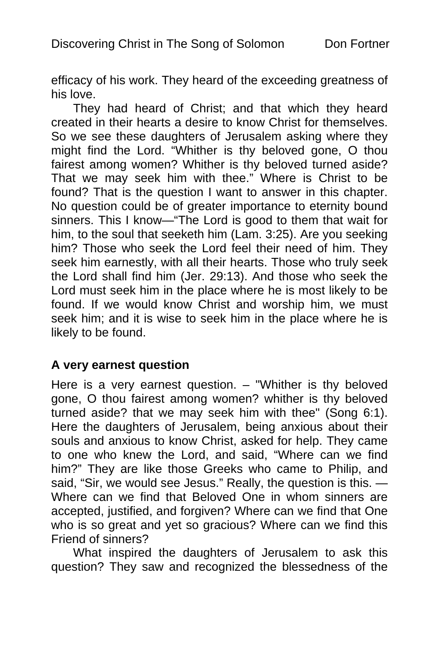efficacy of his work. They heard of the exceeding greatness of his love.

They had heard of Christ; and that which they heard created in their hearts a desire to know Christ for themselves. So we see these daughters of Jerusalem asking where they might find the Lord. "Whither is thy beloved gone, O thou fairest among women? Whither is thy beloved turned aside? That we may seek him with thee." Where is Christ to be found? That is the question I want to answer in this chapter. No question could be of greater importance to eternity bound sinners. This I know—"The Lord is good to them that wait for him, to the soul that seeketh him (Lam. 3:25). Are you seeking him? Those who seek the Lord feel their need of him. They seek him earnestly, with all their hearts. Those who truly seek the Lord shall find him (Jer. 29:13). And those who seek the Lord must seek him in the place where he is most likely to be found. If we would know Christ and worship him, we must seek him; and it is wise to seek him in the place where he is likely to be found.

#### **A very earnest question**

Here is a very earnest question. – "Whither is thy beloved gone, O thou fairest among women? whither is thy beloved turned aside? that we may seek him with thee" (Song 6:1). Here the daughters of Jerusalem, being anxious about their souls and anxious to know Christ, asked for help. They came to one who knew the Lord, and said, "Where can we find him?" They are like those Greeks who came to Philip, and said, "Sir, we would see Jesus." Really, the question is this. — Where can we find that Beloved One in whom sinners are accepted, justified, and forgiven? Where can we find that One who is so great and yet so gracious? Where can we find this Friend of sinners?

What inspired the daughters of Jerusalem to ask this question? They saw and recognized the blessedness of the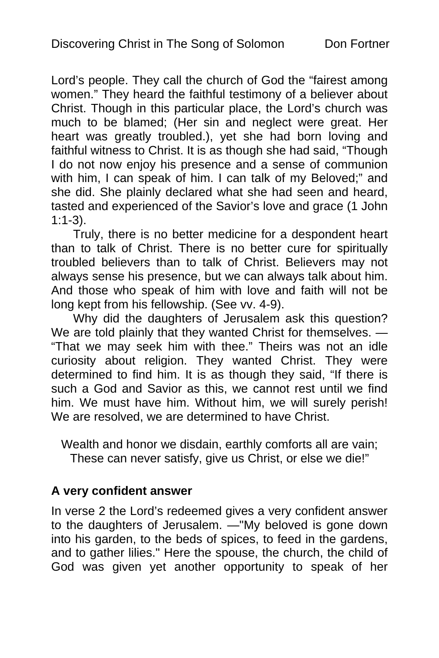Lord's people. They call the church of God the "fairest among women." They heard the faithful testimony of a believer about Christ. Though in this particular place, the Lord's church was much to be blamed; (Her sin and neglect were great. Her heart was greatly troubled.), yet she had born loving and faithful witness to Christ. It is as though she had said, "Though I do not now enjoy his presence and a sense of communion with him, I can speak of him. I can talk of my Beloved;" and she did. She plainly declared what she had seen and heard, tasted and experienced of the Savior's love and grace (1 John 1:1-3).

Truly, there is no better medicine for a despondent heart than to talk of Christ. There is no better cure for spiritually troubled believers than to talk of Christ. Believers may not always sense his presence, but we can always talk about him. And those who speak of him with love and faith will not be long kept from his fellowship. (See vv. 4-9).

Why did the daughters of Jerusalem ask this question? We are told plainly that they wanted Christ for themselves. -"That we may seek him with thee." Theirs was not an idle curiosity about religion. They wanted Christ. They were determined to find him. It is as though they said, "If there is such a God and Savior as this, we cannot rest until we find him. We must have him. Without him, we will surely perish! We are resolved, we are determined to have Christ.

Wealth and honor we disdain, earthly comforts all are vain; These can never satisfy, give us Christ, or else we die!"

## **A very confident answer**

In verse 2 the Lord's redeemed gives a very confident answer to the daughters of Jerusalem. —"My beloved is gone down into his garden, to the beds of spices, to feed in the gardens, and to gather lilies." Here the spouse, the church, the child of God was given yet another opportunity to speak of her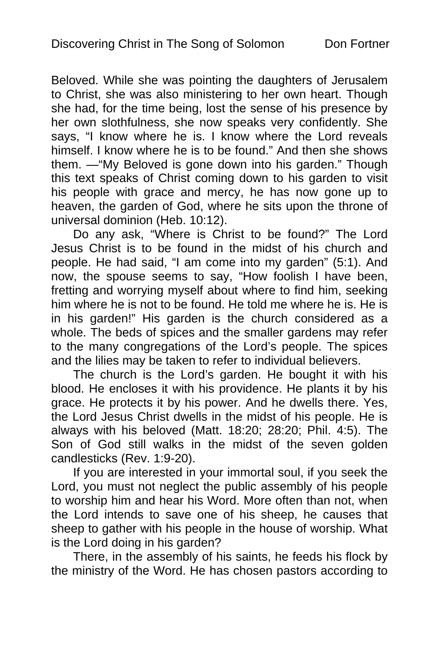Beloved. While she was pointing the daughters of Jerusalem to Christ, she was also ministering to her own heart. Though she had, for the time being, lost the sense of his presence by her own slothfulness, she now speaks very confidently. She says, "I know where he is. I know where the Lord reveals himself. I know where he is to be found." And then she shows them. —"My Beloved is gone down into his garden." Though this text speaks of Christ coming down to his garden to visit his people with grace and mercy, he has now gone up to heaven, the garden of God, where he sits upon the throne of universal dominion (Heb. 10:12).

Do any ask, "Where is Christ to be found?" The Lord Jesus Christ is to be found in the midst of his church and people. He had said, "I am come into my garden" (5:1). And now, the spouse seems to say, "How foolish I have been, fretting and worrying myself about where to find him, seeking him where he is not to be found. He told me where he is. He is in his garden!" His garden is the church considered as a whole. The beds of spices and the smaller gardens may refer to the many congregations of the Lord's people. The spices and the lilies may be taken to refer to individual believers.

The church is the Lord's garden. He bought it with his blood. He encloses it with his providence. He plants it by his grace. He protects it by his power. And he dwells there. Yes, the Lord Jesus Christ dwells in the midst of his people. He is always with his beloved (Matt. 18:20; 28:20; Phil. 4:5). The Son of God still walks in the midst of the seven golden candlesticks (Rev. 1:9-20).

If you are interested in your immortal soul, if you seek the Lord, you must not neglect the public assembly of his people to worship him and hear his Word. More often than not, when the Lord intends to save one of his sheep, he causes that sheep to gather with his people in the house of worship. What is the Lord doing in his garden?

There, in the assembly of his saints, he feeds his flock by the ministry of the Word. He has chosen pastors according to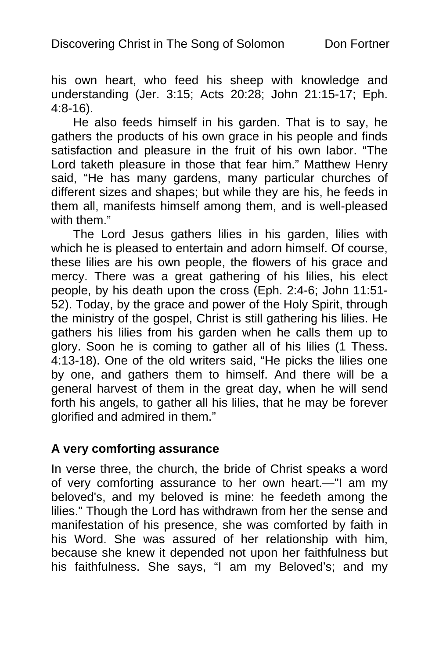his own heart, who feed his sheep with knowledge and understanding (Jer. 3:15; Acts 20:28; John 21:15-17; Eph. 4:8-16).

He also feeds himself in his garden. That is to say, he gathers the products of his own grace in his people and finds satisfaction and pleasure in the fruit of his own labor. "The Lord taketh pleasure in those that fear him." Matthew Henry said, "He has many gardens, many particular churches of different sizes and shapes; but while they are his, he feeds in them all, manifests himself among them, and is well-pleased with them."

The Lord Jesus gathers lilies in his garden, lilies with which he is pleased to entertain and adorn himself. Of course, these lilies are his own people, the flowers of his grace and mercy. There was a great gathering of his lilies, his elect people, by his death upon the cross (Eph. 2:4-6; John 11:51- 52). Today, by the grace and power of the Holy Spirit, through the ministry of the gospel, Christ is still gathering his lilies. He gathers his lilies from his garden when he calls them up to glory. Soon he is coming to gather all of his lilies (1 Thess. 4:13-18). One of the old writers said, "He picks the lilies one by one, and gathers them to himself. And there will be a general harvest of them in the great day, when he will send forth his angels, to gather all his lilies, that he may be forever glorified and admired in them."

#### **A very comforting assurance**

In verse three, the church, the bride of Christ speaks a word of very comforting assurance to her own heart.—"I am my beloved's, and my beloved is mine: he feedeth among the lilies." Though the Lord has withdrawn from her the sense and manifestation of his presence, she was comforted by faith in his Word. She was assured of her relationship with him, because she knew it depended not upon her faithfulness but his faithfulness. She says, "I am my Beloved's; and my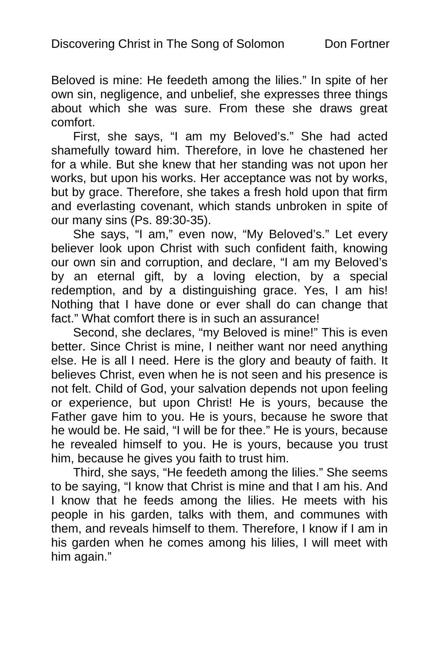Beloved is mine: He feedeth among the lilies." In spite of her own sin, negligence, and unbelief, she expresses three things about which she was sure. From these she draws great comfort.

First, she says, "I am my Beloved's." She had acted shamefully toward him. Therefore, in love he chastened her for a while. But she knew that her standing was not upon her works, but upon his works. Her acceptance was not by works, but by grace. Therefore, she takes a fresh hold upon that firm and everlasting covenant, which stands unbroken in spite of our many sins (Ps. 89:30-35).

She says, "I am," even now, "My Beloved's." Let every believer look upon Christ with such confident faith, knowing our own sin and corruption, and declare, "I am my Beloved's by an eternal gift, by a loving election, by a special redemption, and by a distinguishing grace. Yes, I am his! Nothing that I have done or ever shall do can change that fact." What comfort there is in such an assurance!

Second, she declares, "my Beloved is mine!" This is even better. Since Christ is mine, I neither want nor need anything else. He is all I need. Here is the glory and beauty of faith. It believes Christ, even when he is not seen and his presence is not felt. Child of God, your salvation depends not upon feeling or experience, but upon Christ! He is yours, because the Father gave him to you. He is yours, because he swore that he would be. He said, "I will be for thee." He is yours, because he revealed himself to you. He is yours, because you trust him, because he gives you faith to trust him.

Third, she says, "He feedeth among the lilies." She seems to be saying, "I know that Christ is mine and that I am his. And I know that he feeds among the lilies. He meets with his people in his garden, talks with them, and communes with them, and reveals himself to them. Therefore, I know if I am in his garden when he comes among his lilies, I will meet with him again."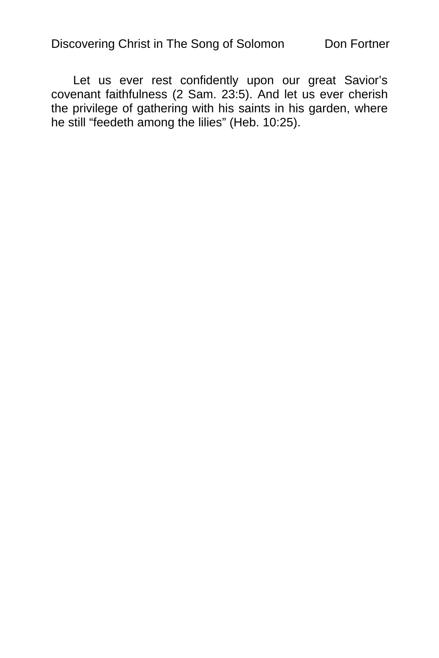Let us ever rest confidently upon our great Savior's covenant faithfulness (2 Sam. 23:5). And let us ever cherish the privilege of gathering with his saints in his garden, where he still "feedeth among the lilies" (Heb. 10:25).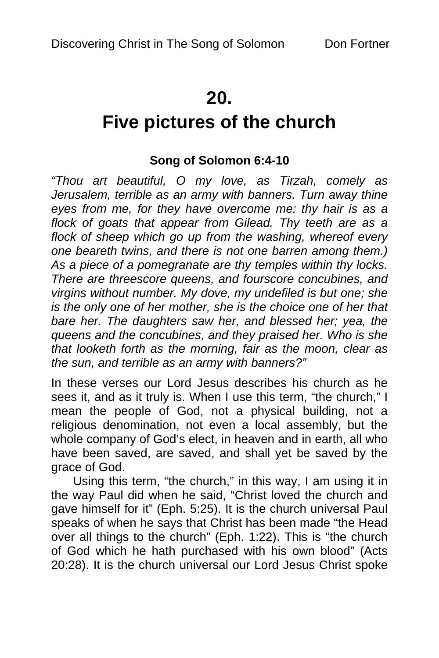# **20.**

# **Five pictures of the church**

## **Song of Solomon 6:4-10**

*"Thou art beautiful, O my love, as Tirzah, comely as Jerusalem, terrible as an army with banners. Turn away thine eyes from me, for they have overcome me: thy hair is as a flock of goats that appear from Gilead. Thy teeth are as a flock of sheep which go up from the washing, whereof every one beareth twins, and there is not one barren among them.) As a piece of a pomegranate are thy temples within thy locks. There are threescore queens, and fourscore concubines, and virgins without number. My dove, my undefiled is but one; she is the only one of her mother, she is the choice one of her that bare her. The daughters saw her, and blessed her; yea, the queens and the concubines, and they praised her. Who is she that looketh forth as the morning, fair as the moon, clear as the sun, and terrible as an army with banners?"* 

In these verses our Lord Jesus describes his church as he sees it, and as it truly is. When I use this term, "the church," I mean the people of God, not a physical building, not a religious denomination, not even a local assembly, but the whole company of God's elect, in heaven and in earth, all who have been saved, are saved, and shall yet be saved by the grace of God.

Using this term, "the church," in this way, I am using it in the way Paul did when he said, "Christ loved the church and gave himself for it" (Eph. 5:25). It is the church universal Paul speaks of when he says that Christ has been made "the Head over all things to the church" (Eph. 1:22). This is "the church of God which he hath purchased with his own blood" (Acts 20:28). It is the church universal our Lord Jesus Christ spoke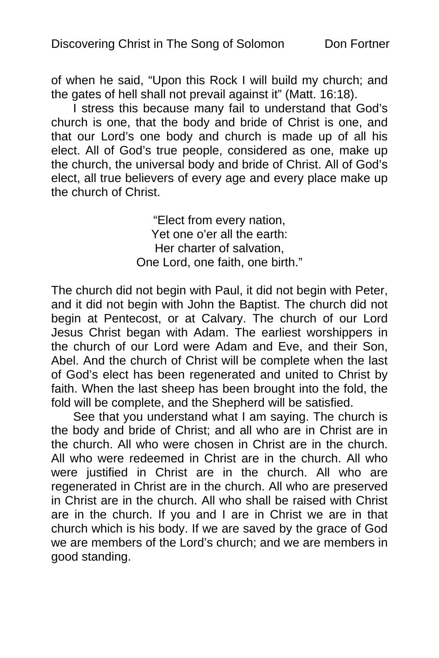of when he said, "Upon this Rock I will build my church; and the gates of hell shall not prevail against it" (Matt. 16:18).

I stress this because many fail to understand that God's church is one, that the body and bride of Christ is one, and that our Lord's one body and church is made up of all his elect. All of God's true people, considered as one, make up the church, the universal body and bride of Christ. All of God's elect, all true believers of every age and every place make up the church of Christ.

> "Elect from every nation, Yet one o'er all the earth: Her charter of salvation, One Lord, one faith, one birth."

The church did not begin with Paul, it did not begin with Peter, and it did not begin with John the Baptist. The church did not begin at Pentecost, or at Calvary. The church of our Lord Jesus Christ began with Adam. The earliest worshippers in the church of our Lord were Adam and Eve, and their Son, Abel. And the church of Christ will be complete when the last of God's elect has been regenerated and united to Christ by faith. When the last sheep has been brought into the fold, the fold will be complete, and the Shepherd will be satisfied.

See that you understand what I am saying. The church is the body and bride of Christ; and all who are in Christ are in the church. All who were chosen in Christ are in the church. All who were redeemed in Christ are in the church. All who were justified in Christ are in the church. All who are regenerated in Christ are in the church. All who are preserved in Christ are in the church. All who shall be raised with Christ are in the church. If you and I are in Christ we are in that church which is his body. If we are saved by the grace of God we are members of the Lord's church; and we are members in good standing.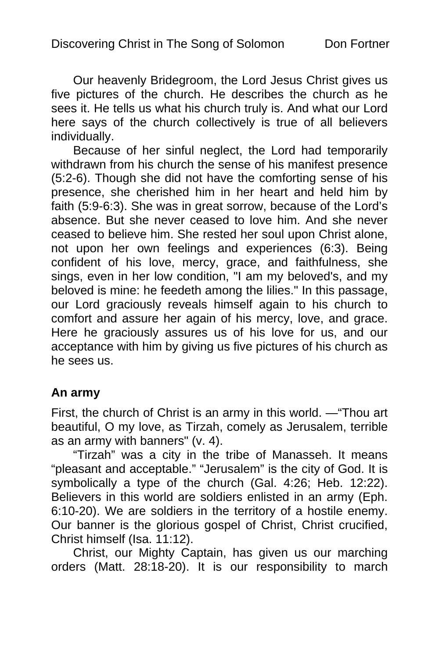Our heavenly Bridegroom, the Lord Jesus Christ gives us five pictures of the church. He describes the church as he sees it. He tells us what his church truly is. And what our Lord here says of the church collectively is true of all believers individually.

Because of her sinful neglect, the Lord had temporarily withdrawn from his church the sense of his manifest presence (5:2-6). Though she did not have the comforting sense of his presence, she cherished him in her heart and held him by faith (5:9-6:3). She was in great sorrow, because of the Lord's absence. But she never ceased to love him. And she never ceased to believe him. She rested her soul upon Christ alone, not upon her own feelings and experiences (6:3). Being confident of his love, mercy, grace, and faithfulness, she sings, even in her low condition, "I am my beloved's, and my beloved is mine: he feedeth among the lilies." In this passage, our Lord graciously reveals himself again to his church to comfort and assure her again of his mercy, love, and grace. Here he graciously assures us of his love for us, and our acceptance with him by giving us five pictures of his church as he sees us.

#### **An army**

First, the church of Christ is an army in this world. —"Thou art beautiful, O my love, as Tirzah, comely as Jerusalem, terrible as an army with banners" (v. 4).

"Tirzah" was a city in the tribe of Manasseh. It means "pleasant and acceptable." "Jerusalem" is the city of God. It is symbolically a type of the church (Gal. 4:26; Heb. 12:22). Believers in this world are soldiers enlisted in an army (Eph. 6:10-20). We are soldiers in the territory of a hostile enemy. Our banner is the glorious gospel of Christ, Christ crucified, Christ himself (Isa. 11:12).

Christ, our Mighty Captain, has given us our marching orders (Matt. 28:18-20). It is our responsibility to march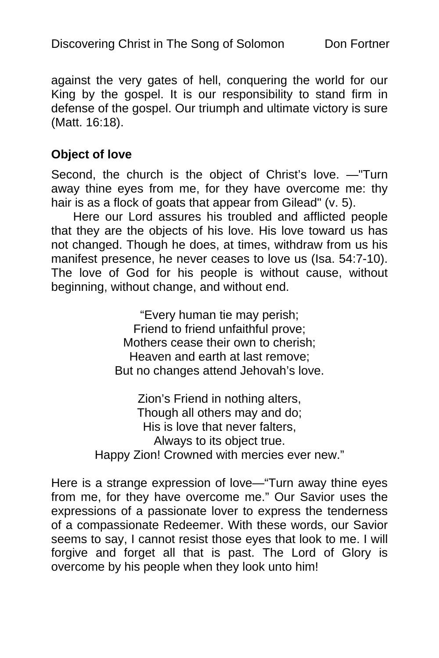against the very gates of hell, conquering the world for our King by the gospel. It is our responsibility to stand firm in defense of the gospel. Our triumph and ultimate victory is sure (Matt. 16:18).

#### **Object of love**

Second, the church is the object of Christ's love. —"Turn away thine eyes from me, for they have overcome me: thy hair is as a flock of goats that appear from Gilead" (v. 5).

Here our Lord assures his troubled and afflicted people that they are the objects of his love. His love toward us has not changed. Though he does, at times, withdraw from us his manifest presence, he never ceases to love us (Isa. 54:7-10). The love of God for his people is without cause, without beginning, without change, and without end.

> "Every human tie may perish; Friend to friend unfaithful prove; Mothers cease their own to cherish; Heaven and earth at last remove; But no changes attend Jehovah's love.

Zion's Friend in nothing alters, Though all others may and do; His is love that never falters, Always to its object true. Happy Zion! Crowned with mercies ever new."

Here is a strange expression of love—"Turn away thine eyes from me, for they have overcome me." Our Savior uses the expressions of a passionate lover to express the tenderness of a compassionate Redeemer. With these words, our Savior seems to say, I cannot resist those eyes that look to me. I will forgive and forget all that is past. The Lord of Glory is overcome by his people when they look unto him!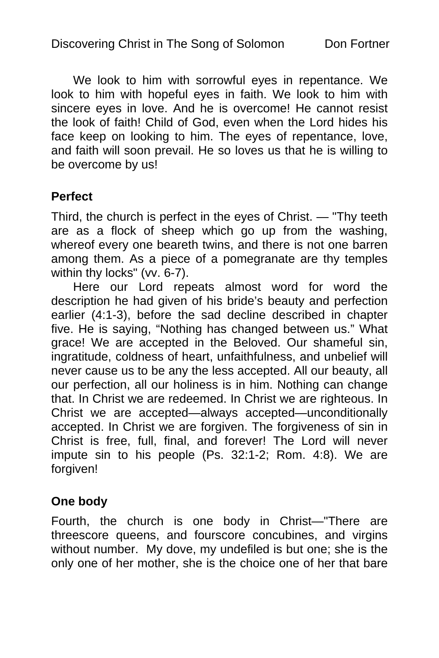We look to him with sorrowful eyes in repentance. We look to him with hopeful eyes in faith. We look to him with sincere eyes in love. And he is overcome! He cannot resist the look of faith! Child of God, even when the Lord hides his face keep on looking to him. The eyes of repentance, love, and faith will soon prevail. He so loves us that he is willing to be overcome by us!

#### **Perfect**

Third, the church is perfect in the eyes of Christ. — "Thy teeth are as a flock of sheep which go up from the washing, whereof every one beareth twins, and there is not one barren among them. As a piece of a pomegranate are thy temples within thy locks" (vv. 6-7).

Here our Lord repeats almost word for word the description he had given of his bride's beauty and perfection earlier (4:1-3), before the sad decline described in chapter five. He is saying, "Nothing has changed between us." What grace! We are accepted in the Beloved. Our shameful sin, ingratitude, coldness of heart, unfaithfulness, and unbelief will never cause us to be any the less accepted. All our beauty, all our perfection, all our holiness is in him. Nothing can change that. In Christ we are redeemed. In Christ we are righteous. In Christ we are accepted—always accepted—unconditionally accepted. In Christ we are forgiven. The forgiveness of sin in Christ is free, full, final, and forever! The Lord will never impute sin to his people (Ps. 32:1-2; Rom. 4:8). We are forgiven!

#### **One body**

Fourth, the church is one body in Christ—"There are threescore queens, and fourscore concubines, and virgins without number. My dove, my undefiled is but one; she is the only one of her mother, she is the choice one of her that bare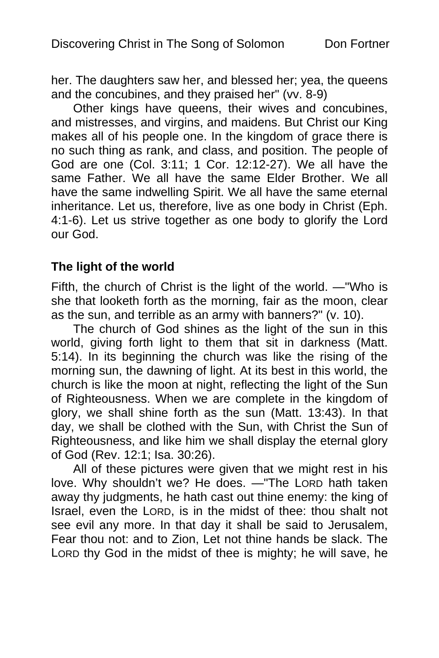her. The daughters saw her, and blessed her; yea, the queens and the concubines, and they praised her" (vv. 8-9)

Other kings have queens, their wives and concubines, and mistresses, and virgins, and maidens. But Christ our King makes all of his people one. In the kingdom of grace there is no such thing as rank, and class, and position. The people of God are one (Col. 3:11; 1 Cor. 12:12-27). We all have the same Father. We all have the same Elder Brother. We all have the same indwelling Spirit. We all have the same eternal inheritance. Let us, therefore, live as one body in Christ (Eph. 4:1-6). Let us strive together as one body to glorify the Lord our God.

#### **The light of the world**

Fifth, the church of Christ is the light of the world. —"Who is she that looketh forth as the morning, fair as the moon, clear as the sun, and terrible as an army with banners?" (v. 10).

The church of God shines as the light of the sun in this world, giving forth light to them that sit in darkness (Matt. 5:14). In its beginning the church was like the rising of the morning sun, the dawning of light. At its best in this world, the church is like the moon at night, reflecting the light of the Sun of Righteousness. When we are complete in the kingdom of glory, we shall shine forth as the sun (Matt. 13:43). In that day, we shall be clothed with the Sun, with Christ the Sun of Righteousness, and like him we shall display the eternal glory of God (Rev. 12:1; Isa. 30:26).

All of these pictures were given that we might rest in his love. Why shouldn't we? He does. —"The LORD hath taken away thy judgments, he hath cast out thine enemy: the king of Israel, even the LORD, is in the midst of thee: thou shalt not see evil any more. In that day it shall be said to Jerusalem, Fear thou not: and to Zion, Let not thine hands be slack. The LORD thy God in the midst of thee is mighty; he will save, he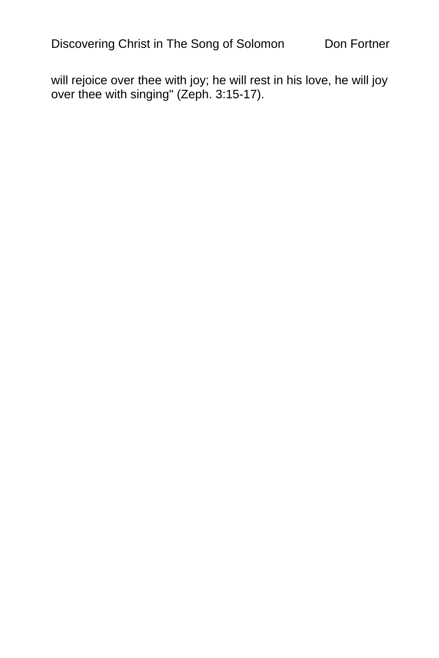will rejoice over thee with joy; he will rest in his love, he will joy over thee with singing" (Zeph. 3:15-17).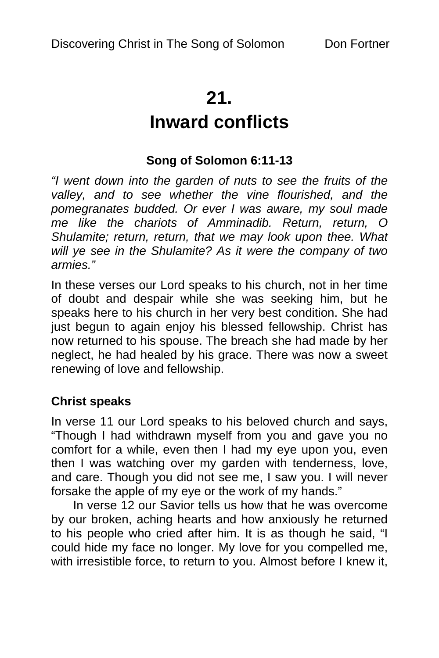# **21.**

# **Inward conflicts**

## **Song of Solomon 6:11-13**

*"I went down into the garden of nuts to see the fruits of the valley, and to see whether the vine flourished, and the pomegranates budded. Or ever I was aware, my soul made me like the chariots of Amminadib. Return, return, O Shulamite; return, return, that we may look upon thee. What will ye see in the Shulamite? As it were the company of two armies."* 

In these verses our Lord speaks to his church, not in her time of doubt and despair while she was seeking him, but he speaks here to his church in her very best condition. She had just begun to again enjoy his blessed fellowship. Christ has now returned to his spouse. The breach she had made by her neglect, he had healed by his grace. There was now a sweet renewing of love and fellowship.

#### **Christ speaks**

In verse 11 our Lord speaks to his beloved church and says, "Though I had withdrawn myself from you and gave you no comfort for a while, even then I had my eye upon you, even then I was watching over my garden with tenderness, love, and care. Though you did not see me, I saw you. I will never forsake the apple of my eye or the work of my hands."

In verse 12 our Savior tells us how that he was overcome by our broken, aching hearts and how anxiously he returned to his people who cried after him. It is as though he said, "I could hide my face no longer. My love for you compelled me, with irresistible force, to return to you. Almost before I knew it,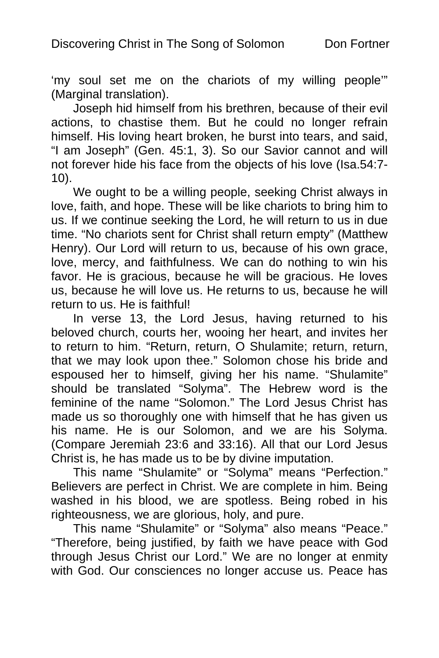'my soul set me on the chariots of my willing people'" (Marginal translation).

Joseph hid himself from his brethren, because of their evil actions, to chastise them. But he could no longer refrain himself. His loving heart broken, he burst into tears, and said, "I am Joseph" (Gen. 45:1, 3). So our Savior cannot and will not forever hide his face from the objects of his love (Isa.54:7- 10).

We ought to be a willing people, seeking Christ always in love, faith, and hope. These will be like chariots to bring him to us. If we continue seeking the Lord, he will return to us in due time. "No chariots sent for Christ shall return empty" (Matthew Henry). Our Lord will return to us, because of his own grace, love, mercy, and faithfulness. We can do nothing to win his favor. He is gracious, because he will be gracious. He loves us, because he will love us. He returns to us, because he will return to us. He is faithful!

In verse 13, the Lord Jesus, having returned to his beloved church, courts her, wooing her heart, and invites her to return to him. "Return, return, O Shulamite; return, return, that we may look upon thee." Solomon chose his bride and espoused her to himself, giving her his name. "Shulamite" should be translated "Solyma". The Hebrew word is the feminine of the name "Solomon." The Lord Jesus Christ has made us so thoroughly one with himself that he has given us his name. He is our Solomon, and we are his Solyma. (Compare Jeremiah 23:6 and 33:16). All that our Lord Jesus Christ is, he has made us to be by divine imputation.

This name "Shulamite" or "Solyma" means "Perfection." Believers are perfect in Christ. We are complete in him. Being washed in his blood, we are spotless. Being robed in his righteousness, we are glorious, holy, and pure.

This name "Shulamite" or "Solyma" also means "Peace." "Therefore, being justified, by faith we have peace with God through Jesus Christ our Lord." We are no longer at enmity with God. Our consciences no longer accuse us. Peace has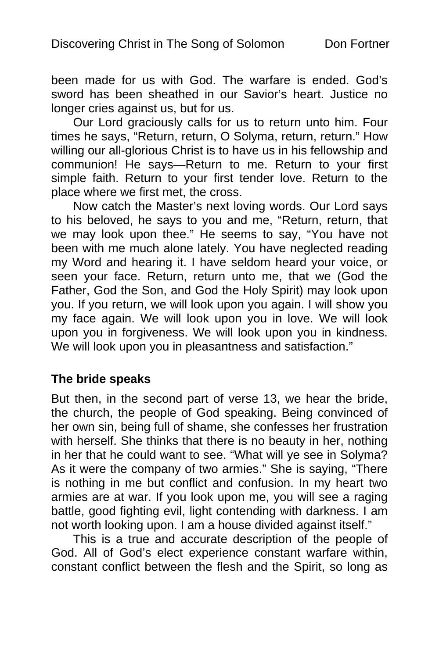been made for us with God. The warfare is ended. God's sword has been sheathed in our Savior's heart. Justice no longer cries against us, but for us.

Our Lord graciously calls for us to return unto him. Four times he says, "Return, return, O Solyma, return, return." How willing our all-glorious Christ is to have us in his fellowship and communion! He says—Return to me. Return to your first simple faith. Return to your first tender love. Return to the place where we first met, the cross.

Now catch the Master's next loving words. Our Lord says to his beloved, he says to you and me, "Return, return, that we may look upon thee." He seems to say, "You have not been with me much alone lately. You have neglected reading my Word and hearing it. I have seldom heard your voice, or seen your face. Return, return unto me, that we (God the Father, God the Son, and God the Holy Spirit) may look upon you. If you return, we will look upon you again. I will show you my face again. We will look upon you in love. We will look upon you in forgiveness. We will look upon you in kindness. We will look upon you in pleasantness and satisfaction."

#### **The bride speaks**

But then, in the second part of verse 13, we hear the bride, the church, the people of God speaking. Being convinced of her own sin, being full of shame, she confesses her frustration with herself. She thinks that there is no beauty in her, nothing in her that he could want to see. "What will ye see in Solyma? As it were the company of two armies." She is saying, "There is nothing in me but conflict and confusion. In my heart two armies are at war. If you look upon me, you will see a raging battle, good fighting evil, light contending with darkness. I am not worth looking upon. I am a house divided against itself."

This is a true and accurate description of the people of God. All of God's elect experience constant warfare within, constant conflict between the flesh and the Spirit, so long as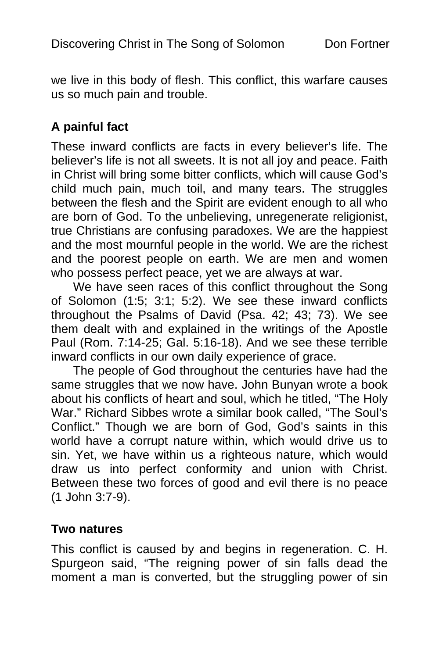we live in this body of flesh. This conflict, this warfare causes us so much pain and trouble.

## **A painful fact**

These inward conflicts are facts in every believer's life. The believer's life is not all sweets. It is not all joy and peace. Faith in Christ will bring some bitter conflicts, which will cause God's child much pain, much toil, and many tears. The struggles between the flesh and the Spirit are evident enough to all who are born of God. To the unbelieving, unregenerate religionist, true Christians are confusing paradoxes. We are the happiest and the most mournful people in the world. We are the richest and the poorest people on earth. We are men and women who possess perfect peace, yet we are always at war.

We have seen races of this conflict throughout the Song of Solomon (1:5; 3:1; 5:2). We see these inward conflicts throughout the Psalms of David (Psa. 42; 43; 73). We see them dealt with and explained in the writings of the Apostle Paul (Rom. 7:14-25; Gal. 5:16-18). And we see these terrible inward conflicts in our own daily experience of grace.

The people of God throughout the centuries have had the same struggles that we now have. John Bunyan wrote a book about his conflicts of heart and soul, which he titled, "The Holy War." Richard Sibbes wrote a similar book called, "The Soul's Conflict." Though we are born of God, God's saints in this world have a corrupt nature within, which would drive us to sin. Yet, we have within us a righteous nature, which would draw us into perfect conformity and union with Christ. Between these two forces of good and evil there is no peace (1 John 3:7-9).

#### **Two natures**

This conflict is caused by and begins in regeneration. C. H. Spurgeon said, "The reigning power of sin falls dead the moment a man is converted, but the struggling power of sin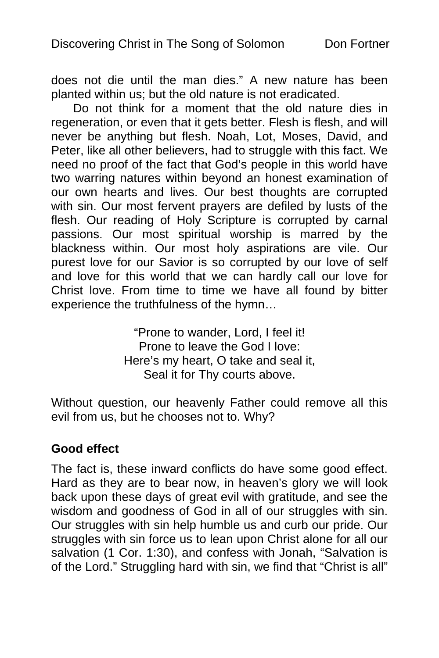does not die until the man dies." A new nature has been planted within us; but the old nature is not eradicated.

Do not think for a moment that the old nature dies in regeneration, or even that it gets better. Flesh is flesh, and will never be anything but flesh. Noah, Lot, Moses, David, and Peter, like all other believers, had to struggle with this fact. We need no proof of the fact that God's people in this world have two warring natures within beyond an honest examination of our own hearts and lives. Our best thoughts are corrupted with sin. Our most fervent prayers are defiled by lusts of the flesh. Our reading of Holy Scripture is corrupted by carnal passions. Our most spiritual worship is marred by the blackness within. Our most holy aspirations are vile. Our purest love for our Savior is so corrupted by our love of self and love for this world that we can hardly call our love for Christ love. From time to time we have all found by bitter experience the truthfulness of the hymn…

> "Prone to wander, Lord, I feel it! Prone to leave the God I love: Here's my heart, O take and seal it, Seal it for Thy courts above.

Without question, our heavenly Father could remove all this evil from us, but he chooses not to. Why?

#### **Good effect**

The fact is, these inward conflicts do have some good effect. Hard as they are to bear now, in heaven's glory we will look back upon these days of great evil with gratitude, and see the wisdom and goodness of God in all of our struggles with sin. Our struggles with sin help humble us and curb our pride. Our struggles with sin force us to lean upon Christ alone for all our salvation (1 Cor. 1:30), and confess with Jonah, "Salvation is of the Lord." Struggling hard with sin, we find that "Christ is all"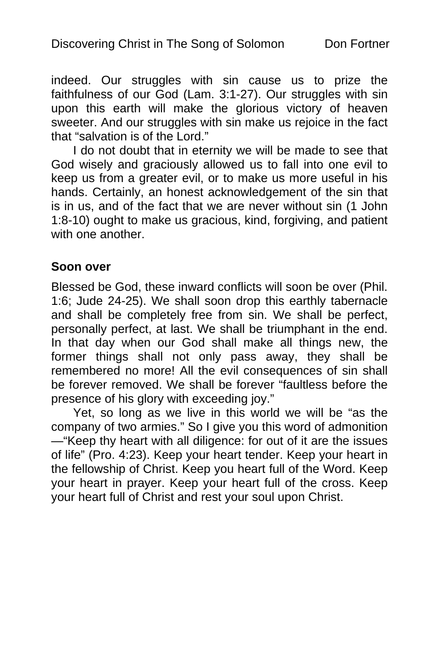indeed. Our struggles with sin cause us to prize the faithfulness of our God (Lam. 3:1-27). Our struggles with sin upon this earth will make the glorious victory of heaven sweeter. And our struggles with sin make us rejoice in the fact that "salvation is of the Lord."

I do not doubt that in eternity we will be made to see that God wisely and graciously allowed us to fall into one evil to keep us from a greater evil, or to make us more useful in his hands. Certainly, an honest acknowledgement of the sin that is in us, and of the fact that we are never without sin (1 John 1:8-10) ought to make us gracious, kind, forgiving, and patient with one another.

#### **Soon over**

Blessed be God, these inward conflicts will soon be over (Phil. 1:6; Jude 24-25). We shall soon drop this earthly tabernacle and shall be completely free from sin. We shall be perfect, personally perfect, at last. We shall be triumphant in the end. In that day when our God shall make all things new, the former things shall not only pass away, they shall be remembered no more! All the evil consequences of sin shall be forever removed. We shall be forever "faultless before the presence of his glory with exceeding joy."

Yet, so long as we live in this world we will be "as the company of two armies." So I give you this word of admonition —"Keep thy heart with all diligence: for out of it are the issues of life" (Pro. 4:23). Keep your heart tender. Keep your heart in the fellowship of Christ. Keep you heart full of the Word. Keep your heart in prayer. Keep your heart full of the cross. Keep your heart full of Christ and rest your soul upon Christ.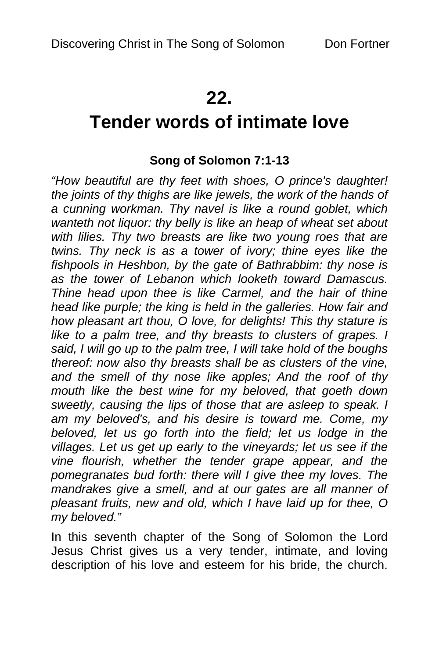# **22.**

# **Tender words of intimate love**

## **Song of Solomon 7:1-13**

*"How beautiful are thy feet with shoes, O prince's daughter! the joints of thy thighs are like jewels, the work of the hands of a cunning workman. Thy navel is like a round goblet, which wanteth not liquor: thy belly is like an heap of wheat set about with lilies. Thy two breasts are like two young roes that are twins. Thy neck is as a tower of ivory; thine eyes like the fishpools in Heshbon, by the gate of Bathrabbim: thy nose is as the tower of Lebanon which looketh toward Damascus. Thine head upon thee is like Carmel, and the hair of thine head like purple; the king is held in the galleries. How fair and how pleasant art thou, O love, for delights! This thy stature is like to a palm tree, and thy breasts to clusters of grapes. I said, I will go up to the palm tree, I will take hold of the boughs thereof: now also thy breasts shall be as clusters of the vine, and the smell of thy nose like apples; And the roof of thy mouth like the best wine for my beloved, that goeth down sweetly, causing the lips of those that are asleep to speak. I am my beloved's, and his desire is toward me. Come, my*  beloved, let us go forth into the field; let us lodge in the *villages. Let us get up early to the vineyards; let us see if the vine flourish, whether the tender grape appear, and the pomegranates bud forth: there will I give thee my loves. The mandrakes give a smell, and at our gates are all manner of pleasant fruits, new and old, which I have laid up for thee, O my beloved."* 

In this seventh chapter of the Song of Solomon the Lord Jesus Christ gives us a very tender, intimate, and loving description of his love and esteem for his bride, the church.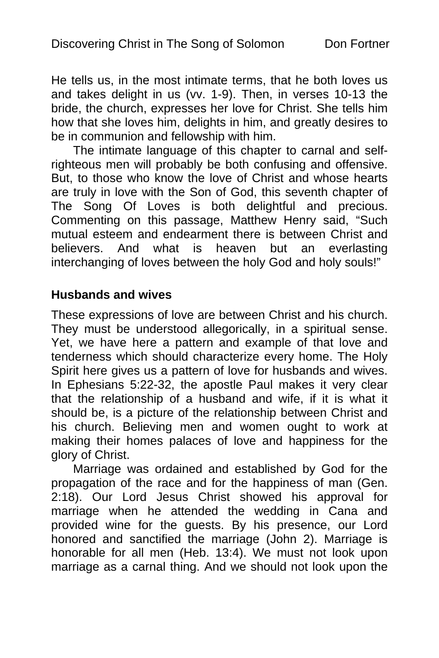He tells us, in the most intimate terms, that he both loves us and takes delight in us (vv. 1-9). Then, in verses 10-13 the bride, the church, expresses her love for Christ. She tells him how that she loves him, delights in him, and greatly desires to be in communion and fellowship with him.

The intimate language of this chapter to carnal and selfrighteous men will probably be both confusing and offensive. But, to those who know the love of Christ and whose hearts are truly in love with the Son of God, this seventh chapter of The Song Of Loves is both delightful and precious. Commenting on this passage, Matthew Henry said, "Such mutual esteem and endearment there is between Christ and believers. And what is heaven but an everlasting interchanging of loves between the holy God and holy souls!"

#### **Husbands and wives**

These expressions of love are between Christ and his church. They must be understood allegorically, in a spiritual sense. Yet, we have here a pattern and example of that love and tenderness which should characterize every home. The Holy Spirit here gives us a pattern of love for husbands and wives. In Ephesians 5:22-32, the apostle Paul makes it very clear that the relationship of a husband and wife, if it is what it should be, is a picture of the relationship between Christ and his church. Believing men and women ought to work at making their homes palaces of love and happiness for the glory of Christ.

Marriage was ordained and established by God for the propagation of the race and for the happiness of man (Gen. 2:18). Our Lord Jesus Christ showed his approval for marriage when he attended the wedding in Cana and provided wine for the guests. By his presence, our Lord honored and sanctified the marriage (John 2). Marriage is honorable for all men (Heb. 13:4). We must not look upon marriage as a carnal thing. And we should not look upon the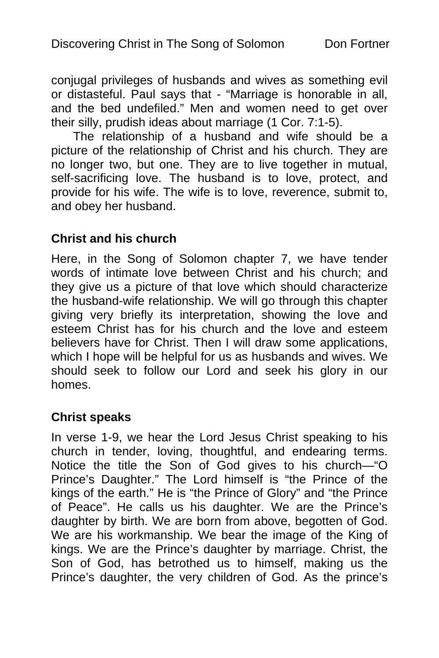conjugal privileges of husbands and wives as something evil or distasteful. Paul says that - "Marriage is honorable in all, and the bed undefiled." Men and women need to get over their silly, prudish ideas about marriage (1 Cor. 7:1-5).

The relationship of a husband and wife should be a picture of the relationship of Christ and his church. They are no longer two, but one. They are to live together in mutual, self-sacrificing love. The husband is to love, protect, and provide for his wife. The wife is to love, reverence, submit to, and obey her husband.

### **Christ and his church**

Here, in the Song of Solomon chapter 7, we have tender words of intimate love between Christ and his church; and they give us a picture of that love which should characterize the husband-wife relationship. We will go through this chapter giving very briefly its interpretation, showing the love and esteem Christ has for his church and the love and esteem believers have for Christ. Then I will draw some applications, which I hope will be helpful for us as husbands and wives. We should seek to follow our Lord and seek his glory in our homes.

#### **Christ speaks**

In verse 1-9, we hear the Lord Jesus Christ speaking to his church in tender, loving, thoughtful, and endearing terms. Notice the title the Son of God gives to his church—"O Prince's Daughter." The Lord himself is "the Prince of the kings of the earth." He is "the Prince of Glory" and "the Prince of Peace". He calls us his daughter. We are the Prince's daughter by birth. We are born from above, begotten of God. We are his workmanship. We bear the image of the King of kings. We are the Prince's daughter by marriage. Christ, the Son of God, has betrothed us to himself, making us the Prince's daughter, the very children of God. As the prince's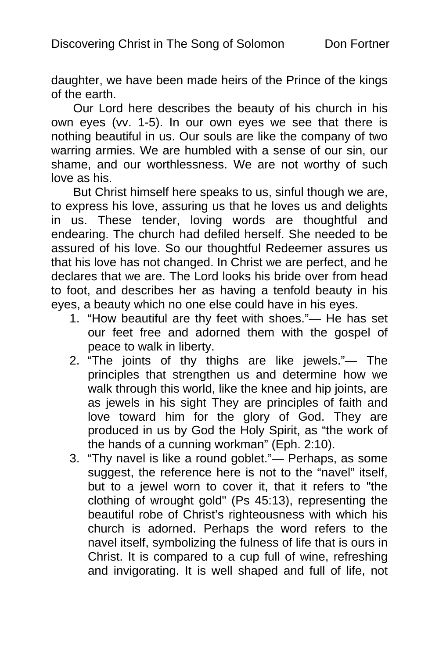daughter, we have been made heirs of the Prince of the kings of the earth.

Our Lord here describes the beauty of his church in his own eyes (vv. 1-5). In our own eyes we see that there is nothing beautiful in us. Our souls are like the company of two warring armies. We are humbled with a sense of our sin, our shame, and our worthlessness. We are not worthy of such love as his.

But Christ himself here speaks to us, sinful though we are, to express his love, assuring us that he loves us and delights in us. These tender, loving words are thoughtful and endearing. The church had defiled herself. She needed to be assured of his love. So our thoughtful Redeemer assures us that his love has not changed. In Christ we are perfect, and he declares that we are. The Lord looks his bride over from head to foot, and describes her as having a tenfold beauty in his eyes, a beauty which no one else could have in his eyes.

- 1. "How beautiful are thy feet with shoes."— He has set our feet free and adorned them with the gospel of peace to walk in liberty.
- 2. "The joints of thy thighs are like jewels."— The principles that strengthen us and determine how we walk through this world, like the knee and hip joints, are as jewels in his sight They are principles of faith and love toward him for the glory of God. They are produced in us by God the Holy Spirit, as "the work of the hands of a cunning workman" (Eph. 2:10).
- 3. "Thy navel is like a round goblet."— Perhaps, as some suggest, the reference here is not to the "navel" itself, but to a jewel worn to cover it, that it refers to "the clothing of wrought gold" (Ps 45:13), representing the beautiful robe of Christ's righteousness with which his church is adorned. Perhaps the word refers to the navel itself, symbolizing the fulness of life that is ours in Christ. It is compared to a cup full of wine, refreshing and invigorating. It is well shaped and full of life, not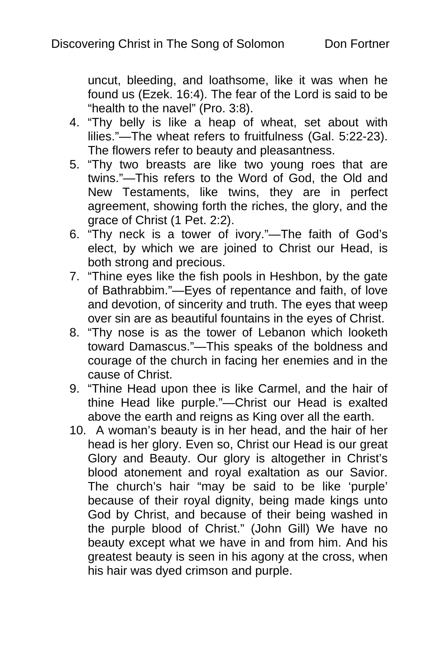uncut, bleeding, and loathsome, like it was when he found us (Ezek. 16:4). The fear of the Lord is said to be "health to the navel" (Pro. 3:8).

- 4. "Thy belly is like a heap of wheat, set about with lilies."—The wheat refers to fruitfulness (Gal. 5:22-23). The flowers refer to beauty and pleasantness.
- 5. "Thy two breasts are like two young roes that are twins."—This refers to the Word of God, the Old and New Testaments, like twins, they are in perfect agreement, showing forth the riches, the glory, and the grace of Christ (1 Pet. 2:2).
- 6. "Thy neck is a tower of ivory."—The faith of God's elect, by which we are joined to Christ our Head, is both strong and precious.
- 7. "Thine eyes like the fish pools in Heshbon, by the gate of Bathrabbim."—Eyes of repentance and faith, of love and devotion, of sincerity and truth. The eyes that weep over sin are as beautiful fountains in the eyes of Christ.
- 8. "Thy nose is as the tower of Lebanon which looketh toward Damascus."—This speaks of the boldness and courage of the church in facing her enemies and in the cause of Christ.
- 9. "Thine Head upon thee is like Carmel, and the hair of thine Head like purple."—Christ our Head is exalted above the earth and reigns as King over all the earth.
- 10. A woman's beauty is in her head, and the hair of her head is her glory. Even so, Christ our Head is our great Glory and Beauty. Our glory is altogether in Christ's blood atonement and royal exaltation as our Savior. The church's hair "may be said to be like 'purple' because of their royal dignity, being made kings unto God by Christ, and because of their being washed in the purple blood of Christ." (John Gill) We have no beauty except what we have in and from him. And his greatest beauty is seen in his agony at the cross, when his hair was dyed crimson and purple.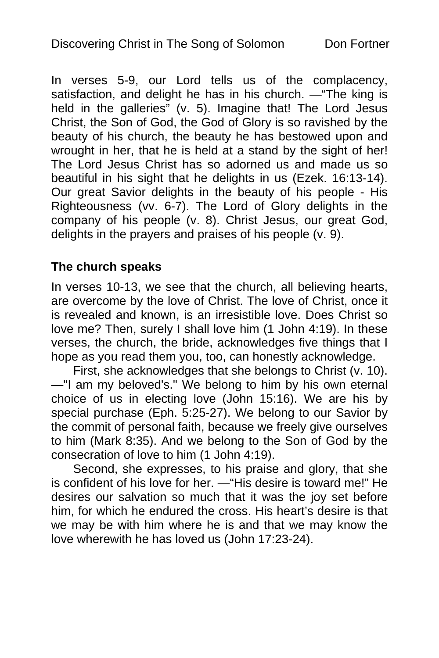In verses 5-9, our Lord tells us of the complacency, satisfaction, and delight he has in his church. —"The king is held in the galleries" (v. 5). Imagine that! The Lord Jesus Christ, the Son of God, the God of Glory is so ravished by the beauty of his church, the beauty he has bestowed upon and wrought in her, that he is held at a stand by the sight of her! The Lord Jesus Christ has so adorned us and made us so beautiful in his sight that he delights in us (Ezek. 16:13-14). Our great Savior delights in the beauty of his people - His Righteousness (vv. 6-7). The Lord of Glory delights in the company of his people (v. 8). Christ Jesus, our great God, delights in the prayers and praises of his people (v. 9).

## **The church speaks**

In verses 10-13, we see that the church, all believing hearts, are overcome by the love of Christ. The love of Christ, once it is revealed and known, is an irresistible love. Does Christ so love me? Then, surely I shall love him (1 John 4:19). In these verses, the church, the bride, acknowledges five things that I hope as you read them you, too, can honestly acknowledge.

First, she acknowledges that she belongs to Christ (v. 10). —"I am my beloved's." We belong to him by his own eternal choice of us in electing love (John 15:16). We are his by special purchase (Eph. 5:25-27). We belong to our Savior by the commit of personal faith, because we freely give ourselves to him (Mark 8:35). And we belong to the Son of God by the consecration of love to him (1 John 4:19).

Second, she expresses, to his praise and glory, that she is confident of his love for her. —"His desire is toward me!" He desires our salvation so much that it was the joy set before him, for which he endured the cross. His heart's desire is that we may be with him where he is and that we may know the love wherewith he has loved us (John 17:23-24).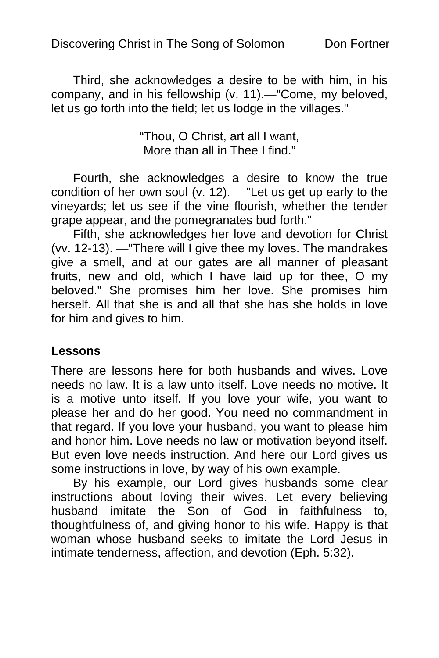Discovering Christ in The Song of Solomon Don Fortner

Third, she acknowledges a desire to be with him, in his company, and in his fellowship (v. 11).—"Come, my beloved, let us go forth into the field; let us lodge in the villages."

> "Thou, O Christ, art all I want, More than all in Thee I find."

Fourth, she acknowledges a desire to know the true condition of her own soul (v. 12). —"Let us get up early to the vineyards; let us see if the vine flourish, whether the tender grape appear, and the pomegranates bud forth."

Fifth, she acknowledges her love and devotion for Christ (vv. 12-13). —"There will I give thee my loves. The mandrakes give a smell, and at our gates are all manner of pleasant fruits, new and old, which I have laid up for thee, O my beloved." She promises him her love. She promises him herself. All that she is and all that she has she holds in love for him and gives to him.

#### **Lessons**

There are lessons here for both husbands and wives. Love needs no law. It is a law unto itself. Love needs no motive. It is a motive unto itself. If you love your wife, you want to please her and do her good. You need no commandment in that regard. If you love your husband, you want to please him and honor him. Love needs no law or motivation beyond itself. But even love needs instruction. And here our Lord gives us some instructions in love, by way of his own example.

By his example, our Lord gives husbands some clear instructions about loving their wives. Let every believing husband imitate the Son of God in faithfulness to, thoughtfulness of, and giving honor to his wife. Happy is that woman whose husband seeks to imitate the Lord Jesus in intimate tenderness, affection, and devotion (Eph. 5:32).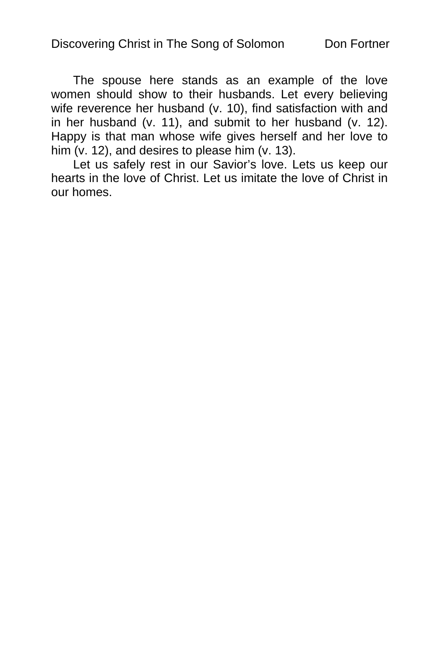The spouse here stands as an example of the love women should show to their husbands. Let every believing wife reverence her husband (v. 10), find satisfaction with and in her husband (v. 11), and submit to her husband (v. 12). Happy is that man whose wife gives herself and her love to him (v. 12), and desires to please him (v. 13).

Let us safely rest in our Savior's love. Lets us keep our hearts in the love of Christ. Let us imitate the love of Christ in our homes.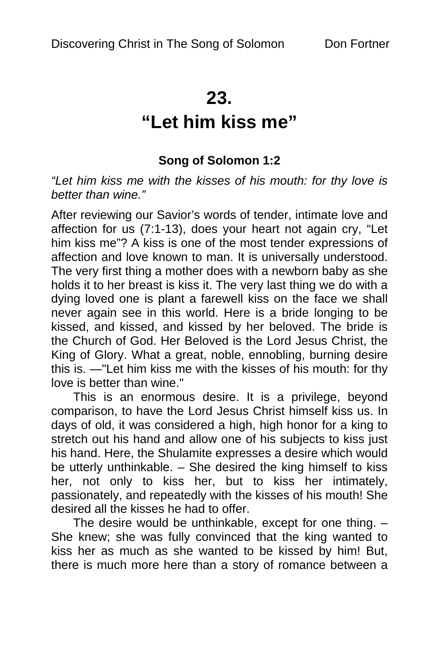# **23.**

# **"Let him kiss me"**

## **Song of Solomon 1:2**

*"Let him kiss me with the kisses of his mouth: for thy love is better than wine."* 

After reviewing our Savior's words of tender, intimate love and affection for us (7:1-13), does your heart not again cry, "Let him kiss me"? A kiss is one of the most tender expressions of affection and love known to man. It is universally understood. The very first thing a mother does with a newborn baby as she holds it to her breast is kiss it. The very last thing we do with a dying loved one is plant a farewell kiss on the face we shall never again see in this world. Here is a bride longing to be kissed, and kissed, and kissed by her beloved. The bride is the Church of God. Her Beloved is the Lord Jesus Christ, the King of Glory. What a great, noble, ennobling, burning desire this is. —"Let him kiss me with the kisses of his mouth: for thy love is better than wine."

This is an enormous desire. It is a privilege, beyond comparison, to have the Lord Jesus Christ himself kiss us. In days of old, it was considered a high, high honor for a king to stretch out his hand and allow one of his subjects to kiss just his hand. Here, the Shulamite expresses a desire which would be utterly unthinkable. – She desired the king himself to kiss her, not only to kiss her, but to kiss her intimately, passionately, and repeatedly with the kisses of his mouth! She desired all the kisses he had to offer.

The desire would be unthinkable, except for one thing. – She knew; she was fully convinced that the king wanted to kiss her as much as she wanted to be kissed by him! But, there is much more here than a story of romance between a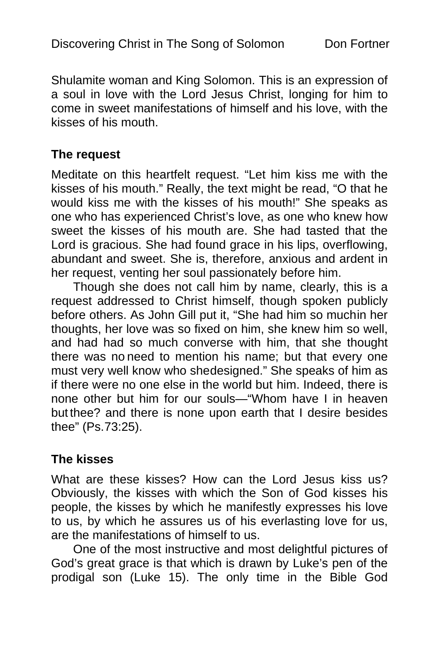Shulamite woman and King Solomon. This is an expression of a soul in love with the Lord Jesus Christ, longing for him to come in sweet manifestations of himself and his love, with the kisses of his mouth.

#### **The request**

Meditate on this heartfelt request. "Let him kiss me with the kisses of his mouth." Really, the text might be read, "O that he would kiss me with the kisses of his mouth!" She speaks as one who has experienced Christ's love, as one who knew how sweet the kisses of his mouth are. She had tasted that the Lord is gracious. She had found grace in his lips, overflowing, abundant and sweet. She is, therefore, anxious and ardent in her request, venting her soul passionately before him.

Though she does not call him by name, clearly, this is a request addressed to Christ himself, though spoken publicly before others. As John Gill put it, "She had him so muchin her thoughts, her love was so fixed on him, she knew him so well, and had had so much converse with him, that she thought there was no need to mention his name; but that every one must very well know who shedesigned." She speaks of him as if there were no one else in the world but him. Indeed, there is none other but him for our souls—"Whom have I in heaven but thee? and there is none upon earth that I desire besides thee" (Ps.73:25).

#### **The kisses**

What are these kisses? How can the Lord Jesus kiss us? Obviously, the kisses with which the Son of God kisses his people, the kisses by which he manifestly expresses his love to us, by which he assures us of his everlasting love for us, are the manifestations of himself to us.

One of the most instructive and most delightful pictures of God's great grace is that which is drawn by Luke's pen of the prodigal son (Luke 15). The only time in the Bible God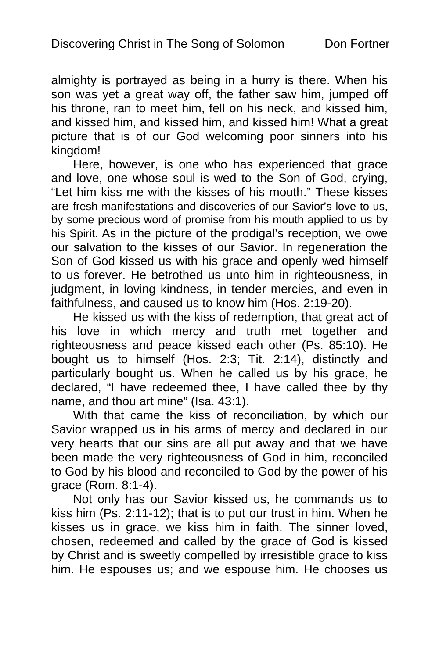almighty is portrayed as being in a hurry is there. When his son was yet a great way off, the father saw him, jumped off his throne, ran to meet him, fell on his neck, and kissed him, and kissed him, and kissed him, and kissed him! What a great picture that is of our God welcoming poor sinners into his kingdom!

Here, however, is one who has experienced that grace and love, one whose soul is wed to the Son of God, crying, "Let him kiss me with the kisses of his mouth." These kisses are fresh manifestations and discoveries of our Savior's love to us, by some precious word of promise from his mouth applied to us by his Spirit. As in the picture of the prodigal's reception, we owe our salvation to the kisses of our Savior. In regeneration the Son of God kissed us with his grace and openly wed himself to us forever. He betrothed us unto him in righteousness, in judgment, in loving kindness, in tender mercies, and even in faithfulness, and caused us to know him (Hos. 2:19-20).

He kissed us with the kiss of redemption, that great act of his love in which mercy and truth met together and righteousness and peace kissed each other (Ps. 85:10). He bought us to himself (Hos. 2:3; Tit. 2:14), distinctly and particularly bought us. When he called us by his grace, he declared, "I have redeemed thee, I have called thee by thy name, and thou art mine" (Isa. 43:1).

With that came the kiss of reconciliation, by which our Savior wrapped us in his arms of mercy and declared in our very hearts that our sins are all put away and that we have been made the very righteousness of God in him, reconciled to God by his blood and reconciled to God by the power of his grace (Rom. 8:1-4).

Not only has our Savior kissed us, he commands us to kiss him (Ps. 2:11-12); that is to put our trust in him. When he kisses us in grace, we kiss him in faith. The sinner loved, chosen, redeemed and called by the grace of God is kissed by Christ and is sweetly compelled by irresistible grace to kiss him. He espouses us; and we espouse him. He chooses us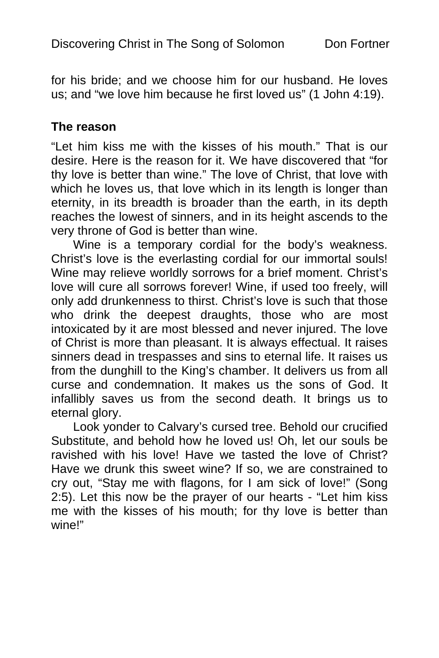for his bride; and we choose him for our husband. He loves us; and "we love him because he first loved us" (1 John 4:19).

#### **The reason**

"Let him kiss me with the kisses of his mouth." That is our desire. Here is the reason for it. We have discovered that "for thy love is better than wine." The love of Christ, that love with which he loves us, that love which in its length is longer than eternity, in its breadth is broader than the earth, in its depth reaches the lowest of sinners, and in its height ascends to the very throne of God is better than wine.

Wine is a temporary cordial for the body's weakness. Christ's love is the everlasting cordial for our immortal souls! Wine may relieve worldly sorrows for a brief moment. Christ's love will cure all sorrows forever! Wine, if used too freely, will only add drunkenness to thirst. Christ's love is such that those who drink the deepest draughts, those who are most intoxicated by it are most blessed and never injured. The love of Christ is more than pleasant. It is always effectual. It raises sinners dead in trespasses and sins to eternal life. It raises us from the dunghill to the King's chamber. It delivers us from all curse and condemnation. It makes us the sons of God. It infallibly saves us from the second death. It brings us to eternal glory.

Look yonder to Calvary's cursed tree. Behold our crucified Substitute, and behold how he loved us! Oh, let our souls be ravished with his love! Have we tasted the love of Christ? Have we drunk this sweet wine? If so, we are constrained to cry out, "Stay me with flagons, for I am sick of love!" (Song 2:5). Let this now be the prayer of our hearts - "Let him kiss me with the kisses of his mouth; for thy love is better than wine!"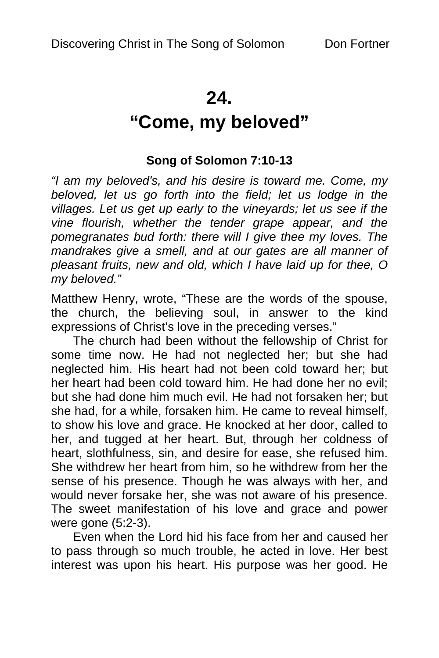# **24.**

# **"Come, my beloved"**

## **Song of Solomon 7:10-13**

*"I am my beloved's, and his desire is toward me. Come, my*  beloved, let us go forth into the field; let us lodge in the *villages. Let us get up early to the vineyards; let us see if the vine flourish, whether the tender grape appear, and the pomegranates bud forth: there will I give thee my loves. The mandrakes give a smell, and at our gates are all manner of pleasant fruits, new and old, which I have laid up for thee, O my beloved."* 

Matthew Henry, wrote, "These are the words of the spouse, the church, the believing soul, in answer to the kind expressions of Christ's love in the preceding verses."

The church had been without the fellowship of Christ for some time now. He had not neglected her; but she had neglected him. His heart had not been cold toward her; but her heart had been cold toward him. He had done her no evil; but she had done him much evil. He had not forsaken her; but she had, for a while, forsaken him. He came to reveal himself, to show his love and grace. He knocked at her door, called to her, and tugged at her heart. But, through her coldness of heart, slothfulness, sin, and desire for ease, she refused him. She withdrew her heart from him, so he withdrew from her the sense of his presence. Though he was always with her, and would never forsake her, she was not aware of his presence. The sweet manifestation of his love and grace and power were gone (5:2-3).

Even when the Lord hid his face from her and caused her to pass through so much trouble, he acted in love. Her best interest was upon his heart. His purpose was her good. He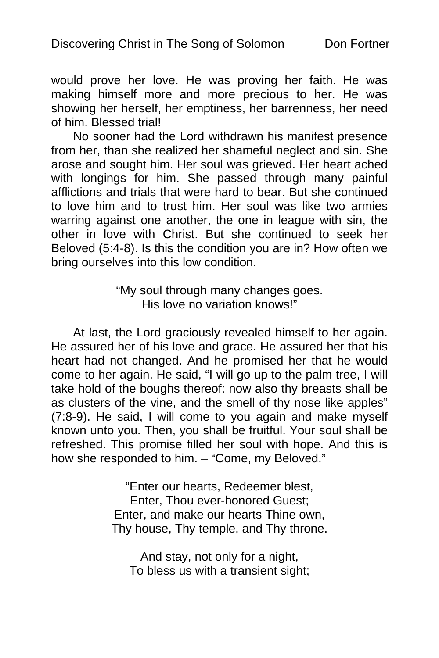would prove her love. He was proving her faith. He was making himself more and more precious to her. He was showing her herself, her emptiness, her barrenness, her need of him. Blessed trial!

No sooner had the Lord withdrawn his manifest presence from her, than she realized her shameful neglect and sin. She arose and sought him. Her soul was grieved. Her heart ached with longings for him. She passed through many painful afflictions and trials that were hard to bear. But she continued to love him and to trust him. Her soul was like two armies warring against one another, the one in league with sin, the other in love with Christ. But she continued to seek her Beloved (5:4-8). Is this the condition you are in? How often we bring ourselves into this low condition.

> "My soul through many changes goes. His love no variation knows!"

At last, the Lord graciously revealed himself to her again. He assured her of his love and grace. He assured her that his heart had not changed. And he promised her that he would come to her again. He said, "I will go up to the palm tree, I will take hold of the boughs thereof: now also thy breasts shall be as clusters of the vine, and the smell of thy nose like apples" (7:8-9). He said, I will come to you again and make myself known unto you. Then, you shall be fruitful. Your soul shall be refreshed. This promise filled her soul with hope. And this is how she responded to him. – "Come, my Beloved."

> "Enter our hearts, Redeemer blest, Enter, Thou ever-honored Guest; Enter, and make our hearts Thine own, Thy house, Thy temple, and Thy throne.

And stay, not only for a night, To bless us with a transient sight;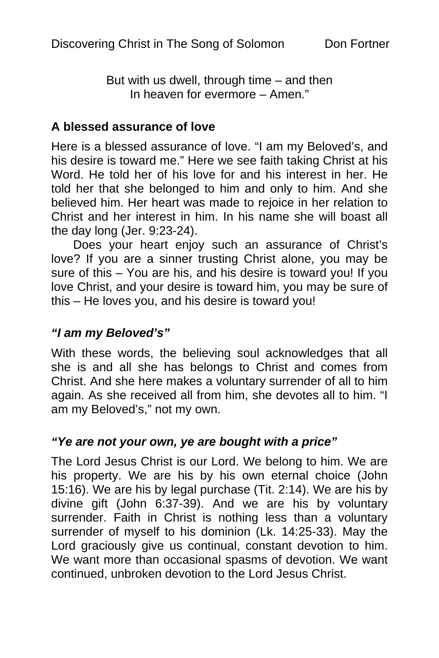But with us dwell, through time – and then In heaven for evermore – Amen."

#### **A blessed assurance of love**

Here is a blessed assurance of love. "I am my Beloved's, and his desire is toward me." Here we see faith taking Christ at his Word. He told her of his love for and his interest in her. He told her that she belonged to him and only to him. And she believed him. Her heart was made to rejoice in her relation to Christ and her interest in him. In his name she will boast all the day long (Jer. 9:23-24).

Does your heart enjoy such an assurance of Christ's love? If you are a sinner trusting Christ alone, you may be sure of this – You are his, and his desire is toward you! If you love Christ, and your desire is toward him, you may be sure of this – He loves you, and his desire is toward you!

#### *"I am my Beloved's"*

With these words, the believing soul acknowledges that all she is and all she has belongs to Christ and comes from Christ. And she here makes a voluntary surrender of all to him again. As she received all from him, she devotes all to him. "I am my Beloved's," not my own.

#### *"Ye are not your own, ye are bought with a price"*

The Lord Jesus Christ is our Lord. We belong to him. We are his property. We are his by his own eternal choice (John 15:16). We are his by legal purchase (Tit. 2:14). We are his by divine gift (John 6:37-39). And we are his by voluntary surrender. Faith in Christ is nothing less than a voluntary surrender of myself to his dominion (Lk. 14:25-33). May the Lord graciously give us continual, constant devotion to him. We want more than occasional spasms of devotion. We want continued, unbroken devotion to the Lord Jesus Christ.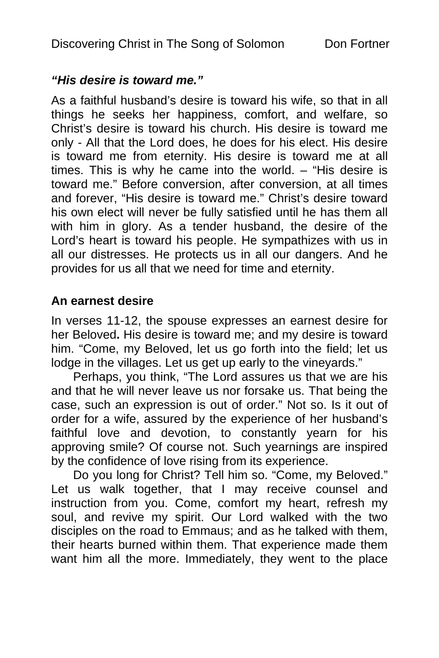#### *"His desire is toward me."*

As a faithful husband's desire is toward his wife, so that in all things he seeks her happiness, comfort, and welfare, so Christ's desire is toward his church. His desire is toward me only - All that the Lord does, he does for his elect. His desire is toward me from eternity. His desire is toward me at all times. This is why he came into the world. – "His desire is toward me." Before conversion, after conversion, at all times and forever, "His desire is toward me." Christ's desire toward his own elect will never be fully satisfied until he has them all with him in glory. As a tender husband, the desire of the Lord's heart is toward his people. He sympathizes with us in all our distresses. He protects us in all our dangers. And he provides for us all that we need for time and eternity.

### **An earnest desire**

In verses 11-12, the spouse expresses an earnest desire for her Beloved**.** His desire is toward me; and my desire is toward him. "Come, my Beloved, let us go forth into the field; let us lodge in the villages. Let us get up early to the vineyards."

Perhaps, you think, "The Lord assures us that we are his and that he will never leave us nor forsake us. That being the case, such an expression is out of order." Not so. Is it out of order for a wife, assured by the experience of her husband's faithful love and devotion, to constantly yearn for his approving smile? Of course not. Such yearnings are inspired by the confidence of love rising from its experience.

Do you long for Christ? Tell him so. "Come, my Beloved." Let us walk together, that I may receive counsel and instruction from you. Come, comfort my heart, refresh my soul, and revive my spirit. Our Lord walked with the two disciples on the road to Emmaus; and as he talked with them, their hearts burned within them. That experience made them want him all the more. Immediately, they went to the place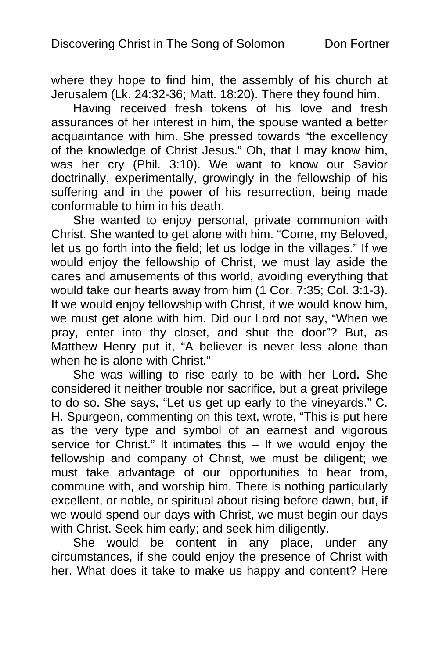where they hope to find him, the assembly of his church at Jerusalem (Lk. 24:32-36; Matt. 18:20). There they found him.

Having received fresh tokens of his love and fresh assurances of her interest in him, the spouse wanted a better acquaintance with him. She pressed towards "the excellency of the knowledge of Christ Jesus." Oh, that I may know him, was her cry (Phil. 3:10). We want to know our Savior doctrinally, experimentally, growingly in the fellowship of his suffering and in the power of his resurrection, being made conformable to him in his death.

She wanted to enjoy personal, private communion with Christ. She wanted to get alone with him. "Come, my Beloved, let us go forth into the field; let us lodge in the villages." If we would enjoy the fellowship of Christ, we must lay aside the cares and amusements of this world, avoiding everything that would take our hearts away from him (1 Cor. 7:35; Col. 3:1-3). If we would enjoy fellowship with Christ, if we would know him, we must get alone with him. Did our Lord not say, "When we pray, enter into thy closet, and shut the door"? But, as Matthew Henry put it, "A believer is never less alone than when he is alone with Christ."

She was willing to rise early to be with her Lord**.** She considered it neither trouble nor sacrifice, but a great privilege to do so. She says, "Let us get up early to the vineyards." C. H. Spurgeon, commenting on this text, wrote, "This is put here as the very type and symbol of an earnest and vigorous service for Christ." It intimates this – If we would enjoy the fellowship and company of Christ, we must be diligent; we must take advantage of our opportunities to hear from, commune with, and worship him. There is nothing particularly excellent, or noble, or spiritual about rising before dawn, but, if we would spend our days with Christ, we must begin our days with Christ. Seek him early; and seek him diligently.

She would be content in any place, under any circumstances, if she could enjoy the presence of Christ with her. What does it take to make us happy and content? Here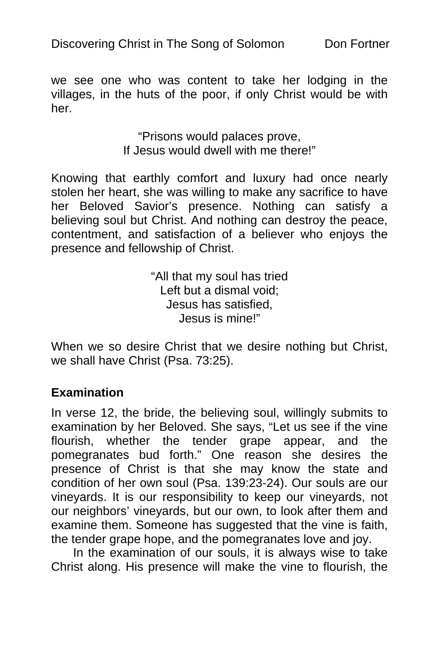we see one who was content to take her lodging in the villages, in the huts of the poor, if only Christ would be with her.

> "Prisons would palaces prove, If Jesus would dwell with me there!"

Knowing that earthly comfort and luxury had once nearly stolen her heart, she was willing to make any sacrifice to have her Beloved Savior's presence. Nothing can satisfy a believing soul but Christ. And nothing can destroy the peace, contentment, and satisfaction of a believer who enjoys the presence and fellowship of Christ.

> "All that my soul has tried Left but a dismal void: Jesus has satisfied, Jesus is mine!"

When we so desire Christ that we desire nothing but Christ, we shall have Christ (Psa. 73:25).

#### **Examination**

In verse 12, the bride, the believing soul, willingly submits to examination by her Beloved. She says, "Let us see if the vine flourish, whether the tender grape appear, and the pomegranates bud forth." One reason she desires the presence of Christ is that she may know the state and condition of her own soul (Psa. 139:23-24). Our souls are our vineyards. It is our responsibility to keep our vineyards, not our neighbors' vineyards, but our own, to look after them and examine them. Someone has suggested that the vine is faith, the tender grape hope, and the pomegranates love and joy.

In the examination of our souls, it is always wise to take Christ along. His presence will make the vine to flourish, the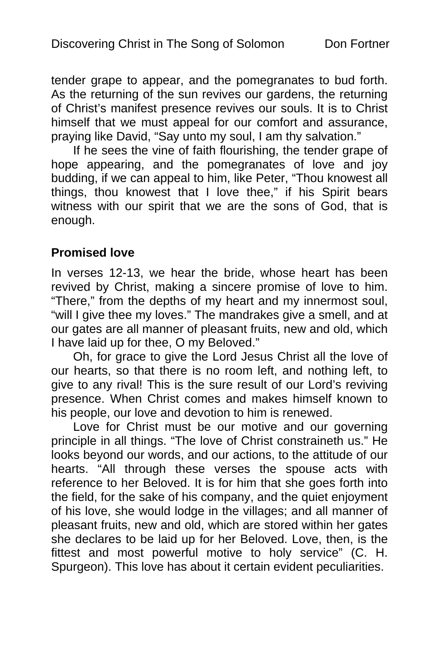tender grape to appear, and the pomegranates to bud forth. As the returning of the sun revives our gardens, the returning of Christ's manifest presence revives our souls. It is to Christ himself that we must appeal for our comfort and assurance, praying like David, "Say unto my soul, I am thy salvation."

If he sees the vine of faith flourishing, the tender grape of hope appearing, and the pomegranates of love and joy budding, if we can appeal to him, like Peter, "Thou knowest all things, thou knowest that I love thee," if his Spirit bears witness with our spirit that we are the sons of God, that is enough.

## **Promised love**

In verses 12-13, we hear the bride, whose heart has been revived by Christ, making a sincere promise of love to him. "There," from the depths of my heart and my innermost soul, "will I give thee my loves." The mandrakes give a smell, and at our gates are all manner of pleasant fruits, new and old, which I have laid up for thee, O my Beloved."

Oh, for grace to give the Lord Jesus Christ all the love of our hearts, so that there is no room left, and nothing left, to give to any rival! This is the sure result of our Lord's reviving presence. When Christ comes and makes himself known to his people, our love and devotion to him is renewed.

Love for Christ must be our motive and our governing principle in all things. "The love of Christ constraineth us." He looks beyond our words, and our actions, to the attitude of our hearts. "All through these verses the spouse acts with reference to her Beloved. It is for him that she goes forth into the field, for the sake of his company, and the quiet enjoyment of his love, she would lodge in the villages; and all manner of pleasant fruits, new and old, which are stored within her gates she declares to be laid up for her Beloved. Love, then, is the fittest and most powerful motive to holy service" (C. H. Spurgeon). This love has about it certain evident peculiarities.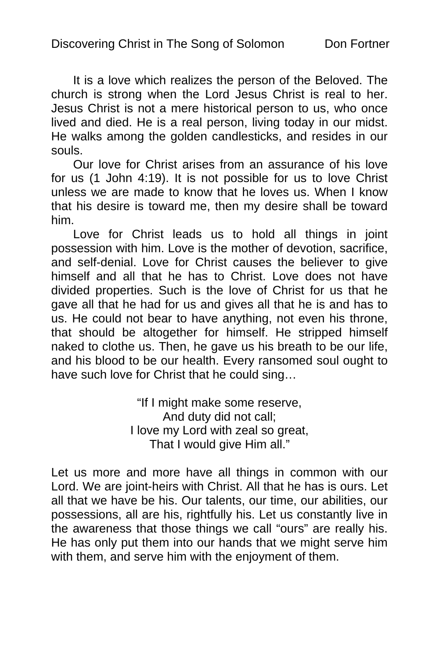It is a love which realizes the person of the Beloved. The church is strong when the Lord Jesus Christ is real to her. Jesus Christ is not a mere historical person to us, who once lived and died. He is a real person, living today in our midst. He walks among the golden candlesticks, and resides in our souls.

Our love for Christ arises from an assurance of his love for us (1 John 4:19). It is not possible for us to love Christ unless we are made to know that he loves us. When I know that his desire is toward me, then my desire shall be toward him.

Love for Christ leads us to hold all things in joint possession with him. Love is the mother of devotion, sacrifice, and self-denial. Love for Christ causes the believer to give himself and all that he has to Christ. Love does not have divided properties. Such is the love of Christ for us that he gave all that he had for us and gives all that he is and has to us. He could not bear to have anything, not even his throne, that should be altogether for himself. He stripped himself naked to clothe us. Then, he gave us his breath to be our life, and his blood to be our health. Every ransomed soul ought to have such love for Christ that he could sing…

> "If I might make some reserve, And duty did not call; I love my Lord with zeal so great, That I would give Him all."

Let us more and more have all things in common with our Lord. We are joint-heirs with Christ. All that he has is ours. Let all that we have be his. Our talents, our time, our abilities, our possessions, all are his, rightfully his. Let us constantly live in the awareness that those things we call "ours" are really his. He has only put them into our hands that we might serve him with them, and serve him with the enjoyment of them.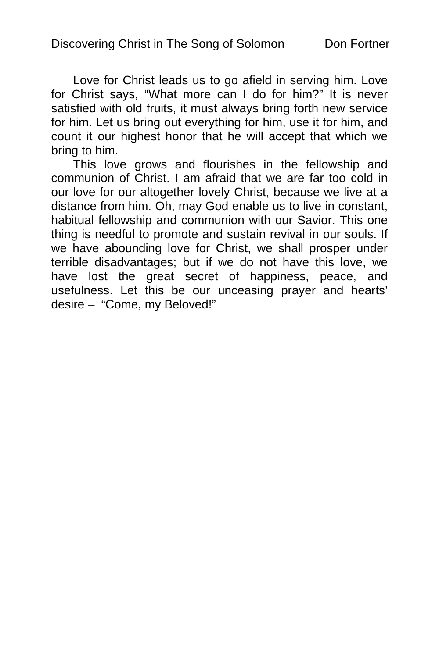Love for Christ leads us to go afield in serving him. Love for Christ says, "What more can I do for him?" It is never satisfied with old fruits, it must always bring forth new service for him. Let us bring out everything for him, use it for him, and count it our highest honor that he will accept that which we bring to him.

This love grows and flourishes in the fellowship and communion of Christ. I am afraid that we are far too cold in our love for our altogether lovely Christ, because we live at a distance from him. Oh, may God enable us to live in constant, habitual fellowship and communion with our Savior. This one thing is needful to promote and sustain revival in our souls. If we have abounding love for Christ, we shall prosper under terrible disadvantages; but if we do not have this love, we have lost the great secret of happiness, peace, and usefulness. Let this be our unceasing prayer and hearts' desire – "Come, my Beloved!"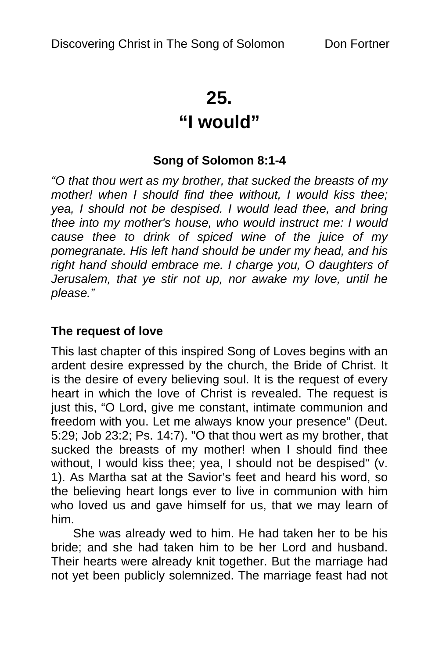# **25.**

# **"I would"**

## **Song of Solomon 8:1-4**

*"O that thou wert as my brother, that sucked the breasts of my mother! when I should find thee without, I would kiss thee; yea, I should not be despised. I would lead thee, and bring thee into my mother's house, who would instruct me: I would cause thee to drink of spiced wine of the juice of my pomegranate. His left hand should be under my head, and his right hand should embrace me. I charge you, O daughters of Jerusalem, that ye stir not up, nor awake my love, until he please."* 

### **The request of love**

This last chapter of this inspired Song of Loves begins with an ardent desire expressed by the church, the Bride of Christ. It is the desire of every believing soul. It is the request of every heart in which the love of Christ is revealed. The request is just this, "O Lord, give me constant, intimate communion and freedom with you. Let me always know your presence" (Deut. 5:29; Job 23:2; Ps. 14:7). "O that thou wert as my brother, that sucked the breasts of my mother! when I should find thee without, I would kiss thee; yea, I should not be despised" (v. 1). As Martha sat at the Savior's feet and heard his word, so the believing heart longs ever to live in communion with him who loved us and gave himself for us, that we may learn of him.

She was already wed to him. He had taken her to be his bride; and she had taken him to be her Lord and husband. Their hearts were already knit together. But the marriage had not yet been publicly solemnized. The marriage feast had not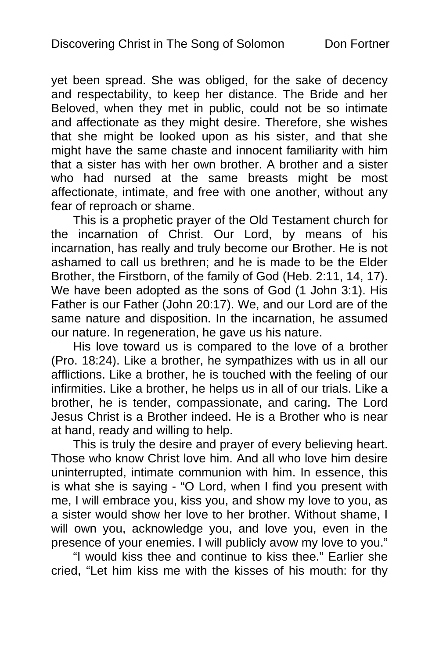yet been spread. She was obliged, for the sake of decency and respectability, to keep her distance. The Bride and her Beloved, when they met in public, could not be so intimate and affectionate as they might desire. Therefore, she wishes that she might be looked upon as his sister, and that she might have the same chaste and innocent familiarity with him that a sister has with her own brother. A brother and a sister who had nursed at the same breasts might be most affectionate, intimate, and free with one another, without any fear of reproach or shame.

This is a prophetic prayer of the Old Testament church for the incarnation of Christ. Our Lord, by means of his incarnation, has really and truly become our Brother. He is not ashamed to call us brethren; and he is made to be the Elder Brother, the Firstborn, of the family of God (Heb. 2:11, 14, 17). We have been adopted as the sons of God (1 John 3:1). His Father is our Father (John 20:17). We, and our Lord are of the same nature and disposition. In the incarnation, he assumed our nature. In regeneration, he gave us his nature.

His love toward us is compared to the love of a brother (Pro. 18:24). Like a brother, he sympathizes with us in all our afflictions. Like a brother, he is touched with the feeling of our infirmities. Like a brother, he helps us in all of our trials. Like a brother, he is tender, compassionate, and caring. The Lord Jesus Christ is a Brother indeed. He is a Brother who is near at hand, ready and willing to help.

This is truly the desire and prayer of every believing heart. Those who know Christ love him. And all who love him desire uninterrupted, intimate communion with him. In essence, this is what she is saying - "O Lord, when I find you present with me, I will embrace you, kiss you, and show my love to you, as a sister would show her love to her brother. Without shame, I will own you, acknowledge you, and love you, even in the presence of your enemies. I will publicly avow my love to you."

"I would kiss thee and continue to kiss thee." Earlier she cried, "Let him kiss me with the kisses of his mouth: for thy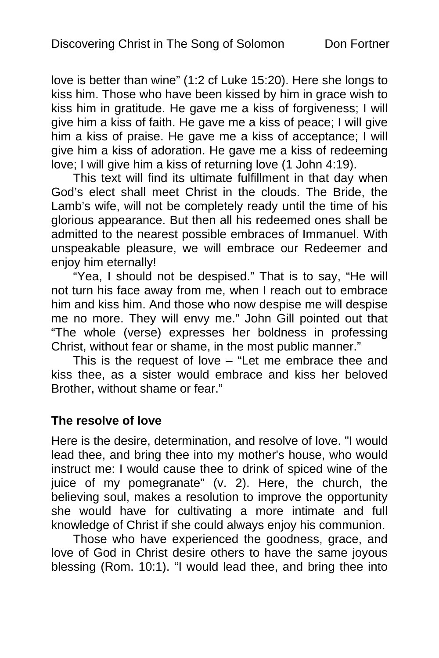love is better than wine" (1:2 cf Luke 15:20). Here she longs to kiss him. Those who have been kissed by him in grace wish to kiss him in gratitude. He gave me a kiss of forgiveness; I will give him a kiss of faith. He gave me a kiss of peace; I will give him a kiss of praise. He gave me a kiss of acceptance; I will give him a kiss of adoration. He gave me a kiss of redeeming love; I will give him a kiss of returning love (1 John 4:19).

This text will find its ultimate fulfillment in that day when God's elect shall meet Christ in the clouds. The Bride, the Lamb's wife, will not be completely ready until the time of his glorious appearance. But then all his redeemed ones shall be admitted to the nearest possible embraces of Immanuel. With unspeakable pleasure, we will embrace our Redeemer and enjoy him eternally!

"Yea, I should not be despised." That is to say, "He will not turn his face away from me, when I reach out to embrace him and kiss him. And those who now despise me will despise me no more. They will envy me." John Gill pointed out that "The whole (verse) expresses her boldness in professing Christ, without fear or shame, in the most public manner."

This is the request of love – "Let me embrace thee and kiss thee, as a sister would embrace and kiss her beloved Brother, without shame or fear."

#### **The resolve of love**

Here is the desire, determination, and resolve of love. "I would lead thee, and bring thee into my mother's house, who would instruct me: I would cause thee to drink of spiced wine of the juice of my pomegranate" (v. 2). Here, the church, the believing soul, makes a resolution to improve the opportunity she would have for cultivating a more intimate and full knowledge of Christ if she could always enjoy his communion.

Those who have experienced the goodness, grace, and love of God in Christ desire others to have the same joyous blessing (Rom. 10:1). "I would lead thee, and bring thee into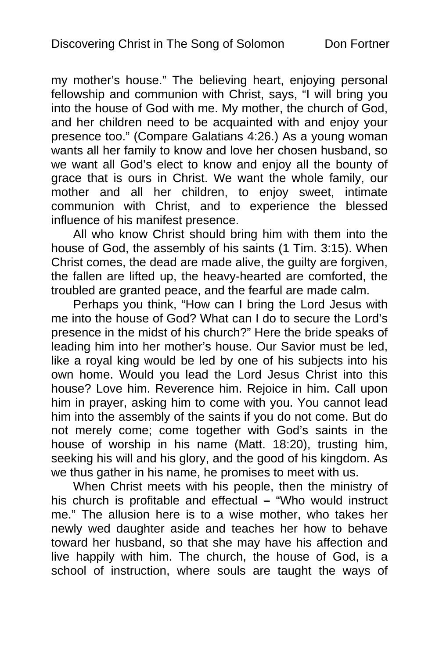my mother's house." The believing heart, enjoying personal fellowship and communion with Christ, says, "I will bring you into the house of God with me. My mother, the church of God, and her children need to be acquainted with and enjoy your presence too." (Compare Galatians 4:26.) As a young woman wants all her family to know and love her chosen husband, so we want all God's elect to know and enjoy all the bounty of grace that is ours in Christ. We want the whole family, our mother and all her children, to enjoy sweet, intimate communion with Christ, and to experience the blessed influence of his manifest presence.

All who know Christ should bring him with them into the house of God, the assembly of his saints (1 Tim. 3:15). When Christ comes, the dead are made alive, the guilty are forgiven, the fallen are lifted up, the heavy-hearted are comforted, the troubled are granted peace, and the fearful are made calm.

Perhaps you think, "How can I bring the Lord Jesus with me into the house of God? What can I do to secure the Lord's presence in the midst of his church?" Here the bride speaks of leading him into her mother's house. Our Savior must be led, like a royal king would be led by one of his subjects into his own home. Would you lead the Lord Jesus Christ into this house? Love him. Reverence him. Rejoice in him. Call upon him in prayer, asking him to come with you. You cannot lead him into the assembly of the saints if you do not come. But do not merely come; come together with God's saints in the house of worship in his name (Matt. 18:20), trusting him, seeking his will and his glory, and the good of his kingdom. As we thus gather in his name, he promises to meet with us.

When Christ meets with his people, then the ministry of his church is profitable and effectual **–** "Who would instruct me." The allusion here is to a wise mother, who takes her newly wed daughter aside and teaches her how to behave toward her husband, so that she may have his affection and live happily with him. The church, the house of God, is a school of instruction, where souls are taught the ways of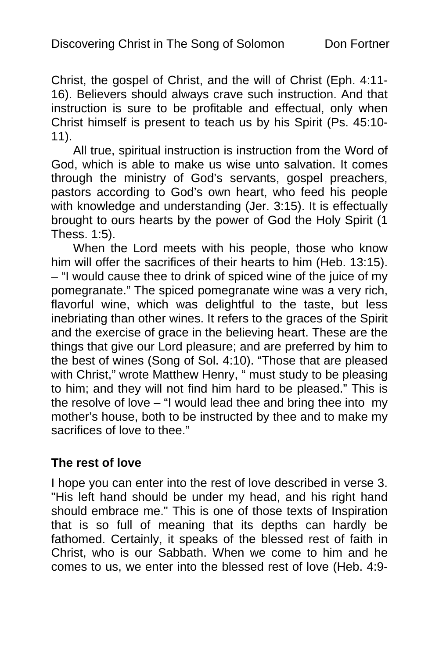Christ, the gospel of Christ, and the will of Christ (Eph. 4:11- 16). Believers should always crave such instruction. And that instruction is sure to be profitable and effectual, only when Christ himself is present to teach us by his Spirit (Ps. 45:10- 11).

All true, spiritual instruction is instruction from the Word of God, which is able to make us wise unto salvation. It comes through the ministry of God's servants, gospel preachers, pastors according to God's own heart, who feed his people with knowledge and understanding (Jer. 3:15). It is effectually brought to ours hearts by the power of God the Holy Spirit (1 Thess. 1:5).

When the Lord meets with his people, those who know him will offer the sacrifices of their hearts to him (Heb. 13:15). – "I would cause thee to drink of spiced wine of the juice of my pomegranate." The spiced pomegranate wine was a very rich, flavorful wine, which was delightful to the taste, but less inebriating than other wines. It refers to the graces of the Spirit and the exercise of grace in the believing heart. These are the things that give our Lord pleasure; and are preferred by him to the best of wines (Song of Sol. 4:10). "Those that are pleased with Christ," wrote Matthew Henry, " must study to be pleasing to him; and they will not find him hard to be pleased." This is the resolve of love – "I would lead thee and bring thee into my mother's house, both to be instructed by thee and to make my sacrifices of love to thee."

#### **The rest of love**

I hope you can enter into the rest of love described in verse 3. "His left hand should be under my head, and his right hand should embrace me." This is one of those texts of Inspiration that is so full of meaning that its depths can hardly be fathomed. Certainly, it speaks of the blessed rest of faith in Christ, who is our Sabbath. When we come to him and he comes to us, we enter into the blessed rest of love (Heb. 4:9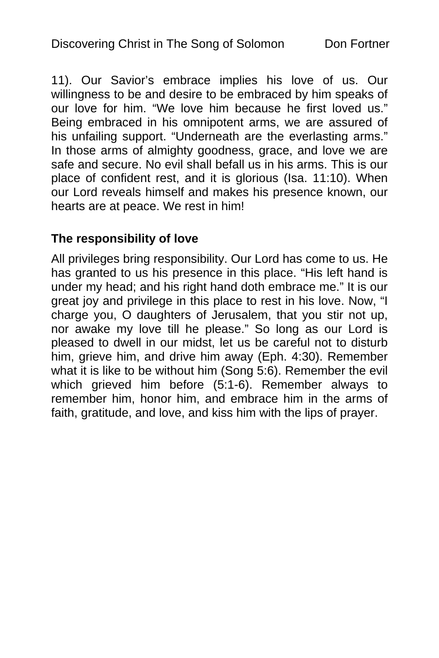11). Our Savior's embrace implies his love of us. Our willingness to be and desire to be embraced by him speaks of our love for him. "We love him because he first loved us." Being embraced in his omnipotent arms, we are assured of his unfailing support. "Underneath are the everlasting arms." In those arms of almighty goodness, grace, and love we are safe and secure. No evil shall befall us in his arms. This is our place of confident rest, and it is glorious (Isa. 11:10). When our Lord reveals himself and makes his presence known, our hearts are at peace. We rest in him!

## **The responsibility of love**

All privileges bring responsibility. Our Lord has come to us. He has granted to us his presence in this place. "His left hand is under my head; and his right hand doth embrace me." It is our great joy and privilege in this place to rest in his love. Now, "I charge you, O daughters of Jerusalem, that you stir not up, nor awake my love till he please." So long as our Lord is pleased to dwell in our midst, let us be careful not to disturb him, grieve him, and drive him away (Eph. 4:30). Remember what it is like to be without him (Song 5:6). Remember the evil which grieved him before (5:1-6). Remember always to remember him, honor him, and embrace him in the arms of faith, gratitude, and love, and kiss him with the lips of prayer.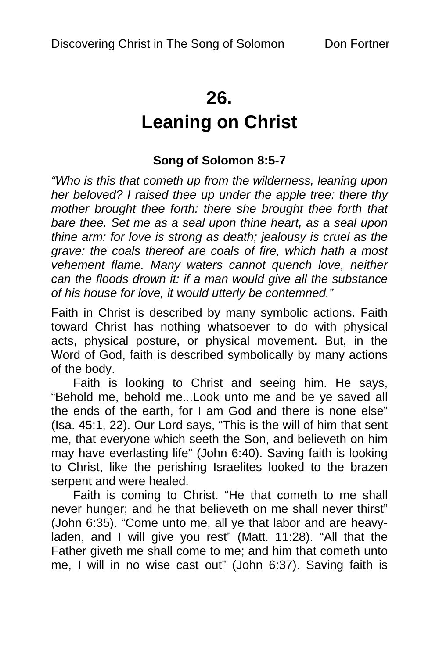## **26.**

# **Leaning on Christ**

## **Song of Solomon 8:5-7**

*"Who is this that cometh up from the wilderness, leaning upon her beloved? I raised thee up under the apple tree: there thy mother brought thee forth: there she brought thee forth that bare thee. Set me as a seal upon thine heart, as a seal upon thine arm: for love is strong as death; jealousy is cruel as the grave: the coals thereof are coals of fire, which hath a most vehement flame. Many waters cannot quench love, neither can the floods drown it: if a man would give all the substance of his house for love, it would utterly be contemned."* 

Faith in Christ is described by many symbolic actions. Faith toward Christ has nothing whatsoever to do with physical acts, physical posture, or physical movement. But, in the Word of God, faith is described symbolically by many actions of the body.

Faith is looking to Christ and seeing him. He says, "Behold me, behold me...Look unto me and be ye saved all the ends of the earth, for I am God and there is none else" (Isa. 45:1, 22). Our Lord says, "This is the will of him that sent me, that everyone which seeth the Son, and believeth on him may have everlasting life" (John 6:40). Saving faith is looking to Christ, like the perishing Israelites looked to the brazen serpent and were healed.

Faith is coming to Christ. "He that cometh to me shall never hunger; and he that believeth on me shall never thirst" (John 6:35). "Come unto me, all ye that labor and are heavyladen, and I will give you rest" (Matt. 11:28). "All that the Father giveth me shall come to me; and him that cometh unto me, I will in no wise cast out" (John 6:37). Saving faith is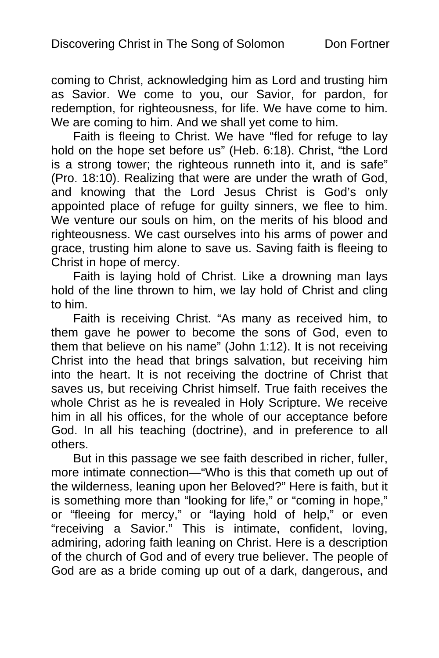coming to Christ, acknowledging him as Lord and trusting him as Savior. We come to you, our Savior, for pardon, for redemption, for righteousness, for life. We have come to him. We are coming to him. And we shall yet come to him.

Faith is fleeing to Christ. We have "fled for refuge to lay hold on the hope set before us" (Heb. 6:18). Christ, "the Lord is a strong tower; the righteous runneth into it, and is safe" (Pro. 18:10). Realizing that were are under the wrath of God, and knowing that the Lord Jesus Christ is God's only appointed place of refuge for guilty sinners, we flee to him. We venture our souls on him, on the merits of his blood and righteousness. We cast ourselves into his arms of power and grace, trusting him alone to save us. Saving faith is fleeing to Christ in hope of mercy.

Faith is laying hold of Christ. Like a drowning man lays hold of the line thrown to him, we lay hold of Christ and cling to him.

Faith is receiving Christ. "As many as received him, to them gave he power to become the sons of God, even to them that believe on his name" (John 1:12). It is not receiving Christ into the head that brings salvation, but receiving him into the heart. It is not receiving the doctrine of Christ that saves us, but receiving Christ himself. True faith receives the whole Christ as he is revealed in Holy Scripture. We receive him in all his offices, for the whole of our acceptance before God. In all his teaching (doctrine), and in preference to all others.

But in this passage we see faith described in richer, fuller, more intimate connection—"Who is this that cometh up out of the wilderness, leaning upon her Beloved?" Here is faith, but it is something more than "looking for life," or "coming in hope," or "fleeing for mercy," or "laying hold of help," or even "receiving a Savior." This is intimate, confident, loving, admiring, adoring faith leaning on Christ. Here is a description of the church of God and of every true believer. The people of God are as a bride coming up out of a dark, dangerous, and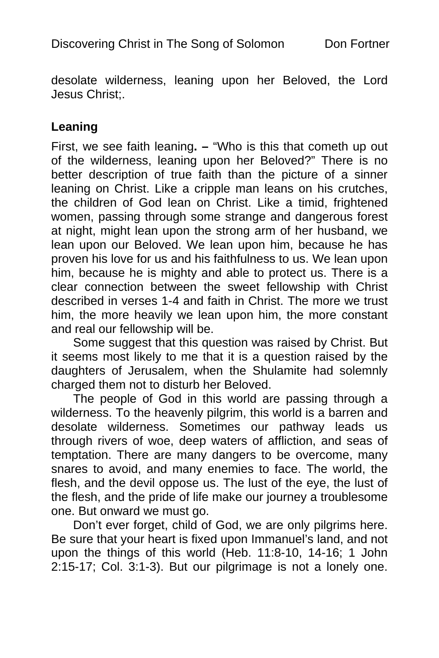desolate wilderness, leaning upon her Beloved, the Lord Jesus Christ;.

#### **Leaning**

First, we see faith leaning**. –** "Who is this that cometh up out of the wilderness, leaning upon her Beloved?" There is no better description of true faith than the picture of a sinner leaning on Christ. Like a cripple man leans on his crutches, the children of God lean on Christ. Like a timid, frightened women, passing through some strange and dangerous forest at night, might lean upon the strong arm of her husband, we lean upon our Beloved. We lean upon him, because he has proven his love for us and his faithfulness to us. We lean upon him, because he is mighty and able to protect us. There is a clear connection between the sweet fellowship with Christ described in verses 1-4 and faith in Christ. The more we trust him, the more heavily we lean upon him, the more constant and real our fellowship will be.

Some suggest that this question was raised by Christ. But it seems most likely to me that it is a question raised by the daughters of Jerusalem, when the Shulamite had solemnly charged them not to disturb her Beloved.

The people of God in this world are passing through a wilderness. To the heavenly pilgrim, this world is a barren and desolate wilderness. Sometimes our pathway leads us through rivers of woe, deep waters of affliction, and seas of temptation. There are many dangers to be overcome, many snares to avoid, and many enemies to face. The world, the flesh, and the devil oppose us. The lust of the eye, the lust of the flesh, and the pride of life make our journey a troublesome one. But onward we must go.

Don't ever forget, child of God, we are only pilgrims here. Be sure that your heart is fixed upon Immanuel's land, and not upon the things of this world (Heb. 11:8-10, 14-16; 1 John 2:15-17; Col. 3:1-3). But our pilgrimage is not a lonely one.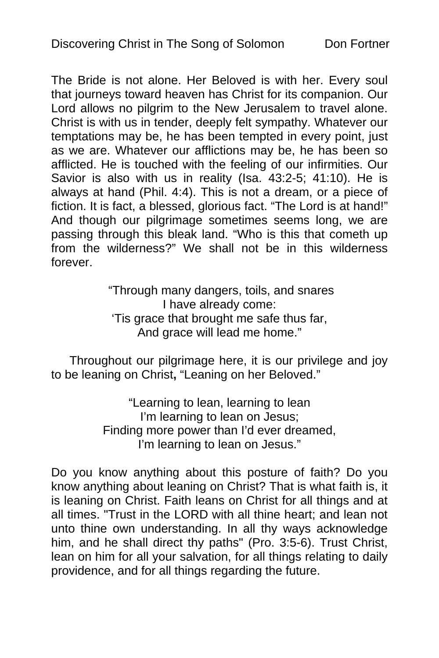The Bride is not alone. Her Beloved is with her. Every soul that journeys toward heaven has Christ for its companion. Our Lord allows no pilgrim to the New Jerusalem to travel alone. Christ is with us in tender, deeply felt sympathy. Whatever our temptations may be, he has been tempted in every point, just as we are. Whatever our afflictions may be, he has been so afflicted. He is touched with the feeling of our infirmities. Our Savior is also with us in reality (Isa. 43:2-5; 41:10). He is always at hand (Phil. 4:4). This is not a dream, or a piece of fiction. It is fact, a blessed, glorious fact. "The Lord is at hand!" And though our pilgrimage sometimes seems long, we are passing through this bleak land. "Who is this that cometh up from the wilderness?" We shall not be in this wilderness forever.

> "Through many dangers, toils, and snares I have already come: 'Tis grace that brought me safe thus far, And grace will lead me home."

Throughout our pilgrimage here, it is our privilege and joy to be leaning on Christ**,** "Leaning on her Beloved."

> "Learning to lean, learning to lean I'm learning to lean on Jesus; Finding more power than I'd ever dreamed, I'm learning to lean on Jesus."

Do you know anything about this posture of faith? Do you know anything about leaning on Christ? That is what faith is, it is leaning on Christ. Faith leans on Christ for all things and at all times. "Trust in the LORD with all thine heart; and lean not unto thine own understanding. In all thy ways acknowledge him, and he shall direct thy paths" (Pro. 3:5-6). Trust Christ, lean on him for all your salvation, for all things relating to daily providence, and for all things regarding the future.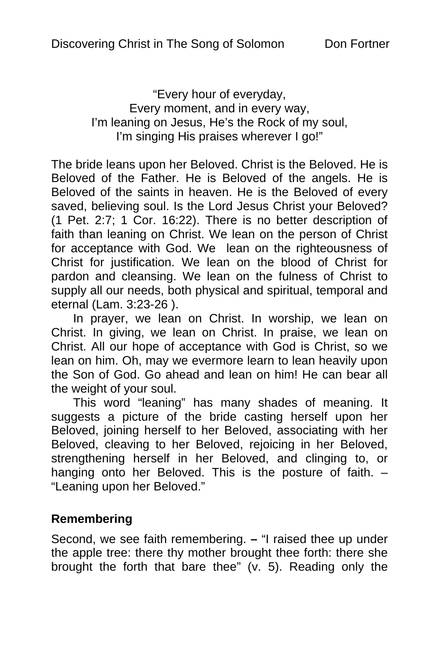"Every hour of everyday, Every moment, and in every way, I'm leaning on Jesus, He's the Rock of my soul, I'm singing His praises wherever I go!"

The bride leans upon her Beloved. Christ is the Beloved. He is Beloved of the Father. He is Beloved of the angels. He is Beloved of the saints in heaven. He is the Beloved of every saved, believing soul. Is the Lord Jesus Christ your Beloved? (1 Pet. 2:7; 1 Cor. 16:22). There is no better description of faith than leaning on Christ. We lean on the person of Christ for acceptance with God. We lean on the righteousness of Christ for justification. We lean on the blood of Christ for pardon and cleansing. We lean on the fulness of Christ to supply all our needs, both physical and spiritual, temporal and eternal (Lam. 3:23-26 ).

In prayer, we lean on Christ. In worship, we lean on Christ. In giving, we lean on Christ. In praise, we lean on Christ. All our hope of acceptance with God is Christ, so we lean on him. Oh, may we evermore learn to lean heavily upon the Son of God. Go ahead and lean on him! He can bear all the weight of your soul.

This word "leaning" has many shades of meaning. It suggests a picture of the bride casting herself upon her Beloved, joining herself to her Beloved, associating with her Beloved, cleaving to her Beloved, rejoicing in her Beloved, strengthening herself in her Beloved, and clinging to, or hanging onto her Beloved. This is the posture of faith. -"Leaning upon her Beloved."

#### **Remembering**

Second, we see faith remembering. **–** "I raised thee up under the apple tree: there thy mother brought thee forth: there she brought the forth that bare thee" (v. 5). Reading only the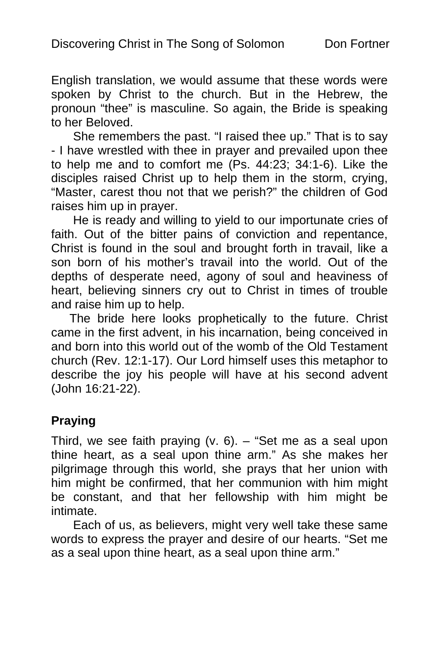English translation, we would assume that these words were spoken by Christ to the church. But in the Hebrew, the pronoun "thee" is masculine. So again, the Bride is speaking to her Beloved.

She remembers the past. "I raised thee up." That is to say - I have wrestled with thee in prayer and prevailed upon thee to help me and to comfort me (Ps. 44:23; 34:1-6). Like the disciples raised Christ up to help them in the storm, crying, "Master, carest thou not that we perish?" the children of God raises him up in prayer.

He is ready and willing to yield to our importunate cries of faith. Out of the bitter pains of conviction and repentance, Christ is found in the soul and brought forth in travail, like a son born of his mother's travail into the world. Out of the depths of desperate need, agony of soul and heaviness of heart, believing sinners cry out to Christ in times of trouble and raise him up to help.

The bride here looks prophetically to the future. Christ came in the first advent, in his incarnation, being conceived in and born into this world out of the womb of the Old Testament church (Rev. 12:1-17). Our Lord himself uses this metaphor to describe the joy his people will have at his second advent (John 16:21-22).

## **Praying**

Third, we see faith praying (v. 6). – "Set me as a seal upon thine heart, as a seal upon thine arm." As she makes her pilgrimage through this world, she prays that her union with him might be confirmed, that her communion with him might be constant, and that her fellowship with him might be intimate.

Each of us, as believers, might very well take these same words to express the prayer and desire of our hearts. "Set me as a seal upon thine heart, as a seal upon thine arm."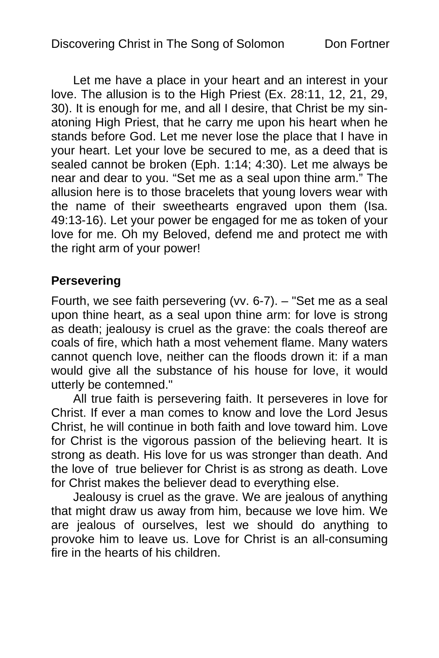Let me have a place in your heart and an interest in your love. The allusion is to the High Priest (Ex. 28:11, 12, 21, 29, 30). It is enough for me, and all I desire, that Christ be my sinatoning High Priest, that he carry me upon his heart when he stands before God. Let me never lose the place that I have in your heart. Let your love be secured to me, as a deed that is sealed cannot be broken (Eph. 1:14; 4:30). Let me always be near and dear to you. "Set me as a seal upon thine arm." The allusion here is to those bracelets that young lovers wear with the name of their sweethearts engraved upon them (Isa. 49:13-16). Let your power be engaged for me as token of your love for me. Oh my Beloved, defend me and protect me with the right arm of your power!

### **Persevering**

Fourth, we see faith persevering (vv. 6-7). – "Set me as a seal upon thine heart, as a seal upon thine arm: for love is strong as death; jealousy is cruel as the grave: the coals thereof are coals of fire, which hath a most vehement flame. Many waters cannot quench love, neither can the floods drown it: if a man would give all the substance of his house for love, it would utterly be contemned."

All true faith is persevering faith. It perseveres in love for Christ. If ever a man comes to know and love the Lord Jesus Christ, he will continue in both faith and love toward him. Love for Christ is the vigorous passion of the believing heart. It is strong as death. His love for us was stronger than death. And the love of true believer for Christ is as strong as death. Love for Christ makes the believer dead to everything else.

Jealousy is cruel as the grave. We are jealous of anything that might draw us away from him, because we love him. We are jealous of ourselves, lest we should do anything to provoke him to leave us. Love for Christ is an all-consuming fire in the hearts of his children.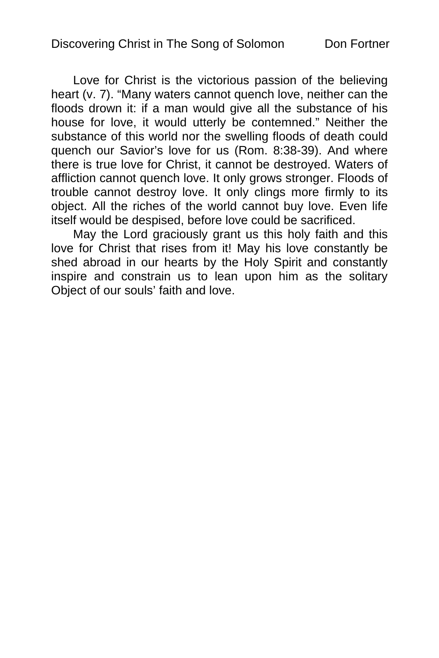Love for Christ is the victorious passion of the believing heart (v. 7). "Many waters cannot quench love, neither can the floods drown it: if a man would give all the substance of his house for love, it would utterly be contemned." Neither the substance of this world nor the swelling floods of death could quench our Savior's love for us (Rom. 8:38-39). And where there is true love for Christ, it cannot be destroyed. Waters of affliction cannot quench love. It only grows stronger. Floods of trouble cannot destroy love. It only clings more firmly to its object. All the riches of the world cannot buy love. Even life itself would be despised, before love could be sacrificed.

May the Lord graciously grant us this holy faith and this love for Christ that rises from it! May his love constantly be shed abroad in our hearts by the Holy Spirit and constantly inspire and constrain us to lean upon him as the solitary Object of our souls' faith and love.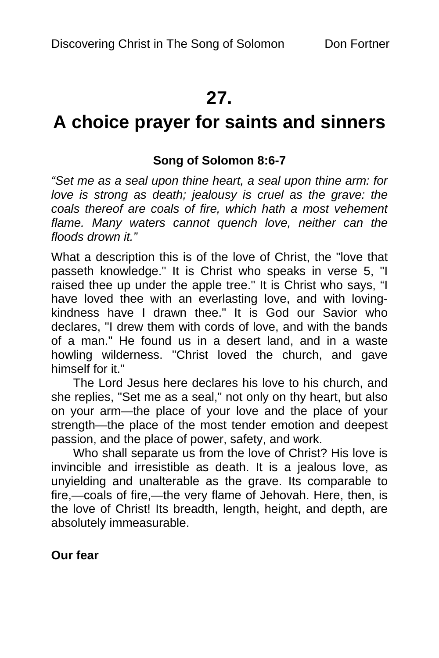# **27.**

# **A choice prayer for saints and sinners**

### **Song of Solomon 8:6-7**

*"Set me as a seal upon thine heart, a seal upon thine arm: for love is strong as death; jealousy is cruel as the grave: the coals thereof are coals of fire, which hath a most vehement flame. Many waters cannot quench love, neither can the floods drown it."* 

What a description this is of the love of Christ, the "love that passeth knowledge." It is Christ who speaks in verse 5, "I raised thee up under the apple tree." It is Christ who says, "I have loved thee with an everlasting love, and with lovingkindness have I drawn thee." It is God our Savior who declares, "I drew them with cords of love, and with the bands of a man." He found us in a desert land, and in a waste howling wilderness. "Christ loved the church, and gave himself for it."

The Lord Jesus here declares his love to his church, and she replies, "Set me as a seal," not only on thy heart, but also on your arm—the place of your love and the place of your strength—the place of the most tender emotion and deepest passion, and the place of power, safety, and work.

Who shall separate us from the love of Christ? His love is invincible and irresistible as death. It is a jealous love, as unyielding and unalterable as the grave. Its comparable to fire,—coals of fire,—the very flame of Jehovah. Here, then, is the love of Christ! Its breadth, length, height, and depth, are absolutely immeasurable.

**Our fear**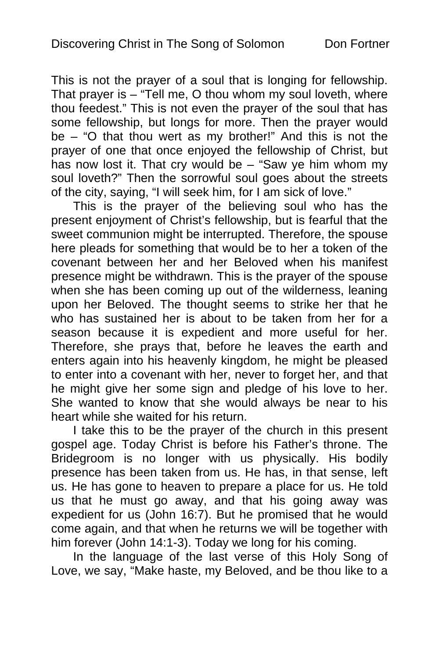This is not the prayer of a soul that is longing for fellowship. That prayer is  $-$  "Tell me, O thou whom my soul loveth, where thou feedest." This is not even the prayer of the soul that has some fellowship, but longs for more. Then the prayer would be – "O that thou wert as my brother!" And this is not the prayer of one that once enjoyed the fellowship of Christ, but has now lost it. That cry would be – "Saw ye him whom my soul loveth?" Then the sorrowful soul goes about the streets of the city, saying, "I will seek him, for I am sick of love."

This is the prayer of the believing soul who has the present enjoyment of Christ's fellowship, but is fearful that the sweet communion might be interrupted. Therefore, the spouse here pleads for something that would be to her a token of the covenant between her and her Beloved when his manifest presence might be withdrawn. This is the prayer of the spouse when she has been coming up out of the wilderness, leaning upon her Beloved. The thought seems to strike her that he who has sustained her is about to be taken from her for a season because it is expedient and more useful for her. Therefore, she prays that, before he leaves the earth and enters again into his heavenly kingdom, he might be pleased to enter into a covenant with her, never to forget her, and that he might give her some sign and pledge of his love to her. She wanted to know that she would always be near to his heart while she waited for his return.

I take this to be the prayer of the church in this present gospel age. Today Christ is before his Father's throne. The Bridegroom is no longer with us physically. His bodily presence has been taken from us. He has, in that sense, left us. He has gone to heaven to prepare a place for us. He told us that he must go away, and that his going away was expedient for us (John 16:7). But he promised that he would come again, and that when he returns we will be together with him forever (John 14:1-3). Today we long for his coming.

In the language of the last verse of this Holy Song of Love, we say, "Make haste, my Beloved, and be thou like to a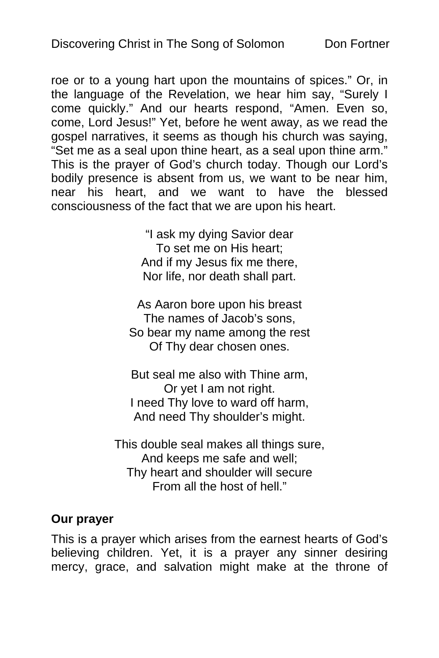roe or to a young hart upon the mountains of spices." Or, in the language of the Revelation, we hear him say, "Surely I come quickly." And our hearts respond, "Amen. Even so, come, Lord Jesus!" Yet, before he went away, as we read the gospel narratives, it seems as though his church was saying, "Set me as a seal upon thine heart, as a seal upon thine arm." This is the prayer of God's church today. Though our Lord's bodily presence is absent from us, we want to be near him, near his heart, and we want to have the blessed consciousness of the fact that we are upon his heart.

> "I ask my dying Savior dear To set me on His heart; And if my Jesus fix me there, Nor life, nor death shall part.

As Aaron bore upon his breast The names of Jacob's sons, So bear my name among the rest Of Thy dear chosen ones.

But seal me also with Thine arm, Or yet I am not right. I need Thy love to ward off harm, And need Thy shoulder's might.

This double seal makes all things sure, And keeps me safe and well; Thy heart and shoulder will secure From all the host of hell."

#### **Our prayer**

This is a prayer which arises from the earnest hearts of God's believing children. Yet, it is a prayer any sinner desiring mercy, grace, and salvation might make at the throne of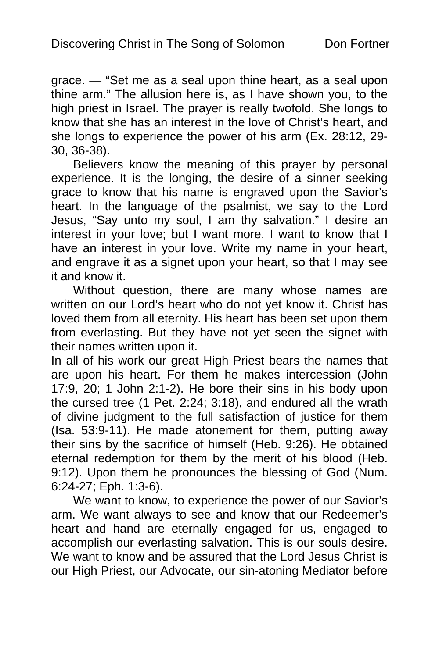grace. — "Set me as a seal upon thine heart, as a seal upon thine arm." The allusion here is, as I have shown you, to the high priest in Israel. The prayer is really twofold. She longs to know that she has an interest in the love of Christ's heart, and she longs to experience the power of his arm (Ex. 28:12, 29- 30, 36-38).

Believers know the meaning of this prayer by personal experience. It is the longing, the desire of a sinner seeking grace to know that his name is engraved upon the Savior's heart. In the language of the psalmist, we say to the Lord Jesus, "Say unto my soul, I am thy salvation." I desire an interest in your love; but I want more. I want to know that I have an interest in your love. Write my name in your heart, and engrave it as a signet upon your heart, so that I may see it and know it.

Without question, there are many whose names are written on our Lord's heart who do not yet know it. Christ has loved them from all eternity. His heart has been set upon them from everlasting. But they have not yet seen the signet with their names written upon it.

In all of his work our great High Priest bears the names that are upon his heart. For them he makes intercession (John 17:9, 20; 1 John 2:1-2). He bore their sins in his body upon the cursed tree (1 Pet. 2:24; 3:18), and endured all the wrath of divine judgment to the full satisfaction of justice for them (Isa. 53:9-11). He made atonement for them, putting away their sins by the sacrifice of himself (Heb. 9:26). He obtained eternal redemption for them by the merit of his blood (Heb. 9:12). Upon them he pronounces the blessing of God (Num. 6:24-27; Eph. 1:3-6).

We want to know, to experience the power of our Savior's arm. We want always to see and know that our Redeemer's heart and hand are eternally engaged for us, engaged to accomplish our everlasting salvation. This is our souls desire. We want to know and be assured that the Lord Jesus Christ is our High Priest, our Advocate, our sin-atoning Mediator before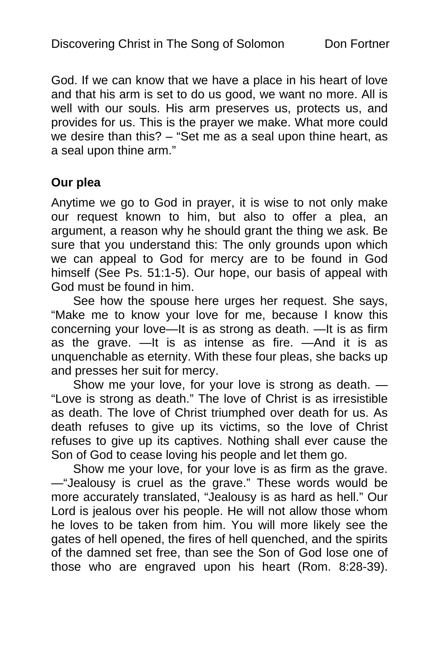God. If we can know that we have a place in his heart of love and that his arm is set to do us good, we want no more. All is well with our souls. His arm preserves us, protects us, and provides for us. This is the prayer we make. What more could we desire than this? – "Set me as a seal upon thine heart, as a seal upon thine arm."

#### **Our plea**

Anytime we go to God in prayer, it is wise to not only make our request known to him, but also to offer a plea, an argument, a reason why he should grant the thing we ask. Be sure that you understand this: The only grounds upon which we can appeal to God for mercy are to be found in God himself (See Ps. 51:1-5). Our hope, our basis of appeal with God must be found in him.

See how the spouse here urges her request. She says, "Make me to know your love for me, because I know this concerning your love—It is as strong as death. —It is as firm as the grave. —It is as intense as fire. —And it is as unquenchable as eternity. With these four pleas, she backs up and presses her suit for mercy.

Show me your love, for your love is strong as death. — "Love is strong as death." The love of Christ is as irresistible as death. The love of Christ triumphed over death for us. As death refuses to give up its victims, so the love of Christ refuses to give up its captives. Nothing shall ever cause the Son of God to cease loving his people and let them go.

Show me your love, for your love is as firm as the grave. —"Jealousy is cruel as the grave." These words would be more accurately translated, "Jealousy is as hard as hell." Our Lord is jealous over his people. He will not allow those whom he loves to be taken from him. You will more likely see the gates of hell opened, the fires of hell quenched, and the spirits of the damned set free, than see the Son of God lose one of those who are engraved upon his heart (Rom. 8:28-39).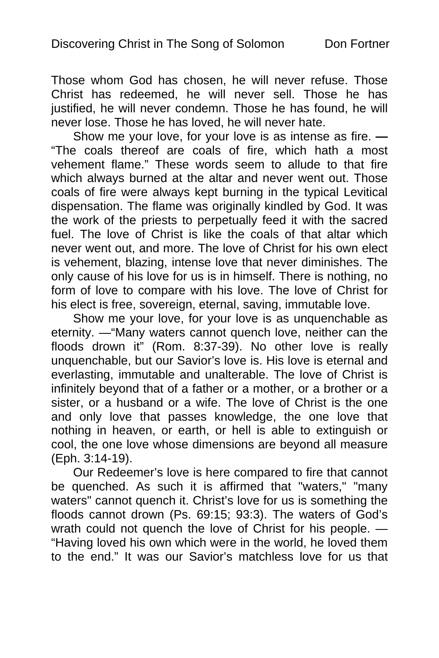Those whom God has chosen, he will never refuse. Those Christ has redeemed, he will never sell. Those he has justified, he will never condemn. Those he has found, he will never lose. Those he has loved, he will never hate.

Show me your love, for your love is as intense as fire. **—** "The coals thereof are coals of fire, which hath a most vehement flame." These words seem to allude to that fire which always burned at the altar and never went out. Those coals of fire were always kept burning in the typical Levitical dispensation. The flame was originally kindled by God. It was the work of the priests to perpetually feed it with the sacred fuel. The love of Christ is like the coals of that altar which never went out, and more. The love of Christ for his own elect is vehement, blazing, intense love that never diminishes. The only cause of his love for us is in himself. There is nothing, no form of love to compare with his love. The love of Christ for his elect is free, sovereign, eternal, saving, immutable love.

Show me your love, for your love is as unquenchable as eternity. —"Many waters cannot quench love, neither can the floods drown it" (Rom. 8:37-39). No other love is really unquenchable, but our Savior's love is. His love is eternal and everlasting, immutable and unalterable. The love of Christ is infinitely beyond that of a father or a mother, or a brother or a sister, or a husband or a wife. The love of Christ is the one and only love that passes knowledge, the one love that nothing in heaven, or earth, or hell is able to extinguish or cool, the one love whose dimensions are beyond all measure (Eph. 3:14-19).

Our Redeemer's love is here compared to fire that cannot be quenched. As such it is affirmed that "waters," "many waters" cannot quench it. Christ's love for us is something the floods cannot drown (Ps. 69:15; 93:3). The waters of God's wrath could not quench the love of Christ for his people. — "Having loved his own which were in the world, he loved them to the end." It was our Savior's matchless love for us that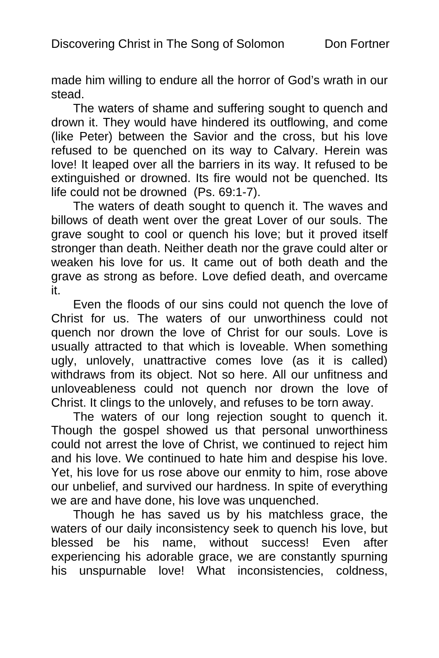made him willing to endure all the horror of God's wrath in our stead.

The waters of shame and suffering sought to quench and drown it. They would have hindered its outflowing, and come (like Peter) between the Savior and the cross, but his love refused to be quenched on its way to Calvary. Herein was love! It leaped over all the barriers in its way. It refused to be extinguished or drowned. Its fire would not be quenched. Its life could not be drowned (Ps. 69:1-7).

The waters of death sought to quench it. The waves and billows of death went over the great Lover of our souls. The grave sought to cool or quench his love; but it proved itself stronger than death. Neither death nor the grave could alter or weaken his love for us. It came out of both death and the grave as strong as before. Love defied death, and overcame it.

Even the floods of our sins could not quench the love of Christ for us. The waters of our unworthiness could not quench nor drown the love of Christ for our souls. Love is usually attracted to that which is loveable. When something ugly, unlovely, unattractive comes love (as it is called) withdraws from its object. Not so here. All our unfitness and unloveableness could not quench nor drown the love of Christ. It clings to the unlovely, and refuses to be torn away.

The waters of our long rejection sought to quench it. Though the gospel showed us that personal unworthiness could not arrest the love of Christ, we continued to reject him and his love. We continued to hate him and despise his love. Yet, his love for us rose above our enmity to him, rose above our unbelief, and survived our hardness. In spite of everything we are and have done, his love was unquenched.

Though he has saved us by his matchless grace, the waters of our daily inconsistency seek to quench his love, but blessed be his name, without success! Even after experiencing his adorable grace, we are constantly spurning his unspurnable love! What inconsistencies, coldness,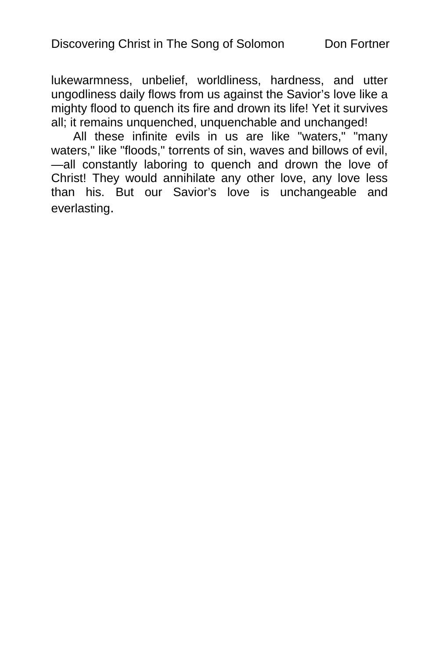lukewarmness, unbelief, worldliness, hardness, and utter ungodliness daily flows from us against the Savior's love like a mighty flood to quench its fire and drown its life! Yet it survives all; it remains unquenched, unquenchable and unchanged!

All these infinite evils in us are like "waters," "many waters," like "floods," torrents of sin, waves and billows of evil, —all constantly laboring to quench and drown the love of Christ! They would annihilate any other love, any love less than his. But our Savior's love is unchangeable and everlasting.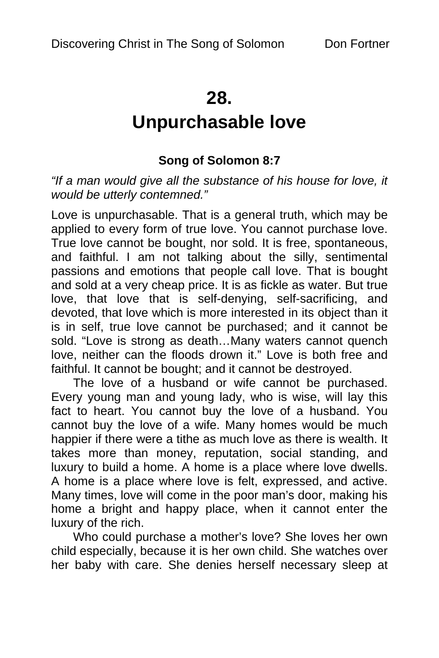# **28.**

# **Unpurchasable love**

## **Song of Solomon 8:7**

*"If a man would give all the substance of his house for love, it would be utterly contemned."*

Love is unpurchasable. That is a general truth, which may be applied to every form of true love. You cannot purchase love. True love cannot be bought, nor sold. It is free, spontaneous, and faithful. I am not talking about the silly, sentimental passions and emotions that people call love. That is bought and sold at a very cheap price. It is as fickle as water. But true love, that love that is self-denying, self-sacrificing, and devoted, that love which is more interested in its object than it is in self, true love cannot be purchased; and it cannot be sold. "Love is strong as death…Many waters cannot quench love, neither can the floods drown it." Love is both free and faithful. It cannot be bought; and it cannot be destroyed.

The love of a husband or wife cannot be purchased. Every young man and young lady, who is wise, will lay this fact to heart. You cannot buy the love of a husband. You cannot buy the love of a wife. Many homes would be much happier if there were a tithe as much love as there is wealth. It takes more than money, reputation, social standing, and luxury to build a home. A home is a place where love dwells. A home is a place where love is felt, expressed, and active. Many times, love will come in the poor man's door, making his home a bright and happy place, when it cannot enter the luxury of the rich.

Who could purchase a mother's love? She loves her own child especially, because it is her own child. She watches over her baby with care. She denies herself necessary sleep at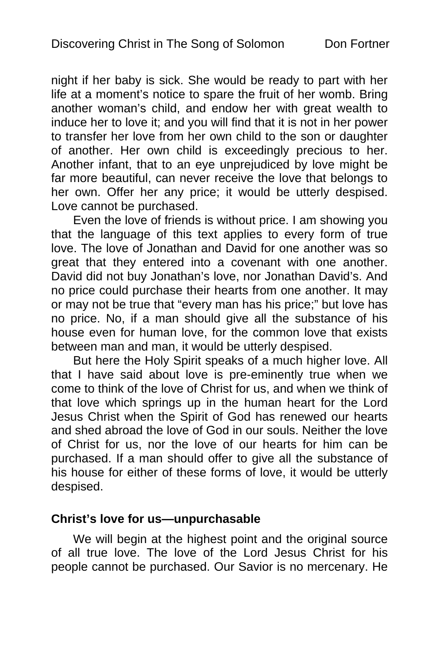night if her baby is sick. She would be ready to part with her life at a moment's notice to spare the fruit of her womb. Bring another woman's child, and endow her with great wealth to induce her to love it; and you will find that it is not in her power to transfer her love from her own child to the son or daughter of another. Her own child is exceedingly precious to her. Another infant, that to an eye unprejudiced by love might be far more beautiful, can never receive the love that belongs to her own. Offer her any price; it would be utterly despised. Love cannot be purchased.

Even the love of friends is without price. I am showing you that the language of this text applies to every form of true love. The love of Jonathan and David for one another was so great that they entered into a covenant with one another. David did not buy Jonathan's love, nor Jonathan David's. And no price could purchase their hearts from one another. It may or may not be true that "every man has his price;" but love has no price. No, if a man should give all the substance of his house even for human love, for the common love that exists between man and man, it would be utterly despised.

But here the Holy Spirit speaks of a much higher love. All that I have said about love is pre-eminently true when we come to think of the love of Christ for us, and when we think of that love which springs up in the human heart for the Lord Jesus Christ when the Spirit of God has renewed our hearts and shed abroad the love of God in our souls. Neither the love of Christ for us, nor the love of our hearts for him can be purchased. If a man should offer to give all the substance of his house for either of these forms of love, it would be utterly despised.

#### **Christ's love for us—unpurchasable**

We will begin at the highest point and the original source of all true love. The love of the Lord Jesus Christ for his people cannot be purchased. Our Savior is no mercenary. He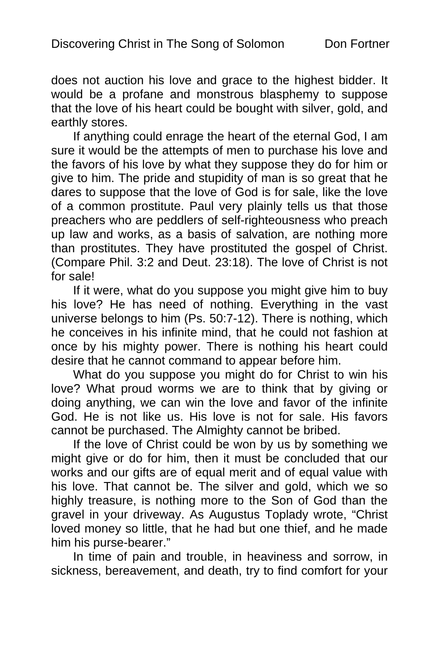does not auction his love and grace to the highest bidder. It would be a profane and monstrous blasphemy to suppose that the love of his heart could be bought with silver, gold, and earthly stores.

If anything could enrage the heart of the eternal God, I am sure it would be the attempts of men to purchase his love and the favors of his love by what they suppose they do for him or give to him. The pride and stupidity of man is so great that he dares to suppose that the love of God is for sale, like the love of a common prostitute. Paul very plainly tells us that those preachers who are peddlers of self-righteousness who preach up law and works, as a basis of salvation, are nothing more than prostitutes. They have prostituted the gospel of Christ. (Compare Phil. 3:2 and Deut. 23:18). The love of Christ is not for sale!

If it were, what do you suppose you might give him to buy his love? He has need of nothing. Everything in the vast universe belongs to him (Ps. 50:7-12). There is nothing, which he conceives in his infinite mind, that he could not fashion at once by his mighty power. There is nothing his heart could desire that he cannot command to appear before him.

What do you suppose you might do for Christ to win his love? What proud worms we are to think that by giving or doing anything, we can win the love and favor of the infinite God. He is not like us. His love is not for sale. His favors cannot be purchased. The Almighty cannot be bribed.

If the love of Christ could be won by us by something we might give or do for him, then it must be concluded that our works and our gifts are of equal merit and of equal value with his love. That cannot be. The silver and gold, which we so highly treasure, is nothing more to the Son of God than the gravel in your driveway. As Augustus Toplady wrote, "Christ loved money so little, that he had but one thief, and he made him his purse-bearer."

In time of pain and trouble, in heaviness and sorrow, in sickness, bereavement, and death, try to find comfort for your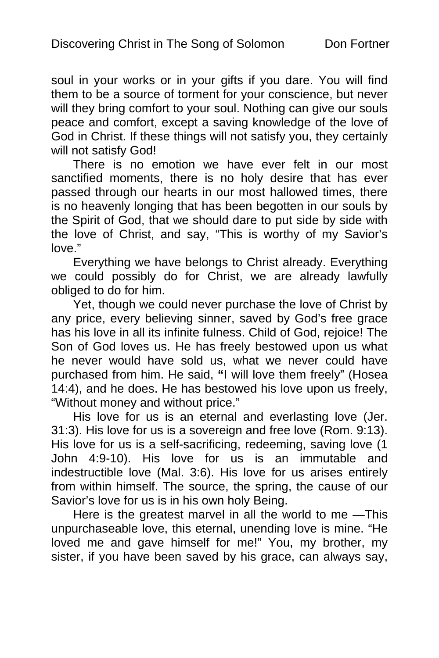soul in your works or in your gifts if you dare. You will find them to be a source of torment for your conscience, but never will they bring comfort to your soul. Nothing can give our souls peace and comfort, except a saving knowledge of the love of God in Christ. If these things will not satisfy you, they certainly will not satisfy God!

There is no emotion we have ever felt in our most sanctified moments, there is no holy desire that has ever passed through our hearts in our most hallowed times, there is no heavenly longing that has been begotten in our souls by the Spirit of God, that we should dare to put side by side with the love of Christ, and say, "This is worthy of my Savior's love."

Everything we have belongs to Christ already. Everything we could possibly do for Christ, we are already lawfully obliged to do for him.

Yet, though we could never purchase the love of Christ by any price, every believing sinner, saved by God's free grace has his love in all its infinite fulness. Child of God, rejoice! The Son of God loves us. He has freely bestowed upon us what he never would have sold us, what we never could have purchased from him. He said, **"**I will love them freely" (Hosea 14:4), and he does. He has bestowed his love upon us freely, "Without money and without price."

His love for us is an eternal and everlasting love (Jer. 31:3). His love for us is a sovereign and free love (Rom. 9:13). His love for us is a self-sacrificing, redeeming, saving love (1 John 4:9-10). His love for us is an immutable and indestructible love (Mal. 3:6). His love for us arises entirely from within himself. The source, the spring, the cause of our Savior's love for us is in his own holy Being.

Here is the greatest marvel in all the world to me —This unpurchaseable love, this eternal, unending love is mine. "He loved me and gave himself for me!" You, my brother, my sister, if you have been saved by his grace, can always say,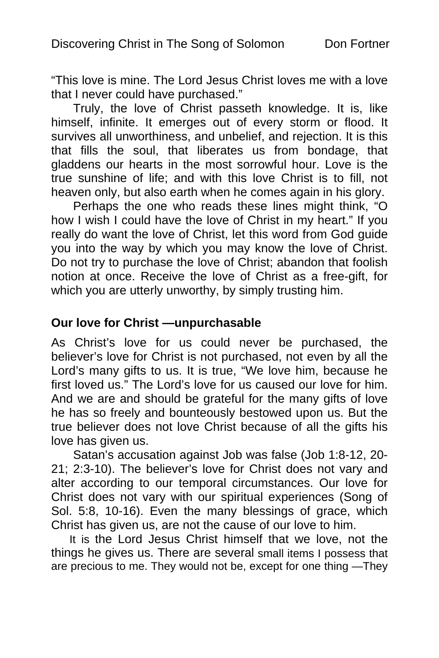"This love is mine. The Lord Jesus Christ loves me with a love that I never could have purchased."

Truly, the love of Christ passeth knowledge. It is, like himself, infinite. It emerges out of every storm or flood. It survives all unworthiness, and unbelief, and rejection. It is this that fills the soul, that liberates us from bondage, that gladdens our hearts in the most sorrowful hour. Love is the true sunshine of life; and with this love Christ is to fill, not heaven only, but also earth when he comes again in his glory.

Perhaps the one who reads these lines might think, "O how I wish I could have the love of Christ in my heart." If you really do want the love of Christ, let this word from God guide you into the way by which you may know the love of Christ. Do not try to purchase the love of Christ; abandon that foolish notion at once. Receive the love of Christ as a free-gift, for which you are utterly unworthy, by simply trusting him.

#### **Our love for Christ —unpurchasable**

As Christ's love for us could never be purchased, the believer's love for Christ is not purchased, not even by all the Lord's many gifts to us. It is true, "We love him, because he first loved us." The Lord's love for us caused our love for him. And we are and should be grateful for the many gifts of love he has so freely and bounteously bestowed upon us. But the true believer does not love Christ because of all the gifts his love has given us.

Satan's accusation against Job was false (Job 1:8-12, 20- 21; 2:3-10). The believer's love for Christ does not vary and alter according to our temporal circumstances. Our love for Christ does not vary with our spiritual experiences (Song of Sol. 5:8, 10-16). Even the many blessings of grace, which Christ has given us, are not the cause of our love to him.

It is the Lord Jesus Christ himself that we love, not the things he gives us. There are several small items I possess that are precious to me. They would not be, except for one thing —They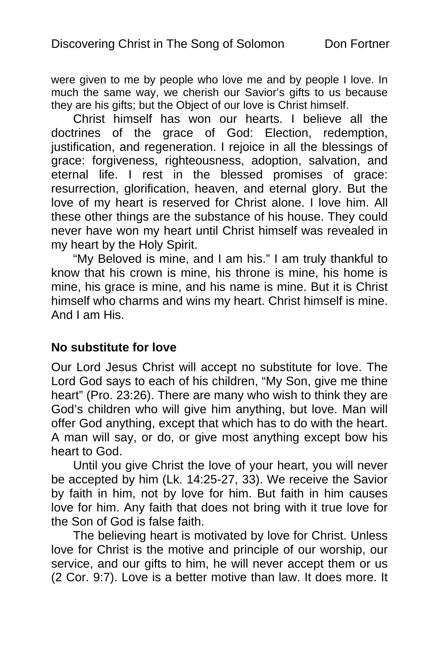were given to me by people who love me and by people I love. In much the same way, we cherish our Savior's gifts to us because they are his gifts; but the Object of our love is Christ himself.

Christ himself has won our hearts. I believe all the doctrines of the grace of God: Election, redemption, justification, and regeneration. I rejoice in all the blessings of grace: forgiveness, righteousness, adoption, salvation, and eternal life. I rest in the blessed promises of grace: resurrection, glorification, heaven, and eternal glory. But the love of my heart is reserved for Christ alone. I love him. All these other things are the substance of his house. They could never have won my heart until Christ himself was revealed in my heart by the Holy Spirit.

"My Beloved is mine, and I am his." I am truly thankful to know that his crown is mine, his throne is mine, his home is mine, his grace is mine, and his name is mine. But it is Christ himself who charms and wins my heart. Christ himself is mine. And I am His.

#### **No substitute for love**

Our Lord Jesus Christ will accept no substitute for love. The Lord God says to each of his children, "My Son, give me thine heart" (Pro. 23:26). There are many who wish to think they are God's children who will give him anything, but love. Man will offer God anything, except that which has to do with the heart. A man will say, or do, or give most anything except bow his heart to God.

Until you give Christ the love of your heart, you will never be accepted by him (Lk. 14:25-27, 33). We receive the Savior by faith in him, not by love for him. But faith in him causes love for him. Any faith that does not bring with it true love for the Son of God is false faith.

The believing heart is motivated by love for Christ. Unless love for Christ is the motive and principle of our worship, our service, and our gifts to him, he will never accept them or us (2 Cor. 9:7). Love is a better motive than law. It does more. It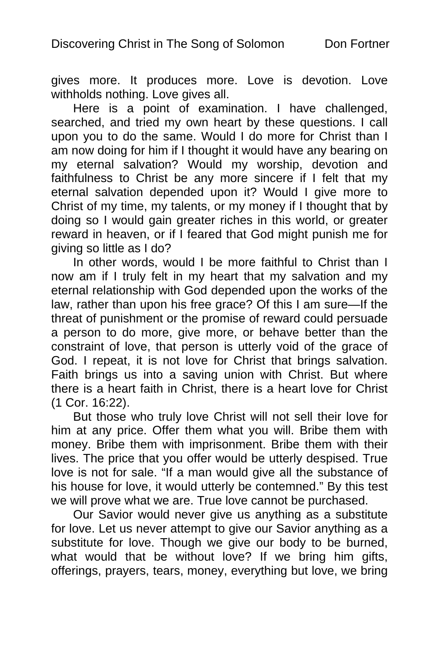gives more. It produces more. Love is devotion. Love withholds nothing. Love gives all.

Here is a point of examination. I have challenged, searched, and tried my own heart by these questions. I call upon you to do the same. Would I do more for Christ than I am now doing for him if I thought it would have any bearing on my eternal salvation? Would my worship, devotion and faithfulness to Christ be any more sincere if I felt that my eternal salvation depended upon it? Would I give more to Christ of my time, my talents, or my money if I thought that by doing so I would gain greater riches in this world, or greater reward in heaven, or if I feared that God might punish me for giving so little as I do?

In other words, would I be more faithful to Christ than I now am if I truly felt in my heart that my salvation and my eternal relationship with God depended upon the works of the law, rather than upon his free grace? Of this I am sure—If the threat of punishment or the promise of reward could persuade a person to do more, give more, or behave better than the constraint of love, that person is utterly void of the grace of God. I repeat, it is not love for Christ that brings salvation. Faith brings us into a saving union with Christ. But where there is a heart faith in Christ, there is a heart love for Christ (1 Cor. 16:22).

But those who truly love Christ will not sell their love for him at any price. Offer them what you will. Bribe them with money. Bribe them with imprisonment. Bribe them with their lives. The price that you offer would be utterly despised. True love is not for sale. "If a man would give all the substance of his house for love, it would utterly be contemned." By this test we will prove what we are. True love cannot be purchased.

Our Savior would never give us anything as a substitute for love. Let us never attempt to give our Savior anything as a substitute for love. Though we give our body to be burned, what would that be without love? If we bring him gifts, offerings, prayers, tears, money, everything but love, we bring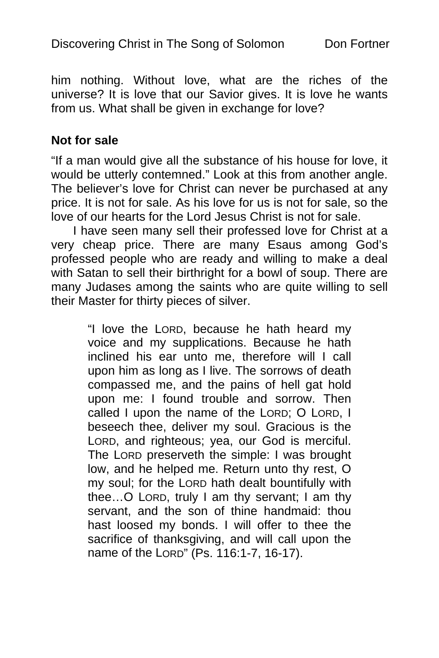him nothing. Without love, what are the riches of the universe? It is love that our Savior gives. It is love he wants from us. What shall be given in exchange for love?

#### **Not for sale**

"If a man would give all the substance of his house for love, it would be utterly contemned." Look at this from another angle. The believer's love for Christ can never be purchased at any price. It is not for sale. As his love for us is not for sale, so the love of our hearts for the Lord Jesus Christ is not for sale.

I have seen many sell their professed love for Christ at a very cheap price. There are many Esaus among God's professed people who are ready and willing to make a deal with Satan to sell their birthright for a bowl of soup. There are many Judases among the saints who are quite willing to sell their Master for thirty pieces of silver.

> "I love the LORD, because he hath heard my voice and my supplications. Because he hath inclined his ear unto me, therefore will I call upon him as long as I live. The sorrows of death compassed me, and the pains of hell gat hold upon me: I found trouble and sorrow. Then called I upon the name of the LORD; O LORD, I beseech thee, deliver my soul. Gracious is the LORD, and righteous; yea, our God is merciful. The LORD preserveth the simple: I was brought low, and he helped me. Return unto thy rest, O my soul; for the LORD hath dealt bountifully with thee…O LORD, truly I am thy servant; I am thy servant, and the son of thine handmaid: thou hast loosed my bonds. I will offer to thee the sacrifice of thanksgiving, and will call upon the name of the LORD" (Ps. 116:1-7, 16-17).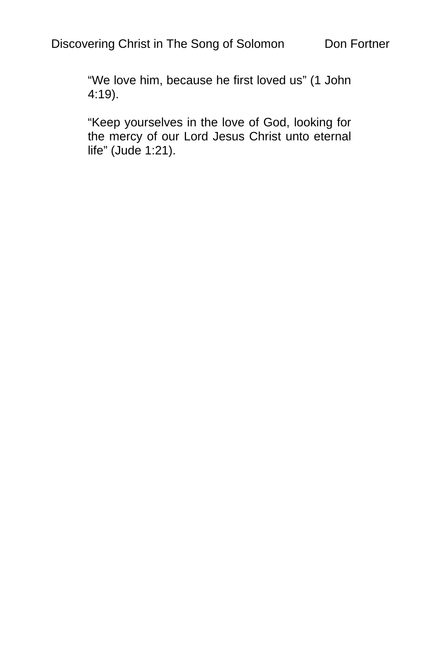"We love him, because he first loved us" (1 John 4:19).

"Keep yourselves in the love of God, looking for the mercy of our Lord Jesus Christ unto eternal life" (Jude 1:21).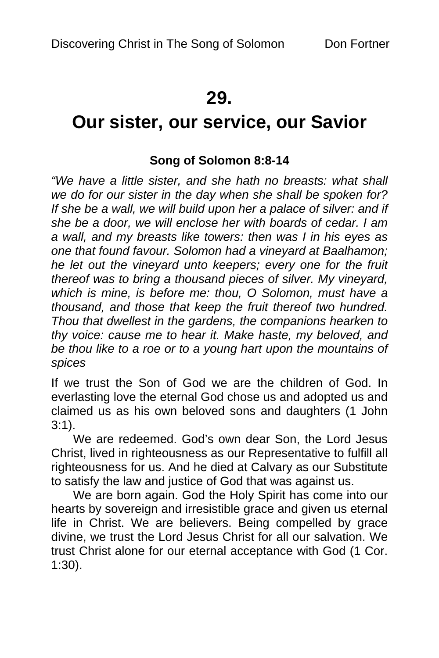# **29.**

# **Our sister, our service, our Savior**

## **Song of Solomon 8:8-14**

*"We have a little sister, and she hath no breasts: what shall we do for our sister in the day when she shall be spoken for? If she be a wall, we will build upon her a palace of silver: and if she be a door, we will enclose her with boards of cedar. I am a wall, and my breasts like towers: then was I in his eyes as one that found favour. Solomon had a vineyard at Baalhamon; he let out the vineyard unto keepers; every one for the fruit thereof was to bring a thousand pieces of silver. My vineyard, which is mine, is before me: thou, O Solomon, must have a thousand, and those that keep the fruit thereof two hundred. Thou that dwellest in the gardens, the companions hearken to thy voice: cause me to hear it. Make haste, my beloved, and be thou like to a roe or to a young hart upon the mountains of spices* 

If we trust the Son of God we are the children of God. In everlasting love the eternal God chose us and adopted us and claimed us as his own beloved sons and daughters (1 John 3:1).

We are redeemed. God's own dear Son, the Lord Jesus Christ, lived in righteousness as our Representative to fulfill all righteousness for us. And he died at Calvary as our Substitute to satisfy the law and justice of God that was against us.

We are born again. God the Holy Spirit has come into our hearts by sovereign and irresistible grace and given us eternal life in Christ. We are believers. Being compelled by grace divine, we trust the Lord Jesus Christ for all our salvation. We trust Christ alone for our eternal acceptance with God (1 Cor. 1:30).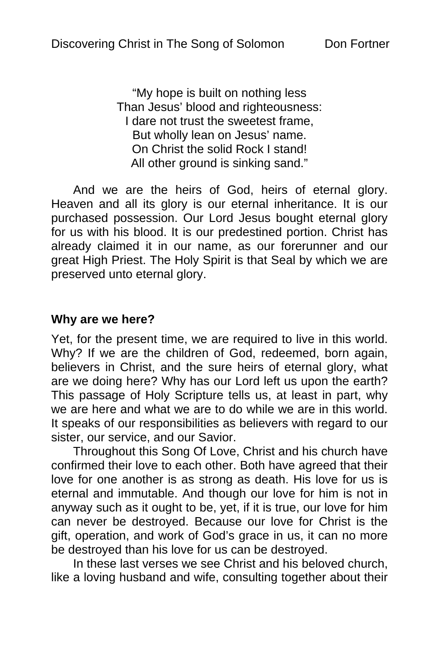"My hope is built on nothing less Than Jesus' blood and righteousness: I dare not trust the sweetest frame, But wholly lean on Jesus' name. On Christ the solid Rock I stand! All other ground is sinking sand."

And we are the heirs of God, heirs of eternal glory. Heaven and all its glory is our eternal inheritance. It is our purchased possession. Our Lord Jesus bought eternal glory for us with his blood. It is our predestined portion. Christ has already claimed it in our name, as our forerunner and our great High Priest. The Holy Spirit is that Seal by which we are preserved unto eternal glory.

#### **Why are we here?**

Yet, for the present time, we are required to live in this world. Why? If we are the children of God, redeemed, born again, believers in Christ, and the sure heirs of eternal glory, what are we doing here? Why has our Lord left us upon the earth? This passage of Holy Scripture tells us, at least in part, why we are here and what we are to do while we are in this world. It speaks of our responsibilities as believers with regard to our sister, our service, and our Savior.

Throughout this Song Of Love, Christ and his church have confirmed their love to each other. Both have agreed that their love for one another is as strong as death. His love for us is eternal and immutable. And though our love for him is not in anyway such as it ought to be, yet, if it is true, our love for him can never be destroyed. Because our love for Christ is the gift, operation, and work of God's grace in us, it can no more be destroyed than his love for us can be destroyed.

In these last verses we see Christ and his beloved church, like a loving husband and wife, consulting together about their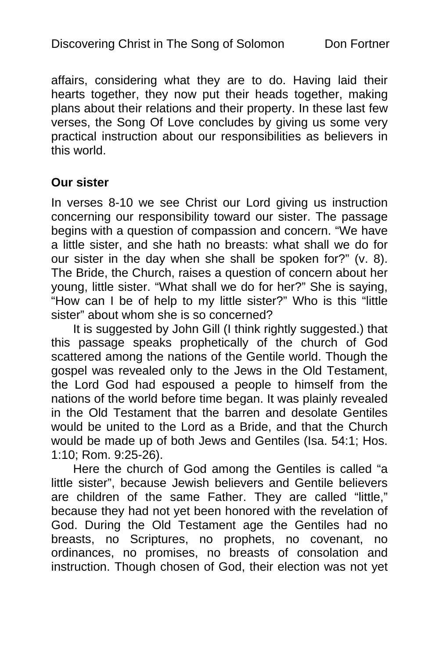affairs, considering what they are to do. Having laid their hearts together, they now put their heads together, making plans about their relations and their property. In these last few verses, the Song Of Love concludes by giving us some very practical instruction about our responsibilities as believers in this world.

#### **Our sister**

In verses 8-10 we see Christ our Lord giving us instruction concerning our responsibility toward our sister. The passage begins with a question of compassion and concern. "We have a little sister, and she hath no breasts: what shall we do for our sister in the day when she shall be spoken for?" (v. 8). The Bride, the Church, raises a question of concern about her young, little sister. "What shall we do for her?" She is saying, "How can I be of help to my little sister?" Who is this "little sister" about whom she is so concerned?

It is suggested by John Gill (I think rightly suggested.) that this passage speaks prophetically of the church of God scattered among the nations of the Gentile world. Though the gospel was revealed only to the Jews in the Old Testament, the Lord God had espoused a people to himself from the nations of the world before time began. It was plainly revealed in the Old Testament that the barren and desolate Gentiles would be united to the Lord as a Bride, and that the Church would be made up of both Jews and Gentiles (Isa. 54:1; Hos. 1:10; Rom. 9:25-26).

Here the church of God among the Gentiles is called "a little sister", because Jewish believers and Gentile believers are children of the same Father. They are called "little," because they had not yet been honored with the revelation of God. During the Old Testament age the Gentiles had no breasts, no Scriptures, no prophets, no covenant, no ordinances, no promises, no breasts of consolation and instruction. Though chosen of God, their election was not yet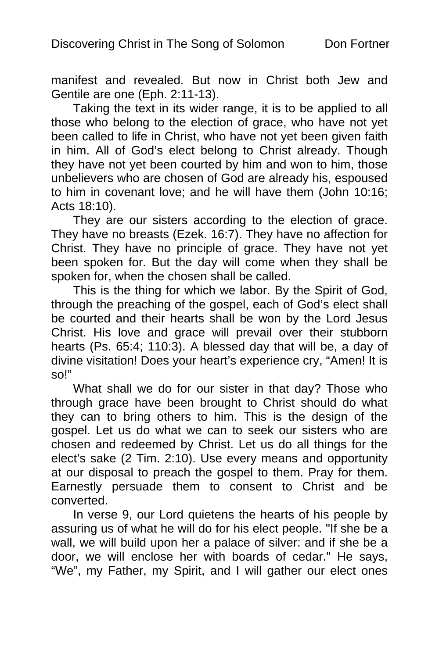manifest and revealed. But now in Christ both Jew and Gentile are one (Eph. 2:11-13).

Taking the text in its wider range, it is to be applied to all those who belong to the election of grace, who have not yet been called to life in Christ, who have not yet been given faith in him. All of God's elect belong to Christ already. Though they have not yet been courted by him and won to him, those unbelievers who are chosen of God are already his, espoused to him in covenant love; and he will have them (John 10:16; Acts 18:10).

They are our sisters according to the election of grace. They have no breasts (Ezek. 16:7). They have no affection for Christ. They have no principle of grace. They have not yet been spoken for. But the day will come when they shall be spoken for, when the chosen shall be called.

This is the thing for which we labor. By the Spirit of God, through the preaching of the gospel, each of God's elect shall be courted and their hearts shall be won by the Lord Jesus Christ. His love and grace will prevail over their stubborn hearts (Ps. 65:4; 110:3). A blessed day that will be, a day of divine visitation! Does your heart's experience cry, "Amen! It is so!"

What shall we do for our sister in that day? Those who through grace have been brought to Christ should do what they can to bring others to him. This is the design of the gospel. Let us do what we can to seek our sisters who are chosen and redeemed by Christ. Let us do all things for the elect's sake (2 Tim. 2:10). Use every means and opportunity at our disposal to preach the gospel to them. Pray for them. Earnestly persuade them to consent to Christ and be converted.

In verse 9, our Lord quietens the hearts of his people by assuring us of what he will do for his elect people. "If she be a wall, we will build upon her a palace of silver: and if she be a door, we will enclose her with boards of cedar." He says, "We", my Father, my Spirit, and I will gather our elect ones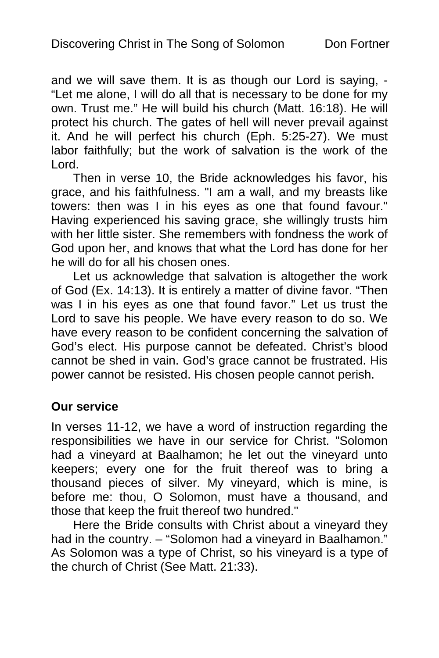and we will save them. It is as though our Lord is saying, - "Let me alone, I will do all that is necessary to be done for my own. Trust me." He will build his church (Matt. 16:18). He will protect his church. The gates of hell will never prevail against it. And he will perfect his church (Eph. 5:25-27). We must labor faithfully; but the work of salvation is the work of the Lord.

Then in verse 10, the Bride acknowledges his favor, his grace, and his faithfulness. "I am a wall, and my breasts like towers: then was I in his eyes as one that found favour." Having experienced his saving grace, she willingly trusts him with her little sister. She remembers with fondness the work of God upon her, and knows that what the Lord has done for her he will do for all his chosen ones.

Let us acknowledge that salvation is altogether the work of God (Ex. 14:13). It is entirely a matter of divine favor. "Then was I in his eyes as one that found favor." Let us trust the Lord to save his people. We have every reason to do so. We have every reason to be confident concerning the salvation of God's elect. His purpose cannot be defeated. Christ's blood cannot be shed in vain. God's grace cannot be frustrated. His power cannot be resisted. His chosen people cannot perish.

## **Our service**

In verses 11-12, we have a word of instruction regarding the responsibilities we have in our service for Christ. "Solomon had a vineyard at Baalhamon; he let out the vineyard unto keepers; every one for the fruit thereof was to bring a thousand pieces of silver. My vineyard, which is mine, is before me: thou, O Solomon, must have a thousand, and those that keep the fruit thereof two hundred."

Here the Bride consults with Christ about a vineyard they had in the country. – "Solomon had a vineyard in Baalhamon." As Solomon was a type of Christ, so his vineyard is a type of the church of Christ (See Matt. 21:33).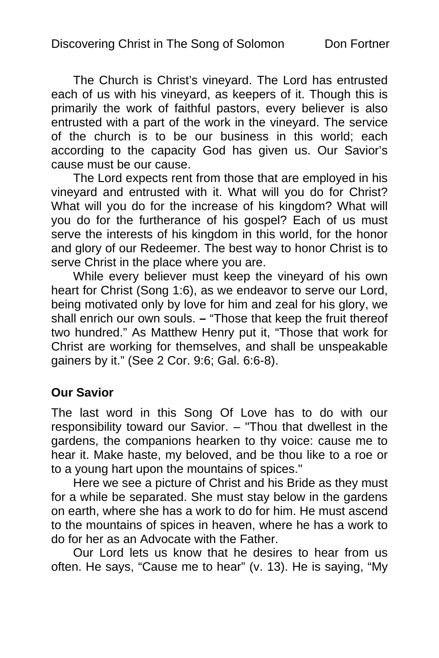The Church is Christ's vineyard. The Lord has entrusted each of us with his vineyard, as keepers of it. Though this is primarily the work of faithful pastors, every believer is also entrusted with a part of the work in the vineyard. The service of the church is to be our business in this world; each according to the capacity God has given us. Our Savior's cause must be our cause.

The Lord expects rent from those that are employed in his vineyard and entrusted with it. What will you do for Christ? What will you do for the increase of his kingdom? What will you do for the furtherance of his gospel? Each of us must serve the interests of his kingdom in this world, for the honor and glory of our Redeemer. The best way to honor Christ is to serve Christ in the place where you are.

While every believer must keep the vineyard of his own heart for Christ (Song 1:6), as we endeavor to serve our Lord, being motivated only by love for him and zeal for his glory, we shall enrich our own souls. **–** "Those that keep the fruit thereof two hundred." As Matthew Henry put it, "Those that work for Christ are working for themselves, and shall be unspeakable gainers by it." (See 2 Cor. 9:6; Gal. 6:6-8).

## **Our Savior**

The last word in this Song Of Love has to do with our responsibility toward our Savior. – "Thou that dwellest in the gardens, the companions hearken to thy voice: cause me to hear it. Make haste, my beloved, and be thou like to a roe or to a young hart upon the mountains of spices."

Here we see a picture of Christ and his Bride as they must for a while be separated. She must stay below in the gardens on earth, where she has a work to do for him. He must ascend to the mountains of spices in heaven, where he has a work to do for her as an Advocate with the Father.

Our Lord lets us know that he desires to hear from us often. He says, "Cause me to hear" (v. 13). He is saying, "My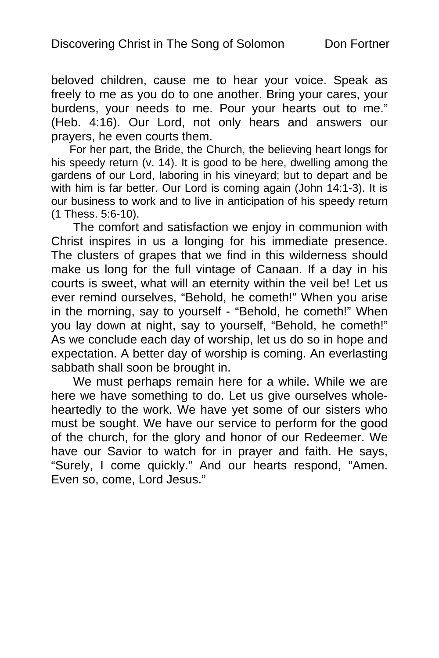beloved children, cause me to hear your voice. Speak as freely to me as you do to one another. Bring your cares, your burdens, your needs to me. Pour your hearts out to me." (Heb. 4:16). Our Lord, not only hears and answers our prayers, he even courts them.

For her part, the Bride, the Church, the believing heart longs for his speedy return (v. 14). It is good to be here, dwelling among the gardens of our Lord, laboring in his vineyard; but to depart and be with him is far better. Our Lord is coming again (John 14:1-3). It is our business to work and to live in anticipation of his speedy return (1 Thess. 5:6-10).

The comfort and satisfaction we enjoy in communion with Christ inspires in us a longing for his immediate presence. The clusters of grapes that we find in this wilderness should make us long for the full vintage of Canaan. If a day in his courts is sweet, what will an eternity within the veil be! Let us ever remind ourselves, "Behold, he cometh!" When you arise in the morning, say to yourself - "Behold, he cometh!" When you lay down at night, say to yourself, "Behold, he cometh!" As we conclude each day of worship, let us do so in hope and expectation. A better day of worship is coming. An everlasting sabbath shall soon be brought in.

We must perhaps remain here for a while. While we are here we have something to do. Let us give ourselves wholeheartedly to the work. We have yet some of our sisters who must be sought. We have our service to perform for the good of the church, for the glory and honor of our Redeemer. We have our Savior to watch for in prayer and faith. He says, "Surely, I come quickly." And our hearts respond, "Amen. Even so, come, Lord Jesus."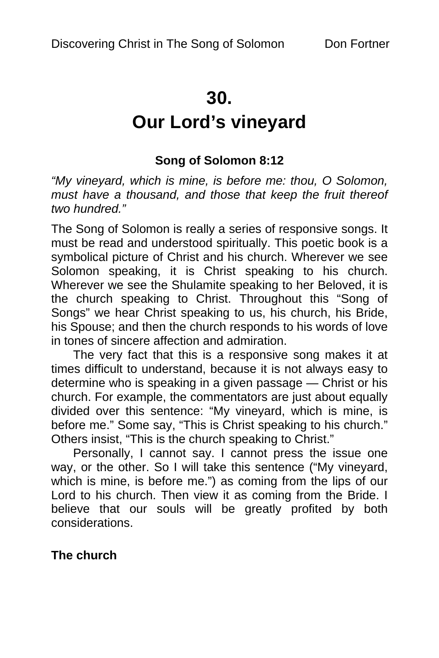## **30.**

# **Our Lord's vineyard**

## **Song of Solomon 8:12**

*"My vineyard, which is mine, is before me: thou, O Solomon, must have a thousand, and those that keep the fruit thereof two hundred."* 

The Song of Solomon is really a series of responsive songs. It must be read and understood spiritually. This poetic book is a symbolical picture of Christ and his church. Wherever we see Solomon speaking, it is Christ speaking to his church. Wherever we see the Shulamite speaking to her Beloved, it is the church speaking to Christ. Throughout this "Song of Songs" we hear Christ speaking to us, his church, his Bride, his Spouse; and then the church responds to his words of love in tones of sincere affection and admiration.

The very fact that this is a responsive song makes it at times difficult to understand, because it is not always easy to determine who is speaking in a given passage — Christ or his church. For example, the commentators are just about equally divided over this sentence: "My vineyard, which is mine, is before me." Some say, "This is Christ speaking to his church." Others insist, "This is the church speaking to Christ."

Personally, I cannot say. I cannot press the issue one way, or the other. So I will take this sentence ("My vineyard, which is mine, is before me.") as coming from the lips of our Lord to his church. Then view it as coming from the Bride. I believe that our souls will be greatly profited by both considerations.

## **The church**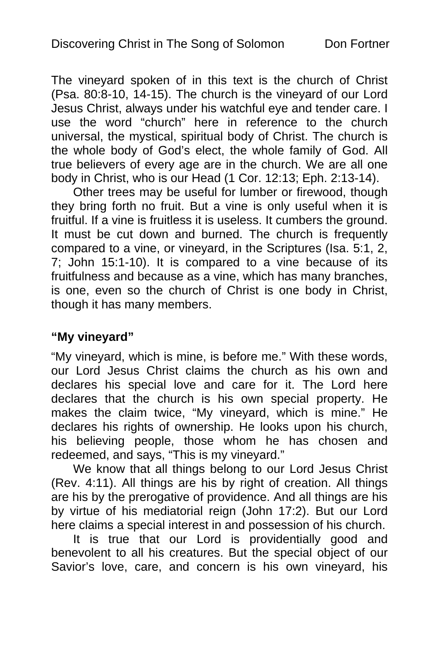The vineyard spoken of in this text is the church of Christ (Psa. 80:8-10, 14-15). The church is the vineyard of our Lord Jesus Christ, always under his watchful eye and tender care. I use the word "church" here in reference to the church universal, the mystical, spiritual body of Christ. The church is the whole body of God's elect, the whole family of God. All true believers of every age are in the church. We are all one body in Christ, who is our Head (1 Cor. 12:13; Eph. 2:13-14).

Other trees may be useful for lumber or firewood, though they bring forth no fruit. But a vine is only useful when it is fruitful. If a vine is fruitless it is useless. It cumbers the ground. It must be cut down and burned. The church is frequently compared to a vine, or vineyard, in the Scriptures (Isa. 5:1, 2, 7; John 15:1-10). It is compared to a vine because of its fruitfulness and because as a vine, which has many branches, is one, even so the church of Christ is one body in Christ, though it has many members.

## **"My vineyard"**

"My vineyard, which is mine, is before me." With these words, our Lord Jesus Christ claims the church as his own and declares his special love and care for it. The Lord here declares that the church is his own special property. He makes the claim twice, "My vineyard, which is mine." He declares his rights of ownership. He looks upon his church, his believing people, those whom he has chosen and redeemed, and says, "This is my vineyard."

We know that all things belong to our Lord Jesus Christ (Rev. 4:11). All things are his by right of creation. All things are his by the prerogative of providence. And all things are his by virtue of his mediatorial reign (John 17:2). But our Lord here claims a special interest in and possession of his church.

It is true that our Lord is providentially good and benevolent to all his creatures. But the special object of our Savior's love, care, and concern is his own vineyard, his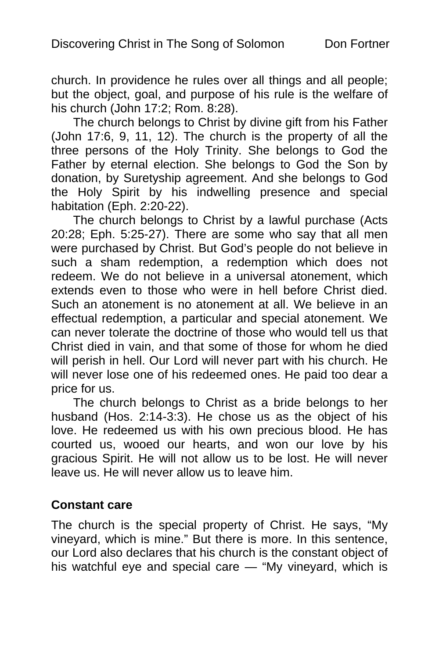church. In providence he rules over all things and all people; but the object, goal, and purpose of his rule is the welfare of his church (John 17:2; Rom. 8:28).

The church belongs to Christ by divine gift from his Father (John 17:6, 9, 11, 12). The church is the property of all the three persons of the Holy Trinity. She belongs to God the Father by eternal election. She belongs to God the Son by donation, by Suretyship agreement. And she belongs to God the Holy Spirit by his indwelling presence and special habitation (Eph. 2:20-22).

The church belongs to Christ by a lawful purchase (Acts 20:28; Eph. 5:25-27). There are some who say that all men were purchased by Christ. But God's people do not believe in such a sham redemption, a redemption which does not redeem. We do not believe in a universal atonement, which extends even to those who were in hell before Christ died. Such an atonement is no atonement at all. We believe in an effectual redemption, a particular and special atonement. We can never tolerate the doctrine of those who would tell us that Christ died in vain, and that some of those for whom he died will perish in hell. Our Lord will never part with his church. He will never lose one of his redeemed ones. He paid too dear a price for us.

The church belongs to Christ as a bride belongs to her husband (Hos. 2:14-3:3). He chose us as the object of his love. He redeemed us with his own precious blood. He has courted us, wooed our hearts, and won our love by his gracious Spirit. He will not allow us to be lost. He will never leave us. He will never allow us to leave him.

## **Constant care**

The church is the special property of Christ. He says, "My vineyard, which is mine." But there is more. In this sentence, our Lord also declares that his church is the constant object of his watchful eye and special care — "My vineyard, which is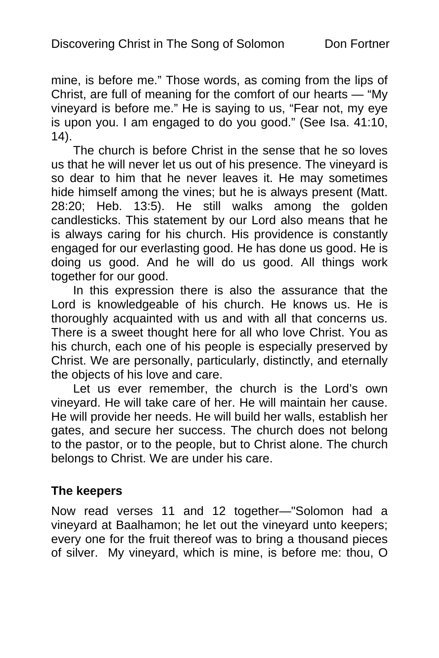mine, is before me." Those words, as coming from the lips of Christ, are full of meaning for the comfort of our hearts — "My vineyard is before me." He is saying to us, "Fear not, my eye is upon you. I am engaged to do you good." (See Isa. 41:10, 14).

The church is before Christ in the sense that he so loves us that he will never let us out of his presence. The vineyard is so dear to him that he never leaves it. He may sometimes hide himself among the vines; but he is always present (Matt. 28:20; Heb. 13:5). He still walks among the golden candlesticks. This statement by our Lord also means that he is always caring for his church. His providence is constantly engaged for our everlasting good. He has done us good. He is doing us good. And he will do us good. All things work together for our good.

In this expression there is also the assurance that the Lord is knowledgeable of his church. He knows us. He is thoroughly acquainted with us and with all that concerns us. There is a sweet thought here for all who love Christ. You as his church, each one of his people is especially preserved by Christ. We are personally, particularly, distinctly, and eternally the objects of his love and care.

Let us ever remember, the church is the Lord's own vineyard. He will take care of her. He will maintain her cause. He will provide her needs. He will build her walls, establish her gates, and secure her success. The church does not belong to the pastor, or to the people, but to Christ alone. The church belongs to Christ. We are under his care.

## **The keepers**

Now read verses 11 and 12 together—"Solomon had a vineyard at Baalhamon; he let out the vineyard unto keepers; every one for the fruit thereof was to bring a thousand pieces of silver. My vineyard, which is mine, is before me: thou, O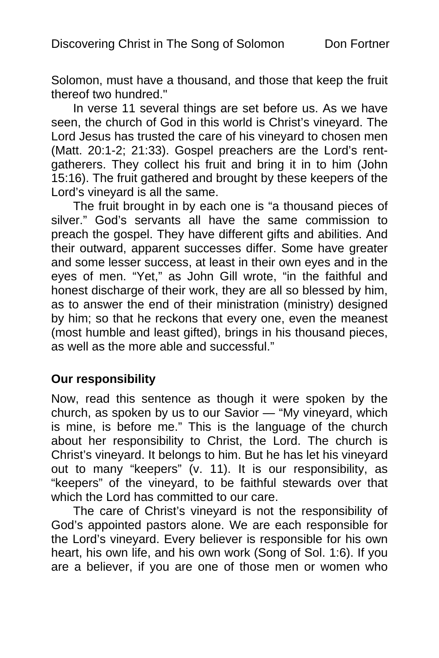Solomon, must have a thousand, and those that keep the fruit thereof two hundred."

In verse 11 several things are set before us. As we have seen, the church of God in this world is Christ's vineyard. The Lord Jesus has trusted the care of his vineyard to chosen men (Matt. 20:1-2; 21:33). Gospel preachers are the Lord's rentgatherers. They collect his fruit and bring it in to him (John 15:16). The fruit gathered and brought by these keepers of the Lord's vineyard is all the same.

The fruit brought in by each one is "a thousand pieces of silver." God's servants all have the same commission to preach the gospel. They have different gifts and abilities. And their outward, apparent successes differ. Some have greater and some lesser success, at least in their own eyes and in the eyes of men. "Yet," as John Gill wrote, "in the faithful and honest discharge of their work, they are all so blessed by him, as to answer the end of their ministration (ministry) designed by him; so that he reckons that every one, even the meanest (most humble and least gifted), brings in his thousand pieces, as well as the more able and successful."

#### **Our responsibility**

Now, read this sentence as though it were spoken by the church, as spoken by us to our Savior — "My vineyard, which is mine, is before me." This is the language of the church about her responsibility to Christ, the Lord. The church is Christ's vineyard. It belongs to him. But he has let his vineyard out to many "keepers" (v. 11). It is our responsibility, as "keepers" of the vineyard, to be faithful stewards over that which the Lord has committed to our care.

The care of Christ's vineyard is not the responsibility of God's appointed pastors alone. We are each responsible for the Lord's vineyard. Every believer is responsible for his own heart, his own life, and his own work (Song of Sol. 1:6). If you are a believer, if you are one of those men or women who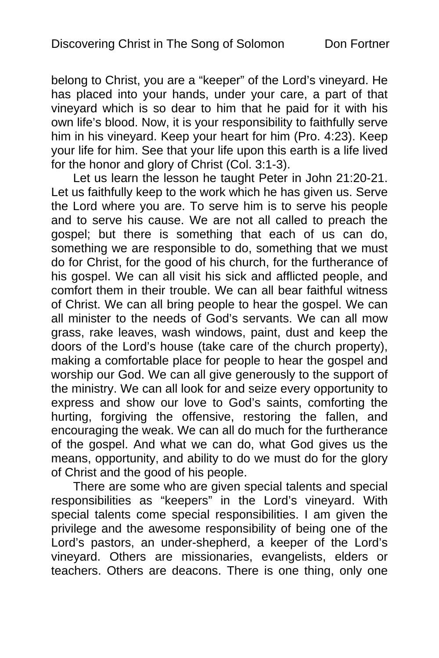belong to Christ, you are a "keeper" of the Lord's vineyard. He has placed into your hands, under your care, a part of that vineyard which is so dear to him that he paid for it with his own life's blood. Now, it is your responsibility to faithfully serve him in his vineyard. Keep your heart for him (Pro. 4:23). Keep your life for him. See that your life upon this earth is a life lived for the honor and glory of Christ (Col. 3:1-3).

Let us learn the lesson he taught Peter in John 21:20-21. Let us faithfully keep to the work which he has given us. Serve the Lord where you are. To serve him is to serve his people and to serve his cause. We are not all called to preach the gospel; but there is something that each of us can do, something we are responsible to do, something that we must do for Christ, for the good of his church, for the furtherance of his gospel. We can all visit his sick and afflicted people, and comfort them in their trouble. We can all bear faithful witness of Christ. We can all bring people to hear the gospel. We can all minister to the needs of God's servants. We can all mow grass, rake leaves, wash windows, paint, dust and keep the doors of the Lord's house (take care of the church property), making a comfortable place for people to hear the gospel and worship our God. We can all give generously to the support of the ministry. We can all look for and seize every opportunity to express and show our love to God's saints, comforting the hurting, forgiving the offensive, restoring the fallen, and encouraging the weak. We can all do much for the furtherance of the gospel. And what we can do, what God gives us the means, opportunity, and ability to do we must do for the glory of Christ and the good of his people.

There are some who are given special talents and special responsibilities as "keepers" in the Lord's vineyard. With special talents come special responsibilities. I am given the privilege and the awesome responsibility of being one of the Lord's pastors, an under-shepherd, a keeper of the Lord's vineyard. Others are missionaries, evangelists, elders or teachers. Others are deacons. There is one thing, only one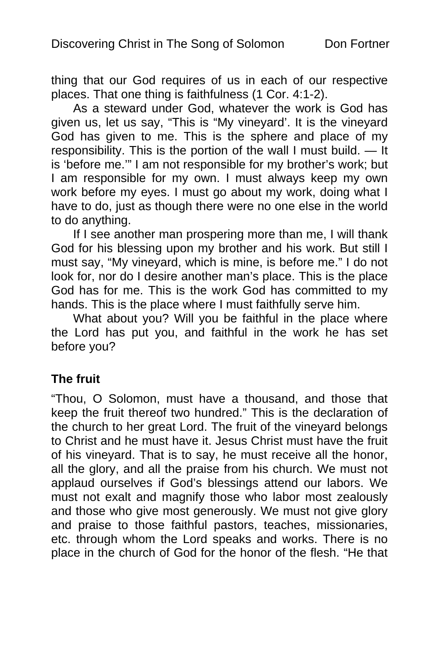thing that our God requires of us in each of our respective places. That one thing is faithfulness (1 Cor. 4:1-2).

As a steward under God, whatever the work is God has given us, let us say, "This is "My vineyard'. It is the vineyard God has given to me. This is the sphere and place of my responsibility. This is the portion of the wall I must build. — It is 'before me.'" I am not responsible for my brother's work; but I am responsible for my own. I must always keep my own work before my eyes. I must go about my work, doing what I have to do, just as though there were no one else in the world to do anything.

If I see another man prospering more than me, I will thank God for his blessing upon my brother and his work. But still I must say, "My vineyard, which is mine, is before me." I do not look for, nor do I desire another man's place. This is the place God has for me. This is the work God has committed to my hands. This is the place where I must faithfully serve him.

What about you? Will you be faithful in the place where the Lord has put you, and faithful in the work he has set before you?

## **The fruit**

"Thou, O Solomon, must have a thousand, and those that keep the fruit thereof two hundred." This is the declaration of the church to her great Lord. The fruit of the vineyard belongs to Christ and he must have it. Jesus Christ must have the fruit of his vineyard. That is to say, he must receive all the honor, all the glory, and all the praise from his church. We must not applaud ourselves if God's blessings attend our labors. We must not exalt and magnify those who labor most zealously and those who give most generously. We must not give glory and praise to those faithful pastors, teaches, missionaries, etc. through whom the Lord speaks and works. There is no place in the church of God for the honor of the flesh. "He that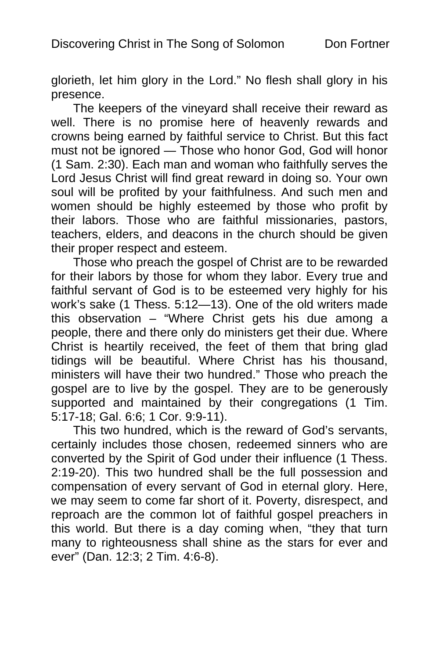glorieth, let him glory in the Lord." No flesh shall glory in his presence.

The keepers of the vineyard shall receive their reward as well. There is no promise here of heavenly rewards and crowns being earned by faithful service to Christ. But this fact must not be ignored — Those who honor God, God will honor (1 Sam. 2:30). Each man and woman who faithfully serves the Lord Jesus Christ will find great reward in doing so. Your own soul will be profited by your faithfulness. And such men and women should be highly esteemed by those who profit by their labors. Those who are faithful missionaries, pastors, teachers, elders, and deacons in the church should be given their proper respect and esteem.

Those who preach the gospel of Christ are to be rewarded for their labors by those for whom they labor. Every true and faithful servant of God is to be esteemed very highly for his work's sake (1 Thess. 5:12—13). One of the old writers made this observation – "Where Christ gets his due among a people, there and there only do ministers get their due. Where Christ is heartily received, the feet of them that bring glad tidings will be beautiful. Where Christ has his thousand, ministers will have their two hundred." Those who preach the gospel are to live by the gospel. They are to be generously supported and maintained by their congregations (1 Tim. 5:17-18; Gal. 6:6; 1 Cor. 9:9-11).

This two hundred, which is the reward of God's servants, certainly includes those chosen, redeemed sinners who are converted by the Spirit of God under their influence (1 Thess. 2:19-20). This two hundred shall be the full possession and compensation of every servant of God in eternal glory. Here, we may seem to come far short of it. Poverty, disrespect, and reproach are the common lot of faithful gospel preachers in this world. But there is a day coming when, "they that turn many to righteousness shall shine as the stars for ever and ever" (Dan. 12:3; 2 Tim. 4:6-8).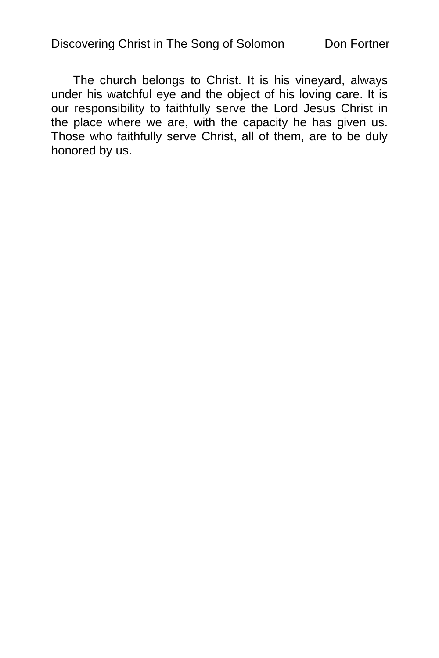The church belongs to Christ. It is his vineyard, always under his watchful eye and the object of his loving care. It is our responsibility to faithfully serve the Lord Jesus Christ in the place where we are, with the capacity he has given us. Those who faithfully serve Christ, all of them, are to be duly honored by us.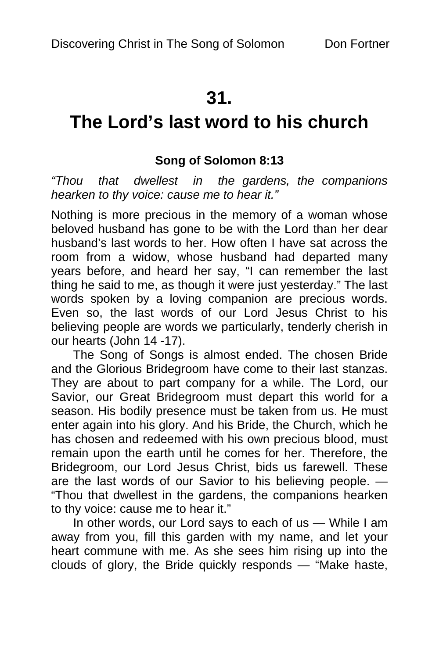## **31.**

# **The Lord's last word to his church**

## **Song of Solomon 8:13**

*"Thou that dwellest in the gardens, the companions hearken to thy voice: cause me to hear it."* 

Nothing is more precious in the memory of a woman whose beloved husband has gone to be with the Lord than her dear husband's last words to her. How often I have sat across the room from a widow, whose husband had departed many years before, and heard her say, "I can remember the last thing he said to me, as though it were just yesterday." The last words spoken by a loving companion are precious words. Even so, the last words of our Lord Jesus Christ to his believing people are words we particularly, tenderly cherish in our hearts (John 14 -17).

The Song of Songs is almost ended. The chosen Bride and the Glorious Bridegroom have come to their last stanzas. They are about to part company for a while. The Lord, our Savior, our Great Bridegroom must depart this world for a season. His bodily presence must be taken from us. He must enter again into his glory. And his Bride, the Church, which he has chosen and redeemed with his own precious blood, must remain upon the earth until he comes for her. Therefore, the Bridegroom, our Lord Jesus Christ, bids us farewell. These are the last words of our Savior to his believing people. — "Thou that dwellest in the gardens, the companions hearken to thy voice: cause me to hear it."

In other words, our Lord says to each of us — While I am away from you, fill this garden with my name, and let your heart commune with me. As she sees him rising up into the clouds of glory, the Bride quickly responds — "Make haste,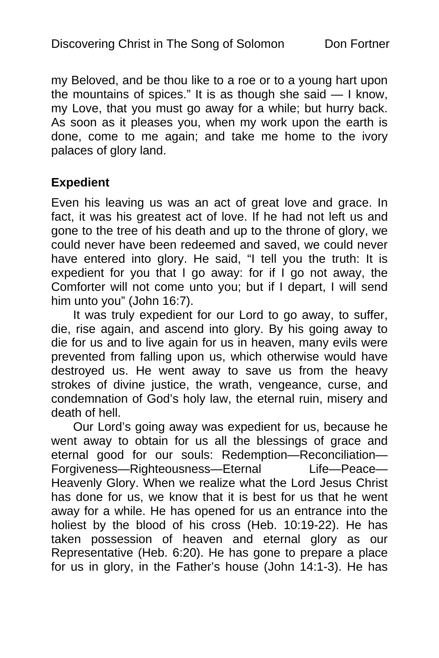my Beloved, and be thou like to a roe or to a young hart upon the mountains of spices." It is as though she said — I know, my Love, that you must go away for a while; but hurry back. As soon as it pleases you, when my work upon the earth is done, come to me again; and take me home to the ivory palaces of glory land.

#### **Expedient**

Even his leaving us was an act of great love and grace. In fact, it was his greatest act of love. If he had not left us and gone to the tree of his death and up to the throne of glory, we could never have been redeemed and saved, we could never have entered into glory. He said, "I tell you the truth: It is expedient for you that I go away: for if I go not away, the Comforter will not come unto you; but if I depart, I will send him unto you" (John 16:7).

It was truly expedient for our Lord to go away, to suffer, die, rise again, and ascend into glory. By his going away to die for us and to live again for us in heaven, many evils were prevented from falling upon us, which otherwise would have destroyed us. He went away to save us from the heavy strokes of divine justice, the wrath, vengeance, curse, and condemnation of God's holy law, the eternal ruin, misery and death of hell.

Our Lord's going away was expedient for us, because he went away to obtain for us all the blessings of grace and eternal good for our souls: Redemption—Reconciliation— Forgiveness—Righteousness—Eternal Life—Peace— Heavenly Glory. When we realize what the Lord Jesus Christ has done for us, we know that it is best for us that he went away for a while. He has opened for us an entrance into the holiest by the blood of his cross (Heb. 10:19-22). He has taken possession of heaven and eternal glory as our Representative (Heb. 6:20). He has gone to prepare a place for us in glory, in the Father's house (John 14:1-3). He has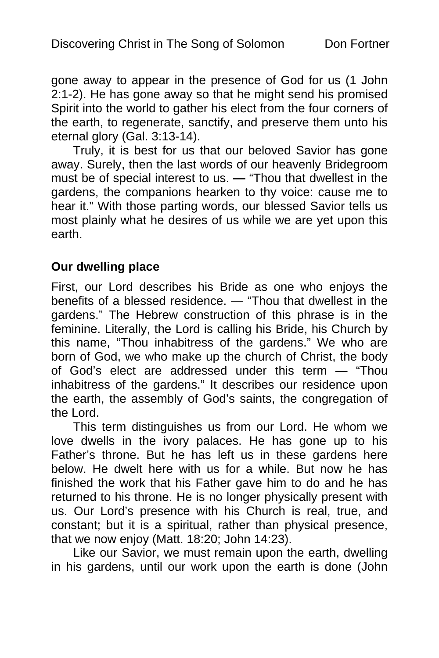gone away to appear in the presence of God for us (1 John 2:1-2). He has gone away so that he might send his promised Spirit into the world to gather his elect from the four corners of the earth, to regenerate, sanctify, and preserve them unto his eternal glory (Gal. 3:13-14).

Truly, it is best for us that our beloved Savior has gone away. Surely, then the last words of our heavenly Bridegroom must be of special interest to us. **—** "Thou that dwellest in the gardens, the companions hearken to thy voice: cause me to hear it." With those parting words, our blessed Savior tells us most plainly what he desires of us while we are yet upon this earth.

## **Our dwelling place**

First, our Lord describes his Bride as one who enjoys the benefits of a blessed residence. — "Thou that dwellest in the gardens." The Hebrew construction of this phrase is in the feminine. Literally, the Lord is calling his Bride, his Church by this name, "Thou inhabitress of the gardens." We who are born of God, we who make up the church of Christ, the body of God's elect are addressed under this term — "Thou inhabitress of the gardens." It describes our residence upon the earth, the assembly of God's saints, the congregation of the Lord.

This term distinguishes us from our Lord. He whom we love dwells in the ivory palaces. He has gone up to his Father's throne. But he has left us in these gardens here below. He dwelt here with us for a while. But now he has finished the work that his Father gave him to do and he has returned to his throne. He is no longer physically present with us. Our Lord's presence with his Church is real, true, and constant; but it is a spiritual, rather than physical presence, that we now enjoy (Matt. 18:20; John 14:23).

Like our Savior, we must remain upon the earth, dwelling in his gardens, until our work upon the earth is done (John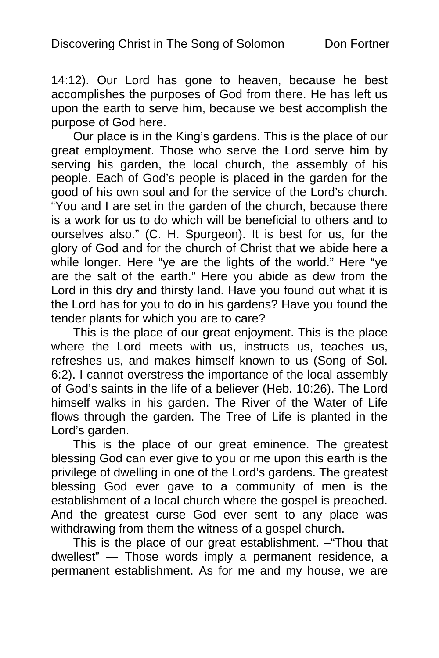14:12). Our Lord has gone to heaven, because he best accomplishes the purposes of God from there. He has left us upon the earth to serve him, because we best accomplish the purpose of God here.

Our place is in the King's gardens. This is the place of our great employment. Those who serve the Lord serve him by serving his garden, the local church, the assembly of his people. Each of God's people is placed in the garden for the good of his own soul and for the service of the Lord's church. "You and I are set in the garden of the church, because there is a work for us to do which will be beneficial to others and to ourselves also." (C. H. Spurgeon). It is best for us, for the glory of God and for the church of Christ that we abide here a while longer. Here "ye are the lights of the world." Here "ye are the salt of the earth." Here you abide as dew from the Lord in this dry and thirsty land. Have you found out what it is the Lord has for you to do in his gardens? Have you found the tender plants for which you are to care?

This is the place of our great enjoyment. This is the place where the Lord meets with us, instructs us, teaches us, refreshes us, and makes himself known to us (Song of Sol. 6:2). I cannot overstress the importance of the local assembly of God's saints in the life of a believer (Heb. 10:26). The Lord himself walks in his garden. The River of the Water of Life flows through the garden. The Tree of Life is planted in the Lord's garden.

This is the place of our great eminence. The greatest blessing God can ever give to you or me upon this earth is the privilege of dwelling in one of the Lord's gardens. The greatest blessing God ever gave to a community of men is the establishment of a local church where the gospel is preached. And the greatest curse God ever sent to any place was withdrawing from them the witness of a gospel church.

This is the place of our great establishment. –"Thou that dwellest" — Those words imply a permanent residence, a permanent establishment. As for me and my house, we are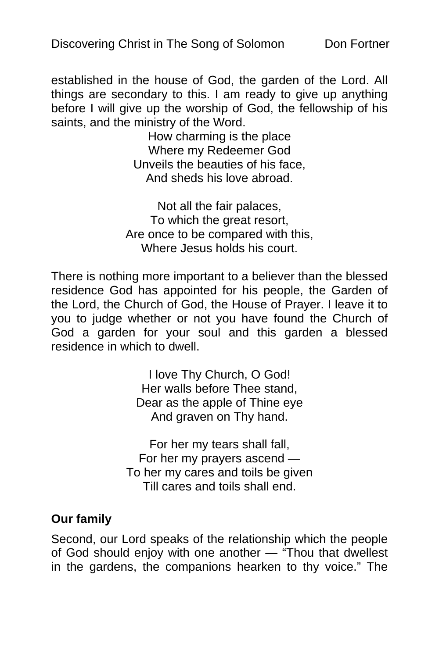established in the house of God, the garden of the Lord. All things are secondary to this. I am ready to give up anything before I will give up the worship of God, the fellowship of his saints, and the ministry of the Word.

> How charming is the place Where my Redeemer God Unveils the beauties of his face, And sheds his love abroad.

Not all the fair palaces, To which the great resort, Are once to be compared with this, Where Jesus holds his court.

There is nothing more important to a believer than the blessed residence God has appointed for his people, the Garden of the Lord, the Church of God, the House of Prayer. I leave it to you to judge whether or not you have found the Church of God a garden for your soul and this garden a blessed residence in which to dwell.

> I love Thy Church, O God! Her walls before Thee stand, Dear as the apple of Thine eye And graven on Thy hand.

For her my tears shall fall, For her my prayers ascend — To her my cares and toils be given Till cares and toils shall end.

## **Our family**

Second, our Lord speaks of the relationship which the people of God should enjoy with one another — "Thou that dwellest in the gardens, the companions hearken to thy voice." The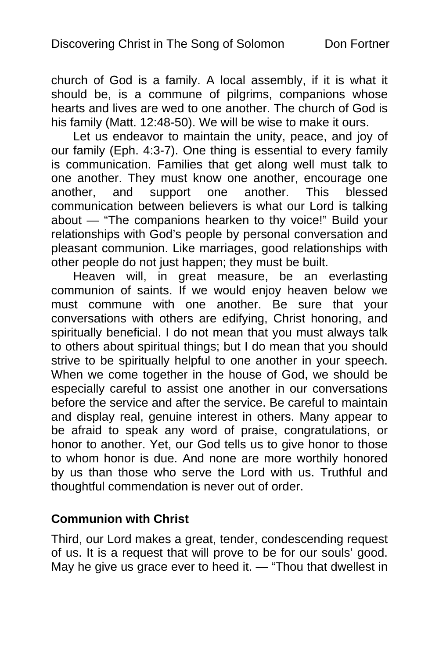church of God is a family. A local assembly, if it is what it should be, is a commune of pilgrims, companions whose hearts and lives are wed to one another. The church of God is his family (Matt. 12:48-50). We will be wise to make it ours.

Let us endeavor to maintain the unity, peace, and joy of our family (Eph. 4:3-7). One thing is essential to every family is communication. Families that get along well must talk to one another. They must know one another, encourage one another, and support one another. This blessed communication between believers is what our Lord is talking about — "The companions hearken to thy voice!" Build your relationships with God's people by personal conversation and pleasant communion. Like marriages, good relationships with other people do not just happen; they must be built.

Heaven will, in great measure, be an everlasting communion of saints. If we would enjoy heaven below we must commune with one another. Be sure that your conversations with others are edifying, Christ honoring, and spiritually beneficial. I do not mean that you must always talk to others about spiritual things; but I do mean that you should strive to be spiritually helpful to one another in your speech. When we come together in the house of God, we should be especially careful to assist one another in our conversations before the service and after the service. Be careful to maintain and display real, genuine interest in others. Many appear to be afraid to speak any word of praise, congratulations, or honor to another. Yet, our God tells us to give honor to those to whom honor is due. And none are more worthily honored by us than those who serve the Lord with us. Truthful and thoughtful commendation is never out of order.

## **Communion with Christ**

Third, our Lord makes a great, tender, condescending request of us. It is a request that will prove to be for our souls' good. May he give us grace ever to heed it. **—** "Thou that dwellest in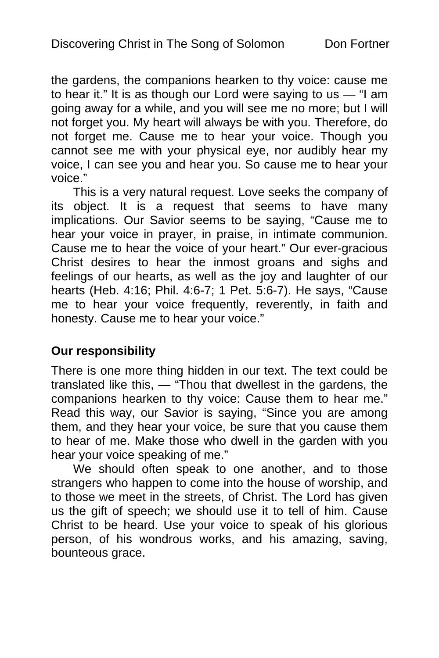the gardens, the companions hearken to thy voice: cause me to hear it." It is as though our Lord were saying to us  $-$  "I am going away for a while, and you will see me no more; but I will not forget you. My heart will always be with you. Therefore, do not forget me. Cause me to hear your voice. Though you cannot see me with your physical eye, nor audibly hear my voice, I can see you and hear you. So cause me to hear your voice."

This is a very natural request. Love seeks the company of its object. It is a request that seems to have many implications. Our Savior seems to be saying, "Cause me to hear your voice in prayer, in praise, in intimate communion. Cause me to hear the voice of your heart." Our ever-gracious Christ desires to hear the inmost groans and sighs and feelings of our hearts, as well as the joy and laughter of our hearts (Heb. 4:16; Phil. 4:6-7; 1 Pet. 5:6-7). He says, "Cause me to hear your voice frequently, reverently, in faith and honesty. Cause me to hear your voice."

## **Our responsibility**

There is one more thing hidden in our text. The text could be translated like this, — "Thou that dwellest in the gardens, the companions hearken to thy voice: Cause them to hear me." Read this way, our Savior is saying, "Since you are among them, and they hear your voice, be sure that you cause them to hear of me. Make those who dwell in the garden with you hear your voice speaking of me."

We should often speak to one another, and to those strangers who happen to come into the house of worship, and to those we meet in the streets, of Christ. The Lord has given us the gift of speech; we should use it to tell of him. Cause Christ to be heard. Use your voice to speak of his glorious person, of his wondrous works, and his amazing, saving, bounteous grace.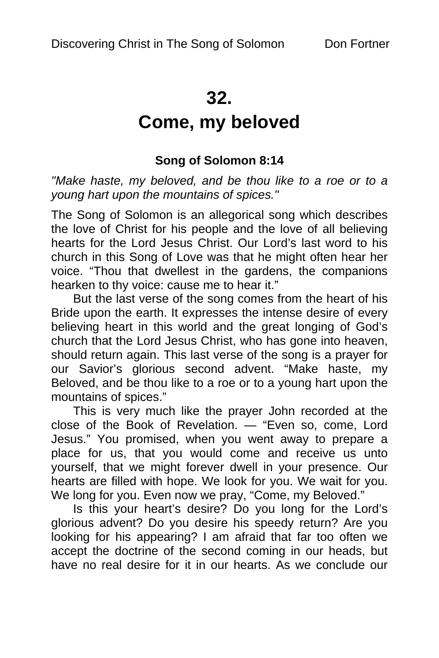## **32.**

# **Come, my beloved**

## **Song of Solomon 8:14**

*"Make haste, my beloved, and be thou like to a roe or to a young hart upon the mountains of spices."* 

The Song of Solomon is an allegorical song which describes the love of Christ for his people and the love of all believing hearts for the Lord Jesus Christ. Our Lord's last word to his church in this Song of Love was that he might often hear her voice. "Thou that dwellest in the gardens, the companions hearken to thy voice: cause me to hear it."

But the last verse of the song comes from the heart of his Bride upon the earth. It expresses the intense desire of every believing heart in this world and the great longing of God's church that the Lord Jesus Christ, who has gone into heaven, should return again. This last verse of the song is a prayer for our Savior's glorious second advent. "Make haste, my Beloved, and be thou like to a roe or to a young hart upon the mountains of spices."

This is very much like the prayer John recorded at the close of the Book of Revelation. — "Even so, come, Lord Jesus." You promised, when you went away to prepare a place for us, that you would come and receive us unto yourself, that we might forever dwell in your presence. Our hearts are filled with hope. We look for you. We wait for you. We long for you. Even now we pray, "Come, my Beloved."

Is this your heart's desire? Do you long for the Lord's glorious advent? Do you desire his speedy return? Are you looking for his appearing? I am afraid that far too often we accept the doctrine of the second coming in our heads, but have no real desire for it in our hearts. As we conclude our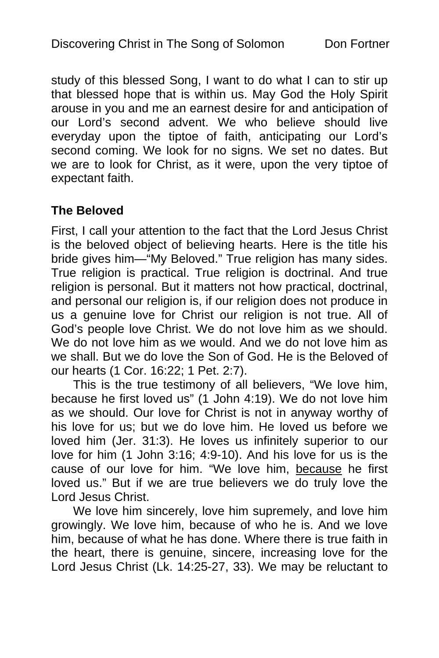study of this blessed Song, I want to do what I can to stir up that blessed hope that is within us. May God the Holy Spirit arouse in you and me an earnest desire for and anticipation of our Lord's second advent. We who believe should live everyday upon the tiptoe of faith, anticipating our Lord's second coming. We look for no signs. We set no dates. But we are to look for Christ, as it were, upon the very tiptoe of expectant faith.

## **The Beloved**

First, I call your attention to the fact that the Lord Jesus Christ is the beloved object of believing hearts. Here is the title his bride gives him—"My Beloved." True religion has many sides. True religion is practical. True religion is doctrinal. And true religion is personal. But it matters not how practical, doctrinal, and personal our religion is, if our religion does not produce in us a genuine love for Christ our religion is not true. All of God's people love Christ. We do not love him as we should. We do not love him as we would. And we do not love him as we shall. But we do love the Son of God. He is the Beloved of our hearts (1 Cor. 16:22; 1 Pet. 2:7).

This is the true testimony of all believers, "We love him, because he first loved us" (1 John 4:19). We do not love him as we should. Our love for Christ is not in anyway worthy of his love for us; but we do love him. He loved us before we loved him (Jer. 31:3). He loves us infinitely superior to our love for him (1 John 3:16; 4:9-10). And his love for us is the cause of our love for him. "We love him, because he first loved us." But if we are true believers we do truly love the Lord Jesus Christ.

We love him sincerely, love him supremely, and love him growingly. We love him, because of who he is. And we love him, because of what he has done. Where there is true faith in the heart, there is genuine, sincere, increasing love for the Lord Jesus Christ (Lk. 14:25-27, 33). We may be reluctant to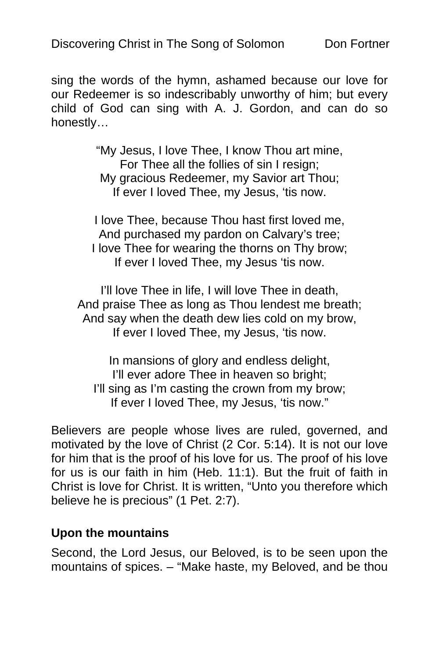sing the words of the hymn, ashamed because our love for our Redeemer is so indescribably unworthy of him; but every child of God can sing with A. J. Gordon, and can do so honestly…

> "My Jesus, I love Thee, I know Thou art mine, For Thee all the follies of sin I resign; My gracious Redeemer, my Savior art Thou; If ever I loved Thee, my Jesus, 'tis now.

I love Thee, because Thou hast first loved me, And purchased my pardon on Calvary's tree; I love Thee for wearing the thorns on Thy brow; If ever I loved Thee, my Jesus 'tis now.

I'll love Thee in life, I will love Thee in death, And praise Thee as long as Thou lendest me breath; And say when the death dew lies cold on my brow, If ever I loved Thee, my Jesus, 'tis now.

In mansions of glory and endless delight, I'll ever adore Thee in heaven so bright; I'll sing as I'm casting the crown from my brow; If ever I loved Thee, my Jesus, 'tis now."

Believers are people whose lives are ruled, governed, and motivated by the love of Christ (2 Cor. 5:14). It is not our love for him that is the proof of his love for us. The proof of his love for us is our faith in him (Heb. 11:1). But the fruit of faith in Christ is love for Christ. It is written, "Unto you therefore which believe he is precious" (1 Pet. 2:7).

## **Upon the mountains**

Second, the Lord Jesus, our Beloved, is to be seen upon the mountains of spices. – "Make haste, my Beloved, and be thou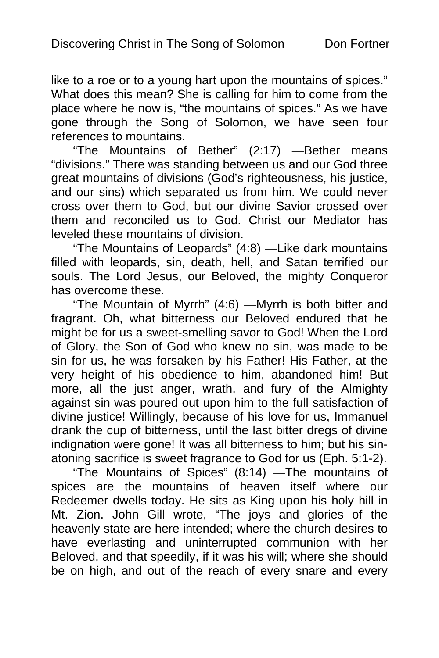like to a roe or to a young hart upon the mountains of spices." What does this mean? She is calling for him to come from the place where he now is, "the mountains of spices." As we have gone through the Song of Solomon, we have seen four references to mountains.

"The Mountains of Bether" (2:17) —Bether means "divisions." There was standing between us and our God three great mountains of divisions (God's righteousness, his justice, and our sins) which separated us from him. We could never cross over them to God, but our divine Savior crossed over them and reconciled us to God. Christ our Mediator has leveled these mountains of division.

"The Mountains of Leopards" (4:8) —Like dark mountains filled with leopards, sin, death, hell, and Satan terrified our souls. The Lord Jesus, our Beloved, the mighty Conqueror has overcome these.

"The Mountain of Myrrh" (4:6) —Myrrh is both bitter and fragrant. Oh, what bitterness our Beloved endured that he might be for us a sweet-smelling savor to God! When the Lord of Glory, the Son of God who knew no sin, was made to be sin for us, he was forsaken by his Father! His Father, at the very height of his obedience to him, abandoned him! But more, all the just anger, wrath, and fury of the Almighty against sin was poured out upon him to the full satisfaction of divine justice! Willingly, because of his love for us, Immanuel drank the cup of bitterness, until the last bitter dregs of divine indignation were gone! It was all bitterness to him; but his sinatoning sacrifice is sweet fragrance to God for us (Eph. 5:1-2).

"The Mountains of Spices" (8:14) —The mountains of spices are the mountains of heaven itself where our Redeemer dwells today. He sits as King upon his holy hill in Mt. Zion. John Gill wrote, "The joys and glories of the heavenly state are here intended; where the church desires to have everlasting and uninterrupted communion with her Beloved, and that speedily, if it was his will; where she should be on high, and out of the reach of every snare and every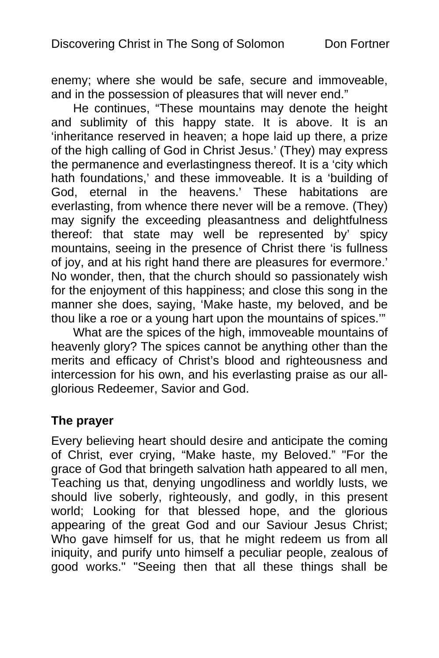enemy; where she would be safe, secure and immoveable, and in the possession of pleasures that will never end."

He continues, "These mountains may denote the height and sublimity of this happy state. It is above. It is an 'inheritance reserved in heaven; a hope laid up there, a prize of the high calling of God in Christ Jesus.' (They) may express the permanence and everlastingness thereof. It is a 'city which hath foundations,' and these immoveable. It is a 'building of God, eternal in the heavens.' These habitations are everlasting, from whence there never will be a remove. (They) may signify the exceeding pleasantness and delightfulness thereof: that state may well be represented by' spicy mountains, seeing in the presence of Christ there 'is fullness of joy, and at his right hand there are pleasures for evermore.' No wonder, then, that the church should so passionately wish for the enjoyment of this happiness; and close this song in the manner she does, saying, 'Make haste, my beloved, and be thou like a roe or a young hart upon the mountains of spices.'"

What are the spices of the high, immoveable mountains of heavenly glory? The spices cannot be anything other than the merits and efficacy of Christ's blood and righteousness and intercession for his own, and his everlasting praise as our allglorious Redeemer, Savior and God.

#### **The prayer**

Every believing heart should desire and anticipate the coming of Christ, ever crying, "Make haste, my Beloved." "For the grace of God that bringeth salvation hath appeared to all men, Teaching us that, denying ungodliness and worldly lusts, we should live soberly, righteously, and godly, in this present world; Looking for that blessed hope, and the glorious appearing of the great God and our Saviour Jesus Christ; Who gave himself for us, that he might redeem us from all iniquity, and purify unto himself a peculiar people, zealous of good works." "Seeing then that all these things shall be